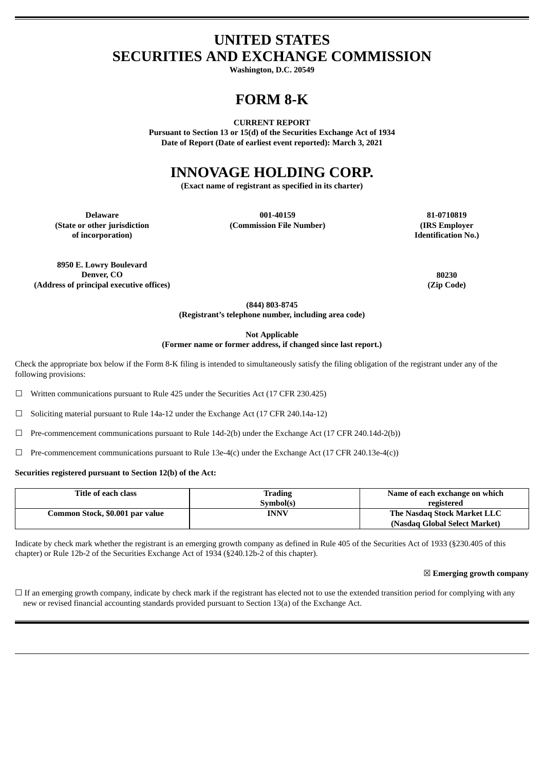## **UNITED STATES SECURITIES AND EXCHANGE COMMISSION**

**Washington, D.C. 20549**

# **FORM 8-K**

**CURRENT REPORT**

**Pursuant to Section 13 or 15(d) of the Securities Exchange Act of 1934 Date of Report (Date of earliest event reported): March 3, 2021**

## **INNOVAGE HOLDING CORP.**

**(Exact name of registrant as specified in its charter)**

**(State or other jurisdiction of incorporation)**

**Delaware 001-40159 81-0710819 (Commission File Number) (IRS Employer**

**Identification No.)**

**8950 E. Lowry Boulevard Denver, CO 80230 (Address of principal executive offices) (Zip Code)**

**(844) 803-8745**

**(Registrant's telephone number, including area code)**

**Not Applicable**

**(Former name or former address, if changed since last report.)**

Check the appropriate box below if the Form 8-K filing is intended to simultaneously satisfy the filing obligation of the registrant under any of the following provisions:

☐ Written communications pursuant to Rule 425 under the Securities Act (17 CFR 230.425)

☐ Soliciting material pursuant to Rule 14a-12 under the Exchange Act (17 CFR 240.14a-12)

 $\Box$  Pre-commencement communications pursuant to Rule 14d-2(b) under the Exchange Act (17 CFR 240.14d-2(b))

 $\Box$  Pre-commencement communications pursuant to Rule 13e-4(c) under the Exchange Act (17 CFR 240.13e-4(c))

**Securities registered pursuant to Section 12(b) of the Act:**

| Title of each class             | Trading<br>Symbol(s) | Name of each exchange on which<br>registered |
|---------------------------------|----------------------|----------------------------------------------|
| Common Stock, \$0.001 par value | INNV                 | The Nasdag Stock Market LLC                  |
|                                 |                      | (Nasdaq Global Select Market)                |

Indicate by check mark whether the registrant is an emerging growth company as defined in Rule 405 of the Securities Act of 1933 (§230.405 of this chapter) or Rule 12b-2 of the Securities Exchange Act of 1934 (§240.12b-2 of this chapter).

☒ **Emerging growth company**

 $\Box$  If an emerging growth company, indicate by check mark if the registrant has elected not to use the extended transition period for complying with any new or revised financial accounting standards provided pursuant to Section 13(a) of the Exchange Act.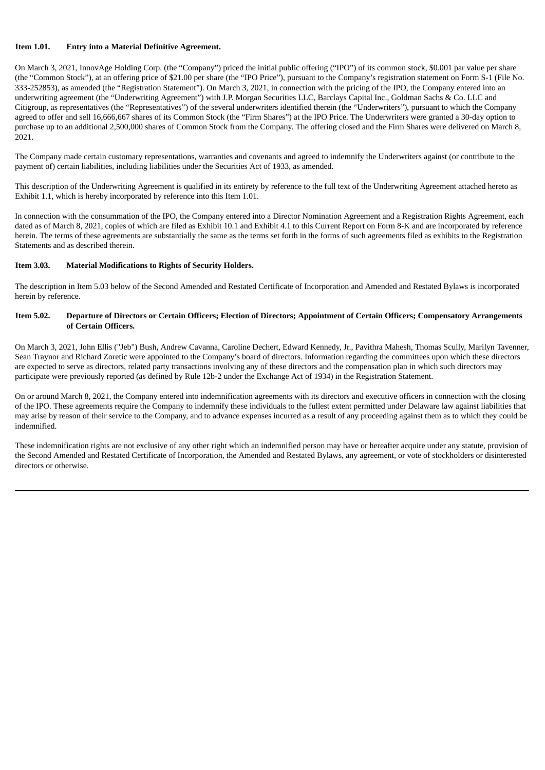### **Item 1.01. Entry into a Material Definitive Agreement.**

On March 3, 2021, InnovAge Holding Corp. (the "Company") priced the initial public offering ("IPO") of its common stock, \$0.001 par value per share (the "Common Stock"), at an offering price of \$21.00 per share (the "IPO Price"), pursuant to the Company's registration statement on Form S-1 (File No. 333-252853), as amended (the "Registration Statement"). On March 3, 2021, in connection with the pricing of the IPO, the Company entered into an underwriting agreement (the "Underwriting Agreement") with J.P. Morgan Securities LLC, Barclays Capital Inc., Goldman Sachs & Co. LLC and Citigroup, as representatives (the "Representatives") of the several underwriters identified therein (the "Underwriters"), pursuant to which the Company agreed to offer and sell 16,666,667 shares of its Common Stock (the "Firm Shares") at the IPO Price. The Underwriters were granted a 30-day option to purchase up to an additional 2,500,000 shares of Common Stock from the Company. The offering closed and the Firm Shares were delivered on March 8, 2021.

The Company made certain customary representations, warranties and covenants and agreed to indemnify the Underwriters against (or contribute to the payment of) certain liabilities, including liabilities under the Securities Act of 1933, as amended.

This description of the Underwriting Agreement is qualified in its entirety by reference to the full text of the Underwriting Agreement attached hereto as Exhibit 1.1, which is hereby incorporated by reference into this Item 1.01.

In connection with the consummation of the IPO, the Company entered into a Director Nomination Agreement and a Registration Rights Agreement, each dated as of March 8, 2021, copies of which are filed as Exhibit 10.1 and Exhibit 4.1 to this Current Report on Form 8-K and are incorporated by reference herein. The terms of these agreements are substantially the same as the terms set forth in the forms of such agreements filed as exhibits to the Registration Statements and as described therein.

#### **Item 3.03. Material Modifications to Rights of Security Holders.**

The description in Item 5.03 below of the Second Amended and Restated Certificate of Incorporation and Amended and Restated Bylaws is incorporated herein by reference.

## Item 5.02. Departure of Directors or Certain Officers; Election of Directors; Appointment of Certain Officers; Compensatory Arrangements **of Certain Officers.**

On March 3, 2021, John Ellis ("Jeb") Bush, Andrew Cavanna, Caroline Dechert, Edward Kennedy, Jr., Pavithra Mahesh, Thomas Scully, Marilyn Tavenner, Sean Traynor and Richard Zoretic were appointed to the Company's board of directors. Information regarding the committees upon which these directors are expected to serve as directors, related party transactions involving any of these directors and the compensation plan in which such directors may participate were previously reported (as defined by Rule 12b-2 under the Exchange Act of 1934) in the Registration Statement.

On or around March 8, 2021, the Company entered into indemnification agreements with its directors and executive officers in connection with the closing of the IPO. These agreements require the Company to indemnify these individuals to the fullest extent permitted under Delaware law against liabilities that may arise by reason of their service to the Company, and to advance expenses incurred as a result of any proceeding against them as to which they could be indemnified.

These indemnification rights are not exclusive of any other right which an indemnified person may have or hereafter acquire under any statute, provision of the Second Amended and Restated Certificate of Incorporation, the Amended and Restated Bylaws, any agreement, or vote of stockholders or disinterested directors or otherwise.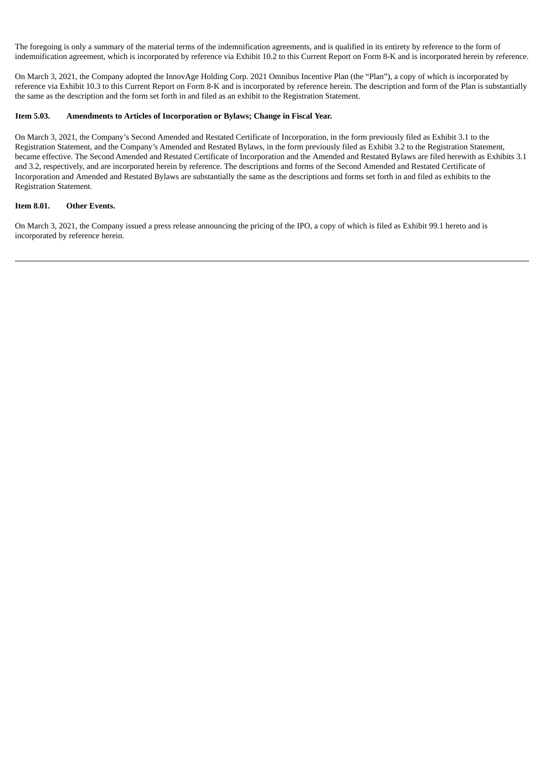The foregoing is only a summary of the material terms of the indemnification agreements, and is qualified in its entirety by reference to the form of indemnification agreement, which is incorporated by reference via Exhibit 10.2 to this Current Report on Form 8-K and is incorporated herein by reference.

On March 3, 2021, the Company adopted the InnovAge Holding Corp. 2021 Omnibus Incentive Plan (the "Plan"), a copy of which is incorporated by reference via Exhibit 10.3 to this Current Report on Form 8-K and is incorporated by reference herein. The description and form of the Plan is substantially the same as the description and the form set forth in and filed as an exhibit to the Registration Statement.

## **Item 5.03. Amendments to Articles of Incorporation or Bylaws; Change in Fiscal Year.**

On March 3, 2021, the Company's Second Amended and Restated Certificate of Incorporation, in the form previously filed as Exhibit 3.1 to the Registration Statement, and the Company's Amended and Restated Bylaws, in the form previously filed as Exhibit 3.2 to the Registration Statement, became effective. The Second Amended and Restated Certificate of Incorporation and the Amended and Restated Bylaws are filed herewith as Exhibits 3.1 and 3.2, respectively, and are incorporated herein by reference. The descriptions and forms of the Second Amended and Restated Certificate of Incorporation and Amended and Restated Bylaws are substantially the same as the descriptions and forms set forth in and filed as exhibits to the Registration Statement.

## **Item 8.01. Other Events.**

On March 3, 2021, the Company issued a press release announcing the pricing of the IPO, a copy of which is filed as Exhibit 99.1 hereto and is incorporated by reference herein.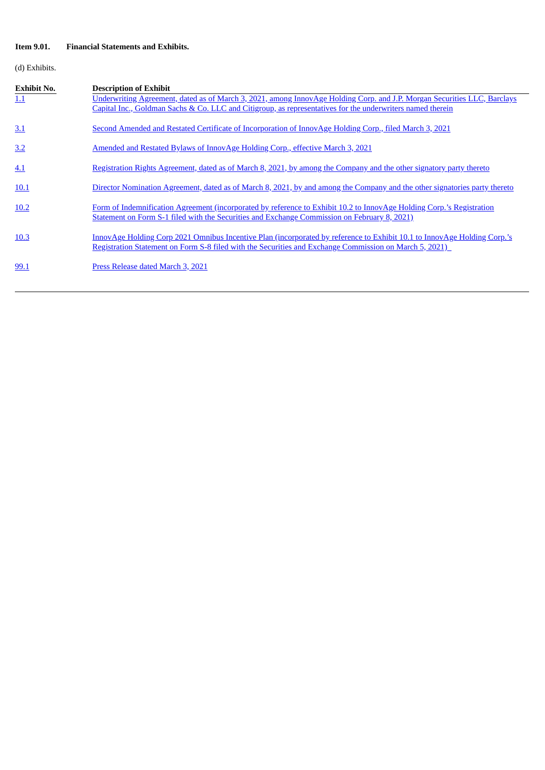## **Item 9.01. Financial Statements and Exhibits.**

## (d) Exhibits.

| <b>Exhibit No.</b> | <b>Description of Exhibit</b>                                                                                                                                                                                                          |
|--------------------|----------------------------------------------------------------------------------------------------------------------------------------------------------------------------------------------------------------------------------------|
| 1.1                | Underwriting Agreement, dated as of March 3, 2021, among InnovAge Holding Corp. and J.P. Morgan Securities LLC, Barclays<br>Capital Inc., Goldman Sachs & Co. LLC and Citigroup, as representatives for the underwriters named therein |
| 3.1                | Second Amended and Restated Certificate of Incorporation of InnovAge Holding Corp., filed March 3, 2021                                                                                                                                |
| 3.2                | Amended and Restated Bylaws of InnovAge Holding Corp., effective March 3, 2021                                                                                                                                                         |
| 4.1                | Registration Rights Agreement, dated as of March 8, 2021, by among the Company and the other signatory party thereto                                                                                                                   |
| 10.1               | Director Nomination Agreement, dated as of March 8, 2021, by and among the Company and the other signatories party thereto                                                                                                             |
| <b>10.2</b>        | Form of Indemnification Agreement (incorporated by reference to Exhibit 10.2 to InnovAge Holding Corp.'s Registration<br>Statement on Form S-1 filed with the Securities and Exchange Commission on February 8, 2021)                  |
| 10.3               | InnovAge Holding Corp 2021 Omnibus Incentive Plan (incorporated by reference to Exhibit 10.1 to InnovAge Holding Corp.'s<br>Registration Statement on Form S-8 filed with the Securities and Exchange Commission on March 5, 2021)     |
| 99.1               | Press Release dated March 3, 2021                                                                                                                                                                                                      |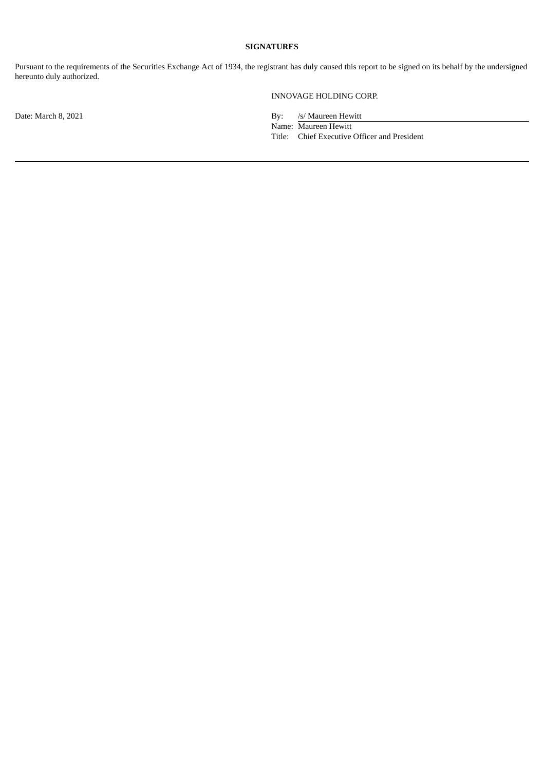## **SIGNATURES**

Pursuant to the requirements of the Securities Exchange Act of 1934, the registrant has duly caused this report to be signed on its behalf by the undersigned hereunto duly authorized.

INNOVAGE HOLDING CORP.

Date: March 8, 2021 By: /s/ Maureen Hewitt

Name: Maureen Hewitt

Title: Chief Executive Officer and President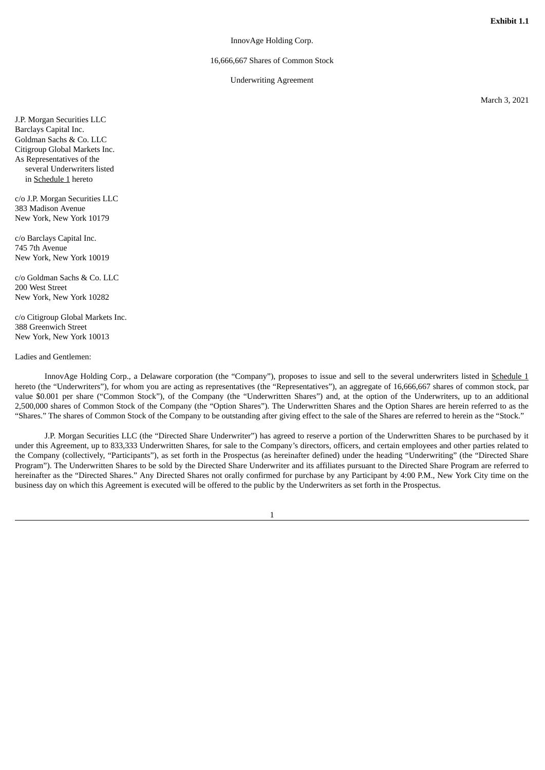InnovAge Holding Corp.

#### 16,666,667 Shares of Common Stock

Underwriting Agreement

March 3, 2021

<span id="page-5-0"></span>J.P. Morgan Securities LLC Barclays Capital Inc. Goldman Sachs & Co. LLC Citigroup Global Markets Inc. As Representatives of the several Underwriters listed in Schedule 1 hereto

c/o J.P. Morgan Securities LLC 383 Madison Avenue New York, New York 10179

c/o Barclays Capital Inc. 745 7th Avenue New York, New York 10019

c/o Goldman Sachs & Co. LLC 200 West Street New York, New York 10282

c/o Citigroup Global Markets Inc. 388 Greenwich Street New York, New York 10013

#### Ladies and Gentlemen:

InnovAge Holding Corp., a Delaware corporation (the "Company"), proposes to issue and sell to the several underwriters listed in Schedule 1 hereto (the "Underwriters"), for whom you are acting as representatives (the "Representatives"), an aggregate of 16,666,667 shares of common stock, par value \$0.001 per share ("Common Stock"), of the Company (the "Underwritten Shares") and, at the option of the Underwriters, up to an additional 2,500,000 shares of Common Stock of the Company (the "Option Shares"). The Underwritten Shares and the Option Shares are herein referred to as the "Shares." The shares of Common Stock of the Company to be outstanding after giving effect to the sale of the Shares are referred to herein as the "Stock."

J.P. Morgan Securities LLC (the "Directed Share Underwriter") has agreed to reserve a portion of the Underwritten Shares to be purchased by it under this Agreement, up to 833,333 Underwritten Shares, for sale to the Company's directors, officers, and certain employees and other parties related to the Company (collectively, "Participants"), as set forth in the Prospectus (as hereinafter defined) under the heading "Underwriting" (the "Directed Share Program"). The Underwritten Shares to be sold by the Directed Share Underwriter and its affiliates pursuant to the Directed Share Program are referred to hereinafter as the "Directed Shares." Any Directed Shares not orally confirmed for purchase by any Participant by 4:00 P.M., New York City time on the business day on which this Agreement is executed will be offered to the public by the Underwriters as set forth in the Prospectus.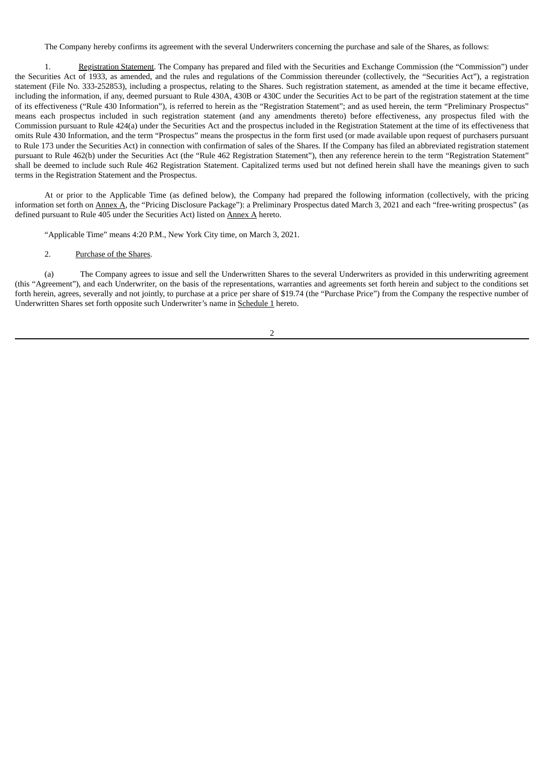The Company hereby confirms its agreement with the several Underwriters concerning the purchase and sale of the Shares, as follows:

1. Registration Statement. The Company has prepared and filed with the Securities and Exchange Commission (the "Commission") under the Securities Act of 1933, as amended, and the rules and regulations of the Commission thereunder (collectively, the "Securities Act"), a registration statement (File No. 333-252853), including a prospectus, relating to the Shares. Such registration statement, as amended at the time it became effective, including the information, if any, deemed pursuant to Rule 430A, 430B or 430C under the Securities Act to be part of the registration statement at the time of its effectiveness ("Rule 430 Information"), is referred to herein as the "Registration Statement"; and as used herein, the term "Preliminary Prospectus" means each prospectus included in such registration statement (and any amendments thereto) before effectiveness, any prospectus filed with the Commission pursuant to Rule 424(a) under the Securities Act and the prospectus included in the Registration Statement at the time of its effectiveness that omits Rule 430 Information, and the term "Prospectus" means the prospectus in the form first used (or made available upon request of purchasers pursuant to Rule 173 under the Securities Act) in connection with confirmation of sales of the Shares. If the Company has filed an abbreviated registration statement pursuant to Rule 462(b) under the Securities Act (the "Rule 462 Registration Statement"), then any reference herein to the term "Registration Statement" shall be deemed to include such Rule 462 Registration Statement. Capitalized terms used but not defined herein shall have the meanings given to such terms in the Registration Statement and the Prospectus.

At or prior to the Applicable Time (as defined below), the Company had prepared the following information (collectively, with the pricing information set forth on Annex A, the "Pricing Disclosure Package"): a Preliminary Prospectus dated March 3, 2021 and each "free-writing prospectus" (as defined pursuant to Rule 405 under the Securities Act) listed on Annex A hereto.

"Applicable Time" means 4:20 P.M., New York City time, on March 3, 2021.

#### 2. Purchase of the Shares.

(a) The Company agrees to issue and sell the Underwritten Shares to the several Underwriters as provided in this underwriting agreement (this "Agreement"), and each Underwriter, on the basis of the representations, warranties and agreements set forth herein and subject to the conditions set forth herein, agrees, severally and not jointly, to purchase at a price per share of \$19.74 (the "Purchase Price") from the Company the respective number of Underwritten Shares set forth opposite such Underwriter's name in Schedule 1 hereto.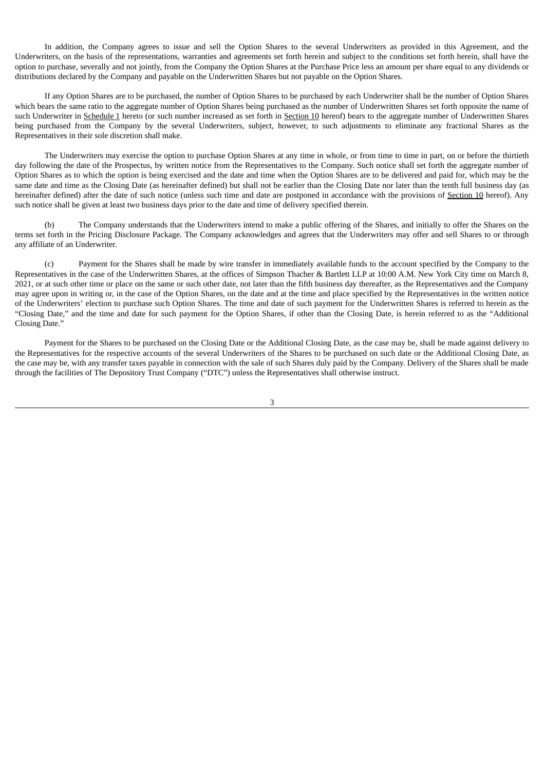In addition, the Company agrees to issue and sell the Option Shares to the several Underwriters as provided in this Agreement, and the Underwriters, on the basis of the representations, warranties and agreements set forth herein and subject to the conditions set forth herein, shall have the option to purchase, severally and not jointly, from the Company the Option Shares at the Purchase Price less an amount per share equal to any dividends or distributions declared by the Company and payable on the Underwritten Shares but not payable on the Option Shares.

If any Option Shares are to be purchased, the number of Option Shares to be purchased by each Underwriter shall be the number of Option Shares which bears the same ratio to the aggregate number of Option Shares being purchased as the number of Underwritten Shares set forth opposite the name of such Underwriter in Schedule 1 hereto (or such number increased as set forth in Section 10 hereof) bears to the aggregate number of Underwritten Shares being purchased from the Company by the several Underwriters, subject, however, to such adjustments to eliminate any fractional Shares as the Representatives in their sole discretion shall make.

The Underwriters may exercise the option to purchase Option Shares at any time in whole, or from time to time in part, on or before the thirtieth day following the date of the Prospectus, by written notice from the Representatives to the Company. Such notice shall set forth the aggregate number of Option Shares as to which the option is being exercised and the date and time when the Option Shares are to be delivered and paid for, which may be the same date and time as the Closing Date (as hereinafter defined) but shall not be earlier than the Closing Date nor later than the tenth full business day (as hereinafter defined) after the date of such notice (unless such time and date are postponed in accordance with the provisions of Section 10 hereof). Any such notice shall be given at least two business days prior to the date and time of delivery specified therein.

The Company understands that the Underwriters intend to make a public offering of the Shares, and initially to offer the Shares on the terms set forth in the Pricing Disclosure Package. The Company acknowledges and agrees that the Underwriters may offer and sell Shares to or through any affiliate of an Underwriter.

(c) Payment for the Shares shall be made by wire transfer in immediately available funds to the account specified by the Company to the Representatives in the case of the Underwritten Shares, at the offices of Simpson Thacher & Bartlett LLP at 10:00 A.M. New York City time on March 8, 2021, or at such other time or place on the same or such other date, not later than the fifth business day thereafter, as the Representatives and the Company may agree upon in writing or, in the case of the Option Shares, on the date and at the time and place specified by the Representatives in the written notice of the Underwriters' election to purchase such Option Shares. The time and date of such payment for the Underwritten Shares is referred to herein as the "Closing Date," and the time and date for such payment for the Option Shares, if other than the Closing Date, is herein referred to as the "Additional Closing Date."

Payment for the Shares to be purchased on the Closing Date or the Additional Closing Date, as the case may be, shall be made against delivery to the Representatives for the respective accounts of the several Underwriters of the Shares to be purchased on such date or the Additional Closing Date, as the case may be, with any transfer taxes payable in connection with the sale of such Shares duly paid by the Company. Delivery of the Shares shall be made through the facilities of The Depository Trust Company ("DTC") unless the Representatives shall otherwise instruct.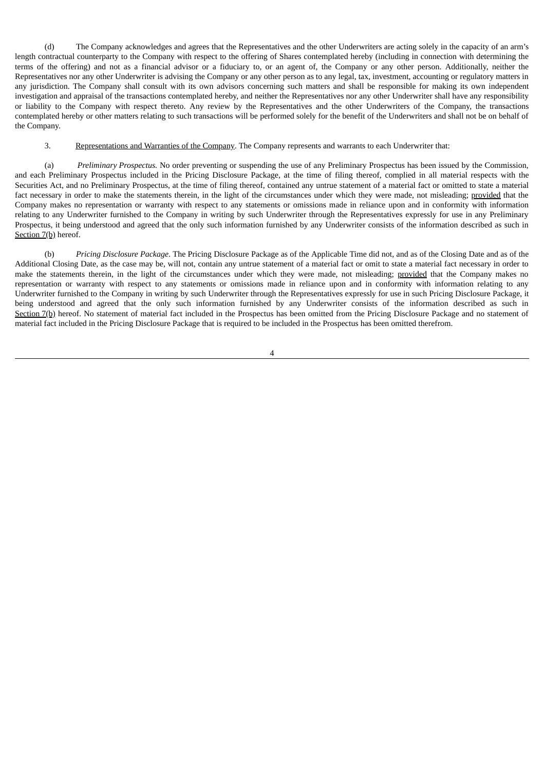(d) The Company acknowledges and agrees that the Representatives and the other Underwriters are acting solely in the capacity of an arm's length contractual counterparty to the Company with respect to the offering of Shares contemplated hereby (including in connection with determining the terms of the offering) and not as a financial advisor or a fiduciary to, or an agent of, the Company or any other person. Additionally, neither the Representatives nor any other Underwriter is advising the Company or any other person as to any legal, tax, investment, accounting or regulatory matters in any jurisdiction. The Company shall consult with its own advisors concerning such matters and shall be responsible for making its own independent investigation and appraisal of the transactions contemplated hereby, and neither the Representatives nor any other Underwriter shall have any responsibility or liability to the Company with respect thereto. Any review by the Representatives and the other Underwriters of the Company, the transactions contemplated hereby or other matters relating to such transactions will be performed solely for the benefit of the Underwriters and shall not be on behalf of the Company.

## 3. Representations and Warranties of the Company. The Company represents and warrants to each Underwriter that:

(a) *Preliminary Prospectus.* No order preventing or suspending the use of any Preliminary Prospectus has been issued by the Commission, and each Preliminary Prospectus included in the Pricing Disclosure Package, at the time of filing thereof, complied in all material respects with the Securities Act, and no Preliminary Prospectus, at the time of filing thereof, contained any untrue statement of a material fact or omitted to state a material fact necessary in order to make the statements therein, in the light of the circumstances under which they were made, not misleading; provided that the Company makes no representation or warranty with respect to any statements or omissions made in reliance upon and in conformity with information relating to any Underwriter furnished to the Company in writing by such Underwriter through the Representatives expressly for use in any Preliminary Prospectus, it being understood and agreed that the only such information furnished by any Underwriter consists of the information described as such in Section 7(b) hereof.

(b) *Pricing Disclosure Package*. The Pricing Disclosure Package as of the Applicable Time did not, and as of the Closing Date and as of the Additional Closing Date, as the case may be, will not, contain any untrue statement of a material fact or omit to state a material fact necessary in order to make the statements therein, in the light of the circumstances under which they were made, not misleading; provided that the Company makes no representation or warranty with respect to any statements or omissions made in reliance upon and in conformity with information relating to any Underwriter furnished to the Company in writing by such Underwriter through the Representatives expressly for use in such Pricing Disclosure Package, it being understood and agreed that the only such information furnished by any Underwriter consists of the information described as such in Section 7(b) hereof. No statement of material fact included in the Prospectus has been omitted from the Pricing Disclosure Package and no statement of material fact included in the Pricing Disclosure Package that is required to be included in the Prospectus has been omitted therefrom.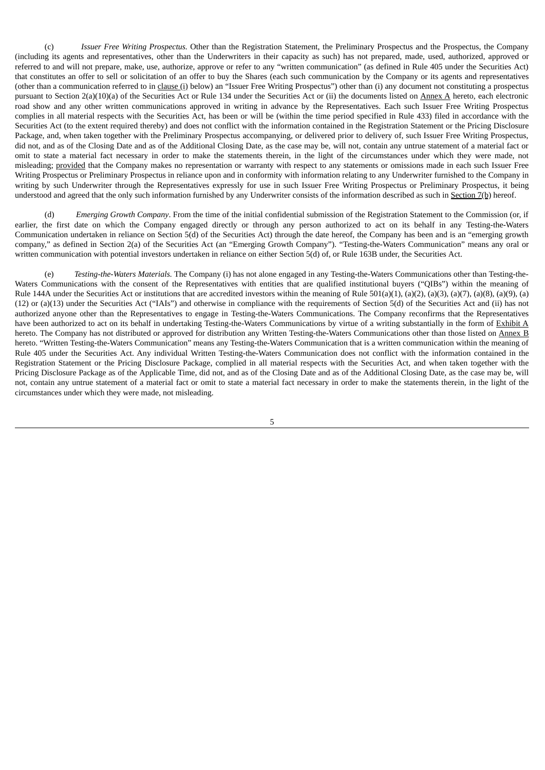(c) *Issuer Free Writing Prospectus.* Other than the Registration Statement, the Preliminary Prospectus and the Prospectus, the Company (including its agents and representatives, other than the Underwriters in their capacity as such) has not prepared, made, used, authorized, approved or referred to and will not prepare, make, use, authorize, approve or refer to any "written communication" (as defined in Rule 405 under the Securities Act) that constitutes an offer to sell or solicitation of an offer to buy the Shares (each such communication by the Company or its agents and representatives (other than a communication referred to in clause (i) below) an "Issuer Free Writing Prospectus") other than (i) any document not constituting a prospectus pursuant to Section  $2(a)(10)(a)$  of the Securities Act or Rule 134 under the Securities Act or (ii) the documents listed on Annex A hereto, each electronic road show and any other written communications approved in writing in advance by the Representatives. Each such Issuer Free Writing Prospectus complies in all material respects with the Securities Act, has been or will be (within the time period specified in Rule 433) filed in accordance with the Securities Act (to the extent required thereby) and does not conflict with the information contained in the Registration Statement or the Pricing Disclosure Package, and, when taken together with the Preliminary Prospectus accompanying, or delivered prior to delivery of, such Issuer Free Writing Prospectus, did not, and as of the Closing Date and as of the Additional Closing Date, as the case may be, will not, contain any untrue statement of a material fact or omit to state a material fact necessary in order to make the statements therein, in the light of the circumstances under which they were made, not misleading; provided that the Company makes no representation or warranty with respect to any statements or omissions made in each such Issuer Free Writing Prospectus or Preliminary Prospectus in reliance upon and in conformity with information relating to any Underwriter furnished to the Company in writing by such Underwriter through the Representatives expressly for use in such Issuer Free Writing Prospectus or Preliminary Prospectus, it being understood and agreed that the only such information furnished by any Underwriter consists of the information described as such in Section 7(b) hereof.

(d) *Emerging Growth Company*. From the time of the initial confidential submission of the Registration Statement to the Commission (or, if earlier, the first date on which the Company engaged directly or through any person authorized to act on its behalf in any Testing-the-Waters Communication undertaken in reliance on Section 5(d) of the Securities Act) through the date hereof, the Company has been and is an "emerging growth company," as defined in Section 2(a) of the Securities Act (an "Emerging Growth Company"). "Testing-the-Waters Communication" means any oral or written communication with potential investors undertaken in reliance on either Section 5(d) of, or Rule 163B under, the Securities Act.

(e) *Testing-the-Waters Materials.* The Company (i) has not alone engaged in any Testing-the-Waters Communications other than Testing-the-Waters Communications with the consent of the Representatives with entities that are qualified institutional buyers ("QIBs") within the meaning of Rule 144A under the Securities Act or institutions that are accredited investors within the meaning of Rule 501(a)(1), (a)(2), (a)(3), (a)(3), (a)(8), (a)(9), (a)(9), (a) (12) or (a)(13) under the Securities Act ("IAIs") and otherwise in compliance with the requirements of Section 5(d) of the Securities Act and (ii) has not authorized anyone other than the Representatives to engage in Testing-the-Waters Communications. The Company reconfirms that the Representatives have been authorized to act on its behalf in undertaking Testing-the-Waters Communications by virtue of a writing substantially in the form of Exhibit A hereto. The Company has not distributed or approved for distribution any Written Testing-the-Waters Communications other than those listed on Annex B hereto. "Written Testing-the-Waters Communication" means any Testing-the-Waters Communication that is a written communication within the meaning of Rule 405 under the Securities Act. Any individual Written Testing-the-Waters Communication does not conflict with the information contained in the Registration Statement or the Pricing Disclosure Package, complied in all material respects with the Securities Act, and when taken together with the Pricing Disclosure Package as of the Applicable Time, did not, and as of the Closing Date and as of the Additional Closing Date, as the case may be, will not, contain any untrue statement of a material fact or omit to state a material fact necessary in order to make the statements therein, in the light of the circumstances under which they were made, not misleading.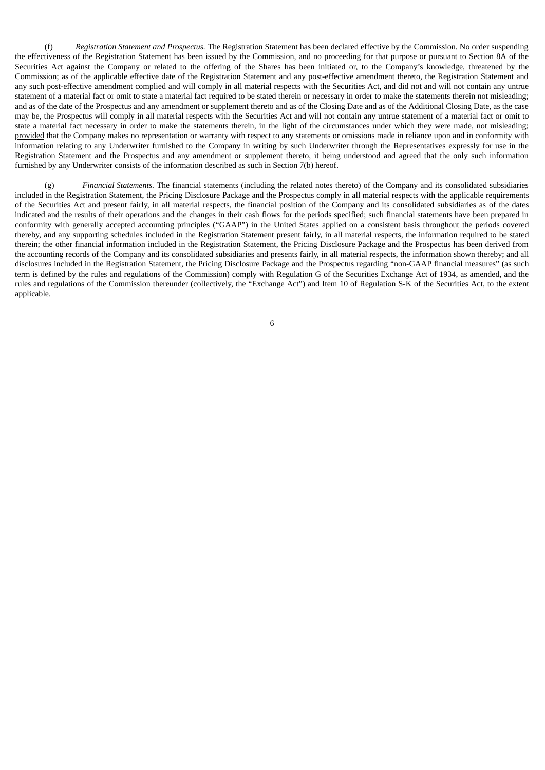(f) *Registration Statement and Prospectus.* The Registration Statement has been declared effective by the Commission. No order suspending the effectiveness of the Registration Statement has been issued by the Commission, and no proceeding for that purpose or pursuant to Section 8A of the Securities Act against the Company or related to the offering of the Shares has been initiated or, to the Company's knowledge, threatened by the Commission; as of the applicable effective date of the Registration Statement and any post-effective amendment thereto, the Registration Statement and any such post-effective amendment complied and will comply in all material respects with the Securities Act, and did not and will not contain any untrue statement of a material fact or omit to state a material fact required to be stated therein or necessary in order to make the statements therein not misleading; and as of the date of the Prospectus and any amendment or supplement thereto and as of the Closing Date and as of the Additional Closing Date, as the case may be, the Prospectus will comply in all material respects with the Securities Act and will not contain any untrue statement of a material fact or omit to state a material fact necessary in order to make the statements therein, in the light of the circumstances under which they were made, not misleading; provided that the Company makes no representation or warranty with respect to any statements or omissions made in reliance upon and in conformity with information relating to any Underwriter furnished to the Company in writing by such Underwriter through the Representatives expressly for use in the Registration Statement and the Prospectus and any amendment or supplement thereto, it being understood and agreed that the only such information furnished by any Underwriter consists of the information described as such in Section 7(b) hereof.

(g) *Financial Statements.* The financial statements (including the related notes thereto) of the Company and its consolidated subsidiaries included in the Registration Statement, the Pricing Disclosure Package and the Prospectus comply in all material respects with the applicable requirements of the Securities Act and present fairly, in all material respects, the financial position of the Company and its consolidated subsidiaries as of the dates indicated and the results of their operations and the changes in their cash flows for the periods specified; such financial statements have been prepared in conformity with generally accepted accounting principles ("GAAP") in the United States applied on a consistent basis throughout the periods covered thereby, and any supporting schedules included in the Registration Statement present fairly, in all material respects, the information required to be stated therein; the other financial information included in the Registration Statement, the Pricing Disclosure Package and the Prospectus has been derived from the accounting records of the Company and its consolidated subsidiaries and presents fairly, in all material respects, the information shown thereby; and all disclosures included in the Registration Statement, the Pricing Disclosure Package and the Prospectus regarding "non-GAAP financial measures" (as such term is defined by the rules and regulations of the Commission) comply with Regulation G of the Securities Exchange Act of 1934, as amended, and the rules and regulations of the Commission thereunder (collectively, the "Exchange Act") and Item 10 of Regulation S-K of the Securities Act, to the extent applicable.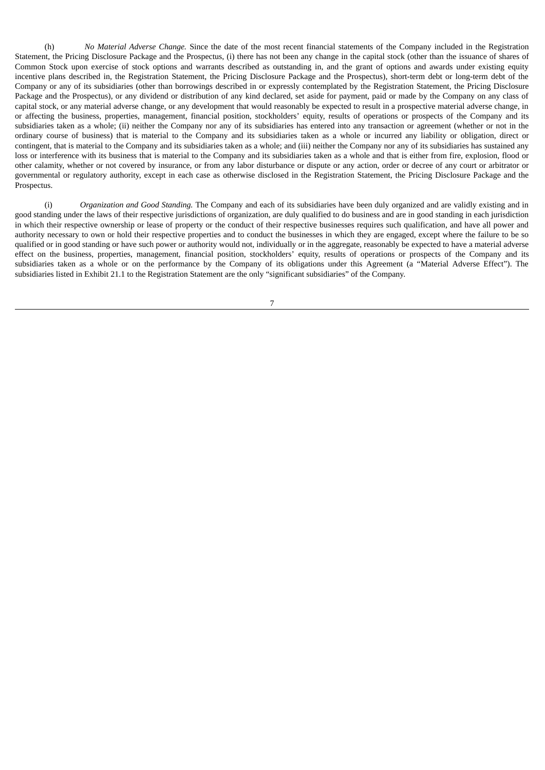(h) *No Material Adverse Change.* Since the date of the most recent financial statements of the Company included in the Registration Statement, the Pricing Disclosure Package and the Prospectus, (i) there has not been any change in the capital stock (other than the issuance of shares of Common Stock upon exercise of stock options and warrants described as outstanding in, and the grant of options and awards under existing equity incentive plans described in, the Registration Statement, the Pricing Disclosure Package and the Prospectus), short-term debt or long-term debt of the Company or any of its subsidiaries (other than borrowings described in or expressly contemplated by the Registration Statement, the Pricing Disclosure Package and the Prospectus), or any dividend or distribution of any kind declared, set aside for payment, paid or made by the Company on any class of capital stock, or any material adverse change, or any development that would reasonably be expected to result in a prospective material adverse change, in or affecting the business, properties, management, financial position, stockholders' equity, results of operations or prospects of the Company and its subsidiaries taken as a whole; (ii) neither the Company nor any of its subsidiaries has entered into any transaction or agreement (whether or not in the ordinary course of business) that is material to the Company and its subsidiaries taken as a whole or incurred any liability or obligation, direct or contingent, that is material to the Company and its subsidiaries taken as a whole; and (iii) neither the Company nor any of its subsidiaries has sustained any loss or interference with its business that is material to the Company and its subsidiaries taken as a whole and that is either from fire, explosion, flood or other calamity, whether or not covered by insurance, or from any labor disturbance or dispute or any action, order or decree of any court or arbitrator or governmental or regulatory authority, except in each case as otherwise disclosed in the Registration Statement, the Pricing Disclosure Package and the Prospectus.

(i) *Organization and Good Standing.* The Company and each of its subsidiaries have been duly organized and are validly existing and in good standing under the laws of their respective jurisdictions of organization, are duly qualified to do business and are in good standing in each jurisdiction in which their respective ownership or lease of property or the conduct of their respective businesses requires such qualification, and have all power and authority necessary to own or hold their respective properties and to conduct the businesses in which they are engaged, except where the failure to be so qualified or in good standing or have such power or authority would not, individually or in the aggregate, reasonably be expected to have a material adverse effect on the business, properties, management, financial position, stockholders' equity, results of operations or prospects of the Company and its subsidiaries taken as a whole or on the performance by the Company of its obligations under this Agreement (a "Material Adverse Effect"). The subsidiaries listed in Exhibit 21.1 to the Registration Statement are the only "significant subsidiaries" of the Company.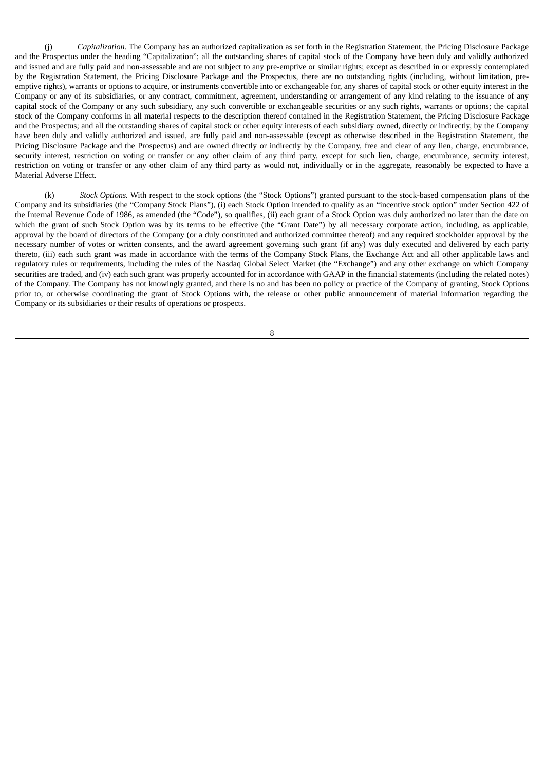(j) *Capitalization.* The Company has an authorized capitalization as set forth in the Registration Statement, the Pricing Disclosure Package and the Prospectus under the heading "Capitalization"; all the outstanding shares of capital stock of the Company have been duly and validly authorized and issued and are fully paid and non-assessable and are not subject to any pre-emptive or similar rights; except as described in or expressly contemplated by the Registration Statement, the Pricing Disclosure Package and the Prospectus, there are no outstanding rights (including, without limitation, preemptive rights), warrants or options to acquire, or instruments convertible into or exchangeable for, any shares of capital stock or other equity interest in the Company or any of its subsidiaries, or any contract, commitment, agreement, understanding or arrangement of any kind relating to the issuance of any capital stock of the Company or any such subsidiary, any such convertible or exchangeable securities or any such rights, warrants or options; the capital stock of the Company conforms in all material respects to the description thereof contained in the Registration Statement, the Pricing Disclosure Package and the Prospectus; and all the outstanding shares of capital stock or other equity interests of each subsidiary owned, directly or indirectly, by the Company have been duly and validly authorized and issued, are fully paid and non-assessable (except as otherwise described in the Registration Statement, the Pricing Disclosure Package and the Prospectus) and are owned directly or indirectly by the Company, free and clear of any lien, charge, encumbrance, security interest, restriction on voting or transfer or any other claim of any third party, except for such lien, charge, encumbrance, security interest, restriction on voting or transfer or any other claim of any third party as would not, individually or in the aggregate, reasonably be expected to have a Material Adverse Effect.

(k) *Stock Options.* With respect to the stock options (the "Stock Options") granted pursuant to the stock-based compensation plans of the Company and its subsidiaries (the "Company Stock Plans"), (i) each Stock Option intended to qualify as an "incentive stock option" under Section 422 of the Internal Revenue Code of 1986, as amended (the "Code"), so qualifies, (ii) each grant of a Stock Option was duly authorized no later than the date on which the grant of such Stock Option was by its terms to be effective (the "Grant Date") by all necessary corporate action, including, as applicable, approval by the board of directors of the Company (or a duly constituted and authorized committee thereof) and any required stockholder approval by the necessary number of votes or written consents, and the award agreement governing such grant (if any) was duly executed and delivered by each party thereto, (iii) each such grant was made in accordance with the terms of the Company Stock Plans, the Exchange Act and all other applicable laws and regulatory rules or requirements, including the rules of the Nasdaq Global Select Market (the "Exchange") and any other exchange on which Company securities are traded, and (iv) each such grant was properly accounted for in accordance with GAAP in the financial statements (including the related notes) of the Company. The Company has not knowingly granted, and there is no and has been no policy or practice of the Company of granting, Stock Options prior to, or otherwise coordinating the grant of Stock Options with, the release or other public announcement of material information regarding the Company or its subsidiaries or their results of operations or prospects.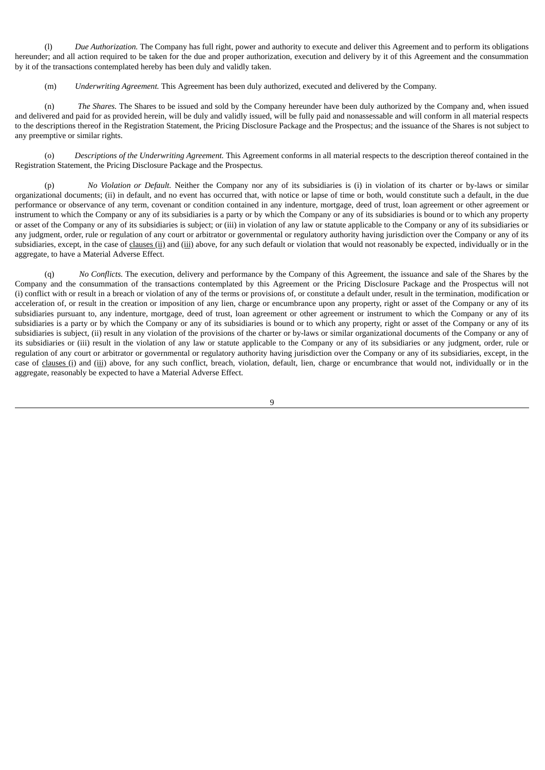(l) *Due Authorization.* The Company has full right, power and authority to execute and deliver this Agreement and to perform its obligations hereunder; and all action required to be taken for the due and proper authorization, execution and delivery by it of this Agreement and the consummation by it of the transactions contemplated hereby has been duly and validly taken.

(m) *Underwriting Agreement.* This Agreement has been duly authorized, executed and delivered by the Company.

(n) *The Shares.* The Shares to be issued and sold by the Company hereunder have been duly authorized by the Company and, when issued and delivered and paid for as provided herein, will be duly and validly issued, will be fully paid and nonassessable and will conform in all material respects to the descriptions thereof in the Registration Statement, the Pricing Disclosure Package and the Prospectus; and the issuance of the Shares is not subject to any preemptive or similar rights.

(o) *Descriptions of the Underwriting Agreement.* This Agreement conforms in all material respects to the description thereof contained in the Registration Statement, the Pricing Disclosure Package and the Prospectus.

(p) *No Violation or Default.* Neither the Company nor any of its subsidiaries is (i) in violation of its charter or by-laws or similar organizational documents; (ii) in default, and no event has occurred that, with notice or lapse of time or both, would constitute such a default, in the due performance or observance of any term, covenant or condition contained in any indenture, mortgage, deed of trust, loan agreement or other agreement or instrument to which the Company or any of its subsidiaries is a party or by which the Company or any of its subsidiaries is bound or to which any property or asset of the Company or any of its subsidiaries is subject; or (iii) in violation of any law or statute applicable to the Company or any of its subsidiaries or any judgment, order, rule or regulation of any court or arbitrator or governmental or regulatory authority having jurisdiction over the Company or any of its subsidiaries, except, in the case of clauses (ii) and (iii) above, for any such default or violation that would not reasonably be expected, individually or in the aggregate, to have a Material Adverse Effect.

(q) *No Conflicts.* The execution, delivery and performance by the Company of this Agreement, the issuance and sale of the Shares by the Company and the consummation of the transactions contemplated by this Agreement or the Pricing Disclosure Package and the Prospectus will not (i) conflict with or result in a breach or violation of any of the terms or provisions of, or constitute a default under, result in the termination, modification or acceleration of, or result in the creation or imposition of any lien, charge or encumbrance upon any property, right or asset of the Company or any of its subsidiaries pursuant to, any indenture, mortgage, deed of trust, loan agreement or other agreement or instrument to which the Company or any of its subsidiaries is a party or by which the Company or any of its subsidiaries is bound or to which any property, right or asset of the Company or any of its subsidiaries is subject, (ii) result in any violation of the provisions of the charter or by-laws or similar organizational documents of the Company or any of its subsidiaries or (iii) result in the violation of any law or statute applicable to the Company or any of its subsidiaries or any judgment, order, rule or regulation of any court or arbitrator or governmental or regulatory authority having jurisdiction over the Company or any of its subsidiaries, except, in the case of clauses (i) and (iii) above, for any such conflict, breach, violation, default, lien, charge or encumbrance that would not, individually or in the aggregate, reasonably be expected to have a Material Adverse Effect.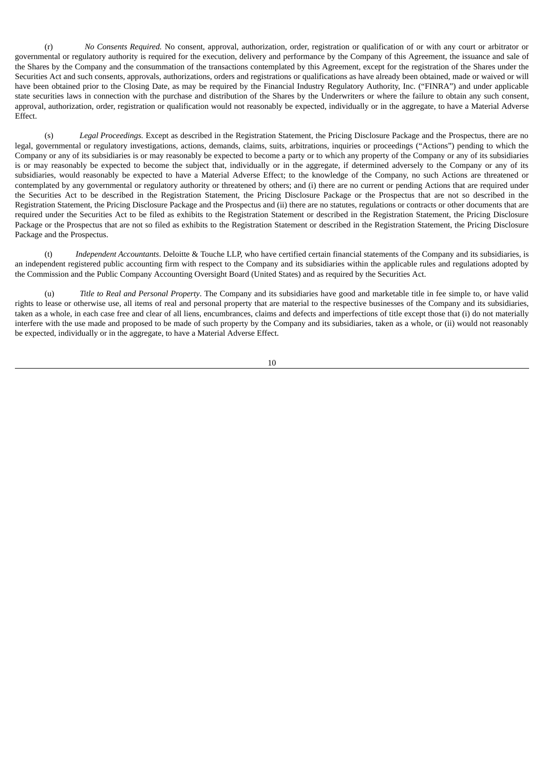(r) *No Consents Required.* No consent, approval, authorization, order, registration or qualification of or with any court or arbitrator or governmental or regulatory authority is required for the execution, delivery and performance by the Company of this Agreement, the issuance and sale of the Shares by the Company and the consummation of the transactions contemplated by this Agreement, except for the registration of the Shares under the Securities Act and such consents, approvals, authorizations, orders and registrations or qualifications as have already been obtained, made or waived or will have been obtained prior to the Closing Date, as may be required by the Financial Industry Regulatory Authority, Inc. ("FINRA") and under applicable state securities laws in connection with the purchase and distribution of the Shares by the Underwriters or where the failure to obtain any such consent, approval, authorization, order, registration or qualification would not reasonably be expected, individually or in the aggregate, to have a Material Adverse Effect.

(s) *Legal Proceedings.* Except as described in the Registration Statement, the Pricing Disclosure Package and the Prospectus, there are no legal, governmental or regulatory investigations, actions, demands, claims, suits, arbitrations, inquiries or proceedings ("Actions") pending to which the Company or any of its subsidiaries is or may reasonably be expected to become a party or to which any property of the Company or any of its subsidiaries is or may reasonably be expected to become the subject that, individually or in the aggregate, if determined adversely to the Company or any of its subsidiaries, would reasonably be expected to have a Material Adverse Effect; to the knowledge of the Company, no such Actions are threatened or contemplated by any governmental or regulatory authority or threatened by others; and (i) there are no current or pending Actions that are required under the Securities Act to be described in the Registration Statement, the Pricing Disclosure Package or the Prospectus that are not so described in the Registration Statement, the Pricing Disclosure Package and the Prospectus and (ii) there are no statutes, regulations or contracts or other documents that are required under the Securities Act to be filed as exhibits to the Registration Statement or described in the Registration Statement, the Pricing Disclosure Package or the Prospectus that are not so filed as exhibits to the Registration Statement or described in the Registration Statement, the Pricing Disclosure Package and the Prospectus.

(t) *Independent Accountants*. Deloitte & Touche LLP, who have certified certain financial statements of the Company and its subsidiaries, is an independent registered public accounting firm with respect to the Company and its subsidiaries within the applicable rules and regulations adopted by the Commission and the Public Company Accounting Oversight Board (United States) and as required by the Securities Act.

(u) *Title to Real and Personal Property*. The Company and its subsidiaries have good and marketable title in fee simple to, or have valid rights to lease or otherwise use, all items of real and personal property that are material to the respective businesses of the Company and its subsidiaries, taken as a whole, in each case free and clear of all liens, encumbrances, claims and defects and imperfections of title except those that (i) do not materially interfere with the use made and proposed to be made of such property by the Company and its subsidiaries, taken as a whole, or (ii) would not reasonably be expected, individually or in the aggregate, to have a Material Adverse Effect.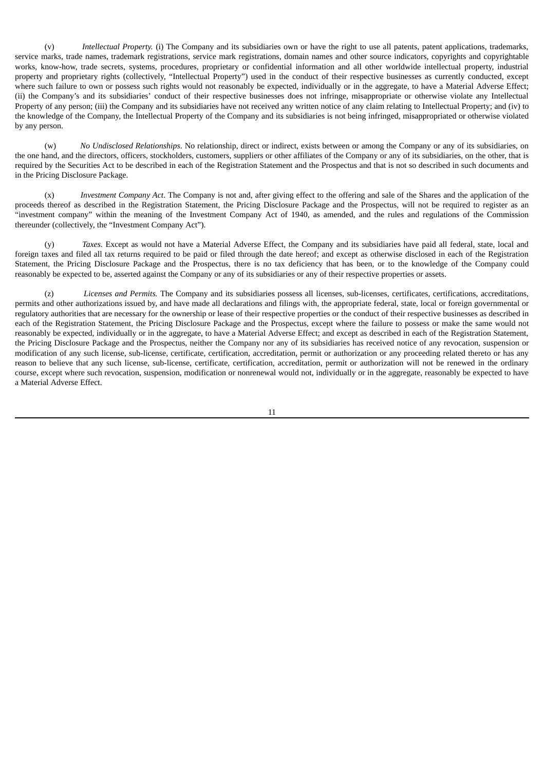(v) *Intellectual Property.* (i) The Company and its subsidiaries own or have the right to use all patents, patent applications, trademarks, service marks, trade names, trademark registrations, service mark registrations, domain names and other source indicators, copyrights and copyrightable works, know-how, trade secrets, systems, procedures, proprietary or confidential information and all other worldwide intellectual property, industrial property and proprietary rights (collectively, "Intellectual Property") used in the conduct of their respective businesses as currently conducted, except where such failure to own or possess such rights would not reasonably be expected, individually or in the aggregate, to have a Material Adverse Effect; (ii) the Company's and its subsidiaries' conduct of their respective businesses does not infringe, misappropriate or otherwise violate any Intellectual Property of any person; (iii) the Company and its subsidiaries have not received any written notice of any claim relating to Intellectual Property; and (iv) to the knowledge of the Company, the Intellectual Property of the Company and its subsidiaries is not being infringed, misappropriated or otherwise violated by any person.

(w) *No Undisclosed Relationships*. No relationship, direct or indirect, exists between or among the Company or any of its subsidiaries, on the one hand, and the directors, officers, stockholders, customers, suppliers or other affiliates of the Company or any of its subsidiaries, on the other, that is required by the Securities Act to be described in each of the Registration Statement and the Prospectus and that is not so described in such documents and in the Pricing Disclosure Package.

(x) *Investment Company Act*. The Company is not and, after giving effect to the offering and sale of the Shares and the application of the proceeds thereof as described in the Registration Statement, the Pricing Disclosure Package and the Prospectus, will not be required to register as an "investment company" within the meaning of the Investment Company Act of 1940, as amended, and the rules and regulations of the Commission thereunder (collectively, the "Investment Company Act").

(y) *Taxes.* Except as would not have a Material Adverse Effect, the Company and its subsidiaries have paid all federal, state, local and foreign taxes and filed all tax returns required to be paid or filed through the date hereof; and except as otherwise disclosed in each of the Registration Statement, the Pricing Disclosure Package and the Prospectus, there is no tax deficiency that has been, or to the knowledge of the Company could reasonably be expected to be, asserted against the Company or any of its subsidiaries or any of their respective properties or assets.

(z) *Licenses and Permits.* The Company and its subsidiaries possess all licenses, sub-licenses, certificates, certifications, accreditations, permits and other authorizations issued by, and have made all declarations and filings with, the appropriate federal, state, local or foreign governmental or regulatory authorities that are necessary for the ownership or lease of their respective properties or the conduct of their respective businesses as described in each of the Registration Statement, the Pricing Disclosure Package and the Prospectus, except where the failure to possess or make the same would not reasonably be expected, individually or in the aggregate, to have a Material Adverse Effect; and except as described in each of the Registration Statement, the Pricing Disclosure Package and the Prospectus, neither the Company nor any of its subsidiaries has received notice of any revocation, suspension or modification of any such license, sub-license, certificate, certification, accreditation, permit or authorization or any proceeding related thereto or has any reason to believe that any such license, sub-license, certificate, certification, accreditation, permit or authorization will not be renewed in the ordinary course, except where such revocation, suspension, modification or nonrenewal would not, individually or in the aggregate, reasonably be expected to have a Material Adverse Effect.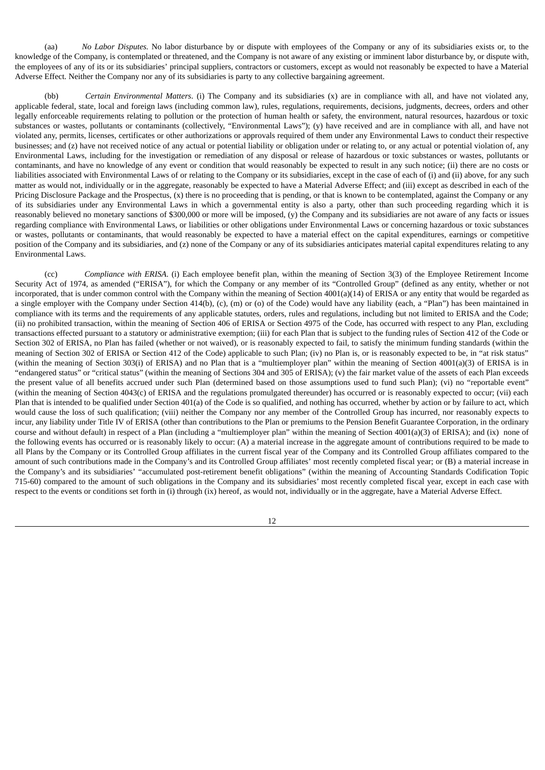(aa) *No Labor Disputes.* No labor disturbance by or dispute with employees of the Company or any of its subsidiaries exists or, to the knowledge of the Company, is contemplated or threatened, and the Company is not aware of any existing or imminent labor disturbance by, or dispute with, the employees of any of its or its subsidiaries' principal suppliers, contractors or customers, except as would not reasonably be expected to have a Material Adverse Effect. Neither the Company nor any of its subsidiaries is party to any collective bargaining agreement.

(bb) *Certain Environmental Matters*. (i) The Company and its subsidiaries (x) are in compliance with all, and have not violated any, applicable federal, state, local and foreign laws (including common law), rules, regulations, requirements, decisions, judgments, decrees, orders and other legally enforceable requirements relating to pollution or the protection of human health or safety, the environment, natural resources, hazardous or toxic substances or wastes, pollutants or contaminants (collectively, "Environmental Laws"); (y) have received and are in compliance with all, and have not violated any, permits, licenses, certificates or other authorizations or approvals required of them under any Environmental Laws to conduct their respective businesses; and (z) have not received notice of any actual or potential liability or obligation under or relating to, or any actual or potential violation of, any Environmental Laws, including for the investigation or remediation of any disposal or release of hazardous or toxic substances or wastes, pollutants or contaminants, and have no knowledge of any event or condition that would reasonably be expected to result in any such notice; (ii) there are no costs or liabilities associated with Environmental Laws of or relating to the Company or its subsidiaries, except in the case of each of (i) and (ii) above, for any such matter as would not, individually or in the aggregate, reasonably be expected to have a Material Adverse Effect; and (iii) except as described in each of the Pricing Disclosure Package and the Prospectus, (x) there is no proceeding that is pending, or that is known to be contemplated, against the Company or any of its subsidiaries under any Environmental Laws in which a governmental entity is also a party, other than such proceeding regarding which it is reasonably believed no monetary sanctions of \$300,000 or more will be imposed, (y) the Company and its subsidiaries are not aware of any facts or issues regarding compliance with Environmental Laws, or liabilities or other obligations under Environmental Laws or concerning hazardous or toxic substances or wastes, pollutants or contaminants, that would reasonably be expected to have a material effect on the capital expenditures, earnings or competitive position of the Company and its subsidiaries, and (z) none of the Company or any of its subsidiaries anticipates material capital expenditures relating to any Environmental Laws.

(cc) *Compliance with ERISA*. (i) Each employee benefit plan, within the meaning of Section 3(3) of the Employee Retirement Income Security Act of 1974, as amended ("ERISA"), for which the Company or any member of its "Controlled Group" (defined as any entity, whether or not incorporated, that is under common control with the Company within the meaning of Section 4001(a)(14) of ERISA or any entity that would be regarded as a single employer with the Company under Section 414(b), (c), (m) or (o) of the Code) would have any liability (each, a "Plan") has been maintained in compliance with its terms and the requirements of any applicable statutes, orders, rules and regulations, including but not limited to ERISA and the Code; (ii) no prohibited transaction, within the meaning of Section 406 of ERISA or Section 4975 of the Code, has occurred with respect to any Plan, excluding transactions effected pursuant to a statutory or administrative exemption; (iii) for each Plan that is subject to the funding rules of Section 412 of the Code or Section 302 of ERISA, no Plan has failed (whether or not waived), or is reasonably expected to fail, to satisfy the minimum funding standards (within the meaning of Section 302 of ERISA or Section 412 of the Code) applicable to such Plan; (iv) no Plan is, or is reasonably expected to be, in "at risk status" (within the meaning of Section 303(i) of ERISA) and no Plan that is a "multiemployer plan" within the meaning of Section 4001(a)(3) of ERISA is in "endangered status" or "critical status" (within the meaning of Sections 304 and 305 of ERISA); (v) the fair market value of the assets of each Plan exceeds the present value of all benefits accrued under such Plan (determined based on those assumptions used to fund such Plan); (vi) no "reportable event" (within the meaning of Section 4043(c) of ERISA and the regulations promulgated thereunder) has occurred or is reasonably expected to occur; (vii) each Plan that is intended to be qualified under Section 401(a) of the Code is so qualified, and nothing has occurred, whether by action or by failure to act, which would cause the loss of such qualification; (viii) neither the Company nor any member of the Controlled Group has incurred, nor reasonably expects to incur, any liability under Title IV of ERISA (other than contributions to the Plan or premiums to the Pension Benefit Guarantee Corporation, in the ordinary course and without default) in respect of a Plan (including a "multiemployer plan" within the meaning of Section 4001(a)(3) of ERISA); and (ix) none of the following events has occurred or is reasonably likely to occur: (A) a material increase in the aggregate amount of contributions required to be made to all Plans by the Company or its Controlled Group affiliates in the current fiscal year of the Company and its Controlled Group affiliates compared to the amount of such contributions made in the Company's and its Controlled Group affiliates' most recently completed fiscal year; or (B) a material increase in the Company's and its subsidiaries' "accumulated post-retirement benefit obligations" (within the meaning of Accounting Standards Codification Topic 715-60) compared to the amount of such obligations in the Company and its subsidiaries' most recently completed fiscal year, except in each case with respect to the events or conditions set forth in (i) through (ix) hereof, as would not, individually or in the aggregate, have a Material Adverse Effect.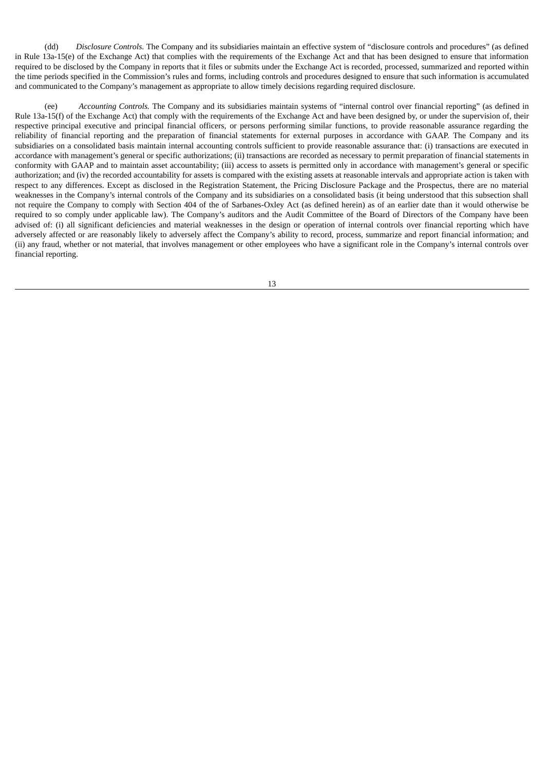(dd) *Disclosure Controls*. The Company and its subsidiaries maintain an effective system of "disclosure controls and procedures" (as defined in Rule 13a-15(e) of the Exchange Act) that complies with the requirements of the Exchange Act and that has been designed to ensure that information required to be disclosed by the Company in reports that it files or submits under the Exchange Act is recorded, processed, summarized and reported within the time periods specified in the Commission's rules and forms, including controls and procedures designed to ensure that such information is accumulated and communicated to the Company's management as appropriate to allow timely decisions regarding required disclosure.

(ee) *Accounting Controls.* The Company and its subsidiaries maintain systems of "internal control over financial reporting" (as defined in Rule 13a-15(f) of the Exchange Act) that comply with the requirements of the Exchange Act and have been designed by, or under the supervision of, their respective principal executive and principal financial officers, or persons performing similar functions, to provide reasonable assurance regarding the reliability of financial reporting and the preparation of financial statements for external purposes in accordance with GAAP. The Company and its subsidiaries on a consolidated basis maintain internal accounting controls sufficient to provide reasonable assurance that: (i) transactions are executed in accordance with management's general or specific authorizations; (ii) transactions are recorded as necessary to permit preparation of financial statements in conformity with GAAP and to maintain asset accountability; (iii) access to assets is permitted only in accordance with management's general or specific authorization; and (iv) the recorded accountability for assets is compared with the existing assets at reasonable intervals and appropriate action is taken with respect to any differences. Except as disclosed in the Registration Statement, the Pricing Disclosure Package and the Prospectus, there are no material weaknesses in the Company's internal controls of the Company and its subsidiaries on a consolidated basis (it being understood that this subsection shall not require the Company to comply with Section 404 of the of Sarbanes-Oxley Act (as defined herein) as of an earlier date than it would otherwise be required to so comply under applicable law). The Company's auditors and the Audit Committee of the Board of Directors of the Company have been advised of: (i) all significant deficiencies and material weaknesses in the design or operation of internal controls over financial reporting which have adversely affected or are reasonably likely to adversely affect the Company's ability to record, process, summarize and report financial information; and (ii) any fraud, whether or not material, that involves management or other employees who have a significant role in the Company's internal controls over financial reporting.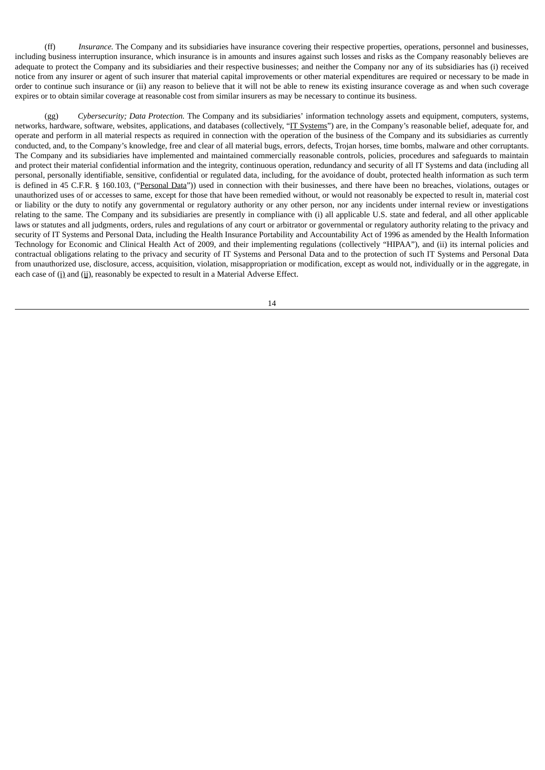(ff) *Insurance.* The Company and its subsidiaries have insurance covering their respective properties, operations, personnel and businesses, including business interruption insurance, which insurance is in amounts and insures against such losses and risks as the Company reasonably believes are adequate to protect the Company and its subsidiaries and their respective businesses; and neither the Company nor any of its subsidiaries has (i) received notice from any insurer or agent of such insurer that material capital improvements or other material expenditures are required or necessary to be made in order to continue such insurance or (ii) any reason to believe that it will not be able to renew its existing insurance coverage as and when such coverage expires or to obtain similar coverage at reasonable cost from similar insurers as may be necessary to continue its business.

(gg) *Cybersecurity; Data Protection.* The Company and its subsidiaries' information technology assets and equipment, computers, systems, networks, hardware, software, websites, applications, and databases (collectively, "IT Systems") are, in the Company's reasonable belief, adequate for, and operate and perform in all material respects as required in connection with the operation of the business of the Company and its subsidiaries as currently conducted, and, to the Company's knowledge, free and clear of all material bugs, errors, defects, Trojan horses, time bombs, malware and other corruptants. The Company and its subsidiaries have implemented and maintained commercially reasonable controls, policies, procedures and safeguards to maintain and protect their material confidential information and the integrity, continuous operation, redundancy and security of all IT Systems and data (including all personal, personally identifiable, sensitive, confidential or regulated data, including, for the avoidance of doubt, protected health information as such term is defined in 45 C.F.R. § 160.103, ("Personal Data")) used in connection with their businesses, and there have been no breaches, violations, outages or unauthorized uses of or accesses to same, except for those that have been remedied without, or would not reasonably be expected to result in, material cost or liability or the duty to notify any governmental or regulatory authority or any other person, nor any incidents under internal review or investigations relating to the same. The Company and its subsidiaries are presently in compliance with (i) all applicable U.S. state and federal, and all other applicable laws or statutes and all judgments, orders, rules and regulations of any court or arbitrator or governmental or regulatory authority relating to the privacy and security of IT Systems and Personal Data, including the Health Insurance Portability and Accountability Act of 1996 as amended by the Health Information Technology for Economic and Clinical Health Act of 2009, and their implementing regulations (collectively "HIPAA"), and (ii) its internal policies and contractual obligations relating to the privacy and security of IT Systems and Personal Data and to the protection of such IT Systems and Personal Data from unauthorized use, disclosure, access, acquisition, violation, misappropriation or modification, except as would not, individually or in the aggregate, in each case of  $(i)$  and  $(i)$ , reasonably be expected to result in a Material Adverse Effect.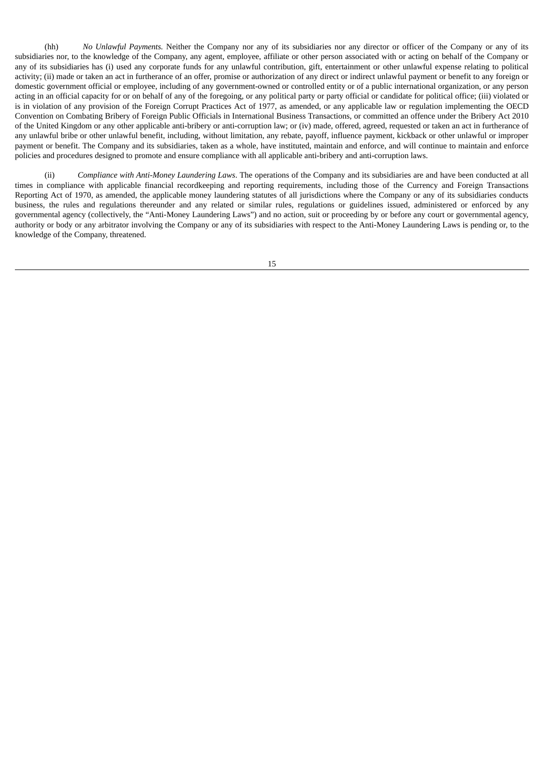(hh) *No Unlawful Payments.* Neither the Company nor any of its subsidiaries nor any director or officer of the Company or any of its subsidiaries nor, to the knowledge of the Company, any agent, employee, affiliate or other person associated with or acting on behalf of the Company or any of its subsidiaries has (i) used any corporate funds for any unlawful contribution, gift, entertainment or other unlawful expense relating to political activity; (ii) made or taken an act in furtherance of an offer, promise or authorization of any direct or indirect unlawful payment or benefit to any foreign or domestic government official or employee, including of any government-owned or controlled entity or of a public international organization, or any person acting in an official capacity for or on behalf of any of the foregoing, or any political party or party official or candidate for political office; (iii) violated or is in violation of any provision of the Foreign Corrupt Practices Act of 1977, as amended, or any applicable law or regulation implementing the OECD Convention on Combating Bribery of Foreign Public Officials in International Business Transactions, or committed an offence under the Bribery Act 2010 of the United Kingdom or any other applicable anti-bribery or anti-corruption law; or (iv) made, offered, agreed, requested or taken an act in furtherance of any unlawful bribe or other unlawful benefit, including, without limitation, any rebate, payoff, influence payment, kickback or other unlawful or improper payment or benefit. The Company and its subsidiaries, taken as a whole, have instituted, maintain and enforce, and will continue to maintain and enforce policies and procedures designed to promote and ensure compliance with all applicable anti-bribery and anti-corruption laws.

(ii) *Compliance with Anti-Money Laundering Laws*. The operations of the Company and its subsidiaries are and have been conducted at all times in compliance with applicable financial recordkeeping and reporting requirements, including those of the Currency and Foreign Transactions Reporting Act of 1970, as amended, the applicable money laundering statutes of all jurisdictions where the Company or any of its subsidiaries conducts business, the rules and regulations thereunder and any related or similar rules, regulations or guidelines issued, administered or enforced by any governmental agency (collectively, the "Anti-Money Laundering Laws") and no action, suit or proceeding by or before any court or governmental agency, authority or body or any arbitrator involving the Company or any of its subsidiaries with respect to the Anti-Money Laundering Laws is pending or, to the knowledge of the Company, threatened.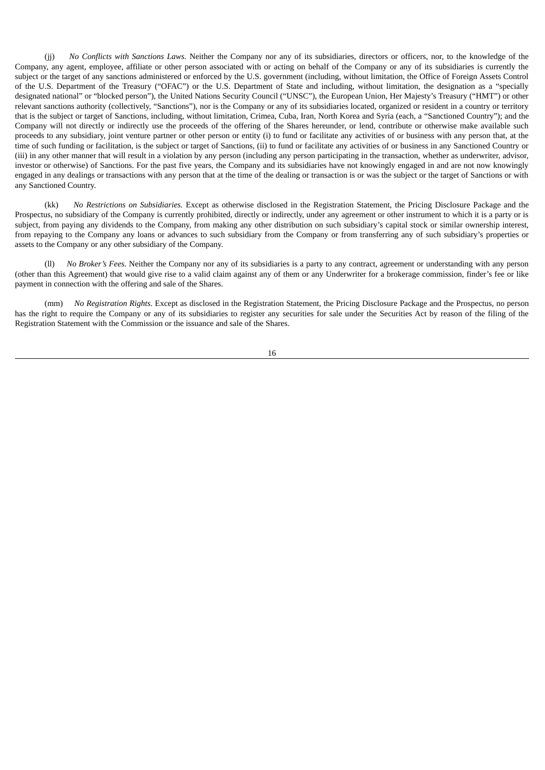(jj) *No Conflicts with Sanctions Laws.* Neither the Company nor any of its subsidiaries, directors or officers, nor, to the knowledge of the Company, any agent, employee, affiliate or other person associated with or acting on behalf of the Company or any of its subsidiaries is currently the subject or the target of any sanctions administered or enforced by the U.S. government (including, without limitation, the Office of Foreign Assets Control of the U.S. Department of the Treasury ("OFAC") or the U.S. Department of State and including, without limitation, the designation as a "specially designated national" or "blocked person"), the United Nations Security Council ("UNSC"), the European Union, Her Majesty's Treasury ("HMT") or other relevant sanctions authority (collectively, "Sanctions"), nor is the Company or any of its subsidiaries located, organized or resident in a country or territory that is the subject or target of Sanctions, including, without limitation, Crimea, Cuba, Iran, North Korea and Syria (each, a "Sanctioned Country"); and the Company will not directly or indirectly use the proceeds of the offering of the Shares hereunder, or lend, contribute or otherwise make available such proceeds to any subsidiary, joint venture partner or other person or entity (i) to fund or facilitate any activities of or business with any person that, at the time of such funding or facilitation, is the subject or target of Sanctions, (ii) to fund or facilitate any activities of or business in any Sanctioned Country or (iii) in any other manner that will result in a violation by any person (including any person participating in the transaction, whether as underwriter, advisor, investor or otherwise) of Sanctions. For the past five years, the Company and its subsidiaries have not knowingly engaged in and are not now knowingly engaged in any dealings or transactions with any person that at the time of the dealing or transaction is or was the subject or the target of Sanctions or with any Sanctioned Country.

(kk) *No Restrictions on Subsidiaries.* Except as otherwise disclosed in the Registration Statement, the Pricing Disclosure Package and the Prospectus, no subsidiary of the Company is currently prohibited, directly or indirectly, under any agreement or other instrument to which it is a party or is subject, from paying any dividends to the Company, from making any other distribution on such subsidiary's capital stock or similar ownership interest, from repaying to the Company any loans or advances to such subsidiary from the Company or from transferring any of such subsidiary's properties or assets to the Company or any other subsidiary of the Company.

*No Broker's Fees.* Neither the Company nor any of its subsidiaries is a party to any contract, agreement or understanding with any person (other than this Agreement) that would give rise to a valid claim against any of them or any Underwriter for a brokerage commission, finder's fee or like payment in connection with the offering and sale of the Shares.

(mm) *No Registration Rights*. Except as disclosed in the Registration Statement, the Pricing Disclosure Package and the Prospectus, no person has the right to require the Company or any of its subsidiaries to register any securities for sale under the Securities Act by reason of the filing of the Registration Statement with the Commission or the issuance and sale of the Shares.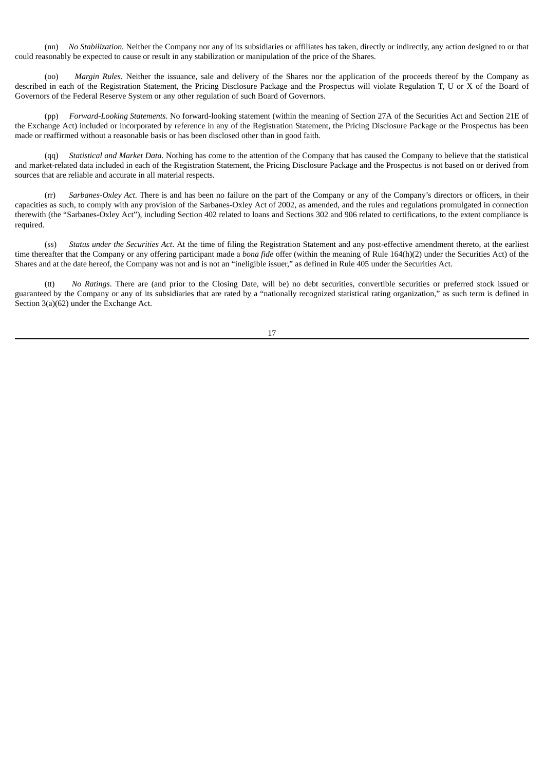(nn) *No Stabilization.* Neither the Company nor any of its subsidiaries or affiliates has taken, directly or indirectly, any action designed to or that could reasonably be expected to cause or result in any stabilization or manipulation of the price of the Shares.

(oo) *Margin Rules.* Neither the issuance, sale and delivery of the Shares nor the application of the proceeds thereof by the Company as described in each of the Registration Statement, the Pricing Disclosure Package and the Prospectus will violate Regulation T, U or X of the Board of Governors of the Federal Reserve System or any other regulation of such Board of Governors.

(pp) *Forward-Looking Statements.* No forward-looking statement (within the meaning of Section 27A of the Securities Act and Section 21E of the Exchange Act) included or incorporated by reference in any of the Registration Statement, the Pricing Disclosure Package or the Prospectus has been made or reaffirmed without a reasonable basis or has been disclosed other than in good faith.

(qq) *Statistical and Market Data.* Nothing has come to the attention of the Company that has caused the Company to believe that the statistical and market-related data included in each of the Registration Statement, the Pricing Disclosure Package and the Prospectus is not based on or derived from sources that are reliable and accurate in all material respects.

(rr) *Sarbanes-Oxley Act*. There is and has been no failure on the part of the Company or any of the Company's directors or officers, in their capacities as such, to comply with any provision of the Sarbanes-Oxley Act of 2002, as amended, and the rules and regulations promulgated in connection therewith (the "Sarbanes-Oxley Act"), including Section 402 related to loans and Sections 302 and 906 related to certifications, to the extent compliance is required.

(ss) *Status under the Securities Act*. At the time of filing the Registration Statement and any post-effective amendment thereto, at the earliest time thereafter that the Company or any offering participant made a *bona fide* offer (within the meaning of Rule 164(h)(2) under the Securities Act) of the Shares and at the date hereof, the Company was not and is not an "ineligible issuer," as defined in Rule 405 under the Securities Act.

(tt) *No Ratings*. There are (and prior to the Closing Date, will be) no debt securities, convertible securities or preferred stock issued or guaranteed by the Company or any of its subsidiaries that are rated by a "nationally recognized statistical rating organization," as such term is defined in Section 3(a)(62) under the Exchange Act.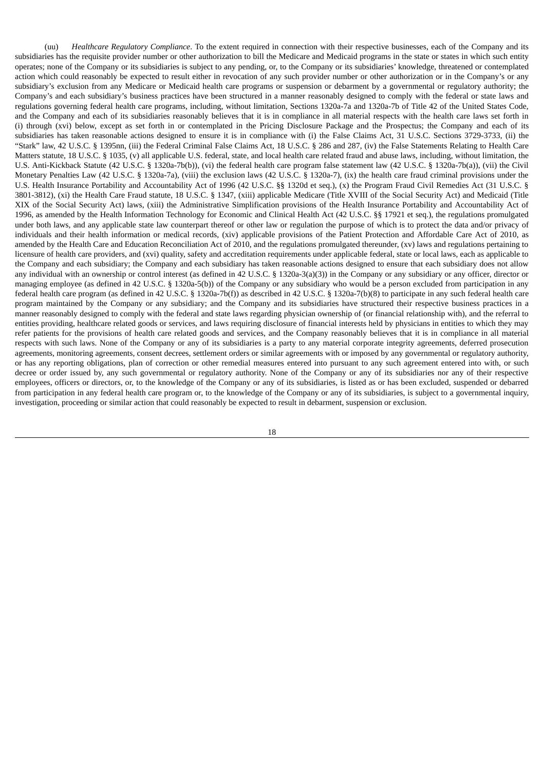(uu) *Healthcare Regulatory Compliance*. To the extent required in connection with their respective businesses, each of the Company and its subsidiaries has the requisite provider number or other authorization to bill the Medicare and Medicaid programs in the state or states in which such entity operates; none of the Company or its subsidiaries is subject to any pending, or, to the Company or its subsidiaries' knowledge, threatened or contemplated action which could reasonably be expected to result either in revocation of any such provider number or other authorization or in the Company's or any subsidiary's exclusion from any Medicare or Medicaid health care programs or suspension or debarment by a governmental or regulatory authority; the Company's and each subsidiary's business practices have been structured in a manner reasonably designed to comply with the federal or state laws and regulations governing federal health care programs, including, without limitation, Sections 1320a-7a and 1320a-7b of Title 42 of the United States Code, and the Company and each of its subsidiaries reasonably believes that it is in compliance in all material respects with the health care laws set forth in (i) through (xvi) below, except as set forth in or contemplated in the Pricing Disclosure Package and the Prospectus; the Company and each of its subsidiaries has taken reasonable actions designed to ensure it is in compliance with (i) the False Claims Act, 31 U.S.C. Sections 3729-3733, (ii) the "Stark" law, 42 U.S.C. § 1395nn, (iii) the Federal Criminal False Claims Act, 18 U.S.C. § 286 and 287, (iv) the False Statements Relating to Health Care Matters statute, 18 U.S.C. § 1035, (v) all applicable U.S. federal, state, and local health care related fraud and abuse laws, including, without limitation, the U.S. Anti-Kickback Statute (42 U.S.C. § 1320a-7b(b)), (vi) the federal health care program false statement law (42 U.S.C. § 1320a-7b(a)), (vii) the Civil Monetary Penalties Law (42 U.S.C. § 1320a-7a), (viii) the exclusion laws (42 U.S.C. § 1320a-7), (ix) the health care fraud criminal provisions under the U.S. Health Insurance Portability and Accountability Act of 1996 (42 U.S.C. §§ 1320d et seq.), (x) the Program Fraud Civil Remedies Act (31 U.S.C. § 3801-3812), (xi) the Health Care Fraud statute, 18 U.S.C. § 1347, (xiii) applicable Medicare (Title XVIII of the Social Security Act) and Medicaid (Title XIX of the Social Security Act) laws, (xiii) the Administrative Simplification provisions of the Health Insurance Portability and Accountability Act of 1996, as amended by the Health Information Technology for Economic and Clinical Health Act (42 U.S.C. §§ 17921 et seq.), the regulations promulgated under both laws, and any applicable state law counterpart thereof or other law or regulation the purpose of which is to protect the data and/or privacy of individuals and their health information or medical records, (xiv) applicable provisions of the Patient Protection and Affordable Care Act of 2010, as amended by the Health Care and Education Reconciliation Act of 2010, and the regulations promulgated thereunder, (xv) laws and regulations pertaining to licensure of health care providers, and (xvi) quality, safety and accreditation requirements under applicable federal, state or local laws, each as applicable to the Company and each subsidiary; the Company and each subsidiary has taken reasonable actions designed to ensure that each subsidiary does not allow any individual with an ownership or control interest (as defined in 42 U.S.C. § 1320a-3(a)(3)) in the Company or any subsidiary or any officer, director or managing employee (as defined in 42 U.S.C. § 1320a-5(b)) of the Company or any subsidiary who would be a person excluded from participation in any federal health care program (as defined in 42 U.S.C. § 1320a-7b(f)) as described in 42 U.S.C. § 1320a-7(b)(8) to participate in any such federal health care program maintained by the Company or any subsidiary; and the Company and its subsidiaries have structured their respective business practices in a manner reasonably designed to comply with the federal and state laws regarding physician ownership of (or financial relationship with), and the referral to entities providing, healthcare related goods or services, and laws requiring disclosure of financial interests held by physicians in entities to which they may refer patients for the provisions of health care related goods and services, and the Company reasonably believes that it is in compliance in all material respects with such laws. None of the Company or any of its subsidiaries is a party to any material corporate integrity agreements, deferred prosecution agreements, monitoring agreements, consent decrees, settlement orders or similar agreements with or imposed by any governmental or regulatory authority, or has any reporting obligations, plan of correction or other remedial measures entered into pursuant to any such agreement entered into with, or such decree or order issued by, any such governmental or regulatory authority. None of the Company or any of its subsidiaries nor any of their respective employees, officers or directors, or, to the knowledge of the Company or any of its subsidiaries, is listed as or has been excluded, suspended or debarred from participation in any federal health care program or, to the knowledge of the Company or any of its subsidiaries, is subject to a governmental inquiry, investigation, proceeding or similar action that could reasonably be expected to result in debarment, suspension or exclusion.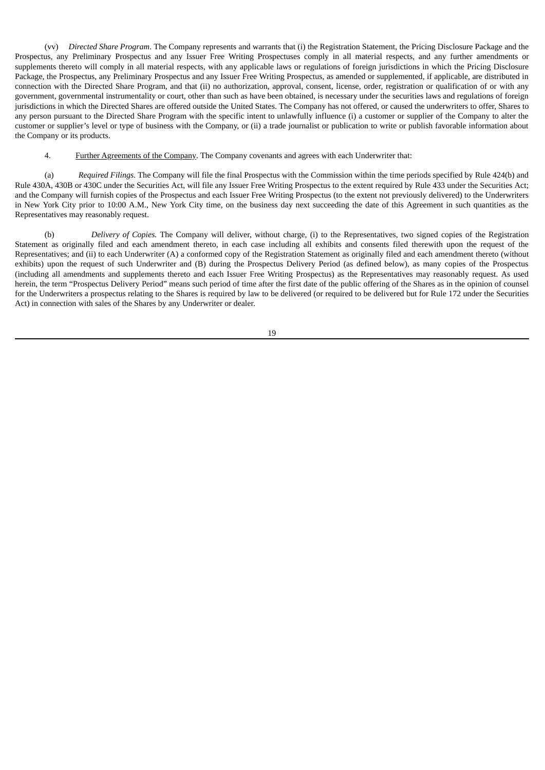(vv) *Directed Share Program*. The Company represents and warrants that (i) the Registration Statement, the Pricing Disclosure Package and the Prospectus, any Preliminary Prospectus and any Issuer Free Writing Prospectuses comply in all material respects, and any further amendments or supplements thereto will comply in all material respects, with any applicable laws or regulations of foreign jurisdictions in which the Pricing Disclosure Package, the Prospectus, any Preliminary Prospectus and any Issuer Free Writing Prospectus, as amended or supplemented, if applicable, are distributed in connection with the Directed Share Program, and that (ii) no authorization, approval, consent, license, order, registration or qualification of or with any government, governmental instrumentality or court, other than such as have been obtained, is necessary under the securities laws and regulations of foreign jurisdictions in which the Directed Shares are offered outside the United States. The Company has not offered, or caused the underwriters to offer, Shares to any person pursuant to the Directed Share Program with the specific intent to unlawfully influence (i) a customer or supplier of the Company to alter the customer or supplier's level or type of business with the Company, or (ii) a trade journalist or publication to write or publish favorable information about the Company or its products.

## 4. Further Agreements of the Company. The Company covenants and agrees with each Underwriter that:

(a) *Required Filings.* The Company will file the final Prospectus with the Commission within the time periods specified by Rule 424(b) and Rule 430A, 430B or 430C under the Securities Act, will file any Issuer Free Writing Prospectus to the extent required by Rule 433 under the Securities Act; and the Company will furnish copies of the Prospectus and each Issuer Free Writing Prospectus (to the extent not previously delivered) to the Underwriters in New York City prior to 10:00 A.M., New York City time, on the business day next succeeding the date of this Agreement in such quantities as the Representatives may reasonably request.

(b) *Delivery of Copies.* The Company will deliver, without charge, (i) to the Representatives, two signed copies of the Registration Statement as originally filed and each amendment thereto, in each case including all exhibits and consents filed therewith upon the request of the Representatives; and (ii) to each Underwriter (A) a conformed copy of the Registration Statement as originally filed and each amendment thereto (without exhibits) upon the request of such Underwriter and (B) during the Prospectus Delivery Period (as defined below), as many copies of the Prospectus (including all amendments and supplements thereto and each Issuer Free Writing Prospectus) as the Representatives may reasonably request. As used herein, the term "Prospectus Delivery Period" means such period of time after the first date of the public offering of the Shares as in the opinion of counsel for the Underwriters a prospectus relating to the Shares is required by law to be delivered (or required to be delivered but for Rule 172 under the Securities Act) in connection with sales of the Shares by any Underwriter or dealer.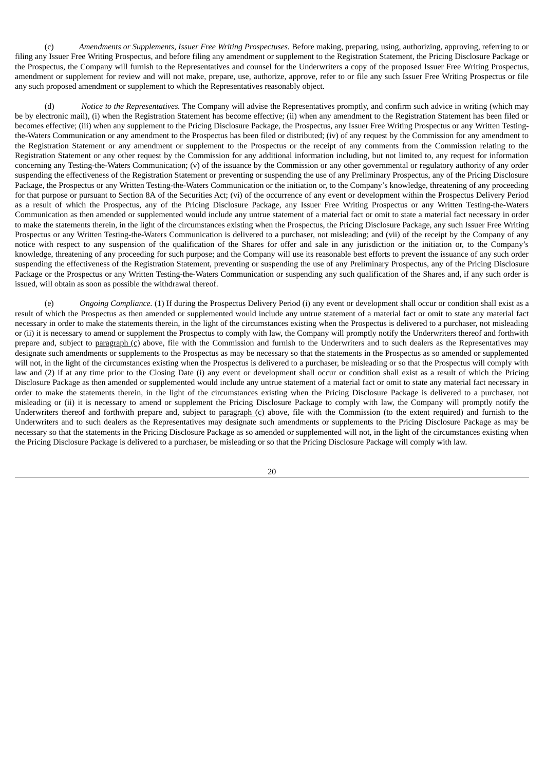(c) *Amendments or Supplements, Issuer Free Writing Prospectuses.* Before making, preparing, using, authorizing, approving, referring to or filing any Issuer Free Writing Prospectus, and before filing any amendment or supplement to the Registration Statement, the Pricing Disclosure Package or the Prospectus, the Company will furnish to the Representatives and counsel for the Underwriters a copy of the proposed Issuer Free Writing Prospectus, amendment or supplement for review and will not make, prepare, use, authorize, approve, refer to or file any such Issuer Free Writing Prospectus or file any such proposed amendment or supplement to which the Representatives reasonably object.

(d) *Notice to the Representatives.* The Company will advise the Representatives promptly, and confirm such advice in writing (which may be by electronic mail), (i) when the Registration Statement has become effective; (ii) when any amendment to the Registration Statement has been filed or becomes effective; (iii) when any supplement to the Pricing Disclosure Package, the Prospectus, any Issuer Free Writing Prospectus or any Written Testingthe-Waters Communication or any amendment to the Prospectus has been filed or distributed; (iv) of any request by the Commission for any amendment to the Registration Statement or any amendment or supplement to the Prospectus or the receipt of any comments from the Commission relating to the Registration Statement or any other request by the Commission for any additional information including, but not limited to, any request for information concerning any Testing-the-Waters Communication; (v) of the issuance by the Commission or any other governmental or regulatory authority of any order suspending the effectiveness of the Registration Statement or preventing or suspending the use of any Preliminary Prospectus, any of the Pricing Disclosure Package, the Prospectus or any Written Testing-the-Waters Communication or the initiation or, to the Company's knowledge, threatening of any proceeding for that purpose or pursuant to Section 8A of the Securities Act; (vi) of the occurrence of any event or development within the Prospectus Delivery Period as a result of which the Prospectus, any of the Pricing Disclosure Package, any Issuer Free Writing Prospectus or any Written Testing-the-Waters Communication as then amended or supplemented would include any untrue statement of a material fact or omit to state a material fact necessary in order to make the statements therein, in the light of the circumstances existing when the Prospectus, the Pricing Disclosure Package, any such Issuer Free Writing Prospectus or any Written Testing-the-Waters Communication is delivered to a purchaser, not misleading; and (vii) of the receipt by the Company of any notice with respect to any suspension of the qualification of the Shares for offer and sale in any jurisdiction or the initiation or, to the Company's knowledge, threatening of any proceeding for such purpose; and the Company will use its reasonable best efforts to prevent the issuance of any such order suspending the effectiveness of the Registration Statement, preventing or suspending the use of any Preliminary Prospectus, any of the Pricing Disclosure Package or the Prospectus or any Written Testing-the-Waters Communication or suspending any such qualification of the Shares and, if any such order is issued, will obtain as soon as possible the withdrawal thereof.

(e) *Ongoing Compliance.* (1) If during the Prospectus Delivery Period (i) any event or development shall occur or condition shall exist as a result of which the Prospectus as then amended or supplemented would include any untrue statement of a material fact or omit to state any material fact necessary in order to make the statements therein, in the light of the circumstances existing when the Prospectus is delivered to a purchaser, not misleading or (ii) it is necessary to amend or supplement the Prospectus to comply with law, the Company will promptly notify the Underwriters thereof and forthwith prepare and, subject to paragraph (c) above, file with the Commission and furnish to the Underwriters and to such dealers as the Representatives may designate such amendments or supplements to the Prospectus as may be necessary so that the statements in the Prospectus as so amended or supplemented will not, in the light of the circumstances existing when the Prospectus is delivered to a purchaser, be misleading or so that the Prospectus will comply with law and (2) if at any time prior to the Closing Date (i) any event or development shall occur or condition shall exist as a result of which the Pricing Disclosure Package as then amended or supplemented would include any untrue statement of a material fact or omit to state any material fact necessary in order to make the statements therein, in the light of the circumstances existing when the Pricing Disclosure Package is delivered to a purchaser, not misleading or (ii) it is necessary to amend or supplement the Pricing Disclosure Package to comply with law, the Company will promptly notify the Underwriters thereof and forthwith prepare and, subject to paragraph  $(c)$  above, file with the Commission (to the extent required) and furnish to the Underwriters and to such dealers as the Representatives may designate such amendments or supplements to the Pricing Disclosure Package as may be necessary so that the statements in the Pricing Disclosure Package as so amended or supplemented will not, in the light of the circumstances existing when the Pricing Disclosure Package is delivered to a purchaser, be misleading or so that the Pricing Disclosure Package will comply with law.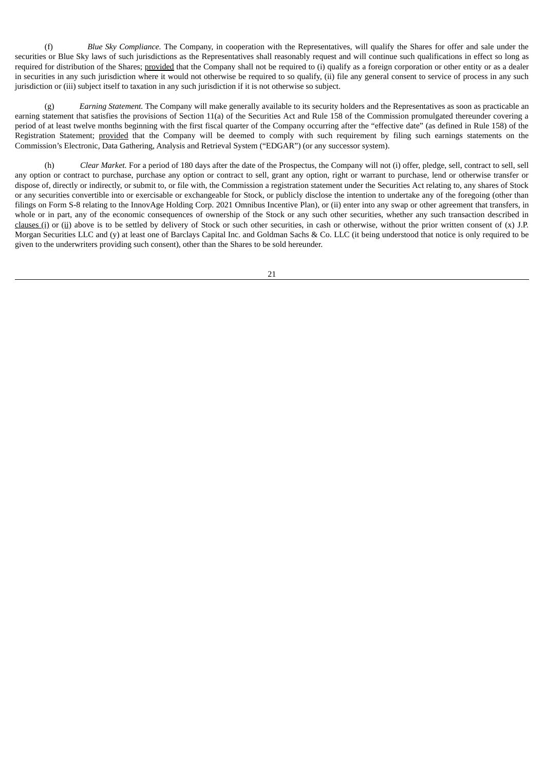(f) *Blue Sky Compliance.* The Company, in cooperation with the Representatives, will qualify the Shares for offer and sale under the securities or Blue Sky laws of such jurisdictions as the Representatives shall reasonably request and will continue such qualifications in effect so long as required for distribution of the Shares; provided that the Company shall not be required to (i) qualify as a foreign corporation or other entity or as a dealer in securities in any such jurisdiction where it would not otherwise be required to so qualify, (ii) file any general consent to service of process in any such jurisdiction or (iii) subject itself to taxation in any such jurisdiction if it is not otherwise so subject.

(g) *Earning Statement.* The Company will make generally available to its security holders and the Representatives as soon as practicable an earning statement that satisfies the provisions of Section 11(a) of the Securities Act and Rule 158 of the Commission promulgated thereunder covering a period of at least twelve months beginning with the first fiscal quarter of the Company occurring after the "effective date" (as defined in Rule 158) of the Registration Statement; provided that the Company will be deemed to comply with such requirement by filing such earnings statements on the Commission's Electronic, Data Gathering, Analysis and Retrieval System ("EDGAR") (or any successor system).

(h) *Clear Market.* For a period of 180 days after the date of the Prospectus, the Company will not (i) offer, pledge, sell, contract to sell, sell any option or contract to purchase, purchase any option or contract to sell, grant any option, right or warrant to purchase, lend or otherwise transfer or dispose of, directly or indirectly, or submit to, or file with, the Commission a registration statement under the Securities Act relating to, any shares of Stock or any securities convertible into or exercisable or exchangeable for Stock, or publicly disclose the intention to undertake any of the foregoing (other than filings on Form S-8 relating to the InnovAge Holding Corp. 2021 Omnibus Incentive Plan), or (ii) enter into any swap or other agreement that transfers, in whole or in part, any of the economic consequences of ownership of the Stock or any such other securities, whether any such transaction described in clauses (i) or (ii) above is to be settled by delivery of Stock or such other securities, in cash or otherwise, without the prior written consent of (x) J.P. Morgan Securities LLC and (y) at least one of Barclays Capital Inc. and Goldman Sachs & Co. LLC (it being understood that notice is only required to be given to the underwriters providing such consent), other than the Shares to be sold hereunder.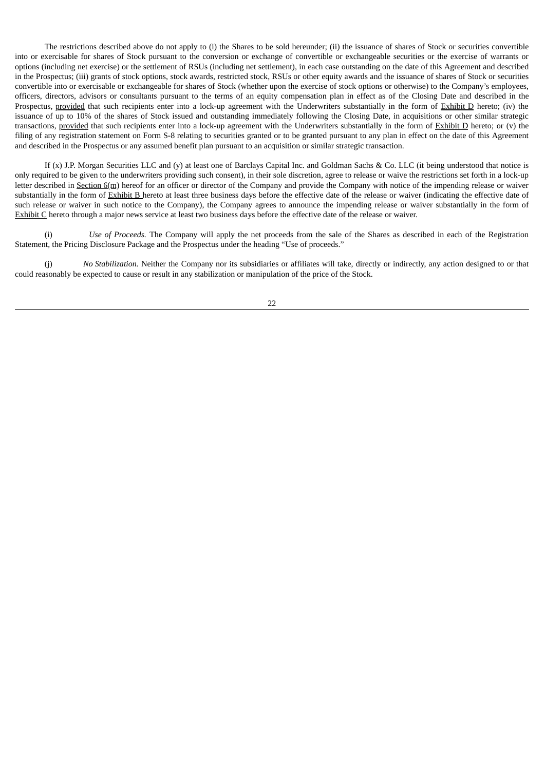The restrictions described above do not apply to (i) the Shares to be sold hereunder; (ii) the issuance of shares of Stock or securities convertible into or exercisable for shares of Stock pursuant to the conversion or exchange of convertible or exchangeable securities or the exercise of warrants or options (including net exercise) or the settlement of RSUs (including net settlement), in each case outstanding on the date of this Agreement and described in the Prospectus; (iii) grants of stock options, stock awards, restricted stock, RSUs or other equity awards and the issuance of shares of Stock or securities convertible into or exercisable or exchangeable for shares of Stock (whether upon the exercise of stock options or otherwise) to the Company's employees, officers, directors, advisors or consultants pursuant to the terms of an equity compensation plan in effect as of the Closing Date and described in the Prospectus, provided that such recipients enter into a lock-up agreement with the Underwriters substantially in the form of Exhibit D hereto; (iv) the issuance of up to 10% of the shares of Stock issued and outstanding immediately following the Closing Date, in acquisitions or other similar strategic transactions, provided that such recipients enter into a lock-up agreement with the Underwriters substantially in the form of Exhibit D hereto; or (v) the filing of any registration statement on Form S-8 relating to securities granted or to be granted pursuant to any plan in effect on the date of this Agreement and described in the Prospectus or any assumed benefit plan pursuant to an acquisition or similar strategic transaction.

If (x) J.P. Morgan Securities LLC and (y) at least one of Barclays Capital Inc. and Goldman Sachs & Co. LLC (it being understood that notice is only required to be given to the underwriters providing such consent), in their sole discretion, agree to release or waive the restrictions set forth in a lock-up letter described in Section 6(m) hereof for an officer or director of the Company and provide the Company with notice of the impending release or waiver substantially in the form of Exhibit B hereto at least three business days before the effective date of the release or waiver (indicating the effective date of such release or waiver in such notice to the Company), the Company agrees to announce the impending release or waiver substantially in the form of Exhibit C hereto through a major news service at least two business days before the effective date of the release or waiver.

(i) *Use of Proceeds.* The Company will apply the net proceeds from the sale of the Shares as described in each of the Registration Statement, the Pricing Disclosure Package and the Prospectus under the heading "Use of proceeds."

(j) *No Stabilization.* Neither the Company nor its subsidiaries or affiliates will take, directly or indirectly, any action designed to or that could reasonably be expected to cause or result in any stabilization or manipulation of the price of the Stock.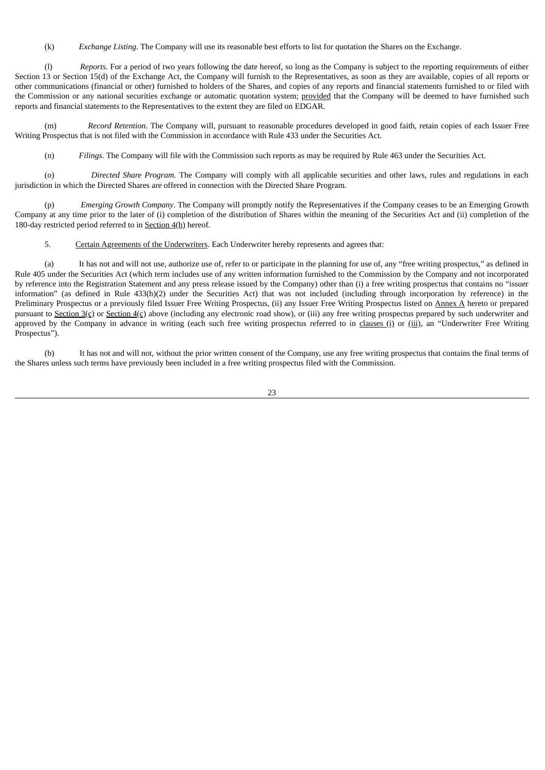(k) *Exchange Listing.* The Company will use its reasonable best efforts to list for quotation the Shares on the Exchange.

(l) *Reports.* For a period of two years following the date hereof, so long as the Company is subject to the reporting requirements of either Section 13 or Section 15(d) of the Exchange Act, the Company will furnish to the Representatives, as soon as they are available, copies of all reports or other communications (financial or other) furnished to holders of the Shares, and copies of any reports and financial statements furnished to or filed with the Commission or any national securities exchange or automatic quotation system; provided that the Company will be deemed to have furnished such reports and financial statements to the Representatives to the extent they are filed on EDGAR.

(m) *Record Retention*. The Company will, pursuant to reasonable procedures developed in good faith, retain copies of each Issuer Free Writing Prospectus that is not filed with the Commission in accordance with Rule 433 under the Securities Act.

(n) *Filings.* The Company will file with the Commission such reports as may be required by Rule 463 under the Securities Act.

(o) *Directed Share Program.* The Company will comply with all applicable securities and other laws, rules and regulations in each jurisdiction in which the Directed Shares are offered in connection with the Directed Share Program.

(p) *Emerging Growth Company*. The Company will promptly notify the Representatives if the Company ceases to be an Emerging Growth Company at any time prior to the later of (i) completion of the distribution of Shares within the meaning of the Securities Act and (ii) completion of the 180-day restricted period referred to in  $Section 4(h)$  hereof.

5. Certain Agreements of the Underwriters. Each Underwriter hereby represents and agrees that:

(a) It has not and will not use, authorize use of, refer to or participate in the planning for use of, any "free writing prospectus," as defined in Rule 405 under the Securities Act (which term includes use of any written information furnished to the Commission by the Company and not incorporated by reference into the Registration Statement and any press release issued by the Company) other than (i) a free writing prospectus that contains no "issuer information" (as defined in Rule 433(h)(2) under the Securities Act) that was not included (including through incorporation by reference) in the Preliminary Prospectus or a previously filed Issuer Free Writing Prospectus, (ii) any Issuer Free Writing Prospectus listed on Annex A hereto or prepared pursuant to Section  $3(\varsigma)$  or Section  $4(\varsigma)$  above (including any electronic road show), or (iii) any free writing prospectus prepared by such underwriter and approved by the Company in advance in writing (each such free writing prospectus referred to in clauses (i) or (iii), an "Underwriter Free Writing Prospectus").

(b) It has not and will not, without the prior written consent of the Company, use any free writing prospectus that contains the final terms of the Shares unless such terms have previously been included in a free writing prospectus filed with the Commission.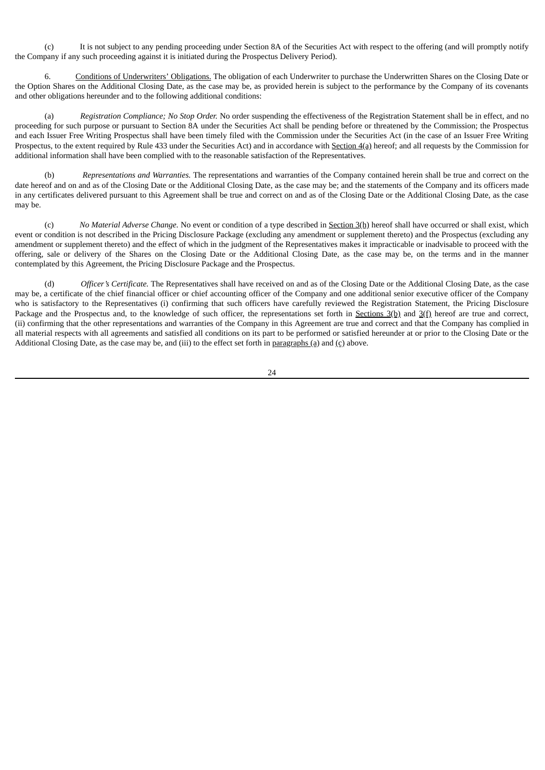(c) It is not subject to any pending proceeding under Section 8A of the Securities Act with respect to the offering (and will promptly notify the Company if any such proceeding against it is initiated during the Prospectus Delivery Period).

6. Conditions of Underwriters' Obligations. The obligation of each Underwriter to purchase the Underwritten Shares on the Closing Date or the Option Shares on the Additional Closing Date, as the case may be, as provided herein is subject to the performance by the Company of its covenants and other obligations hereunder and to the following additional conditions:

(a) *Registration Compliance; No Stop Order.* No order suspending the effectiveness of the Registration Statement shall be in effect, and no proceeding for such purpose or pursuant to Section 8A under the Securities Act shall be pending before or threatened by the Commission; the Prospectus and each Issuer Free Writing Prospectus shall have been timely filed with the Commission under the Securities Act (in the case of an Issuer Free Writing Prospectus, to the extent required by Rule 433 under the Securities Act) and in accordance with Section 4(a) hereof; and all requests by the Commission for additional information shall have been complied with to the reasonable satisfaction of the Representatives.

(b) *Representations and Warranties.* The representations and warranties of the Company contained herein shall be true and correct on the date hereof and on and as of the Closing Date or the Additional Closing Date, as the case may be; and the statements of the Company and its officers made in any certificates delivered pursuant to this Agreement shall be true and correct on and as of the Closing Date or the Additional Closing Date, as the case may be.

(c) *No Material Adverse Change.* No event or condition of a type described in Section 3(h) hereof shall have occurred or shall exist, which event or condition is not described in the Pricing Disclosure Package (excluding any amendment or supplement thereto) and the Prospectus (excluding any amendment or supplement thereto) and the effect of which in the judgment of the Representatives makes it impracticable or inadvisable to proceed with the offering, sale or delivery of the Shares on the Closing Date or the Additional Closing Date, as the case may be, on the terms and in the manner contemplated by this Agreement, the Pricing Disclosure Package and the Prospectus.

(d) *Officer's Certificate.* The Representatives shall have received on and as of the Closing Date or the Additional Closing Date, as the case may be, a certificate of the chief financial officer or chief accounting officer of the Company and one additional senior executive officer of the Company who is satisfactory to the Representatives (i) confirming that such officers have carefully reviewed the Registration Statement, the Pricing Disclosure Package and the Prospectus and, to the knowledge of such officer, the representations set forth in Sections  $3(b)$  and  $3(f)$  hereof are true and correct, (ii) confirming that the other representations and warranties of the Company in this Agreement are true and correct and that the Company has complied in all material respects with all agreements and satisfied all conditions on its part to be performed or satisfied hereunder at or prior to the Closing Date or the Additional Closing Date, as the case may be, and (iii) to the effect set forth in paragraphs (a) and (c) above.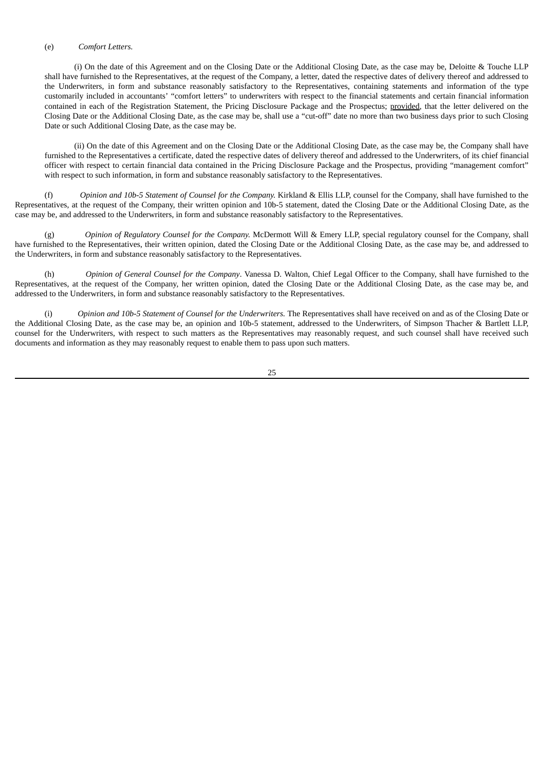#### (e) *Comfort Letters.*

(i) On the date of this Agreement and on the Closing Date or the Additional Closing Date, as the case may be, Deloitte & Touche LLP shall have furnished to the Representatives, at the request of the Company, a letter, dated the respective dates of delivery thereof and addressed to the Underwriters, in form and substance reasonably satisfactory to the Representatives, containing statements and information of the type customarily included in accountants' "comfort letters" to underwriters with respect to the financial statements and certain financial information contained in each of the Registration Statement, the Pricing Disclosure Package and the Prospectus; provided, that the letter delivered on the Closing Date or the Additional Closing Date, as the case may be, shall use a "cut-off" date no more than two business days prior to such Closing Date or such Additional Closing Date, as the case may be.

(ii) On the date of this Agreement and on the Closing Date or the Additional Closing Date, as the case may be, the Company shall have furnished to the Representatives a certificate, dated the respective dates of delivery thereof and addressed to the Underwriters, of its chief financial officer with respect to certain financial data contained in the Pricing Disclosure Package and the Prospectus, providing "management comfort" with respect to such information, in form and substance reasonably satisfactory to the Representatives.

(f) *Opinion and 10b-5 Statement of Counsel for the Company.* Kirkland & Ellis LLP, counsel for the Company, shall have furnished to the Representatives, at the request of the Company, their written opinion and 10b-5 statement, dated the Closing Date or the Additional Closing Date, as the case may be, and addressed to the Underwriters, in form and substance reasonably satisfactory to the Representatives.

(g) *Opinion of Regulatory Counsel for the Company.* McDermott Will & Emery LLP, special regulatory counsel for the Company, shall have furnished to the Representatives, their written opinion, dated the Closing Date or the Additional Closing Date, as the case may be, and addressed to the Underwriters, in form and substance reasonably satisfactory to the Representatives.

(h) *Opinion of General Counsel for the Company*. Vanessa D. Walton, Chief Legal Officer to the Company, shall have furnished to the Representatives, at the request of the Company, her written opinion, dated the Closing Date or the Additional Closing Date, as the case may be, and addressed to the Underwriters, in form and substance reasonably satisfactory to the Representatives.

(i) *Opinion and 10b-5 Statement of Counsel for the Underwriters.* The Representatives shall have received on and as of the Closing Date or the Additional Closing Date, as the case may be, an opinion and 10b-5 statement, addressed to the Underwriters, of Simpson Thacher & Bartlett LLP, counsel for the Underwriters, with respect to such matters as the Representatives may reasonably request, and such counsel shall have received such documents and information as they may reasonably request to enable them to pass upon such matters.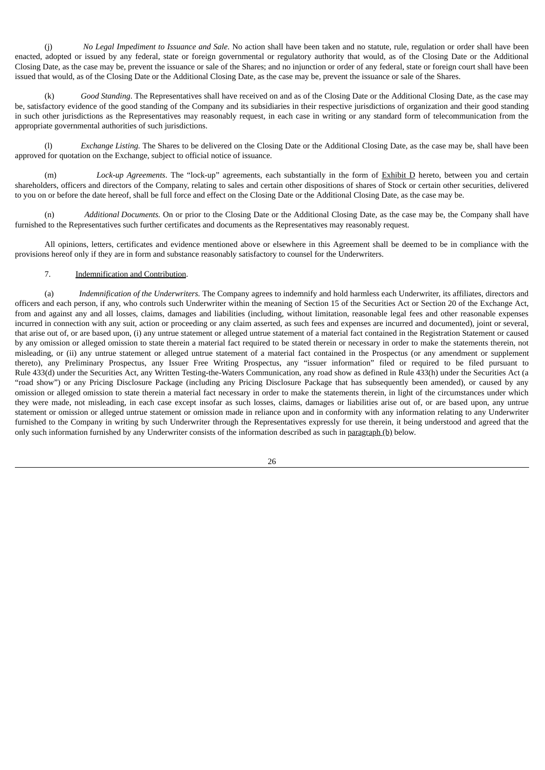(j) *No Legal Impediment to Issuance and Sale.* No action shall have been taken and no statute, rule, regulation or order shall have been enacted, adopted or issued by any federal, state or foreign governmental or regulatory authority that would, as of the Closing Date or the Additional Closing Date, as the case may be, prevent the issuance or sale of the Shares; and no injunction or order of any federal, state or foreign court shall have been issued that would, as of the Closing Date or the Additional Closing Date, as the case may be, prevent the issuance or sale of the Shares.

(k) *Good Standing*. The Representatives shall have received on and as of the Closing Date or the Additional Closing Date, as the case may be, satisfactory evidence of the good standing of the Company and its subsidiaries in their respective jurisdictions of organization and their good standing in such other jurisdictions as the Representatives may reasonably request, in each case in writing or any standard form of telecommunication from the appropriate governmental authorities of such jurisdictions.

(l) *Exchange Listing.* The Shares to be delivered on the Closing Date or the Additional Closing Date, as the case may be, shall have been approved for quotation on the Exchange, subject to official notice of issuance.

(m) *Lock-up Agreements*. The "lock-up" agreements, each substantially in the form of Exhibit D hereto, between you and certain shareholders, officers and directors of the Company, relating to sales and certain other dispositions of shares of Stock or certain other securities, delivered to you on or before the date hereof, shall be full force and effect on the Closing Date or the Additional Closing Date, as the case may be.

(n) *Additional Documents.* On or prior to the Closing Date or the Additional Closing Date, as the case may be, the Company shall have furnished to the Representatives such further certificates and documents as the Representatives may reasonably request.

All opinions, letters, certificates and evidence mentioned above or elsewhere in this Agreement shall be deemed to be in compliance with the provisions hereof only if they are in form and substance reasonably satisfactory to counsel for the Underwriters.

## 7. Indemnification and Contribution.

(a) *Indemnification of the Underwriters.* The Company agrees to indemnify and hold harmless each Underwriter, its affiliates, directors and officers and each person, if any, who controls such Underwriter within the meaning of Section 15 of the Securities Act or Section 20 of the Exchange Act, from and against any and all losses, claims, damages and liabilities (including, without limitation, reasonable legal fees and other reasonable expenses incurred in connection with any suit, action or proceeding or any claim asserted, as such fees and expenses are incurred and documented), joint or several, that arise out of, or are based upon, (i) any untrue statement or alleged untrue statement of a material fact contained in the Registration Statement or caused by any omission or alleged omission to state therein a material fact required to be stated therein or necessary in order to make the statements therein, not misleading, or (ii) any untrue statement or alleged untrue statement of a material fact contained in the Prospectus (or any amendment or supplement thereto), any Preliminary Prospectus, any Issuer Free Writing Prospectus, any "issuer information" filed or required to be filed pursuant to Rule 433(d) under the Securities Act, any Written Testing-the-Waters Communication, any road show as defined in Rule 433(h) under the Securities Act (a "road show") or any Pricing Disclosure Package (including any Pricing Disclosure Package that has subsequently been amended), or caused by any omission or alleged omission to state therein a material fact necessary in order to make the statements therein, in light of the circumstances under which they were made, not misleading, in each case except insofar as such losses, claims, damages or liabilities arise out of, or are based upon, any untrue statement or omission or alleged untrue statement or omission made in reliance upon and in conformity with any information relating to any Underwriter furnished to the Company in writing by such Underwriter through the Representatives expressly for use therein, it being understood and agreed that the only such information furnished by any Underwriter consists of the information described as such in paragraph (b) below.

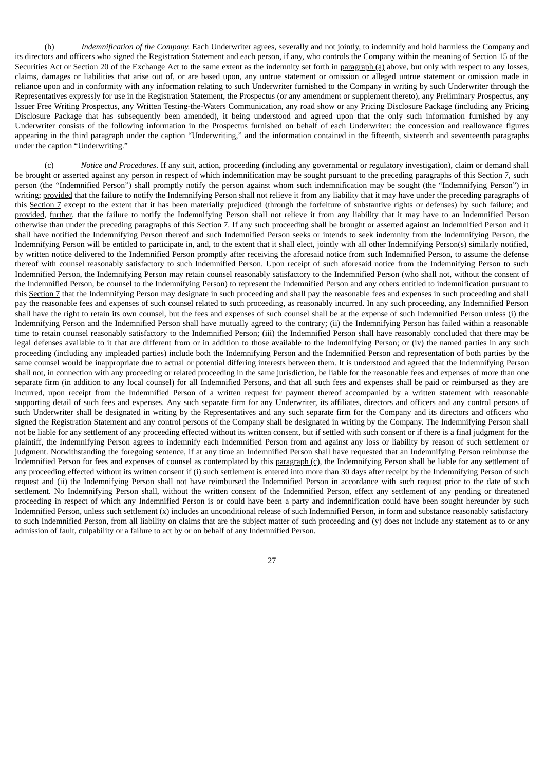(b) *Indemnification of the Company.* Each Underwriter agrees, severally and not jointly, to indemnify and hold harmless the Company and its directors and officers who signed the Registration Statement and each person, if any, who controls the Company within the meaning of Section 15 of the Securities Act or Section 20 of the Exchange Act to the same extent as the indemnity set forth in paragraph (a) above, but only with respect to any losses, claims, damages or liabilities that arise out of, or are based upon, any untrue statement or omission or alleged untrue statement or omission made in reliance upon and in conformity with any information relating to such Underwriter furnished to the Company in writing by such Underwriter through the Representatives expressly for use in the Registration Statement, the Prospectus (or any amendment or supplement thereto), any Preliminary Prospectus, any Issuer Free Writing Prospectus, any Written Testing-the-Waters Communication, any road show or any Pricing Disclosure Package (including any Pricing Disclosure Package that has subsequently been amended), it being understood and agreed upon that the only such information furnished by any Underwriter consists of the following information in the Prospectus furnished on behalf of each Underwriter: the concession and reallowance figures appearing in the third paragraph under the caption "Underwriting," and the information contained in the fifteenth, sixteenth and seventeenth paragraphs under the caption "Underwriting."

(c) *Notice and Procedures*. If any suit, action, proceeding (including any governmental or regulatory investigation), claim or demand shall be brought or asserted against any person in respect of which indemnification may be sought pursuant to the preceding paragraphs of this Section 7, such person (the "Indemnified Person") shall promptly notify the person against whom such indemnification may be sought (the "Indemnifying Person") in writing; provided that the failure to notify the Indemnifying Person shall not relieve it from any liability that it may have under the preceding paragraphs of this Section 7 except to the extent that it has been materially prejudiced (through the forfeiture of substantive rights or defenses) by such failure; and provided, further, that the failure to notify the Indemnifying Person shall not relieve it from any liability that it may have to an Indemnified Person otherwise than under the preceding paragraphs of this Section 7. If any such proceeding shall be brought or asserted against an Indemnified Person and it shall have notified the Indemnifying Person thereof and such Indemnified Person seeks or intends to seek indemnity from the Indemnifying Person, the Indemnifying Person will be entitled to participate in, and, to the extent that it shall elect, jointly with all other Indemnifying Person(s) similarly notified, by written notice delivered to the Indemnified Person promptly after receiving the aforesaid notice from such Indemnified Person, to assume the defense thereof with counsel reasonably satisfactory to such Indemnified Person. Upon receipt of such aforesaid notice from the Indemnifying Person to such Indemnified Person, the Indemnifying Person may retain counsel reasonably satisfactory to the Indemnified Person (who shall not, without the consent of the Indemnified Person, be counsel to the Indemnifying Person) to represent the Indemnified Person and any others entitled to indemnification pursuant to this Section 7 that the Indemnifying Person may designate in such proceeding and shall pay the reasonable fees and expenses in such proceeding and shall pay the reasonable fees and expenses of such counsel related to such proceeding, as reasonably incurred. In any such proceeding, any Indemnified Person shall have the right to retain its own counsel, but the fees and expenses of such counsel shall be at the expense of such Indemnified Person unless (i) the Indemnifying Person and the Indemnified Person shall have mutually agreed to the contrary; (ii) the Indemnifying Person has failed within a reasonable time to retain counsel reasonably satisfactory to the Indemnified Person; (iii) the Indemnified Person shall have reasonably concluded that there may be legal defenses available to it that are different from or in addition to those available to the Indemnifying Person; or (iv) the named parties in any such proceeding (including any impleaded parties) include both the Indemnifying Person and the Indemnified Person and representation of both parties by the same counsel would be inappropriate due to actual or potential differing interests between them. It is understood and agreed that the Indemnifying Person shall not, in connection with any proceeding or related proceeding in the same jurisdiction, be liable for the reasonable fees and expenses of more than one separate firm (in addition to any local counsel) for all Indemnified Persons, and that all such fees and expenses shall be paid or reimbursed as they are incurred, upon receipt from the Indemnified Person of a written request for payment thereof accompanied by a written statement with reasonable supporting detail of such fees and expenses. Any such separate firm for any Underwriter, its affiliates, directors and officers and any control persons of such Underwriter shall be designated in writing by the Representatives and any such separate firm for the Company and its directors and officers who signed the Registration Statement and any control persons of the Company shall be designated in writing by the Company. The Indemnifying Person shall not be liable for any settlement of any proceeding effected without its written consent, but if settled with such consent or if there is a final judgment for the plaintiff, the Indemnifying Person agrees to indemnify each Indemnified Person from and against any loss or liability by reason of such settlement or judgment. Notwithstanding the foregoing sentence, if at any time an Indemnified Person shall have requested that an Indemnifying Person reimburse the Indemnified Person for fees and expenses of counsel as contemplated by this paragraph  $(c)$ , the Indemnifying Person shall be liable for any settlement of any proceeding effected without its written consent if (i) such settlement is entered into more than 30 days after receipt by the Indemnifying Person of such request and (ii) the Indemnifying Person shall not have reimbursed the Indemnified Person in accordance with such request prior to the date of such settlement. No Indemnifying Person shall, without the written consent of the Indemnified Person, effect any settlement of any pending or threatened proceeding in respect of which any Indemnified Person is or could have been a party and indemnification could have been sought hereunder by such Indemnified Person, unless such settlement (x) includes an unconditional release of such Indemnified Person, in form and substance reasonably satisfactory to such Indemnified Person, from all liability on claims that are the subject matter of such proceeding and (y) does not include any statement as to or any admission of fault, culpability or a failure to act by or on behalf of any Indemnified Person.

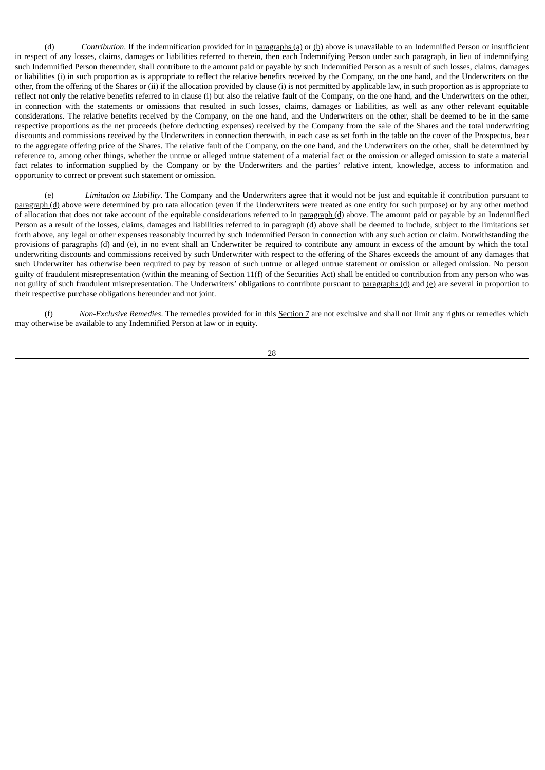(d) *Contribution*. If the indemnification provided for in paragraphs (a) or (b) above is unavailable to an Indemnified Person or insufficient in respect of any losses, claims, damages or liabilities referred to therein, then each Indemnifying Person under such paragraph, in lieu of indemnifying such Indemnified Person thereunder, shall contribute to the amount paid or payable by such Indemnified Person as a result of such losses, claims, damages or liabilities (i) in such proportion as is appropriate to reflect the relative benefits received by the Company, on the one hand, and the Underwriters on the other, from the offering of the Shares or (ii) if the allocation provided by clause (i) is not permitted by applicable law, in such proportion as is appropriate to reflect not only the relative benefits referred to in clause  $(i)$  but also the relative fault of the Company, on the one hand, and the Underwriters on the other, in connection with the statements or omissions that resulted in such losses, claims, damages or liabilities, as well as any other relevant equitable considerations. The relative benefits received by the Company, on the one hand, and the Underwriters on the other, shall be deemed to be in the same respective proportions as the net proceeds (before deducting expenses) received by the Company from the sale of the Shares and the total underwriting discounts and commissions received by the Underwriters in connection therewith, in each case as set forth in the table on the cover of the Prospectus, bear to the aggregate offering price of the Shares. The relative fault of the Company, on the one hand, and the Underwriters on the other, shall be determined by reference to, among other things, whether the untrue or alleged untrue statement of a material fact or the omission or alleged omission to state a material fact relates to information supplied by the Company or by the Underwriters and the parties' relative intent, knowledge, access to information and opportunity to correct or prevent such statement or omission.

(e) *Limitation on Liability*. The Company and the Underwriters agree that it would not be just and equitable if contribution pursuant to paragraph (d) above were determined by pro rata allocation (even if the Underwriters were treated as one entity for such purpose) or by any other method of allocation that does not take account of the equitable considerations referred to in paragraph (d) above. The amount paid or payable by an Indemnified Person as a result of the losses, claims, damages and liabilities referred to in paragraph (d) above shall be deemed to include, subject to the limitations set forth above, any legal or other expenses reasonably incurred by such Indemnified Person in connection with any such action or claim. Notwithstanding the provisions of paragraphs (d) and (e), in no event shall an Underwriter be required to contribute any amount in excess of the amount by which the total underwriting discounts and commissions received by such Underwriter with respect to the offering of the Shares exceeds the amount of any damages that such Underwriter has otherwise been required to pay by reason of such untrue or alleged untrue statement or omission or alleged omission. No person guilty of fraudulent misrepresentation (within the meaning of Section 11(f) of the Securities Act) shall be entitled to contribution from any person who was not guilty of such fraudulent misrepresentation. The Underwriters' obligations to contribute pursuant to paragraphs (d) and (e) are several in proportion to their respective purchase obligations hereunder and not joint.

(f) *Non-Exclusive Remedies*. The remedies provided for in this Section 7 are not exclusive and shall not limit any rights or remedies which may otherwise be available to any Indemnified Person at law or in equity.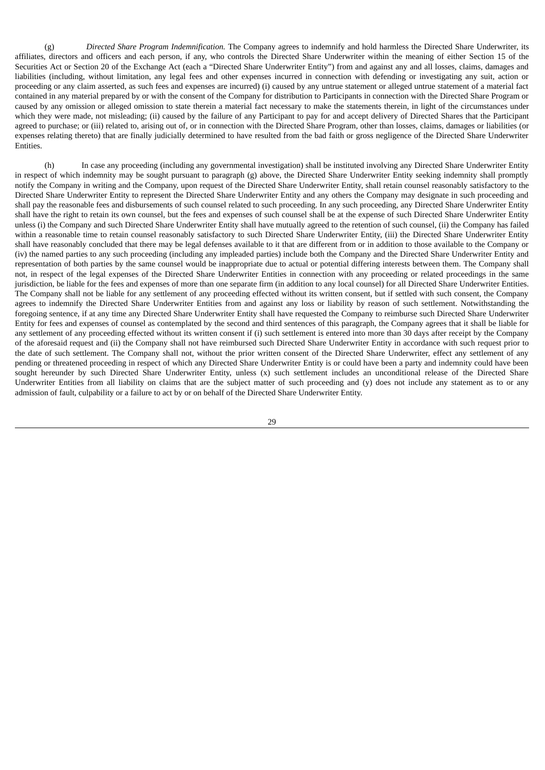(g) *Directed Share Program Indemnification.* The Company agrees to indemnify and hold harmless the Directed Share Underwriter, its affiliates, directors and officers and each person, if any, who controls the Directed Share Underwriter within the meaning of either Section 15 of the Securities Act or Section 20 of the Exchange Act (each a "Directed Share Underwriter Entity") from and against any and all losses, claims, damages and liabilities (including, without limitation, any legal fees and other expenses incurred in connection with defending or investigating any suit, action or proceeding or any claim asserted, as such fees and expenses are incurred) (i) caused by any untrue statement or alleged untrue statement of a material fact contained in any material prepared by or with the consent of the Company for distribution to Participants in connection with the Directed Share Program or caused by any omission or alleged omission to state therein a material fact necessary to make the statements therein, in light of the circumstances under which they were made, not misleading; (ii) caused by the failure of any Participant to pay for and accept delivery of Directed Shares that the Participant agreed to purchase; or (iii) related to, arising out of, or in connection with the Directed Share Program, other than losses, claims, damages or liabilities (or expenses relating thereto) that are finally judicially determined to have resulted from the bad faith or gross negligence of the Directed Share Underwriter Entities.

(h) In case any proceeding (including any governmental investigation) shall be instituted involving any Directed Share Underwriter Entity in respect of which indemnity may be sought pursuant to paragraph (g) above, the Directed Share Underwriter Entity seeking indemnity shall promptly notify the Company in writing and the Company, upon request of the Directed Share Underwriter Entity, shall retain counsel reasonably satisfactory to the Directed Share Underwriter Entity to represent the Directed Share Underwriter Entity and any others the Company may designate in such proceeding and shall pay the reasonable fees and disbursements of such counsel related to such proceeding. In any such proceeding, any Directed Share Underwriter Entity shall have the right to retain its own counsel, but the fees and expenses of such counsel shall be at the expense of such Directed Share Underwriter Entity unless (i) the Company and such Directed Share Underwriter Entity shall have mutually agreed to the retention of such counsel, (ii) the Company has failed within a reasonable time to retain counsel reasonably satisfactory to such Directed Share Underwriter Entity, (iii) the Directed Share Underwriter Entity shall have reasonably concluded that there may be legal defenses available to it that are different from or in addition to those available to the Company or (iv) the named parties to any such proceeding (including any impleaded parties) include both the Company and the Directed Share Underwriter Entity and representation of both parties by the same counsel would be inappropriate due to actual or potential differing interests between them. The Company shall not, in respect of the legal expenses of the Directed Share Underwriter Entities in connection with any proceeding or related proceedings in the same jurisdiction, be liable for the fees and expenses of more than one separate firm (in addition to any local counsel) for all Directed Share Underwriter Entities. The Company shall not be liable for any settlement of any proceeding effected without its written consent, but if settled with such consent, the Company agrees to indemnify the Directed Share Underwriter Entities from and against any loss or liability by reason of such settlement. Notwithstanding the foregoing sentence, if at any time any Directed Share Underwriter Entity shall have requested the Company to reimburse such Directed Share Underwriter Entity for fees and expenses of counsel as contemplated by the second and third sentences of this paragraph, the Company agrees that it shall be liable for any settlement of any proceeding effected without its written consent if (i) such settlement is entered into more than 30 days after receipt by the Company of the aforesaid request and (ii) the Company shall not have reimbursed such Directed Share Underwriter Entity in accordance with such request prior to the date of such settlement. The Company shall not, without the prior written consent of the Directed Share Underwriter, effect any settlement of any pending or threatened proceeding in respect of which any Directed Share Underwriter Entity is or could have been a party and indemnity could have been sought hereunder by such Directed Share Underwriter Entity, unless (x) such settlement includes an unconditional release of the Directed Share Underwriter Entities from all liability on claims that are the subject matter of such proceeding and (y) does not include any statement as to or any admission of fault, culpability or a failure to act by or on behalf of the Directed Share Underwriter Entity.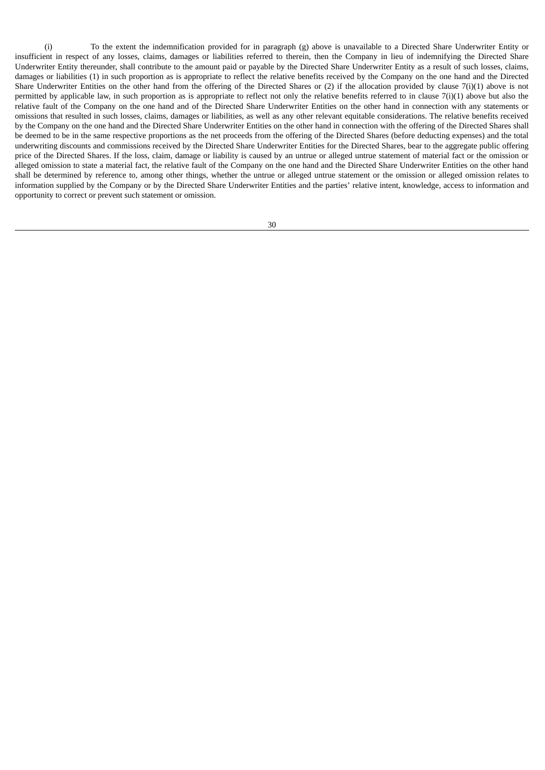(i) To the extent the indemnification provided for in paragraph (g) above is unavailable to a Directed Share Underwriter Entity or insufficient in respect of any losses, claims, damages or liabilities referred to therein, then the Company in lieu of indemnifying the Directed Share Underwriter Entity thereunder, shall contribute to the amount paid or payable by the Directed Share Underwriter Entity as a result of such losses, claims, damages or liabilities (1) in such proportion as is appropriate to reflect the relative benefits received by the Company on the one hand and the Directed Share Underwriter Entities on the other hand from the offering of the Directed Shares or (2) if the allocation provided by clause 7(i)(1) above is not permitted by applicable law, in such proportion as is appropriate to reflect not only the relative benefits referred to in clause  $7(i)(1)$  above but also the relative fault of the Company on the one hand and of the Directed Share Underwriter Entities on the other hand in connection with any statements or omissions that resulted in such losses, claims, damages or liabilities, as well as any other relevant equitable considerations. The relative benefits received by the Company on the one hand and the Directed Share Underwriter Entities on the other hand in connection with the offering of the Directed Shares shall be deemed to be in the same respective proportions as the net proceeds from the offering of the Directed Shares (before deducting expenses) and the total underwriting discounts and commissions received by the Directed Share Underwriter Entities for the Directed Shares, bear to the aggregate public offering price of the Directed Shares. If the loss, claim, damage or liability is caused by an untrue or alleged untrue statement of material fact or the omission or alleged omission to state a material fact, the relative fault of the Company on the one hand and the Directed Share Underwriter Entities on the other hand shall be determined by reference to, among other things, whether the untrue or alleged untrue statement or the omission or alleged omission relates to information supplied by the Company or by the Directed Share Underwriter Entities and the parties' relative intent, knowledge, access to information and opportunity to correct or prevent such statement or omission.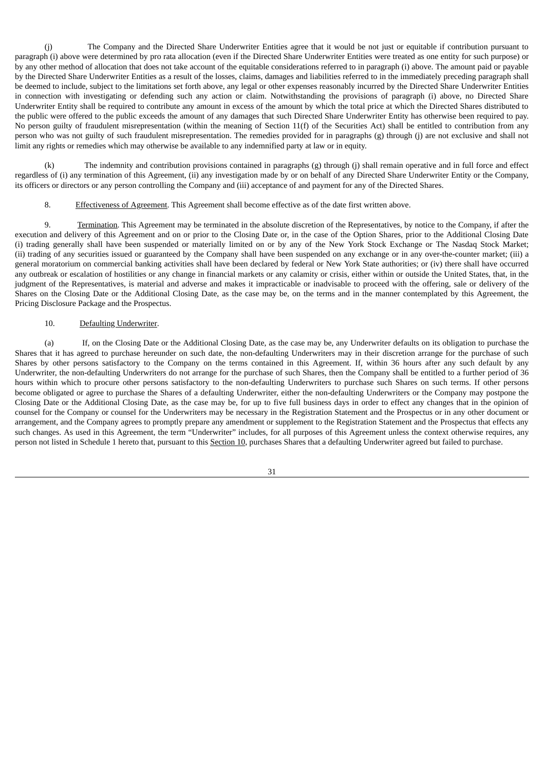(j) The Company and the Directed Share Underwriter Entities agree that it would be not just or equitable if contribution pursuant to paragraph (i) above were determined by pro rata allocation (even if the Directed Share Underwriter Entities were treated as one entity for such purpose) or by any other method of allocation that does not take account of the equitable considerations referred to in paragraph (i) above. The amount paid or payable by the Directed Share Underwriter Entities as a result of the losses, claims, damages and liabilities referred to in the immediately preceding paragraph shall be deemed to include, subject to the limitations set forth above, any legal or other expenses reasonably incurred by the Directed Share Underwriter Entities in connection with investigating or defending such any action or claim. Notwithstanding the provisions of paragraph (i) above, no Directed Share Underwriter Entity shall be required to contribute any amount in excess of the amount by which the total price at which the Directed Shares distributed to the public were offered to the public exceeds the amount of any damages that such Directed Share Underwriter Entity has otherwise been required to pay. No person guilty of fraudulent misrepresentation (within the meaning of Section 11(f) of the Securities Act) shall be entitled to contribution from any person who was not guilty of such fraudulent misrepresentation. The remedies provided for in paragraphs (g) through (j) are not exclusive and shall not limit any rights or remedies which may otherwise be available to any indemnified party at law or in equity.

(k) The indemnity and contribution provisions contained in paragraphs (g) through (j) shall remain operative and in full force and effect regardless of (i) any termination of this Agreement, (ii) any investigation made by or on behalf of any Directed Share Underwriter Entity or the Company, its officers or directors or any person controlling the Company and (iii) acceptance of and payment for any of the Directed Shares.

#### 8. Effectiveness of Agreement. This Agreement shall become effective as of the date first written above.

9. Termination. This Agreement may be terminated in the absolute discretion of the Representatives, by notice to the Company, if after the execution and delivery of this Agreement and on or prior to the Closing Date or, in the case of the Option Shares, prior to the Additional Closing Date (i) trading generally shall have been suspended or materially limited on or by any of the New York Stock Exchange or The Nasdaq Stock Market; (ii) trading of any securities issued or guaranteed by the Company shall have been suspended on any exchange or in any over-the-counter market; (iii) a general moratorium on commercial banking activities shall have been declared by federal or New York State authorities; or (iv) there shall have occurred any outbreak or escalation of hostilities or any change in financial markets or any calamity or crisis, either within or outside the United States, that, in the judgment of the Representatives, is material and adverse and makes it impracticable or inadvisable to proceed with the offering, sale or delivery of the Shares on the Closing Date or the Additional Closing Date, as the case may be, on the terms and in the manner contemplated by this Agreement, the Pricing Disclosure Package and the Prospectus.

## 10. Defaulting Underwriter.

(a) If, on the Closing Date or the Additional Closing Date, as the case may be, any Underwriter defaults on its obligation to purchase the Shares that it has agreed to purchase hereunder on such date, the non-defaulting Underwriters may in their discretion arrange for the purchase of such Shares by other persons satisfactory to the Company on the terms contained in this Agreement. If, within 36 hours after any such default by any Underwriter, the non-defaulting Underwriters do not arrange for the purchase of such Shares, then the Company shall be entitled to a further period of 36 hours within which to procure other persons satisfactory to the non-defaulting Underwriters to purchase such Shares on such terms. If other persons become obligated or agree to purchase the Shares of a defaulting Underwriter, either the non-defaulting Underwriters or the Company may postpone the Closing Date or the Additional Closing Date, as the case may be, for up to five full business days in order to effect any changes that in the opinion of counsel for the Company or counsel for the Underwriters may be necessary in the Registration Statement and the Prospectus or in any other document or arrangement, and the Company agrees to promptly prepare any amendment or supplement to the Registration Statement and the Prospectus that effects any such changes. As used in this Agreement, the term "Underwriter" includes, for all purposes of this Agreement unless the context otherwise requires, any person not listed in Schedule 1 hereto that, pursuant to this Section 10, purchases Shares that a defaulting Underwriter agreed but failed to purchase.

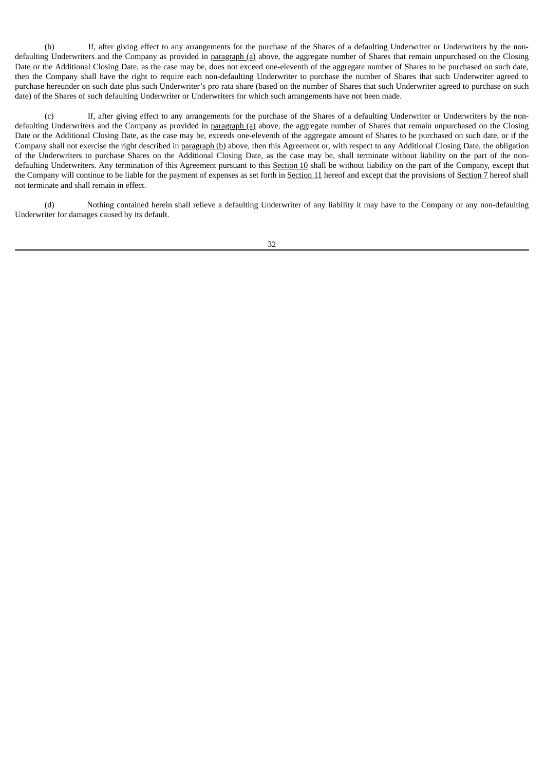(b) If, after giving effect to any arrangements for the purchase of the Shares of a defaulting Underwriter or Underwriters by the nondefaulting Underwriters and the Company as provided in paragraph (a) above, the aggregate number of Shares that remain unpurchased on the Closing Date or the Additional Closing Date, as the case may be, does not exceed one-eleventh of the aggregate number of Shares to be purchased on such date, then the Company shall have the right to require each non-defaulting Underwriter to purchase the number of Shares that such Underwriter agreed to purchase hereunder on such date plus such Underwriter's pro rata share (based on the number of Shares that such Underwriter agreed to purchase on such date) of the Shares of such defaulting Underwriter or Underwriters for which such arrangements have not been made.

(c) If, after giving effect to any arrangements for the purchase of the Shares of a defaulting Underwriter or Underwriters by the nondefaulting Underwriters and the Company as provided in paragraph (a) above, the aggregate number of Shares that remain unpurchased on the Closing Date or the Additional Closing Date, as the case may be, exceeds one-eleventh of the aggregate amount of Shares to be purchased on such date, or if the Company shall not exercise the right described in paragraph (b) above, then this Agreement or, with respect to any Additional Closing Date, the obligation of the Underwriters to purchase Shares on the Additional Closing Date, as the case may be, shall terminate without liability on the part of the nondefaulting Underwriters. Any termination of this Agreement pursuant to this Section 10 shall be without liability on the part of the Company, except that the Company will continue to be liable for the payment of expenses as set forth in Section 11 hereof and except that the provisions of Section 7 hereof shall not terminate and shall remain in effect.

(d) Nothing contained herein shall relieve a defaulting Underwriter of any liability it may have to the Company or any non-defaulting Underwriter for damages caused by its default.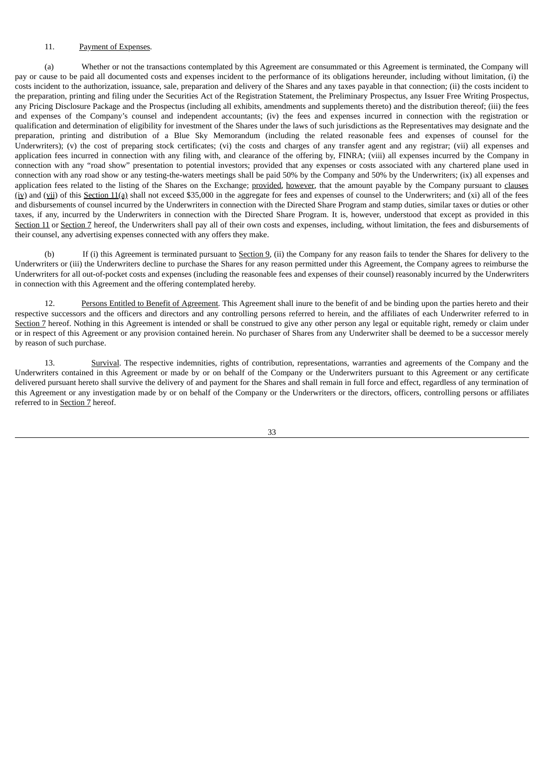## 11. Payment of Expenses*.*

(a) Whether or not the transactions contemplated by this Agreement are consummated or this Agreement is terminated, the Company will pay or cause to be paid all documented costs and expenses incident to the performance of its obligations hereunder, including without limitation, (i) the costs incident to the authorization, issuance, sale, preparation and delivery of the Shares and any taxes payable in that connection; (ii) the costs incident to the preparation, printing and filing under the Securities Act of the Registration Statement, the Preliminary Prospectus, any Issuer Free Writing Prospectus, any Pricing Disclosure Package and the Prospectus (including all exhibits, amendments and supplements thereto) and the distribution thereof; (iii) the fees and expenses of the Company's counsel and independent accountants; (iv) the fees and expenses incurred in connection with the registration or qualification and determination of eligibility for investment of the Shares under the laws of such jurisdictions as the Representatives may designate and the preparation, printing and distribution of a Blue Sky Memorandum (including the related reasonable fees and expenses of counsel for the Underwriters); (v) the cost of preparing stock certificates; (vi) the costs and charges of any transfer agent and any registrar; (vii) all expenses and application fees incurred in connection with any filing with, and clearance of the offering by, FINRA; (viii) all expenses incurred by the Company in connection with any "road show" presentation to potential investors; provided that any expenses or costs associated with any chartered plane used in connection with any road show or any testing-the-waters meetings shall be paid 50% by the Company and 50% by the Underwriters; (ix) all expenses and application fees related to the listing of the Shares on the Exchange; provided, however, that the amount payable by the Company pursuant to clauses  $(iy)$  and (vii) of this Section 11(a) shall not exceed \$35,000 in the aggregate for fees and expenses of counsel to the Underwriters; and (xi) all of the fees and disbursements of counsel incurred by the Underwriters in connection with the Directed Share Program and stamp duties, similar taxes or duties or other taxes, if any, incurred by the Underwriters in connection with the Directed Share Program. It is, however, understood that except as provided in this Section 11 or Section 7 hereof, the Underwriters shall pay all of their own costs and expenses, including, without limitation, the fees and disbursements of their counsel, any advertising expenses connected with any offers they make.

(b) If (i) this Agreement is terminated pursuant to Section 9, (ii) the Company for any reason fails to tender the Shares for delivery to the Underwriters or (iii) the Underwriters decline to purchase the Shares for any reason permitted under this Agreement, the Company agrees to reimburse the Underwriters for all out-of-pocket costs and expenses (including the reasonable fees and expenses of their counsel) reasonably incurred by the Underwriters in connection with this Agreement and the offering contemplated hereby.

12. Persons Entitled to Benefit of Agreement. This Agreement shall inure to the benefit of and be binding upon the parties hereto and their respective successors and the officers and directors and any controlling persons referred to herein, and the affiliates of each Underwriter referred to in Section 7 hereof. Nothing in this Agreement is intended or shall be construed to give any other person any legal or equitable right, remedy or claim under or in respect of this Agreement or any provision contained herein. No purchaser of Shares from any Underwriter shall be deemed to be a successor merely by reason of such purchase.

13. Survival. The respective indemnities, rights of contribution, representations, warranties and agreements of the Company and the Underwriters contained in this Agreement or made by or on behalf of the Company or the Underwriters pursuant to this Agreement or any certificate delivered pursuant hereto shall survive the delivery of and payment for the Shares and shall remain in full force and effect, regardless of any termination of this Agreement or any investigation made by or on behalf of the Company or the Underwriters or the directors, officers, controlling persons or affiliates referred to in Section 7 hereof.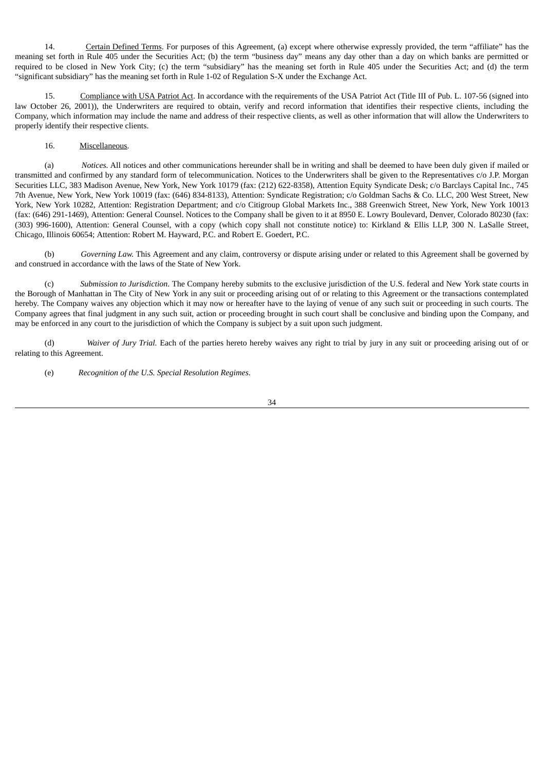14. Certain Defined Terms. For purposes of this Agreement, (a) except where otherwise expressly provided, the term "affiliate" has the meaning set forth in Rule 405 under the Securities Act; (b) the term "business day" means any day other than a day on which banks are permitted or required to be closed in New York City; (c) the term "subsidiary" has the meaning set forth in Rule 405 under the Securities Act; and (d) the term "significant subsidiary" has the meaning set forth in Rule 1-02 of Regulation S-X under the Exchange Act.

15. Compliance with USA Patriot Act. In accordance with the requirements of the USA Patriot Act (Title III of Pub. L. 107-56 (signed into law October 26, 2001)), the Underwriters are required to obtain, verify and record information that identifies their respective clients, including the Company, which information may include the name and address of their respective clients, as well as other information that will allow the Underwriters to properly identify their respective clients.

## 16. Miscellaneous.

(a) *Notices.* All notices and other communications hereunder shall be in writing and shall be deemed to have been duly given if mailed or transmitted and confirmed by any standard form of telecommunication. Notices to the Underwriters shall be given to the Representatives c/o J.P. Morgan Securities LLC, 383 Madison Avenue, New York, New York 10179 (fax: (212) 622-8358), Attention Equity Syndicate Desk; c/o Barclays Capital Inc., 745 7th Avenue, New York, New York 10019 (fax: (646) 834-8133), Attention: Syndicate Registration; c/o Goldman Sachs & Co. LLC, 200 West Street, New York, New York 10282, Attention: Registration Department; and c/o Citigroup Global Markets Inc., 388 Greenwich Street, New York, New York 10013 (fax: (646) 291-1469), Attention: General Counsel. Notices to the Company shall be given to it at 8950 E. Lowry Boulevard, Denver, Colorado 80230 (fax: (303) 996-1600), Attention: General Counsel, with a copy (which copy shall not constitute notice) to: Kirkland & Ellis LLP, 300 N. LaSalle Street, Chicago, Illinois 60654; Attention: Robert M. Hayward, P.C. and Robert E. Goedert, P.C.

(b) *Governing Law.* This Agreement and any claim, controversy or dispute arising under or related to this Agreement shall be governed by and construed in accordance with the laws of the State of New York.

(c) *Submission to Jurisdiction*. The Company hereby submits to the exclusive jurisdiction of the U.S. federal and New York state courts in the Borough of Manhattan in The City of New York in any suit or proceeding arising out of or relating to this Agreement or the transactions contemplated hereby. The Company waives any objection which it may now or hereafter have to the laying of venue of any such suit or proceeding in such courts. The Company agrees that final judgment in any such suit, action or proceeding brought in such court shall be conclusive and binding upon the Company, and may be enforced in any court to the jurisdiction of which the Company is subject by a suit upon such judgment.

(d) *Waiver of Jury Trial.* Each of the parties hereto hereby waives any right to trial by jury in any suit or proceeding arising out of or relating to this Agreement.

(e) *Recognition of the U.S. Special Resolution Regimes*.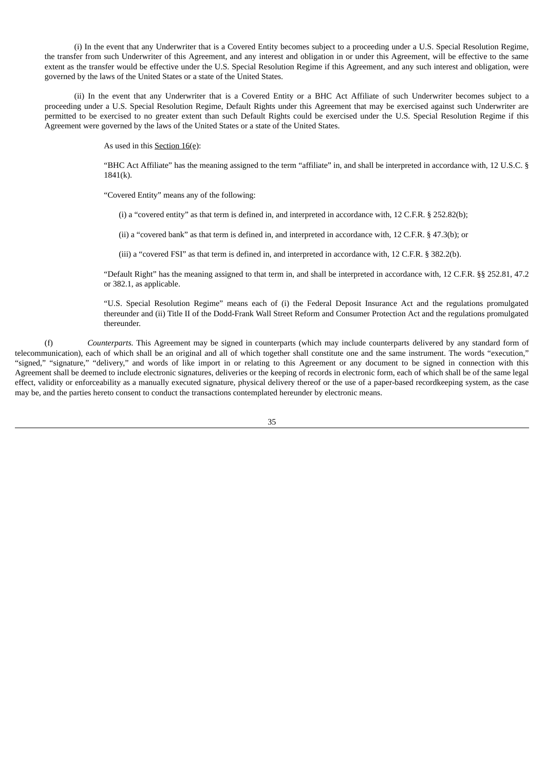(i) In the event that any Underwriter that is a Covered Entity becomes subject to a proceeding under a U.S. Special Resolution Regime, the transfer from such Underwriter of this Agreement, and any interest and obligation in or under this Agreement, will be effective to the same extent as the transfer would be effective under the U.S. Special Resolution Regime if this Agreement, and any such interest and obligation, were governed by the laws of the United States or a state of the United States.

(ii) In the event that any Underwriter that is a Covered Entity or a BHC Act Affiliate of such Underwriter becomes subject to a proceeding under a U.S. Special Resolution Regime, Default Rights under this Agreement that may be exercised against such Underwriter are permitted to be exercised to no greater extent than such Default Rights could be exercised under the U.S. Special Resolution Regime if this Agreement were governed by the laws of the United States or a state of the United States.

As used in this Section  $16(e)$ :

"BHC Act Affiliate" has the meaning assigned to the term "affiliate" in, and shall be interpreted in accordance with, 12 U.S.C. § 1841(k).

"Covered Entity" means any of the following:

(i) a "covered entity" as that term is defined in, and interpreted in accordance with, 12 C.F.R. § 252.82(b);

(ii) a "covered bank" as that term is defined in, and interpreted in accordance with, 12 C.F.R. § 47.3(b); or

(iii) a "covered FSI" as that term is defined in, and interpreted in accordance with, 12 C.F.R. § 382.2(b).

"Default Right" has the meaning assigned to that term in, and shall be interpreted in accordance with, 12 C.F.R. §§ 252.81, 47.2 or 382.1, as applicable.

"U.S. Special Resolution Regime" means each of (i) the Federal Deposit Insurance Act and the regulations promulgated thereunder and (ii) Title II of the Dodd-Frank Wall Street Reform and Consumer Protection Act and the regulations promulgated thereunder.

(f) *Counterparts.* This Agreement may be signed in counterparts (which may include counterparts delivered by any standard form of telecommunication), each of which shall be an original and all of which together shall constitute one and the same instrument. The words "execution," "signed," "signature," "delivery," and words of like import in or relating to this Agreement or any document to be signed in connection with this Agreement shall be deemed to include electronic signatures, deliveries or the keeping of records in electronic form, each of which shall be of the same legal effect, validity or enforceability as a manually executed signature, physical delivery thereof or the use of a paper-based recordkeeping system, as the case may be, and the parties hereto consent to conduct the transactions contemplated hereunder by electronic means.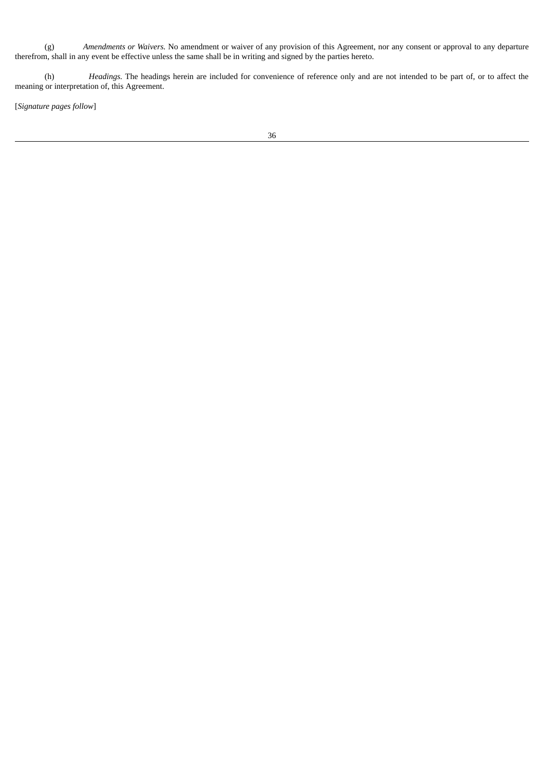(g) *Amendments or Waivers.* No amendment or waiver of any provision of this Agreement, nor any consent or approval to any departure therefrom, shall in any event be effective unless the same shall be in writing and signed by the parties hereto.

(h) *Headings.* The headings herein are included for convenience of reference only and are not intended to be part of, or to affect the meaning or interpretation of, this Agreement.

[*Signature pages follow*]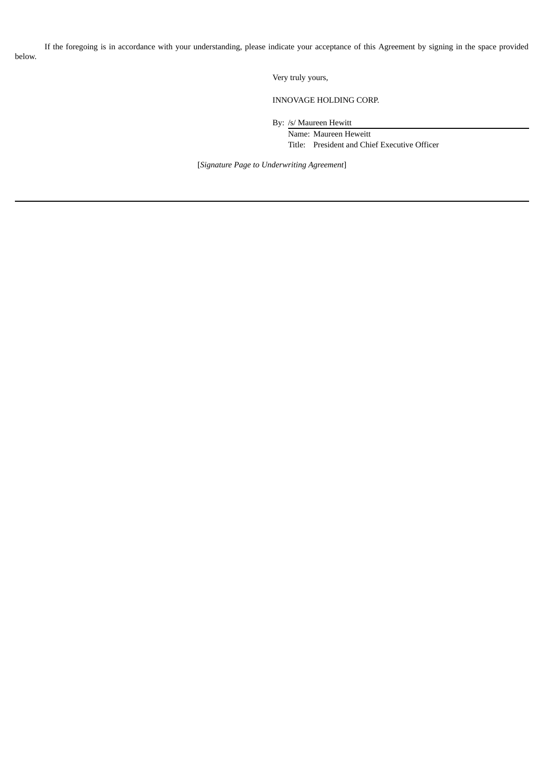If the foregoing is in accordance with your understanding, please indicate your acceptance of this Agreement by signing in the space provided below.

Very truly yours,

INNOVAGE HOLDING CORP.

By: /s/ Maureen Hewitt

Name: Maureen Heweitt Title: President and Chief Executive Officer

[*Signature Page to Underwriting Agreement*]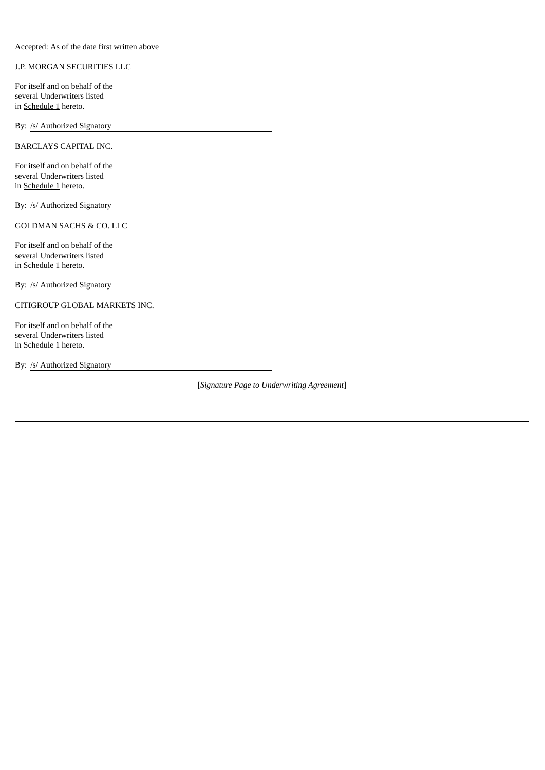Accepted: As of the date first written above

# J.P. MORGAN SECURITIES LLC

For itself and on behalf of the several Underwriters listed in Schedule 1 hereto.

By: /s/ Authorized Signatory

BARCLAYS CAPITAL INC.

For itself and on behalf of the several Underwriters listed in Schedule 1 hereto.

By: /s/ Authorized Signatory

GOLDMAN SACHS & CO. LLC

For itself and on behalf of the several Underwriters listed in Schedule 1 hereto.

By: /s/ Authorized Signatory

CITIGROUP GLOBAL MARKETS INC.

For itself and on behalf of the several Underwriters listed in Schedule 1 hereto.

By: /s/ Authorized Signatory

[*Signature Page to Underwriting Agreement*]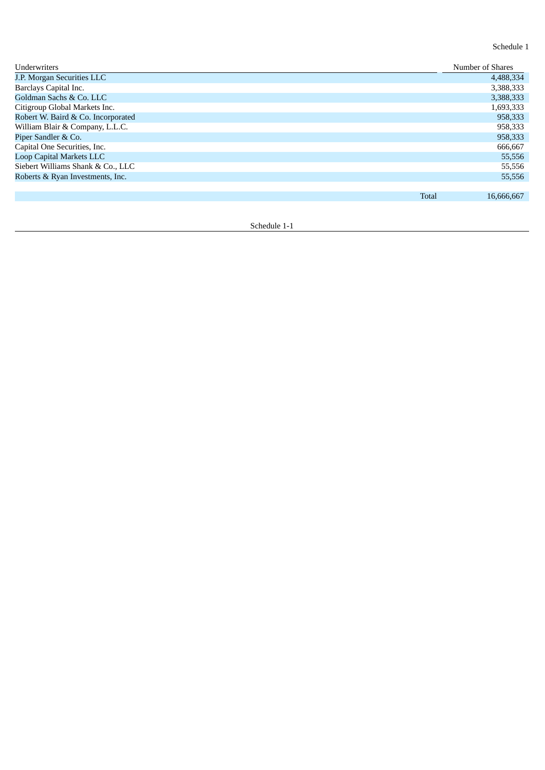#### Schedule 1

| <b>Underwriters</b>                |       | Number of Shares |
|------------------------------------|-------|------------------|
| J.P. Morgan Securities LLC         |       | 4,488,334        |
| Barclays Capital Inc.              |       | 3,388,333        |
| Goldman Sachs & Co. LLC            |       | 3,388,333        |
| Citigroup Global Markets Inc.      |       | 1,693,333        |
| Robert W. Baird & Co. Incorporated |       | 958,333          |
| William Blair & Company, L.L.C.    |       | 958,333          |
| Piper Sandler & Co.                |       | 958,333          |
| Capital One Securities, Inc.       |       | 666,667          |
| Loop Capital Markets LLC           |       | 55,556           |
| Siebert Williams Shank & Co., LLC  |       | 55,556           |
| Roberts & Ryan Investments, Inc.   |       | 55,556           |
|                                    |       |                  |
|                                    | Total | 16.666.667       |

Schedule 1-1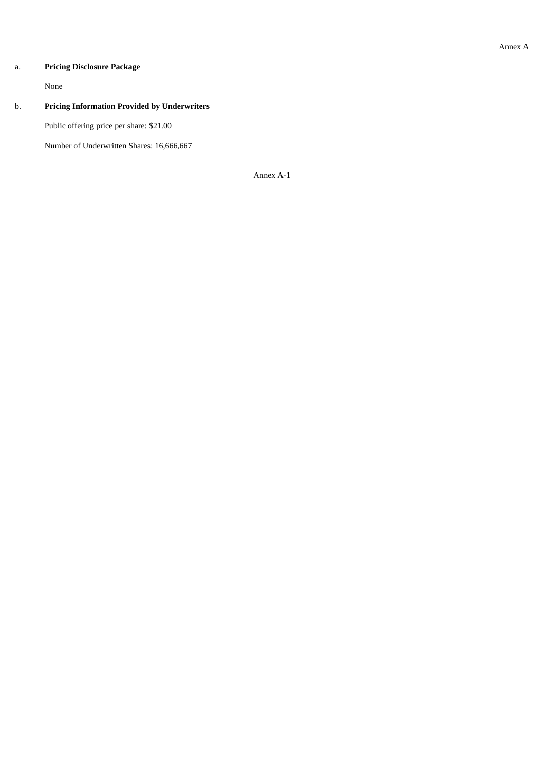# a. **Pricing Disclosure Package**

None

# b. **Pricing Information Provided by Underwriters**

Public offering price per share: \$21.00

Number of Underwritten Shares: 16,666,667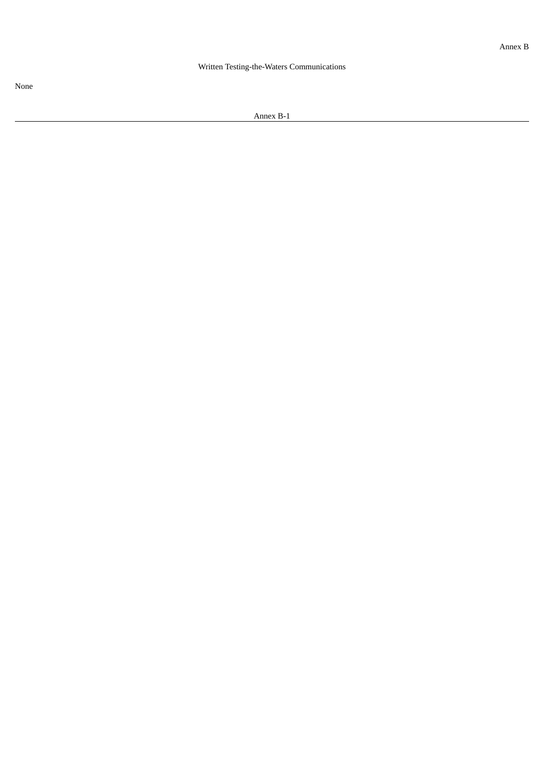# Written Testing-the-Waters Communications

None

Annex B-1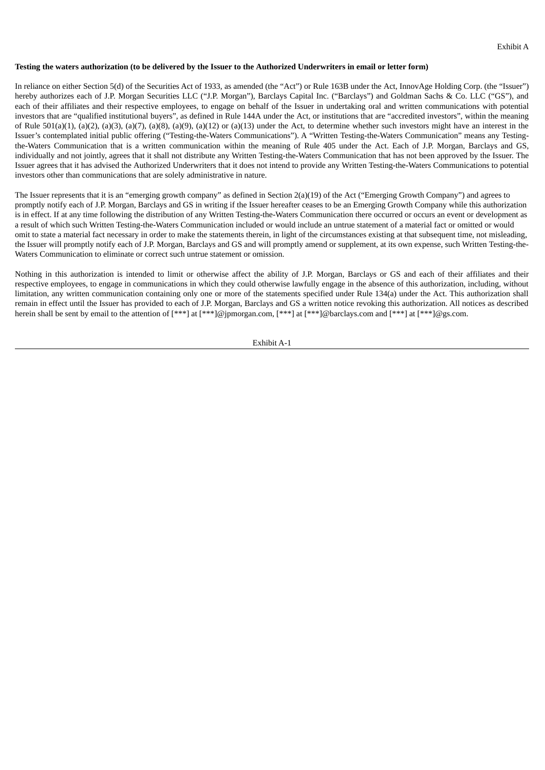## Testing the waters authorization (to be delivered by the Issuer to the Authorized Underwriters in email or letter form)

In reliance on either Section 5(d) of the Securities Act of 1933, as amended (the "Act") or Rule 163B under the Act, InnovAge Holding Corp. (the "Issuer") hereby authorizes each of J.P. Morgan Securities LLC ("J.P. Morgan"), Barclays Capital Inc. ("Barclays") and Goldman Sachs & Co. LLC ("GS"), and each of their affiliates and their respective employees, to engage on behalf of the Issuer in undertaking oral and written communications with potential investors that are "qualified institutional buyers", as defined in Rule 144A under the Act, or institutions that are "accredited investors", within the meaning of Rule 501(a)(1), (a)(2), (a)(3), (a)(7), (a)(8), (a)(9), (a)(12) or (a)(13) under the Act, to determine whether such investors might have an interest in the Issuer's contemplated initial public offering ("Testing-the-Waters Communications"). A "Written Testing-the-Waters Communication" means any Testingthe-Waters Communication that is a written communication within the meaning of Rule 405 under the Act. Each of J.P. Morgan, Barclays and GS, individually and not jointly, agrees that it shall not distribute any Written Testing-the-Waters Communication that has not been approved by the Issuer. The Issuer agrees that it has advised the Authorized Underwriters that it does not intend to provide any Written Testing-the-Waters Communications to potential investors other than communications that are solely administrative in nature.

The Issuer represents that it is an "emerging growth company" as defined in Section 2(a)(19) of the Act ("Emerging Growth Company") and agrees to promptly notify each of J.P. Morgan, Barclays and GS in writing if the Issuer hereafter ceases to be an Emerging Growth Company while this authorization is in effect. If at any time following the distribution of any Written Testing-the-Waters Communication there occurred or occurs an event or development as a result of which such Written Testing-the-Waters Communication included or would include an untrue statement of a material fact or omitted or would omit to state a material fact necessary in order to make the statements therein, in light of the circumstances existing at that subsequent time, not misleading, the Issuer will promptly notify each of J.P. Morgan, Barclays and GS and will promptly amend or supplement, at its own expense, such Written Testing-the-Waters Communication to eliminate or correct such untrue statement or omission.

Nothing in this authorization is intended to limit or otherwise affect the ability of J.P. Morgan, Barclays or GS and each of their affiliates and their respective employees, to engage in communications in which they could otherwise lawfully engage in the absence of this authorization, including, without limitation, any written communication containing only one or more of the statements specified under Rule 134(a) under the Act. This authorization shall remain in effect until the Issuer has provided to each of J.P. Morgan, Barclays and GS a written notice revoking this authorization. All notices as described herein shall be sent by email to the attention of  $[***]$  at  $[***]$ @jpmorgan.com,  $[***]$  at  $[***]$ @barclays.com and  $[***]$  at  $[***]$ @gs.com.

Exhibit A-1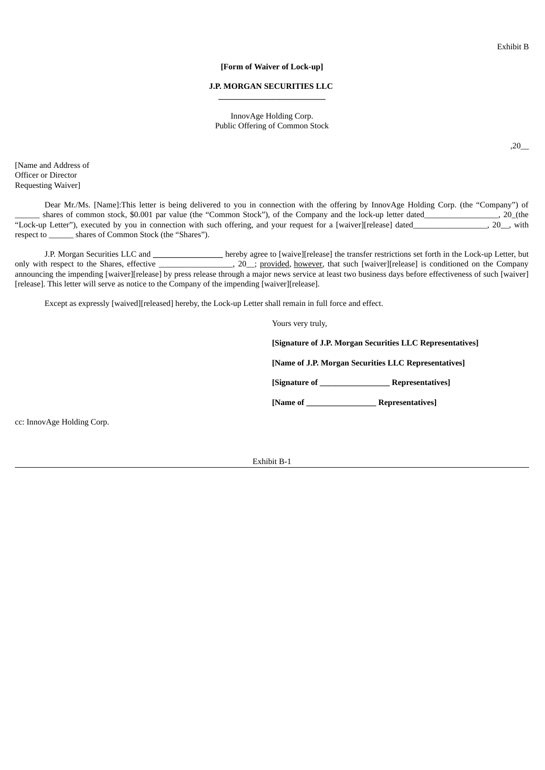,20\_\_

## **[Form of Waiver of Lock-up]**

## **J.P. MORGAN SECURITIES LLC \_\_\_\_\_\_\_\_\_\_\_\_\_\_\_\_\_\_\_\_\_\_\_\_\_\_**

InnovAge Holding Corp. Public Offering of Common Stock

[Name and Address of Officer or Director Requesting Waiver]

Dear Mr./Ms. [Name]:This letter is being delivered to you in connection with the offering by InnovAge Holding Corp. (the "Company") of shares of common stock, \$0.001 par value (the "Common Stock"), of the Company and the lock-up letter dated\_\_\_\_\_\_\_\_\_\_\_\_\_\_\_\_\_, 20\_(the "Lock-up Letter"), executed by you in connection with such offering, and your request for a [waiver][release] dated\_\_\_\_\_\_\_\_\_\_\_\_\_\_\_\_\_\_, 20\_\_, with respect to \_\_\_\_\_\_ shares of Common Stock (the "Shares").

J.P. Morgan Securities LLC and **\_\_\_\_\_\_\_\_\_\_\_\_\_\_\_\_\_** hereby agree to [waive][release] the transfer restrictions set forth in the Lock-up Letter, but only with respect to the Shares, effective \_\_\_\_\_\_\_\_\_\_\_\_\_\_\_, 20\_; provided, however, that such [waiver][release] is conditioned on the Company announcing the impending [waiver][release] by press release through a major news service at least two business days before effectiveness of such [waiver] [release]. This letter will serve as notice to the Company of the impending [waiver][release].

Except as expressly [waived][released] hereby, the Lock-up Letter shall remain in full force and effect.

Yours very truly,

**[Signature of J.P. Morgan Securities LLC Representatives]**

**[Name of J.P. Morgan Securities LLC Representatives]**

**[Signature of \_\_\_\_\_\_\_\_\_\_\_\_\_\_\_\_\_ Representatives]**

**[Name of \_\_\_\_\_\_\_\_\_\_\_\_\_\_\_\_\_ Representatives]**

cc: InnovAge Holding Corp.

Exhibit B-1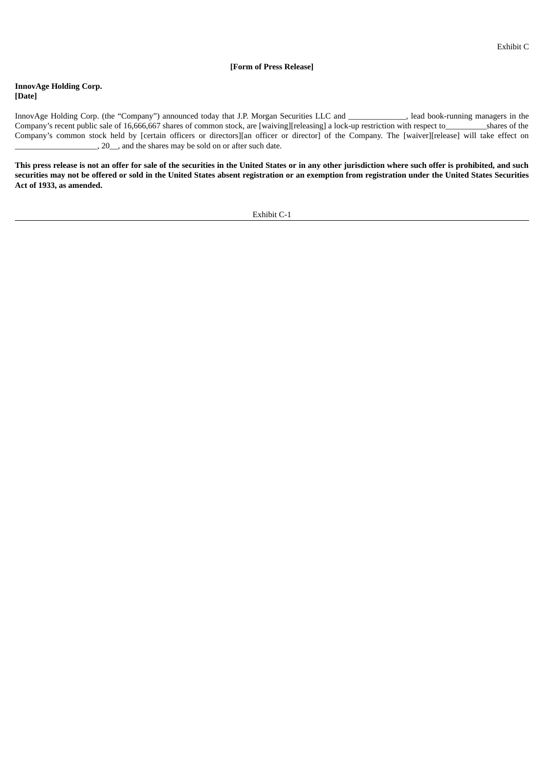### **[Form of Press Release]**

## **InnovAge Holding Corp. [Date]**

InnovAge Holding Corp. (the "Company") announced today that J.P. Morgan Securities LLC and \_\_\_\_\_\_\_\_\_\_\_\_, lead book-running managers in the Company's recent public sale of 16,666,667 shares of common stock, are [waiving][releasing] a lock-up restriction with respect to\_\_\_\_\_\_\_\_\_\_shares of the Company's common stock held by [certain officers or directors][an officer or director] of the Company. The [waiver][release] will take effect on  $\Box$ , 20  $\Box$ , and the shares may be sold on or after such date.

This press release is not an offer for sale of the securities in the United States or in any other jurisdiction where such offer is prohibited, and such securities may not be offered or sold in the United States absent registration or an exemption from registration under the United States Securities **Act of 1933, as amended.**

Exhibit C-1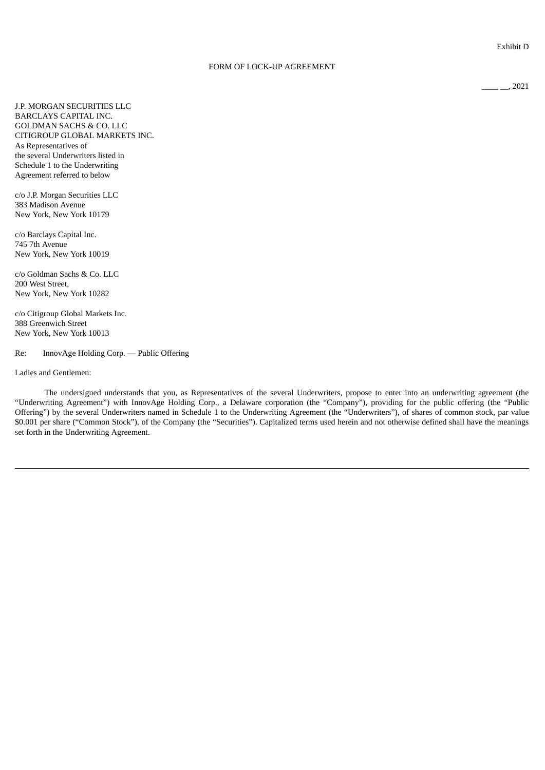#### FORM OF LOCK-UP AGREEMENT

 $\frac{1}{2}$  2021

J.P. MORGAN SECURITIES LLC BARCLAYS CAPITAL INC. GOLDMAN SACHS & CO. LLC CITIGROUP GLOBAL MARKETS INC. As Representatives of the several Underwriters listed in Schedule 1 to the Underwriting Agreement referred to below

c/o J.P. Morgan Securities LLC 383 Madison Avenue New York, New York 10179

c/o Barclays Capital Inc. 745 7th Avenue New York, New York 10019

c/o Goldman Sachs & Co. LLC 200 West Street, New York, New York 10282

c/o Citigroup Global Markets Inc. 388 Greenwich Street New York, New York 10013

Re: InnovAge Holding Corp. — Public Offering

Ladies and Gentlemen:

The undersigned understands that you, as Representatives of the several Underwriters, propose to enter into an underwriting agreement (the "Underwriting Agreement") with InnovAge Holding Corp., a Delaware corporation (the "Company"), providing for the public offering (the "Public Offering") by the several Underwriters named in Schedule 1 to the Underwriting Agreement (the "Underwriters"), of shares of common stock, par value \$0.001 per share ("Common Stock"), of the Company (the "Securities"). Capitalized terms used herein and not otherwise defined shall have the meanings set forth in the Underwriting Agreement.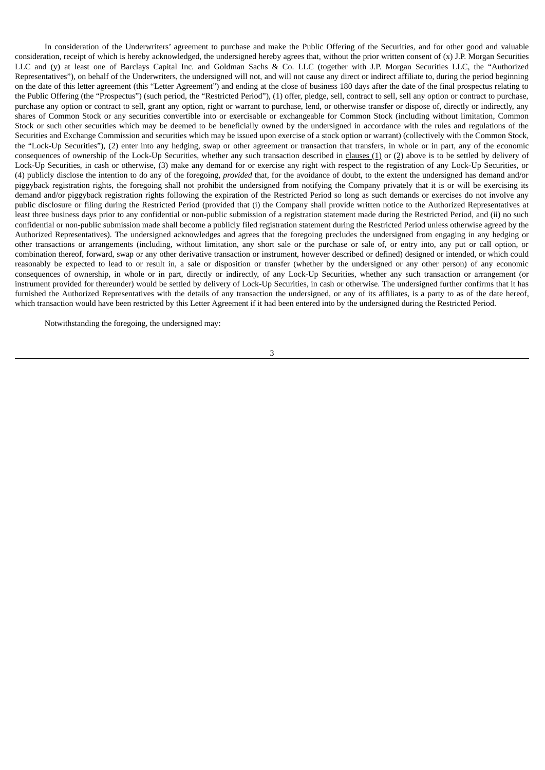In consideration of the Underwriters' agreement to purchase and make the Public Offering of the Securities, and for other good and valuable consideration, receipt of which is hereby acknowledged, the undersigned hereby agrees that, without the prior written consent of (x) J.P. Morgan Securities LLC and (y) at least one of Barclays Capital Inc. and Goldman Sachs & Co. LLC (together with J.P. Morgan Securities LLC, the "Authorized Representatives"), on behalf of the Underwriters, the undersigned will not, and will not cause any direct or indirect affiliate to, during the period beginning on the date of this letter agreement (this "Letter Agreement") and ending at the close of business 180 days after the date of the final prospectus relating to the Public Offering (the "Prospectus") (such period, the "Restricted Period"), (1) offer, pledge, sell, contract to sell, sell any option or contract to purchase, purchase any option or contract to sell, grant any option, right or warrant to purchase, lend, or otherwise transfer or dispose of, directly or indirectly, any shares of Common Stock or any securities convertible into or exercisable or exchangeable for Common Stock (including without limitation, Common Stock or such other securities which may be deemed to be beneficially owned by the undersigned in accordance with the rules and regulations of the Securities and Exchange Commission and securities which may be issued upon exercise of a stock option or warrant) (collectively with the Common Stock, the "Lock-Up Securities"), (2) enter into any hedging, swap or other agreement or transaction that transfers, in whole or in part, any of the economic consequences of ownership of the Lock-Up Securities, whether any such transaction described in clauses  $(1)$  or  $(2)$  above is to be settled by delivery of Lock-Up Securities, in cash or otherwise, (3) make any demand for or exercise any right with respect to the registration of any Lock-Up Securities, or (4) publicly disclose the intention to do any of the foregoing, *provided* that, for the avoidance of doubt, to the extent the undersigned has demand and/or piggyback registration rights, the foregoing shall not prohibit the undersigned from notifying the Company privately that it is or will be exercising its demand and/or piggyback registration rights following the expiration of the Restricted Period so long as such demands or exercises do not involve any public disclosure or filing during the Restricted Period (provided that (i) the Company shall provide written notice to the Authorized Representatives at least three business days prior to any confidential or non-public submission of a registration statement made during the Restricted Period, and (ii) no such confidential or non-public submission made shall become a publicly filed registration statement during the Restricted Period unless otherwise agreed by the Authorized Representatives). The undersigned acknowledges and agrees that the foregoing precludes the undersigned from engaging in any hedging or other transactions or arrangements (including, without limitation, any short sale or the purchase or sale of, or entry into, any put or call option, or combination thereof, forward, swap or any other derivative transaction or instrument, however described or defined) designed or intended, or which could reasonably be expected to lead to or result in, a sale or disposition or transfer (whether by the undersigned or any other person) of any economic consequences of ownership, in whole or in part, directly or indirectly, of any Lock-Up Securities, whether any such transaction or arrangement (or instrument provided for thereunder) would be settled by delivery of Lock-Up Securities, in cash or otherwise. The undersigned further confirms that it has furnished the Authorized Representatives with the details of any transaction the undersigned, or any of its affiliates, is a party to as of the date hereof, which transaction would have been restricted by this Letter Agreement if it had been entered into by the undersigned during the Restricted Period.

Notwithstanding the foregoing, the undersigned may: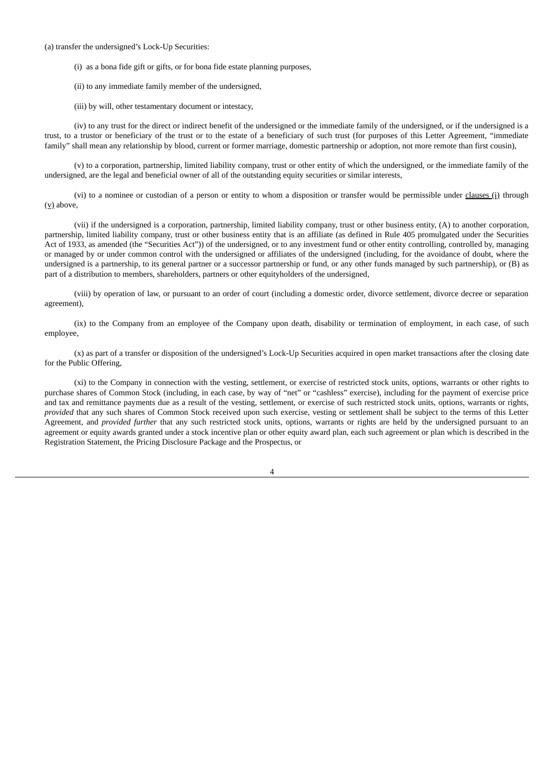(a) transfer the undersigned's Lock-Up Securities:

(i) as a bona fide gift or gifts, or for bona fide estate planning purposes,

(ii) to any immediate family member of the undersigned,

(iii) by will, other testamentary document or intestacy,

(iv) to any trust for the direct or indirect benefit of the undersigned or the immediate family of the undersigned, or if the undersigned is a trust, to a trustor or beneficiary of the trust or to the estate of a beneficiary of such trust (for purposes of this Letter Agreement, "immediate family" shall mean any relationship by blood, current or former marriage, domestic partnership or adoption, not more remote than first cousin),

(v) to a corporation, partnership, limited liability company, trust or other entity of which the undersigned, or the immediate family of the undersigned, are the legal and beneficial owner of all of the outstanding equity securities or similar interests,

(vi) to a nominee or custodian of a person or entity to whom a disposition or transfer would be permissible under clauses (i) through  $(y)$  above,

(vii) if the undersigned is a corporation, partnership, limited liability company, trust or other business entity, (A) to another corporation, partnership, limited liability company, trust or other business entity that is an affiliate (as defined in Rule 405 promulgated under the Securities Act of 1933, as amended (the "Securities Act")) of the undersigned, or to any investment fund or other entity controlling, controlled by, managing or managed by or under common control with the undersigned or affiliates of the undersigned (including, for the avoidance of doubt, where the undersigned is a partnership, to its general partner or a successor partnership or fund, or any other funds managed by such partnership), or (B) as part of a distribution to members, shareholders, partners or other equityholders of the undersigned,

(viii) by operation of law, or pursuant to an order of court (including a domestic order, divorce settlement, divorce decree or separation agreement),

(ix) to the Company from an employee of the Company upon death, disability or termination of employment, in each case, of such employee,

(x) as part of a transfer or disposition of the undersigned's Lock-Up Securities acquired in open market transactions after the closing date for the Public Offering,

(xi) to the Company in connection with the vesting, settlement, or exercise of restricted stock units, options, warrants or other rights to purchase shares of Common Stock (including, in each case, by way of "net" or "cashless" exercise), including for the payment of exercise price and tax and remittance payments due as a result of the vesting, settlement, or exercise of such restricted stock units, options, warrants or rights, *provided* that any such shares of Common Stock received upon such exercise, vesting or settlement shall be subject to the terms of this Letter Agreement, and *provided further* that any such restricted stock units, options, warrants or rights are held by the undersigned pursuant to an agreement or equity awards granted under a stock incentive plan or other equity award plan, each such agreement or plan which is described in the Registration Statement, the Pricing Disclosure Package and the Prospectus, or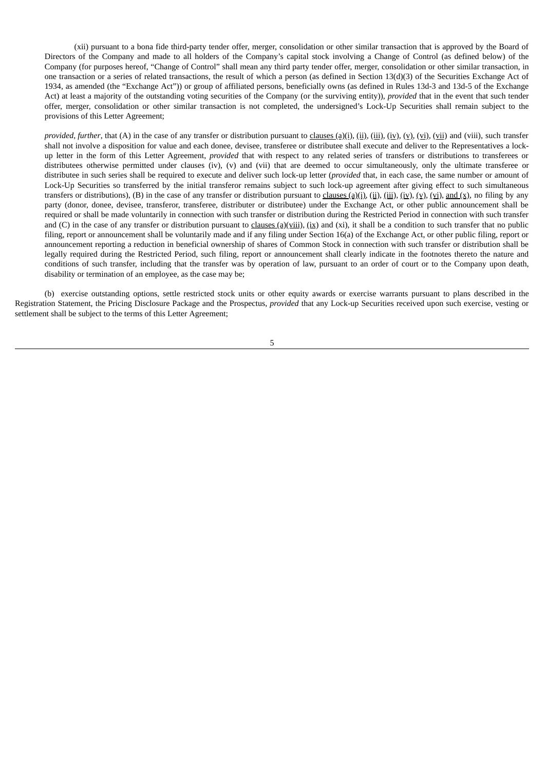(xii) pursuant to a bona fide third-party tender offer, merger, consolidation or other similar transaction that is approved by the Board of Directors of the Company and made to all holders of the Company's capital stock involving a Change of Control (as defined below) of the Company (for purposes hereof, "Change of Control" shall mean any third party tender offer, merger, consolidation or other similar transaction, in one transaction or a series of related transactions, the result of which a person (as defined in Section 13(d)(3) of the Securities Exchange Act of 1934, as amended (the "Exchange Act")) or group of affiliated persons, beneficially owns (as defined in Rules 13d-3 and 13d-5 of the Exchange Act) at least a majority of the outstanding voting securities of the Company (or the surviving entity)), *provided* that in the event that such tender offer, merger, consolidation or other similar transaction is not completed, the undersigned's Lock-Up Securities shall remain subject to the provisions of this Letter Agreement;

*provided*, *further*, that (A) in the case of any transfer or distribution pursuant to clauses (a)(i), (ii), (iii), (iv), (v), (v), (vi), (vii) and (viii), such transfer shall not involve a disposition for value and each donee, devisee, transferee or distributee shall execute and deliver to the Representatives a lockup letter in the form of this Letter Agreement, *provided* that with respect to any related series of transfers or distributions to transferees or distributees otherwise permitted under clauses (iv), (v) and (vii) that are deemed to occur simultaneously, only the ultimate transferee or distributee in such series shall be required to execute and deliver such lock-up letter (*provided* that, in each case, the same number or amount of Lock-Up Securities so transferred by the initial transferor remains subject to such lock-up agreement after giving effect to such simultaneous transfers or distributions), (B) in the case of any transfer or distribution pursuant to clauses (a)(i), (ii), (iii), (iv), (y), (y), (yi), and (x), no filing by any party (donor, donee, devisee, transferor, transferee, distributer or distributee) under the Exchange Act, or other public announcement shall be required or shall be made voluntarily in connection with such transfer or distribution during the Restricted Period in connection with such transfer and (C) in the case of any transfer or distribution pursuant to clauses  $(a)(viii)$ ,  $(ix)$  and  $(xi)$ , it shall be a condition to such transfer that no public filing, report or announcement shall be voluntarily made and if any filing under Section 16(a) of the Exchange Act, or other public filing, report or announcement reporting a reduction in beneficial ownership of shares of Common Stock in connection with such transfer or distribution shall be legally required during the Restricted Period, such filing, report or announcement shall clearly indicate in the footnotes thereto the nature and conditions of such transfer, including that the transfer was by operation of law, pursuant to an order of court or to the Company upon death, disability or termination of an employee, as the case may be;

(b) exercise outstanding options, settle restricted stock units or other equity awards or exercise warrants pursuant to plans described in the Registration Statement, the Pricing Disclosure Package and the Prospectus, *provided* that any Lock-up Securities received upon such exercise, vesting or settlement shall be subject to the terms of this Letter Agreement;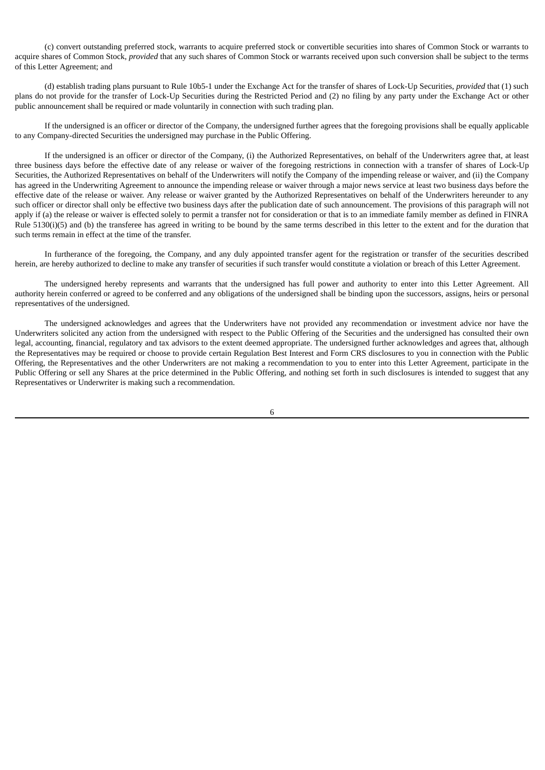(c) convert outstanding preferred stock, warrants to acquire preferred stock or convertible securities into shares of Common Stock or warrants to acquire shares of Common Stock, *provided* that any such shares of Common Stock or warrants received upon such conversion shall be subject to the terms of this Letter Agreement; and

(d) establish trading plans pursuant to Rule 10b5-1 under the Exchange Act for the transfer of shares of Lock-Up Securities, *provided* that (1) such plans do not provide for the transfer of Lock-Up Securities during the Restricted Period and (2) no filing by any party under the Exchange Act or other public announcement shall be required or made voluntarily in connection with such trading plan.

If the undersigned is an officer or director of the Company, the undersigned further agrees that the foregoing provisions shall be equally applicable to any Company-directed Securities the undersigned may purchase in the Public Offering.

If the undersigned is an officer or director of the Company, (i) the Authorized Representatives, on behalf of the Underwriters agree that, at least three business days before the effective date of any release or waiver of the foregoing restrictions in connection with a transfer of shares of Lock-Up Securities, the Authorized Representatives on behalf of the Underwriters will notify the Company of the impending release or waiver, and (ii) the Company has agreed in the Underwriting Agreement to announce the impending release or waiver through a major news service at least two business days before the effective date of the release or waiver. Any release or waiver granted by the Authorized Representatives on behalf of the Underwriters hereunder to any such officer or director shall only be effective two business days after the publication date of such announcement. The provisions of this paragraph will not apply if (a) the release or waiver is effected solely to permit a transfer not for consideration or that is to an immediate family member as defined in FINRA Rule 5130(i)(5) and (b) the transferee has agreed in writing to be bound by the same terms described in this letter to the extent and for the duration that such terms remain in effect at the time of the transfer.

In furtherance of the foregoing, the Company, and any duly appointed transfer agent for the registration or transfer of the securities described herein, are hereby authorized to decline to make any transfer of securities if such transfer would constitute a violation or breach of this Letter Agreement.

The undersigned hereby represents and warrants that the undersigned has full power and authority to enter into this Letter Agreement. All authority herein conferred or agreed to be conferred and any obligations of the undersigned shall be binding upon the successors, assigns, heirs or personal representatives of the undersigned.

The undersigned acknowledges and agrees that the Underwriters have not provided any recommendation or investment advice nor have the Underwriters solicited any action from the undersigned with respect to the Public Offering of the Securities and the undersigned has consulted their own legal, accounting, financial, regulatory and tax advisors to the extent deemed appropriate. The undersigned further acknowledges and agrees that, although the Representatives may be required or choose to provide certain Regulation Best Interest and Form CRS disclosures to you in connection with the Public Offering, the Representatives and the other Underwriters are not making a recommendation to you to enter into this Letter Agreement, participate in the Public Offering or sell any Shares at the price determined in the Public Offering, and nothing set forth in such disclosures is intended to suggest that any Representatives or Underwriter is making such a recommendation.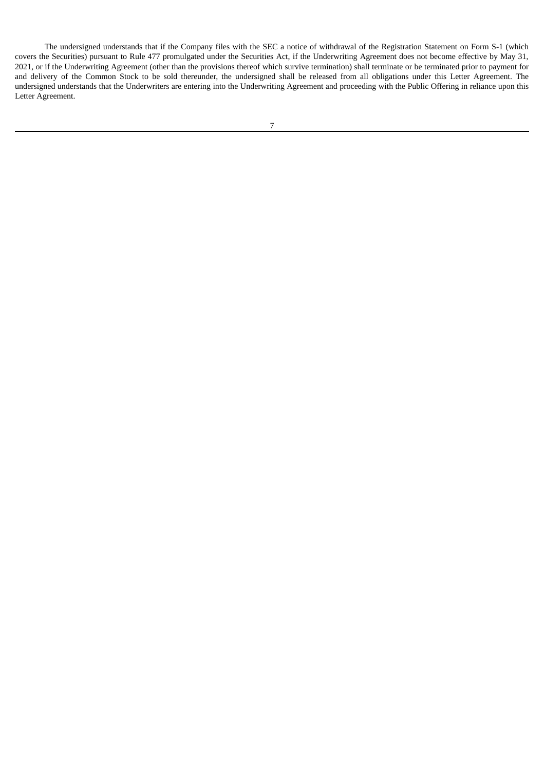The undersigned understands that if the Company files with the SEC a notice of withdrawal of the Registration Statement on Form S-1 (which covers the Securities) pursuant to Rule 477 promulgated under the Securities Act, if the Underwriting Agreement does not become effective by May 31, 2021, or if the Underwriting Agreement (other than the provisions thereof which survive termination) shall terminate or be terminated prior to payment for and delivery of the Common Stock to be sold thereunder, the undersigned shall be released from all obligations under this Letter Agreement. The undersigned understands that the Underwriters are entering into the Underwriting Agreement and proceeding with the Public Offering in reliance upon this Letter Agreement.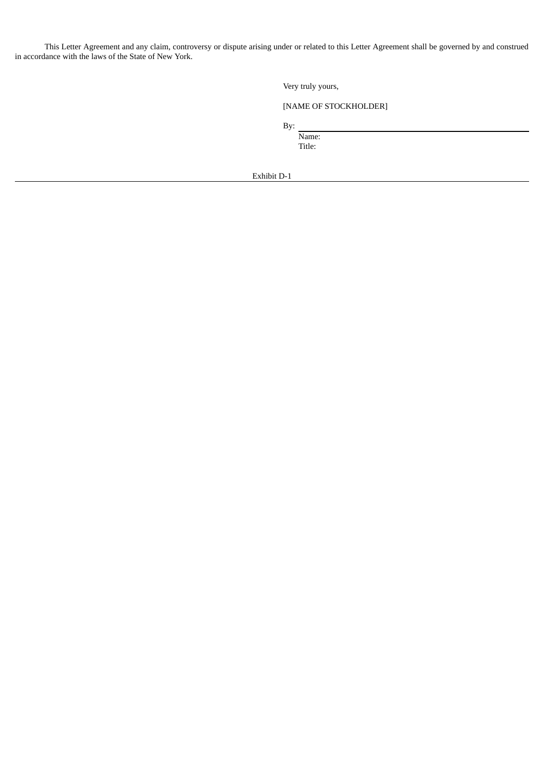This Letter Agreement and any claim, controversy or dispute arising under or related to this Letter Agreement shall be governed by and construed in accordance with the laws of the State of New York.

Very truly yours,

# [NAME OF STOCKHOLDER]

By:

Name: Title:

Exhibit D-1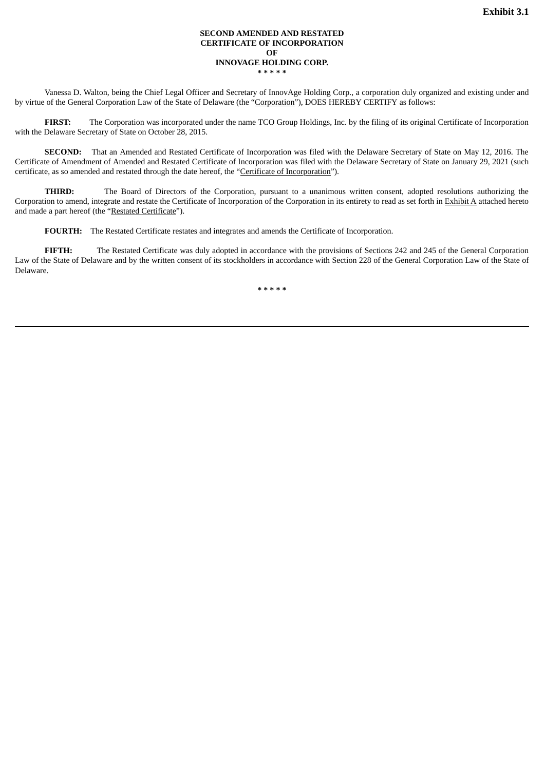#### **SECOND AMENDED AND RESTATED CERTIFICATE OF INCORPORATION OF INNOVAGE HOLDING CORP. \* \* \* \* \***

Vanessa D. Walton, being the Chief Legal Officer and Secretary of InnovAge Holding Corp., a corporation duly organized and existing under and by virtue of the General Corporation Law of the State of Delaware (the "Corporation"), DOES HEREBY CERTIFY as follows:

**FIRST:** The Corporation was incorporated under the name TCO Group Holdings, Inc. by the filing of its original Certificate of Incorporation with the Delaware Secretary of State on October 28, 2015.

**SECOND:** That an Amended and Restated Certificate of Incorporation was filed with the Delaware Secretary of State on May 12, 2016. The Certificate of Amendment of Amended and Restated Certificate of Incorporation was filed with the Delaware Secretary of State on January 29, 2021 (such certificate, as so amended and restated through the date hereof, the "Certificate of Incorporation").

**THIRD:** The Board of Directors of the Corporation, pursuant to a unanimous written consent, adopted resolutions authorizing the Corporation to amend, integrate and restate the Certificate of Incorporation of the Corporation in its entirety to read as set forth in Exhibit A attached hereto and made a part hereof (the "Restated Certificate").

**FOURTH:** The Restated Certificate restates and integrates and amends the Certificate of Incorporation.

**FIFTH:** The Restated Certificate was duly adopted in accordance with the provisions of Sections 242 and 245 of the General Corporation Law of the State of Delaware and by the written consent of its stockholders in accordance with Section 228 of the General Corporation Law of the State of Delaware.

**\* \* \* \* \***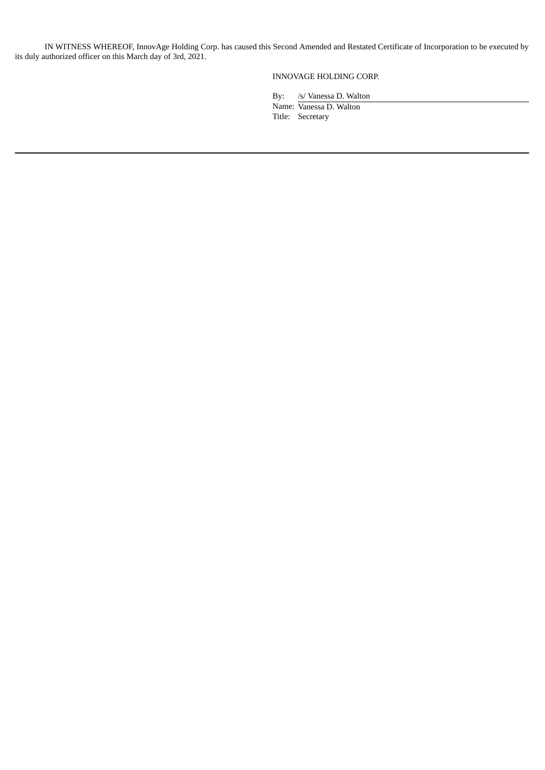IN WITNESS WHEREOF, InnovAge Holding Corp. has caused this Second Amended and Restated Certificate of Incorporation to be executed by its duly authorized officer on this March day of 3rd, 2021.

## INNOVAGE HOLDING CORP.

By: /s/ Vanessa D. Walton

Name: Vanessa D. Walton Title: Secretary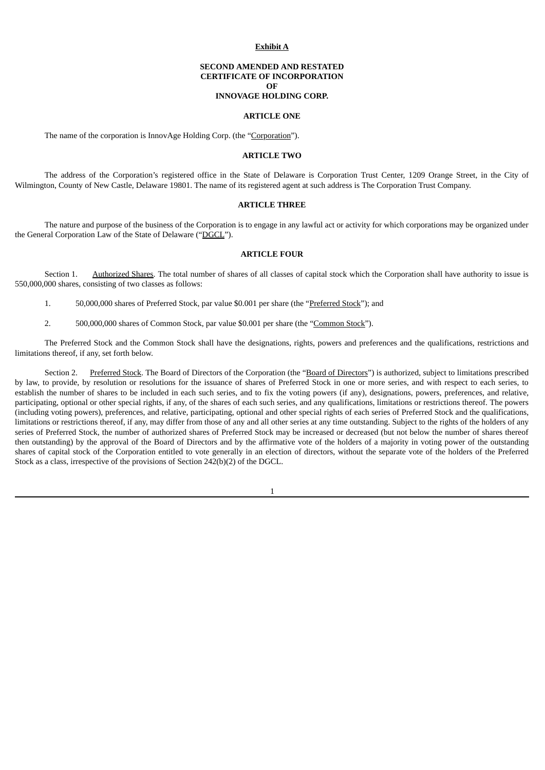## **Exhibit A**

### **SECOND AMENDED AND RESTATED CERTIFICATE OF INCORPORATION OF INNOVAGE HOLDING CORP.**

#### **ARTICLE ONE**

The name of the corporation is InnovAge Holding Corp. (the "Corporation").

#### **ARTICLE TWO**

The address of the Corporation's registered office in the State of Delaware is Corporation Trust Center, 1209 Orange Street, in the City of Wilmington, County of New Castle, Delaware 19801. The name of its registered agent at such address is The Corporation Trust Company.

#### **ARTICLE THREE**

The nature and purpose of the business of the Corporation is to engage in any lawful act or activity for which corporations may be organized under the General Corporation Law of the State of Delaware ("DGCL").

## **ARTICLE FOUR**

Section 1. Authorized Shares. The total number of shares of all classes of capital stock which the Corporation shall have authority to issue is 550,000,000 shares, consisting of two classes as follows:

- 1. 50,000,000 shares of Preferred Stock, par value \$0.001 per share (the "Preferred Stock"); and
- 2. 500,000,000 shares of Common Stock, par value \$0.001 per share (the "Common Stock").

The Preferred Stock and the Common Stock shall have the designations, rights, powers and preferences and the qualifications, restrictions and limitations thereof, if any, set forth below.

Section 2. Preferred Stock. The Board of Directors of the Corporation (the "Board of Directors") is authorized, subject to limitations prescribed by law, to provide, by resolution or resolutions for the issuance of shares of Preferred Stock in one or more series, and with respect to each series, to establish the number of shares to be included in each such series, and to fix the voting powers (if any), designations, powers, preferences, and relative, participating, optional or other special rights, if any, of the shares of each such series, and any qualifications, limitations or restrictions thereof. The powers (including voting powers), preferences, and relative, participating, optional and other special rights of each series of Preferred Stock and the qualifications, limitations or restrictions thereof, if any, may differ from those of any and all other series at any time outstanding. Subject to the rights of the holders of any series of Preferred Stock, the number of authorized shares of Preferred Stock may be increased or decreased (but not below the number of shares thereof then outstanding) by the approval of the Board of Directors and by the affirmative vote of the holders of a majority in voting power of the outstanding shares of capital stock of the Corporation entitled to vote generally in an election of directors, without the separate vote of the holders of the Preferred Stock as a class, irrespective of the provisions of Section 242(b)(2) of the DGCL.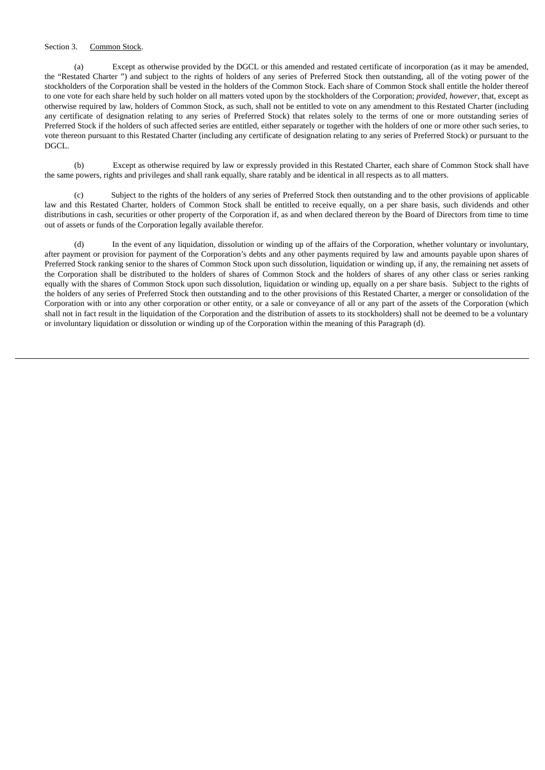## Section 3. Common Stock.

(a) Except as otherwise provided by the DGCL or this amended and restated certificate of incorporation (as it may be amended, the "Restated Charter ") and subject to the rights of holders of any series of Preferred Stock then outstanding, all of the voting power of the stockholders of the Corporation shall be vested in the holders of the Common Stock. Each share of Common Stock shall entitle the holder thereof to one vote for each share held by such holder on all matters voted upon by the stockholders of the Corporation; *provided*, *however*, that, except as otherwise required by law, holders of Common Stock, as such, shall not be entitled to vote on any amendment to this Restated Charter (including any certificate of designation relating to any series of Preferred Stock) that relates solely to the terms of one or more outstanding series of Preferred Stock if the holders of such affected series are entitled, either separately or together with the holders of one or more other such series, to vote thereon pursuant to this Restated Charter (including any certificate of designation relating to any series of Preferred Stock) or pursuant to the DGCL.

(b) Except as otherwise required by law or expressly provided in this Restated Charter, each share of Common Stock shall have the same powers, rights and privileges and shall rank equally, share ratably and be identical in all respects as to all matters.

(c) Subject to the rights of the holders of any series of Preferred Stock then outstanding and to the other provisions of applicable law and this Restated Charter, holders of Common Stock shall be entitled to receive equally, on a per share basis, such dividends and other distributions in cash, securities or other property of the Corporation if, as and when declared thereon by the Board of Directors from time to time out of assets or funds of the Corporation legally available therefor.

(d) In the event of any liquidation, dissolution or winding up of the affairs of the Corporation, whether voluntary or involuntary, after payment or provision for payment of the Corporation's debts and any other payments required by law and amounts payable upon shares of Preferred Stock ranking senior to the shares of Common Stock upon such dissolution, liquidation or winding up, if any, the remaining net assets of the Corporation shall be distributed to the holders of shares of Common Stock and the holders of shares of any other class or series ranking equally with the shares of Common Stock upon such dissolution, liquidation or winding up, equally on a per share basis. Subject to the rights of the holders of any series of Preferred Stock then outstanding and to the other provisions of this Restated Charter, a merger or consolidation of the Corporation with or into any other corporation or other entity, or a sale or conveyance of all or any part of the assets of the Corporation (which shall not in fact result in the liquidation of the Corporation and the distribution of assets to its stockholders) shall not be deemed to be a voluntary or involuntary liquidation or dissolution or winding up of the Corporation within the meaning of this Paragraph (d).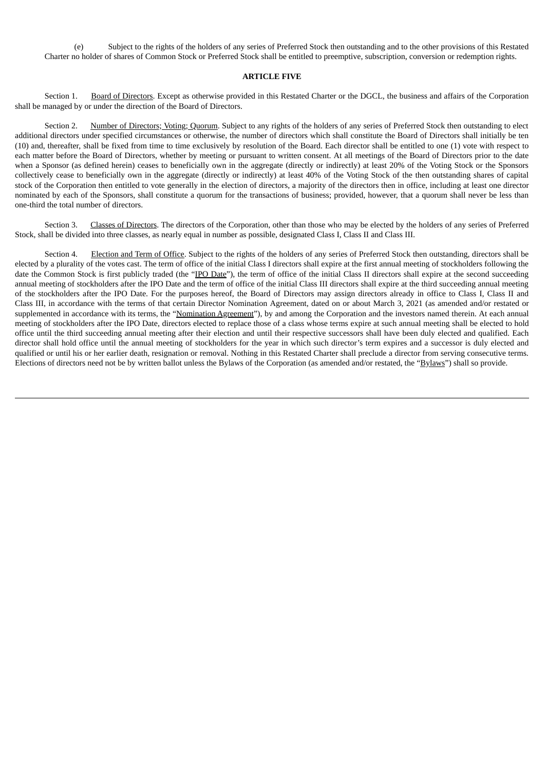(e) Subject to the rights of the holders of any series of Preferred Stock then outstanding and to the other provisions of this Restated Charter no holder of shares of Common Stock or Preferred Stock shall be entitled to preemptive, subscription, conversion or redemption rights.

#### **ARTICLE FIVE**

Section 1. Board of Directors. Except as otherwise provided in this Restated Charter or the DGCL, the business and affairs of the Corporation shall be managed by or under the direction of the Board of Directors.

Section 2. Number of Directors; Voting; Quorum. Subject to any rights of the holders of any series of Preferred Stock then outstanding to elect additional directors under specified circumstances or otherwise, the number of directors which shall constitute the Board of Directors shall initially be ten (10) and, thereafter, shall be fixed from time to time exclusively by resolution of the Board. Each director shall be entitled to one (1) vote with respect to each matter before the Board of Directors, whether by meeting or pursuant to written consent. At all meetings of the Board of Directors prior to the date when a Sponsor (as defined herein) ceases to beneficially own in the aggregate (directly or indirectly) at least 20% of the Voting Stock or the Sponsors collectively cease to beneficially own in the aggregate (directly or indirectly) at least 40% of the Voting Stock of the then outstanding shares of capital stock of the Corporation then entitled to vote generally in the election of directors, a majority of the directors then in office, including at least one director nominated by each of the Sponsors, shall constitute a quorum for the transactions of business; provided, however, that a quorum shall never be less than one-third the total number of directors.

Section 3. Classes of Directors. The directors of the Corporation, other than those who may be elected by the holders of any series of Preferred Stock, shall be divided into three classes, as nearly equal in number as possible, designated Class I, Class II and Class III.

Section 4. Election and Term of Office. Subject to the rights of the holders of any series of Preferred Stock then outstanding, directors shall be elected by a plurality of the votes cast. The term of office of the initial Class I directors shall expire at the first annual meeting of stockholders following the date the Common Stock is first publicly traded (the "IPO Date"), the term of office of the initial Class II directors shall expire at the second succeeding annual meeting of stockholders after the IPO Date and the term of office of the initial Class III directors shall expire at the third succeeding annual meeting of the stockholders after the IPO Date. For the purposes hereof, the Board of Directors may assign directors already in office to Class I, Class II and Class III, in accordance with the terms of that certain Director Nomination Agreement, dated on or about March 3, 2021 (as amended and/or restated or supplemented in accordance with its terms, the "Nomination Agreement"), by and among the Corporation and the investors named therein. At each annual meeting of stockholders after the IPO Date, directors elected to replace those of a class whose terms expire at such annual meeting shall be elected to hold office until the third succeeding annual meeting after their election and until their respective successors shall have been duly elected and qualified. Each director shall hold office until the annual meeting of stockholders for the year in which such director's term expires and a successor is duly elected and qualified or until his or her earlier death, resignation or removal. Nothing in this Restated Charter shall preclude a director from serving consecutive terms. Elections of directors need not be by written ballot unless the Bylaws of the Corporation (as amended and/or restated, the "Bylaws") shall so provide.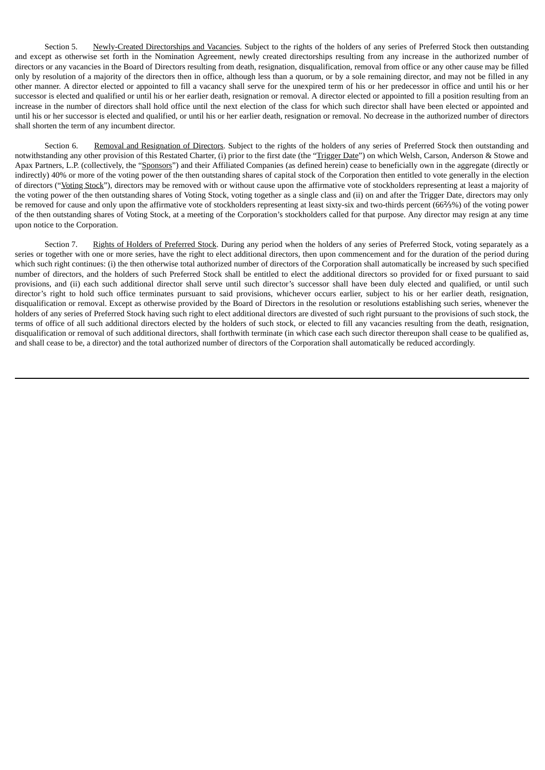Section 5. Newly-Created Directorships and Vacancies. Subject to the rights of the holders of any series of Preferred Stock then outstanding and except as otherwise set forth in the Nomination Agreement, newly created directorships resulting from any increase in the authorized number of directors or any vacancies in the Board of Directors resulting from death, resignation, disqualification, removal from office or any other cause may be filled only by resolution of a majority of the directors then in office, although less than a quorum, or by a sole remaining director, and may not be filled in any other manner. A director elected or appointed to fill a vacancy shall serve for the unexpired term of his or her predecessor in office and until his or her successor is elected and qualified or until his or her earlier death, resignation or removal. A director elected or appointed to fill a position resulting from an increase in the number of directors shall hold office until the next election of the class for which such director shall have been elected or appointed and until his or her successor is elected and qualified, or until his or her earlier death, resignation or removal. No decrease in the authorized number of directors shall shorten the term of any incumbent director.

Section 6. Removal and Resignation of Directors. Subject to the rights of the holders of any series of Preferred Stock then outstanding and notwithstanding any other provision of this Restated Charter, (i) prior to the first date (the "Trigger Date") on which Welsh, Carson, Anderson & Stowe and Apax Partners, L.P. (collectively, the "Sponsors") and their Affiliated Companies (as defined herein) cease to beneficially own in the aggregate (directly or indirectly) 40% or more of the voting power of the then outstanding shares of capital stock of the Corporation then entitled to vote generally in the election of directors ("Voting Stock"), directors may be removed with or without cause upon the affirmative vote of stockholders representing at least a majority of the voting power of the then outstanding shares of Voting Stock, voting together as a single class and (ii) on and after the Trigger Date, directors may only be removed for cause and only upon the affirmative vote of stockholders representing at least sixty-six and two-thirds percent (66⅔%) of the voting power of the then outstanding shares of Voting Stock, at a meeting of the Corporation's stockholders called for that purpose. Any director may resign at any time upon notice to the Corporation.

Section 7. Rights of Holders of Preferred Stock. During any period when the holders of any series of Preferred Stock, voting separately as a series or together with one or more series, have the right to elect additional directors, then upon commencement and for the duration of the period during which such right continues: (i) the then otherwise total authorized number of directors of the Corporation shall automatically be increased by such specified number of directors, and the holders of such Preferred Stock shall be entitled to elect the additional directors so provided for or fixed pursuant to said provisions, and (ii) each such additional director shall serve until such director's successor shall have been duly elected and qualified, or until such director's right to hold such office terminates pursuant to said provisions, whichever occurs earlier, subject to his or her earlier death, resignation, disqualification or removal. Except as otherwise provided by the Board of Directors in the resolution or resolutions establishing such series, whenever the holders of any series of Preferred Stock having such right to elect additional directors are divested of such right pursuant to the provisions of such stock, the terms of office of all such additional directors elected by the holders of such stock, or elected to fill any vacancies resulting from the death, resignation, disqualification or removal of such additional directors, shall forthwith terminate (in which case each such director thereupon shall cease to be qualified as, and shall cease to be, a director) and the total authorized number of directors of the Corporation shall automatically be reduced accordingly.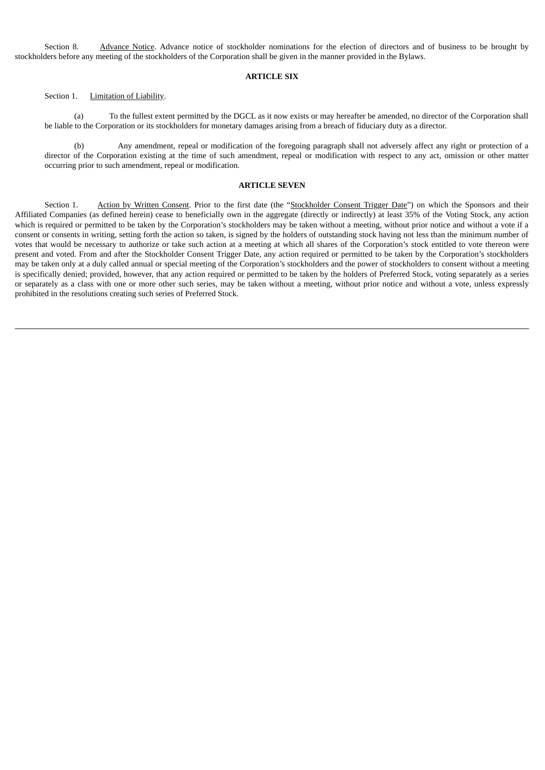Section 8. Advance Notice. Advance notice of stockholder nominations for the election of directors and of business to be brought by stockholders before any meeting of the stockholders of the Corporation shall be given in the manner provided in the Bylaws.

#### **ARTICLE SIX**

### Section 1. Limitation of Liability.

(a) To the fullest extent permitted by the DGCL as it now exists or may hereafter be amended, no director of the Corporation shall be liable to the Corporation or its stockholders for monetary damages arising from a breach of fiduciary duty as a director.

(b) Any amendment, repeal or modification of the foregoing paragraph shall not adversely affect any right or protection of a director of the Corporation existing at the time of such amendment, repeal or modification with respect to any act, omission or other matter occurring prior to such amendment, repeal or modification.

## **ARTICLE SEVEN**

Section 1. Action by Written Consent. Prior to the first date (the "Stockholder Consent Trigger Date") on which the Sponsors and their Affiliated Companies (as defined herein) cease to beneficially own in the aggregate (directly or indirectly) at least 35% of the Voting Stock, any action which is required or permitted to be taken by the Corporation's stockholders may be taken without a meeting, without prior notice and without a vote if a consent or consents in writing, setting forth the action so taken, is signed by the holders of outstanding stock having not less than the minimum number of votes that would be necessary to authorize or take such action at a meeting at which all shares of the Corporation's stock entitled to vote thereon were present and voted. From and after the Stockholder Consent Trigger Date, any action required or permitted to be taken by the Corporation's stockholders may be taken only at a duly called annual or special meeting of the Corporation's stockholders and the power of stockholders to consent without a meeting is specifically denied; provided, however, that any action required or permitted to be taken by the holders of Preferred Stock, voting separately as a series or separately as a class with one or more other such series, may be taken without a meeting, without prior notice and without a vote, unless expressly prohibited in the resolutions creating such series of Preferred Stock.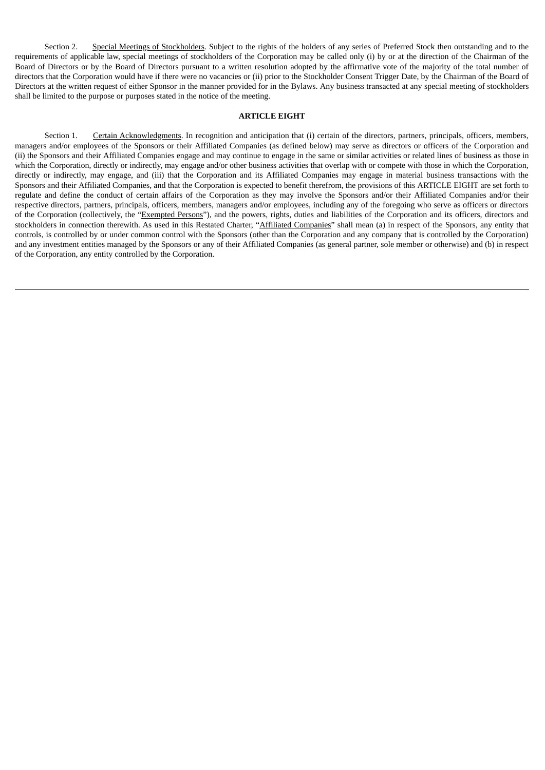Section 2. Special Meetings of Stockholders. Subject to the rights of the holders of any series of Preferred Stock then outstanding and to the requirements of applicable law, special meetings of stockholders of the Corporation may be called only (i) by or at the direction of the Chairman of the Board of Directors or by the Board of Directors pursuant to a written resolution adopted by the affirmative vote of the majority of the total number of directors that the Corporation would have if there were no vacancies or (ii) prior to the Stockholder Consent Trigger Date, by the Chairman of the Board of Directors at the written request of either Sponsor in the manner provided for in the Bylaws. Any business transacted at any special meeting of stockholders shall be limited to the purpose or purposes stated in the notice of the meeting.

#### **ARTICLE EIGHT**

Section 1. Certain Acknowledgments. In recognition and anticipation that (i) certain of the directors, partners, principals, officers, members, managers and/or employees of the Sponsors or their Affiliated Companies (as defined below) may serve as directors or officers of the Corporation and (ii) the Sponsors and their Affiliated Companies engage and may continue to engage in the same or similar activities or related lines of business as those in which the Corporation, directly or indirectly, may engage and/or other business activities that overlap with or compete with those in which the Corporation, directly or indirectly, may engage, and (iii) that the Corporation and its Affiliated Companies may engage in material business transactions with the Sponsors and their Affiliated Companies, and that the Corporation is expected to benefit therefrom, the provisions of this ARTICLE EIGHT are set forth to regulate and define the conduct of certain affairs of the Corporation as they may involve the Sponsors and/or their Affiliated Companies and/or their respective directors, partners, principals, officers, members, managers and/or employees, including any of the foregoing who serve as officers or directors of the Corporation (collectively, the "Exempted Persons"), and the powers, rights, duties and liabilities of the Corporation and its officers, directors and stockholders in connection therewith. As used in this Restated Charter, "Affiliated Companies" shall mean (a) in respect of the Sponsors, any entity that controls, is controlled by or under common control with the Sponsors (other than the Corporation and any company that is controlled by the Corporation) and any investment entities managed by the Sponsors or any of their Affiliated Companies (as general partner, sole member or otherwise) and (b) in respect of the Corporation, any entity controlled by the Corporation.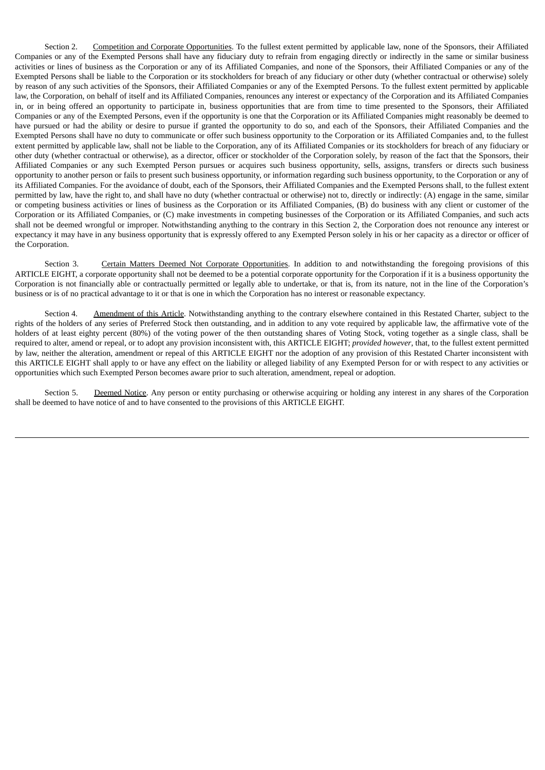Section 2. Competition and Corporate Opportunities. To the fullest extent permitted by applicable law, none of the Sponsors, their Affiliated Companies or any of the Exempted Persons shall have any fiduciary duty to refrain from engaging directly or indirectly in the same or similar business activities or lines of business as the Corporation or any of its Affiliated Companies, and none of the Sponsors, their Affiliated Companies or any of the Exempted Persons shall be liable to the Corporation or its stockholders for breach of any fiduciary or other duty (whether contractual or otherwise) solely by reason of any such activities of the Sponsors, their Affiliated Companies or any of the Exempted Persons. To the fullest extent permitted by applicable law, the Corporation, on behalf of itself and its Affiliated Companies, renounces any interest or expectancy of the Corporation and its Affiliated Companies in, or in being offered an opportunity to participate in, business opportunities that are from time to time presented to the Sponsors, their Affiliated Companies or any of the Exempted Persons, even if the opportunity is one that the Corporation or its Affiliated Companies might reasonably be deemed to have pursued or had the ability or desire to pursue if granted the opportunity to do so, and each of the Sponsors, their Affiliated Companies and the Exempted Persons shall have no duty to communicate or offer such business opportunity to the Corporation or its Affiliated Companies and, to the fullest extent permitted by applicable law, shall not be liable to the Corporation, any of its Affiliated Companies or its stockholders for breach of any fiduciary or other duty (whether contractual or otherwise), as a director, officer or stockholder of the Corporation solely, by reason of the fact that the Sponsors, their Affiliated Companies or any such Exempted Person pursues or acquires such business opportunity, sells, assigns, transfers or directs such business opportunity to another person or fails to present such business opportunity, or information regarding such business opportunity, to the Corporation or any of its Affiliated Companies. For the avoidance of doubt, each of the Sponsors, their Affiliated Companies and the Exempted Persons shall, to the fullest extent permitted by law, have the right to, and shall have no duty (whether contractual or otherwise) not to, directly or indirectly: (A) engage in the same, similar or competing business activities or lines of business as the Corporation or its Affiliated Companies, (B) do business with any client or customer of the Corporation or its Affiliated Companies, or (C) make investments in competing businesses of the Corporation or its Affiliated Companies, and such acts shall not be deemed wrongful or improper. Notwithstanding anything to the contrary in this Section 2, the Corporation does not renounce any interest or expectancy it may have in any business opportunity that is expressly offered to any Exempted Person solely in his or her capacity as a director or officer of the Corporation.

Section 3. Certain Matters Deemed Not Corporate Opportunities. In addition to and notwithstanding the foregoing provisions of this ARTICLE EIGHT, a corporate opportunity shall not be deemed to be a potential corporate opportunity for the Corporation if it is a business opportunity the Corporation is not financially able or contractually permitted or legally able to undertake, or that is, from its nature, not in the line of the Corporation's business or is of no practical advantage to it or that is one in which the Corporation has no interest or reasonable expectancy.

Section 4. Amendment of this Article. Notwithstanding anything to the contrary elsewhere contained in this Restated Charter, subject to the rights of the holders of any series of Preferred Stock then outstanding, and in addition to any vote required by applicable law, the affirmative vote of the holders of at least eighty percent (80%) of the voting power of the then outstanding shares of Voting Stock, voting together as a single class, shall be required to alter, amend or repeal, or to adopt any provision inconsistent with, this ARTICLE EIGHT; *provided however*, that, to the fullest extent permitted by law, neither the alteration, amendment or repeal of this ARTICLE EIGHT nor the adoption of any provision of this Restated Charter inconsistent with this ARTICLE EIGHT shall apply to or have any effect on the liability or alleged liability of any Exempted Person for or with respect to any activities or opportunities which such Exempted Person becomes aware prior to such alteration, amendment, repeal or adoption.

Section 5. Deemed Notice. Any person or entity purchasing or otherwise acquiring or holding any interest in any shares of the Corporation shall be deemed to have notice of and to have consented to the provisions of this ARTICLE EIGHT.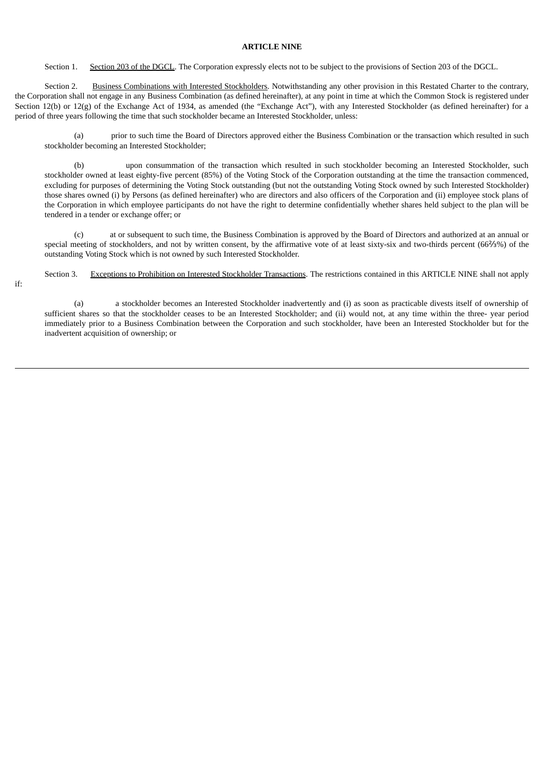## **ARTICLE NINE**

Section 1. Section 203 of the DGCL. The Corporation expressly elects not to be subject to the provisions of Section 203 of the DGCL.

Section 2. Business Combinations with Interested Stockholders. Notwithstanding any other provision in this Restated Charter to the contrary, the Corporation shall not engage in any Business Combination (as defined hereinafter), at any point in time at which the Common Stock is registered under Section 12(b) or 12(g) of the Exchange Act of 1934, as amended (the "Exchange Act"), with any Interested Stockholder (as defined hereinafter) for a period of three years following the time that such stockholder became an Interested Stockholder, unless:

(a) prior to such time the Board of Directors approved either the Business Combination or the transaction which resulted in such stockholder becoming an Interested Stockholder;

(b) upon consummation of the transaction which resulted in such stockholder becoming an Interested Stockholder, such stockholder owned at least eighty-five percent (85%) of the Voting Stock of the Corporation outstanding at the time the transaction commenced, excluding for purposes of determining the Voting Stock outstanding (but not the outstanding Voting Stock owned by such Interested Stockholder) those shares owned (i) by Persons (as defined hereinafter) who are directors and also officers of the Corporation and (ii) employee stock plans of the Corporation in which employee participants do not have the right to determine confidentially whether shares held subject to the plan will be tendered in a tender or exchange offer; or

(c) at or subsequent to such time, the Business Combination is approved by the Board of Directors and authorized at an annual or special meeting of stockholders, and not by written consent, by the affirmative vote of at least sixty-six and two-thirds percent (66⅔%) of the outstanding Voting Stock which is not owned by such Interested Stockholder.

Section 3. Exceptions to Prohibition on Interested Stockholder Transactions. The restrictions contained in this ARTICLE NINE shall not apply

if:

(a) a stockholder becomes an Interested Stockholder inadvertently and (i) as soon as practicable divests itself of ownership of sufficient shares so that the stockholder ceases to be an Interested Stockholder; and (ii) would not, at any time within the three- year period immediately prior to a Business Combination between the Corporation and such stockholder, have been an Interested Stockholder but for the inadvertent acquisition of ownership; or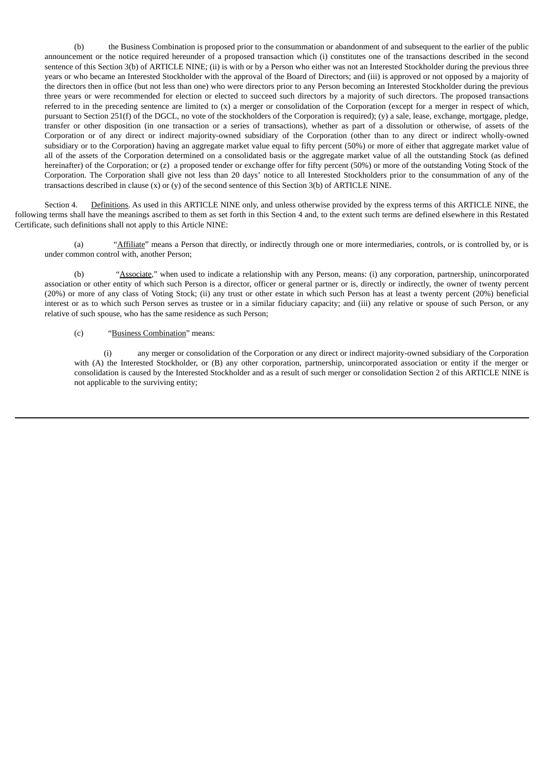(b) the Business Combination is proposed prior to the consummation or abandonment of and subsequent to the earlier of the public announcement or the notice required hereunder of a proposed transaction which (i) constitutes one of the transactions described in the second sentence of this Section 3(b) of ARTICLE NINE; (ii) is with or by a Person who either was not an Interested Stockholder during the previous three years or who became an Interested Stockholder with the approval of the Board of Directors; and (iii) is approved or not opposed by a majority of the directors then in office (but not less than one) who were directors prior to any Person becoming an Interested Stockholder during the previous three years or were recommended for election or elected to succeed such directors by a majority of such directors. The proposed transactions referred to in the preceding sentence are limited to (x) a merger or consolidation of the Corporation (except for a merger in respect of which, pursuant to Section 251(f) of the DGCL, no vote of the stockholders of the Corporation is required); (y) a sale, lease, exchange, mortgage, pledge, transfer or other disposition (in one transaction or a series of transactions), whether as part of a dissolution or otherwise, of assets of the Corporation or of any direct or indirect majority-owned subsidiary of the Corporation (other than to any direct or indirect wholly-owned subsidiary or to the Corporation) having an aggregate market value equal to fifty percent (50%) or more of either that aggregate market value of all of the assets of the Corporation determined on a consolidated basis or the aggregate market value of all the outstanding Stock (as defined hereinafter) of the Corporation; or (z) a proposed tender or exchange offer for fifty percent (50%) or more of the outstanding Voting Stock of the Corporation. The Corporation shall give not less than 20 days' notice to all Interested Stockholders prior to the consummation of any of the transactions described in clause (x) or (y) of the second sentence of this Section 3(b) of ARTICLE NINE.

Section 4. Definitions. As used in this ARTICLE NINE only, and unless otherwise provided by the express terms of this ARTICLE NINE, the following terms shall have the meanings ascribed to them as set forth in this Section 4 and, to the extent such terms are defined elsewhere in this Restated Certificate, such definitions shall not apply to this Article NINE:

(a) "Affiliate" means a Person that directly, or indirectly through one or more intermediaries, controls, or is controlled by, or is under common control with, another Person;

(b) "Associate," when used to indicate a relationship with any Person, means: (i) any corporation, partnership, unincorporated association or other entity of which such Person is a director, officer or general partner or is, directly or indirectly, the owner of twenty percent (20%) or more of any class of Voting Stock; (ii) any trust or other estate in which such Person has at least a twenty percent (20%) beneficial interest or as to which such Person serves as trustee or in a similar fiduciary capacity; and (iii) any relative or spouse of such Person, or any relative of such spouse, who has the same residence as such Person;

### (c) "Business Combination" means:

(i) any merger or consolidation of the Corporation or any direct or indirect majority-owned subsidiary of the Corporation with (A) the Interested Stockholder, or (B) any other corporation, partnership, unincorporated association or entity if the merger or consolidation is caused by the Interested Stockholder and as a result of such merger or consolidation Section 2 of this ARTICLE NINE is not applicable to the surviving entity;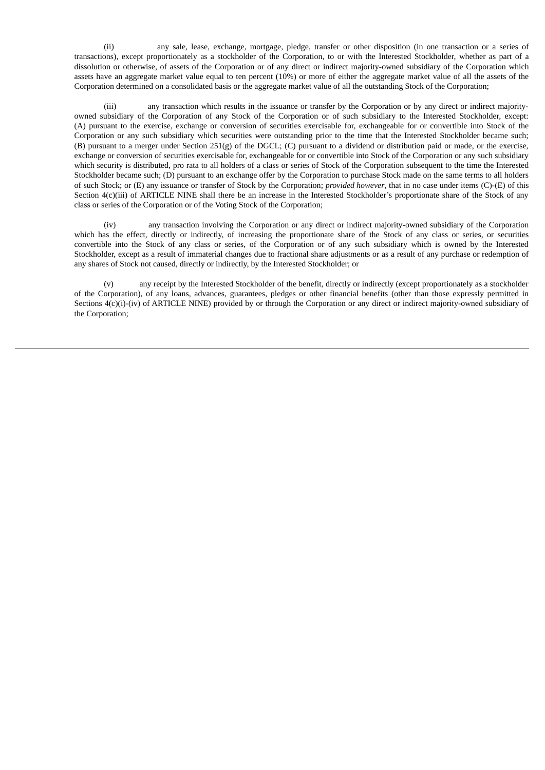(ii) any sale, lease, exchange, mortgage, pledge, transfer or other disposition (in one transaction or a series of transactions), except proportionately as a stockholder of the Corporation, to or with the Interested Stockholder, whether as part of a dissolution or otherwise, of assets of the Corporation or of any direct or indirect majority-owned subsidiary of the Corporation which assets have an aggregate market value equal to ten percent (10%) or more of either the aggregate market value of all the assets of the Corporation determined on a consolidated basis or the aggregate market value of all the outstanding Stock of the Corporation;

(iii) any transaction which results in the issuance or transfer by the Corporation or by any direct or indirect majorityowned subsidiary of the Corporation of any Stock of the Corporation or of such subsidiary to the Interested Stockholder, except: (A) pursuant to the exercise, exchange or conversion of securities exercisable for, exchangeable for or convertible into Stock of the Corporation or any such subsidiary which securities were outstanding prior to the time that the Interested Stockholder became such; (B) pursuant to a merger under Section 251(g) of the DGCL; (C) pursuant to a dividend or distribution paid or made, or the exercise, exchange or conversion of securities exercisable for, exchangeable for or convertible into Stock of the Corporation or any such subsidiary which security is distributed, pro rata to all holders of a class or series of Stock of the Corporation subsequent to the time the Interested Stockholder became such; (D) pursuant to an exchange offer by the Corporation to purchase Stock made on the same terms to all holders of such Stock; or (E) any issuance or transfer of Stock by the Corporation; *provided however*, that in no case under items (C)-(E) of this Section 4(c)(iii) of ARTICLE NINE shall there be an increase in the Interested Stockholder's proportionate share of the Stock of any class or series of the Corporation or of the Voting Stock of the Corporation;

(iv) any transaction involving the Corporation or any direct or indirect majority-owned subsidiary of the Corporation which has the effect, directly or indirectly, of increasing the proportionate share of the Stock of any class or series, or securities convertible into the Stock of any class or series, of the Corporation or of any such subsidiary which is owned by the Interested Stockholder, except as a result of immaterial changes due to fractional share adjustments or as a result of any purchase or redemption of any shares of Stock not caused, directly or indirectly, by the Interested Stockholder; or

(v) any receipt by the Interested Stockholder of the benefit, directly or indirectly (except proportionately as a stockholder of the Corporation), of any loans, advances, guarantees, pledges or other financial benefits (other than those expressly permitted in Sections  $4(c)(i)-(iv)$  of ARTICLE NINE) provided by or through the Corporation or any direct or indirect majority-owned subsidiary of the Corporation;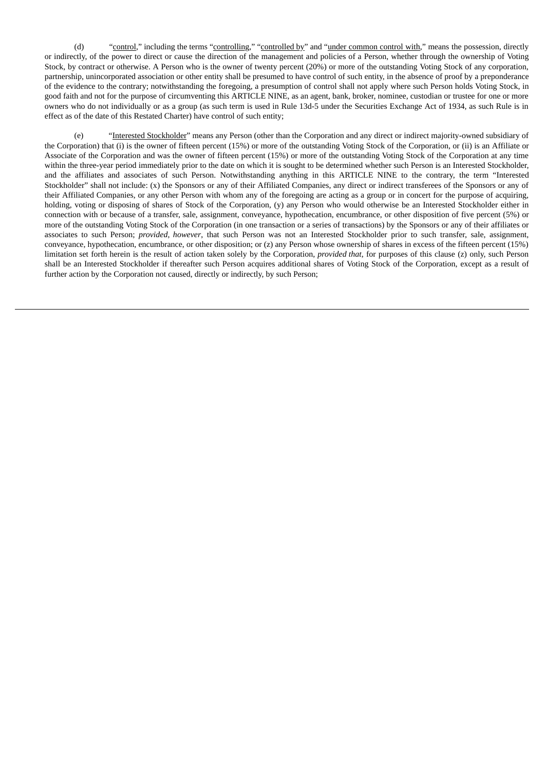(d) "control," including the terms "controlling," "controlled by" and "under common control with," means the possession, directly or indirectly, of the power to direct or cause the direction of the management and policies of a Person, whether through the ownership of Voting Stock, by contract or otherwise. A Person who is the owner of twenty percent (20%) or more of the outstanding Voting Stock of any corporation, partnership, unincorporated association or other entity shall be presumed to have control of such entity, in the absence of proof by a preponderance of the evidence to the contrary; notwithstanding the foregoing, a presumption of control shall not apply where such Person holds Voting Stock, in good faith and not for the purpose of circumventing this ARTICLE NINE, as an agent, bank, broker, nominee, custodian or trustee for one or more owners who do not individually or as a group (as such term is used in Rule 13d-5 under the Securities Exchange Act of 1934, as such Rule is in effect as of the date of this Restated Charter) have control of such entity;

(e) "Interested Stockholder" means any Person (other than the Corporation and any direct or indirect majority-owned subsidiary of the Corporation) that (i) is the owner of fifteen percent (15%) or more of the outstanding Voting Stock of the Corporation, or (ii) is an Affiliate or Associate of the Corporation and was the owner of fifteen percent (15%) or more of the outstanding Voting Stock of the Corporation at any time within the three-year period immediately prior to the date on which it is sought to be determined whether such Person is an Interested Stockholder, and the affiliates and associates of such Person. Notwithstanding anything in this ARTICLE NINE to the contrary, the term "Interested Stockholder" shall not include: (x) the Sponsors or any of their Affiliated Companies, any direct or indirect transferees of the Sponsors or any of their Affiliated Companies, or any other Person with whom any of the foregoing are acting as a group or in concert for the purpose of acquiring, holding, voting or disposing of shares of Stock of the Corporation, (y) any Person who would otherwise be an Interested Stockholder either in connection with or because of a transfer, sale, assignment, conveyance, hypothecation, encumbrance, or other disposition of five percent (5%) or more of the outstanding Voting Stock of the Corporation (in one transaction or a series of transactions) by the Sponsors or any of their affiliates or associates to such Person; *provided*, *however*, that such Person was not an Interested Stockholder prior to such transfer, sale, assignment, conveyance, hypothecation, encumbrance, or other disposition; or (z) any Person whose ownership of shares in excess of the fifteen percent (15%) limitation set forth herein is the result of action taken solely by the Corporation, *provided that*, for purposes of this clause (z) only, such Person shall be an Interested Stockholder if thereafter such Person acquires additional shares of Voting Stock of the Corporation, except as a result of further action by the Corporation not caused, directly or indirectly, by such Person;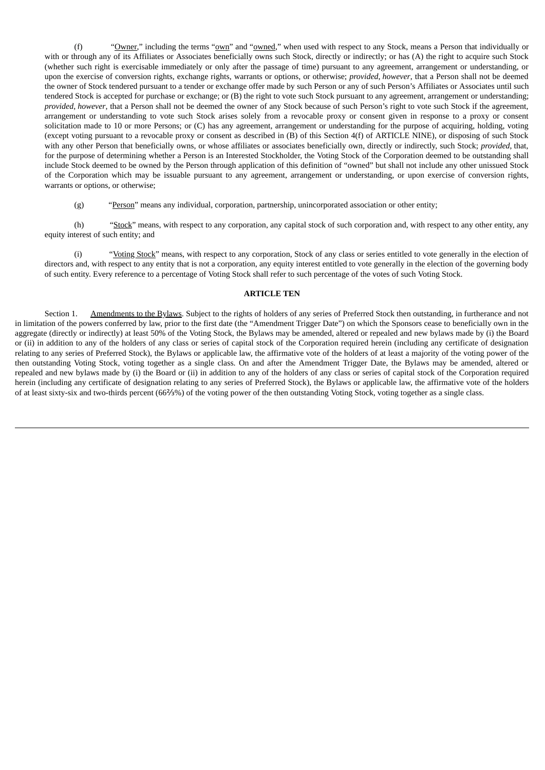(f)  $"Owner,"$  including the terms " $own$ " and " $owned,"$  when used with respect to any Stock, means a Person that individually or with or through any of its Affiliates or Associates beneficially owns such Stock, directly or indirectly; or has (A) the right to acquire such Stock (whether such right is exercisable immediately or only after the passage of time) pursuant to any agreement, arrangement or understanding, or upon the exercise of conversion rights, exchange rights, warrants or options, or otherwise; *provided*, *however*, that a Person shall not be deemed the owner of Stock tendered pursuant to a tender or exchange offer made by such Person or any of such Person's Affiliates or Associates until such tendered Stock is accepted for purchase or exchange; or (B) the right to vote such Stock pursuant to any agreement, arrangement or understanding; *provided*, *however*, that a Person shall not be deemed the owner of any Stock because of such Person's right to vote such Stock if the agreement, arrangement or understanding to vote such Stock arises solely from a revocable proxy or consent given in response to a proxy or consent solicitation made to 10 or more Persons; or (C) has any agreement, arrangement or understanding for the purpose of acquiring, holding, voting (except voting pursuant to a revocable proxy or consent as described in (B) of this Section 4(f) of ARTICLE NINE), or disposing of such Stock with any other Person that beneficially owns, or whose affiliates or associates beneficially own, directly or indirectly, such Stock; *provided*, that, for the purpose of determining whether a Person is an Interested Stockholder, the Voting Stock of the Corporation deemed to be outstanding shall include Stock deemed to be owned by the Person through application of this definition of "owned" but shall not include any other unissued Stock of the Corporation which may be issuable pursuant to any agreement, arrangement or understanding, or upon exercise of conversion rights, warrants or options, or otherwise;

(g) "Person" means any individual, corporation, partnership, unincorporated association or other entity;

(h) "Stock" means, with respect to any corporation, any capital stock of such corporation and, with respect to any other entity, any equity interest of such entity; and

(i) "Yoting Stock" means, with respect to any corporation, Stock of any class or series entitled to vote generally in the election of directors and, with respect to any entity that is not a corporation, any equity interest entitled to vote generally in the election of the governing body of such entity. Every reference to a percentage of Voting Stock shall refer to such percentage of the votes of such Voting Stock.

### **ARTICLE TEN**

Section 1. Amendments to the Bylaws. Subject to the rights of holders of any series of Preferred Stock then outstanding, in furtherance and not in limitation of the powers conferred by law, prior to the first date (the "Amendment Trigger Date") on which the Sponsors cease to beneficially own in the aggregate (directly or indirectly) at least 50% of the Voting Stock, the Bylaws may be amended, altered or repealed and new bylaws made by (i) the Board or (ii) in addition to any of the holders of any class or series of capital stock of the Corporation required herein (including any certificate of designation relating to any series of Preferred Stock), the Bylaws or applicable law, the affirmative vote of the holders of at least a majority of the voting power of the then outstanding Voting Stock, voting together as a single class. On and after the Amendment Trigger Date, the Bylaws may be amended, altered or repealed and new bylaws made by (i) the Board or (ii) in addition to any of the holders of any class or series of capital stock of the Corporation required herein (including any certificate of designation relating to any series of Preferred Stock), the Bylaws or applicable law, the affirmative vote of the holders of at least sixty-six and two-thirds percent (66⅔%) of the voting power of the then outstanding Voting Stock, voting together as a single class.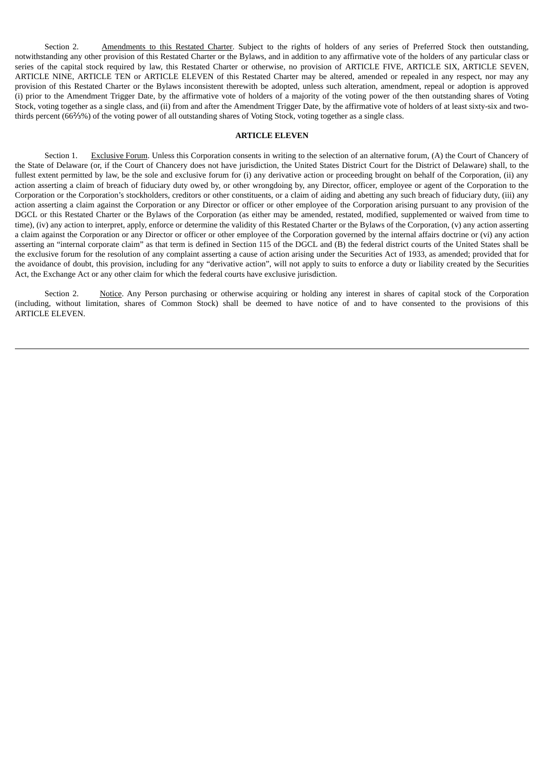Section 2. Amendments to this Restated Charter. Subject to the rights of holders of any series of Preferred Stock then outstanding, notwithstanding any other provision of this Restated Charter or the Bylaws, and in addition to any affirmative vote of the holders of any particular class or series of the capital stock required by law, this Restated Charter or otherwise, no provision of ARTICLE FIVE, ARTICLE SIX, ARTICLE SEVEN, ARTICLE NINE, ARTICLE TEN or ARTICLE ELEVEN of this Restated Charter may be altered, amended or repealed in any respect, nor may any provision of this Restated Charter or the Bylaws inconsistent therewith be adopted, unless such alteration, amendment, repeal or adoption is approved (i) prior to the Amendment Trigger Date, by the affirmative vote of holders of a majority of the voting power of the then outstanding shares of Voting Stock, voting together as a single class, and (ii) from and after the Amendment Trigger Date, by the affirmative vote of holders of at least sixty-six and twothirds percent (66⅔%) of the voting power of all outstanding shares of Voting Stock, voting together as a single class.

## **ARTICLE ELEVEN**

Section 1. Exclusive Forum. Unless this Corporation consents in writing to the selection of an alternative forum, (A) the Court of Chancery of the State of Delaware (or, if the Court of Chancery does not have jurisdiction, the United States District Court for the District of Delaware) shall, to the fullest extent permitted by law, be the sole and exclusive forum for (i) any derivative action or proceeding brought on behalf of the Corporation, (ii) any action asserting a claim of breach of fiduciary duty owed by, or other wrongdoing by, any Director, officer, employee or agent of the Corporation to the Corporation or the Corporation's stockholders, creditors or other constituents, or a claim of aiding and abetting any such breach of fiduciary duty, (iii) any action asserting a claim against the Corporation or any Director or officer or other employee of the Corporation arising pursuant to any provision of the DGCL or this Restated Charter or the Bylaws of the Corporation (as either may be amended, restated, modified, supplemented or waived from time to time), (iv) any action to interpret, apply, enforce or determine the validity of this Restated Charter or the Bylaws of the Corporation, (v) any action asserting a claim against the Corporation or any Director or officer or other employee of the Corporation governed by the internal affairs doctrine or (vi) any action asserting an "internal corporate claim" as that term is defined in Section 115 of the DGCL and (B) the federal district courts of the United States shall be the exclusive forum for the resolution of any complaint asserting a cause of action arising under the Securities Act of 1933, as amended; provided that for the avoidance of doubt, this provision, including for any "derivative action", will not apply to suits to enforce a duty or liability created by the Securities Act, the Exchange Act or any other claim for which the federal courts have exclusive jurisdiction.

Section 2. Notice. Any Person purchasing or otherwise acquiring or holding any interest in shares of capital stock of the Corporation (including, without limitation, shares of Common Stock) shall be deemed to have notice of and to have consented to the provisions of this ARTICLE ELEVEN.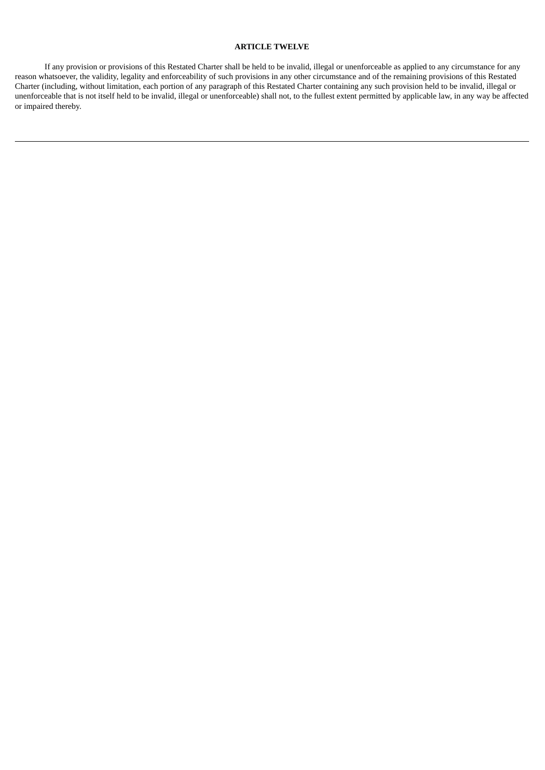## **ARTICLE TWELVE**

If any provision or provisions of this Restated Charter shall be held to be invalid, illegal or unenforceable as applied to any circumstance for any reason whatsoever, the validity, legality and enforceability of such provisions in any other circumstance and of the remaining provisions of this Restated Charter (including, without limitation, each portion of any paragraph of this Restated Charter containing any such provision held to be invalid, illegal or unenforceable that is not itself held to be invalid, illegal or unenforceable) shall not, to the fullest extent permitted by applicable law, in any way be affected or impaired thereby.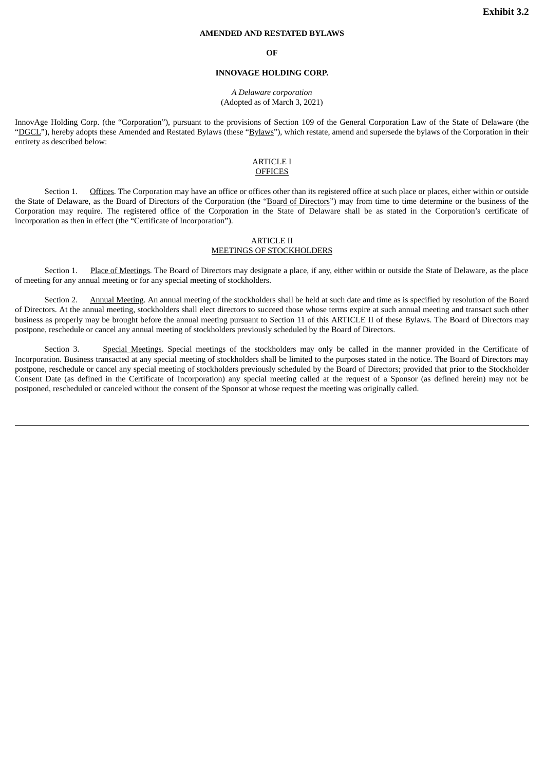## **AMENDED AND RESTATED BYLAWS**

#### **OF**

## **INNOVAGE HOLDING CORP.**

### *A Delaware corporation* (Adopted as of March 3, 2021)

InnovAge Holding Corp. (the "Corporation"), pursuant to the provisions of Section 109 of the General Corporation Law of the State of Delaware (the "DGCL"), hereby adopts these Amended and Restated Bylaws (these "Bylaws"), which restate, amend and supersede the bylaws of the Corporation in their entirety as described below:

## ARTICLE I **OFFICES**

Section 1. Offices. The Corporation may have an office or offices other than its registered office at such place or places, either within or outside the State of Delaware, as the Board of Directors of the Corporation (the "Board of Directors") may from time to time determine or the business of the Corporation may require. The registered office of the Corporation in the State of Delaware shall be as stated in the Corporation's certificate of incorporation as then in effect (the "Certificate of Incorporation").

## ARTICLE II MEETINGS OF STOCKHOLDERS

Section 1. Place of Meetings. The Board of Directors may designate a place, if any, either within or outside the State of Delaware, as the place of meeting for any annual meeting or for any special meeting of stockholders.

Section 2. Annual Meeting. An annual meeting of the stockholders shall be held at such date and time as is specified by resolution of the Board of Directors. At the annual meeting, stockholders shall elect directors to succeed those whose terms expire at such annual meeting and transact such other business as properly may be brought before the annual meeting pursuant to Section 11 of this ARTICLE II of these Bylaws. The Board of Directors may postpone, reschedule or cancel any annual meeting of stockholders previously scheduled by the Board of Directors.

Section 3. Special Meetings. Special meetings of the stockholders may only be called in the manner provided in the Certificate of Incorporation. Business transacted at any special meeting of stockholders shall be limited to the purposes stated in the notice. The Board of Directors may postpone, reschedule or cancel any special meeting of stockholders previously scheduled by the Board of Directors; provided that prior to the Stockholder Consent Date (as defined in the Certificate of Incorporation) any special meeting called at the request of a Sponsor (as defined herein) may not be postponed, rescheduled or canceled without the consent of the Sponsor at whose request the meeting was originally called.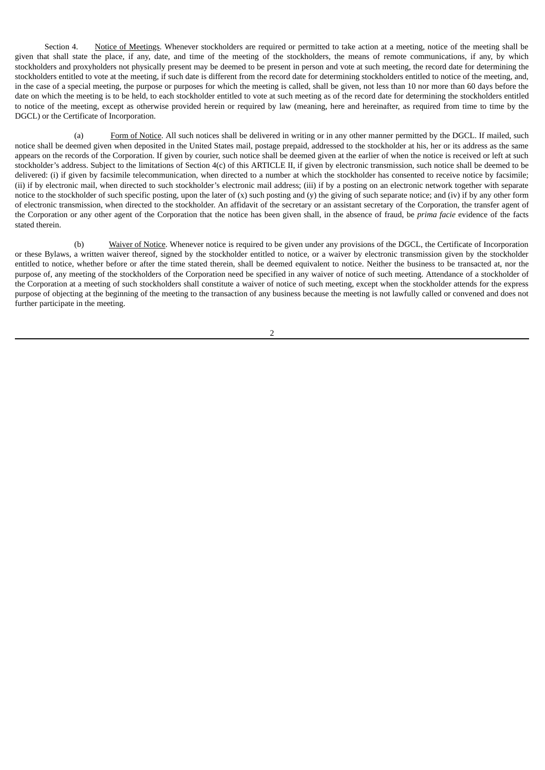Section 4. Notice of Meetings. Whenever stockholders are required or permitted to take action at a meeting, notice of the meeting shall be given that shall state the place, if any, date, and time of the meeting of the stockholders, the means of remote communications, if any, by which stockholders and proxyholders not physically present may be deemed to be present in person and vote at such meeting, the record date for determining the stockholders entitled to vote at the meeting, if such date is different from the record date for determining stockholders entitled to notice of the meeting, and, in the case of a special meeting, the purpose or purposes for which the meeting is called, shall be given, not less than 10 nor more than 60 days before the date on which the meeting is to be held, to each stockholder entitled to vote at such meeting as of the record date for determining the stockholders entitled to notice of the meeting, except as otherwise provided herein or required by law (meaning, here and hereinafter, as required from time to time by the DGCL) or the Certificate of Incorporation.

(a) Form of Notice. All such notices shall be delivered in writing or in any other manner permitted by the DGCL. If mailed, such notice shall be deemed given when deposited in the United States mail, postage prepaid, addressed to the stockholder at his, her or its address as the same appears on the records of the Corporation. If given by courier, such notice shall be deemed given at the earlier of when the notice is received or left at such stockholder's address. Subject to the limitations of Section 4(c) of this ARTICLE II, if given by electronic transmission, such notice shall be deemed to be delivered: (i) if given by facsimile telecommunication, when directed to a number at which the stockholder has consented to receive notice by facsimile; (ii) if by electronic mail, when directed to such stockholder's electronic mail address; (iii) if by a posting on an electronic network together with separate notice to the stockholder of such specific posting, upon the later of  $(x)$  such posting and  $(y)$  the giving of such separate notice; and  $(iv)$  if by any other form of electronic transmission, when directed to the stockholder. An affidavit of the secretary or an assistant secretary of the Corporation, the transfer agent of the Corporation or any other agent of the Corporation that the notice has been given shall, in the absence of fraud, be *prima facie* evidence of the facts stated therein.

(b) Waiver of Notice. Whenever notice is required to be given under any provisions of the DGCL, the Certificate of Incorporation or these Bylaws, a written waiver thereof, signed by the stockholder entitled to notice, or a waiver by electronic transmission given by the stockholder entitled to notice, whether before or after the time stated therein, shall be deemed equivalent to notice. Neither the business to be transacted at, nor the purpose of, any meeting of the stockholders of the Corporation need be specified in any waiver of notice of such meeting. Attendance of a stockholder of the Corporation at a meeting of such stockholders shall constitute a waiver of notice of such meeting, except when the stockholder attends for the express purpose of objecting at the beginning of the meeting to the transaction of any business because the meeting is not lawfully called or convened and does not further participate in the meeting.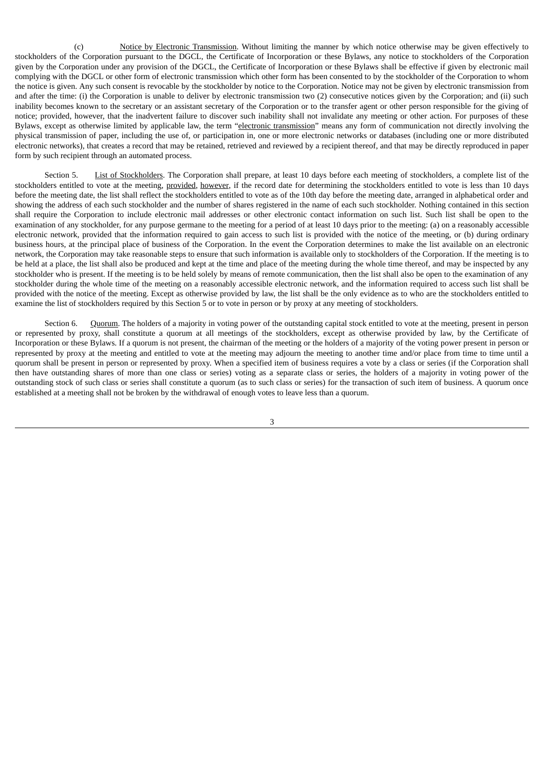(c) Notice by Electronic Transmission. Without limiting the manner by which notice otherwise may be given effectively to stockholders of the Corporation pursuant to the DGCL, the Certificate of Incorporation or these Bylaws, any notice to stockholders of the Corporation given by the Corporation under any provision of the DGCL, the Certificate of Incorporation or these Bylaws shall be effective if given by electronic mail complying with the DGCL or other form of electronic transmission which other form has been consented to by the stockholder of the Corporation to whom the notice is given. Any such consent is revocable by the stockholder by notice to the Corporation. Notice may not be given by electronic transmission from and after the time: (i) the Corporation is unable to deliver by electronic transmission two (2) consecutive notices given by the Corporation; and (ii) such inability becomes known to the secretary or an assistant secretary of the Corporation or to the transfer agent or other person responsible for the giving of notice; provided, however, that the inadvertent failure to discover such inability shall not invalidate any meeting or other action. For purposes of these Bylaws, except as otherwise limited by applicable law, the term "electronic transmission" means any form of communication not directly involving the physical transmission of paper, including the use of, or participation in, one or more electronic networks or databases (including one or more distributed electronic networks), that creates a record that may be retained, retrieved and reviewed by a recipient thereof, and that may be directly reproduced in paper form by such recipient through an automated process.

Section 5. List of Stockholders. The Corporation shall prepare, at least 10 days before each meeting of stockholders, a complete list of the stockholders entitled to vote at the meeting, provided, however, if the record date for determining the stockholders entitled to vote is less than 10 days before the meeting date, the list shall reflect the stockholders entitled to vote as of the 10th day before the meeting date, arranged in alphabetical order and showing the address of each such stockholder and the number of shares registered in the name of each such stockholder. Nothing contained in this section shall require the Corporation to include electronic mail addresses or other electronic contact information on such list. Such list shall be open to the examination of any stockholder, for any purpose germane to the meeting for a period of at least 10 days prior to the meeting: (a) on a reasonably accessible electronic network, provided that the information required to gain access to such list is provided with the notice of the meeting, or (b) during ordinary business hours, at the principal place of business of the Corporation. In the event the Corporation determines to make the list available on an electronic network, the Corporation may take reasonable steps to ensure that such information is available only to stockholders of the Corporation. If the meeting is to be held at a place, the list shall also be produced and kept at the time and place of the meeting during the whole time thereof, and may be inspected by any stockholder who is present. If the meeting is to be held solely by means of remote communication, then the list shall also be open to the examination of any stockholder during the whole time of the meeting on a reasonably accessible electronic network, and the information required to access such list shall be provided with the notice of the meeting. Except as otherwise provided by law, the list shall be the only evidence as to who are the stockholders entitled to examine the list of stockholders required by this Section 5 or to vote in person or by proxy at any meeting of stockholders.

Section 6. Quorum. The holders of a majority in voting power of the outstanding capital stock entitled to vote at the meeting, present in person or represented by proxy, shall constitute a quorum at all meetings of the stockholders, except as otherwise provided by law, by the Certificate of Incorporation or these Bylaws. If a quorum is not present, the chairman of the meeting or the holders of a majority of the voting power present in person or represented by proxy at the meeting and entitled to vote at the meeting may adjourn the meeting to another time and/or place from time to time until a quorum shall be present in person or represented by proxy. When a specified item of business requires a vote by a class or series (if the Corporation shall then have outstanding shares of more than one class or series) voting as a separate class or series, the holders of a majority in voting power of the outstanding stock of such class or series shall constitute a quorum (as to such class or series) for the transaction of such item of business. A quorum once established at a meeting shall not be broken by the withdrawal of enough votes to leave less than a quorum.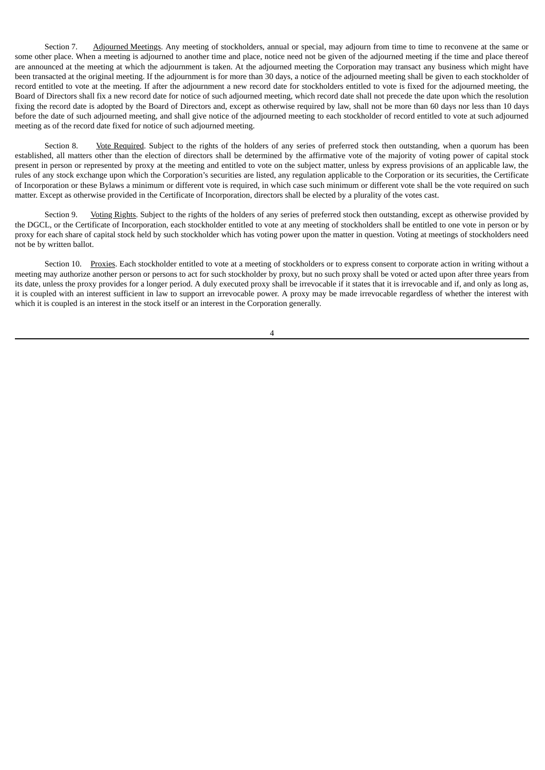Section 7. Adjourned Meetings. Any meeting of stockholders, annual or special, may adjourn from time to time to reconvene at the same or some other place. When a meeting is adjourned to another time and place, notice need not be given of the adjourned meeting if the time and place thereof are announced at the meeting at which the adjournment is taken. At the adjourned meeting the Corporation may transact any business which might have been transacted at the original meeting. If the adjournment is for more than 30 days, a notice of the adjourned meeting shall be given to each stockholder of record entitled to vote at the meeting. If after the adjournment a new record date for stockholders entitled to vote is fixed for the adjourned meeting, the Board of Directors shall fix a new record date for notice of such adjourned meeting, which record date shall not precede the date upon which the resolution fixing the record date is adopted by the Board of Directors and, except as otherwise required by law, shall not be more than 60 days nor less than 10 days before the date of such adjourned meeting, and shall give notice of the adjourned meeting to each stockholder of record entitled to vote at such adjourned meeting as of the record date fixed for notice of such adjourned meeting.

Section 8. Vote Required. Subject to the rights of the holders of any series of preferred stock then outstanding, when a quorum has been established, all matters other than the election of directors shall be determined by the affirmative vote of the majority of voting power of capital stock present in person or represented by proxy at the meeting and entitled to vote on the subject matter, unless by express provisions of an applicable law, the rules of any stock exchange upon which the Corporation's securities are listed, any regulation applicable to the Corporation or its securities, the Certificate of Incorporation or these Bylaws a minimum or different vote is required, in which case such minimum or different vote shall be the vote required on such matter. Except as otherwise provided in the Certificate of Incorporation, directors shall be elected by a plurality of the votes cast.

Section 9. Voting Rights. Subject to the rights of the holders of any series of preferred stock then outstanding, except as otherwise provided by the DGCL, or the Certificate of Incorporation, each stockholder entitled to vote at any meeting of stockholders shall be entitled to one vote in person or by proxy for each share of capital stock held by such stockholder which has voting power upon the matter in question. Voting at meetings of stockholders need not be by written ballot.

Section 10. Proxies. Each stockholder entitled to vote at a meeting of stockholders or to express consent to corporate action in writing without a meeting may authorize another person or persons to act for such stockholder by proxy, but no such proxy shall be voted or acted upon after three years from its date, unless the proxy provides for a longer period. A duly executed proxy shall be irrevocable if it states that it is irrevocable and if, and only as long as, it is coupled with an interest sufficient in law to support an irrevocable power. A proxy may be made irrevocable regardless of whether the interest with which it is coupled is an interest in the stock itself or an interest in the Corporation generally.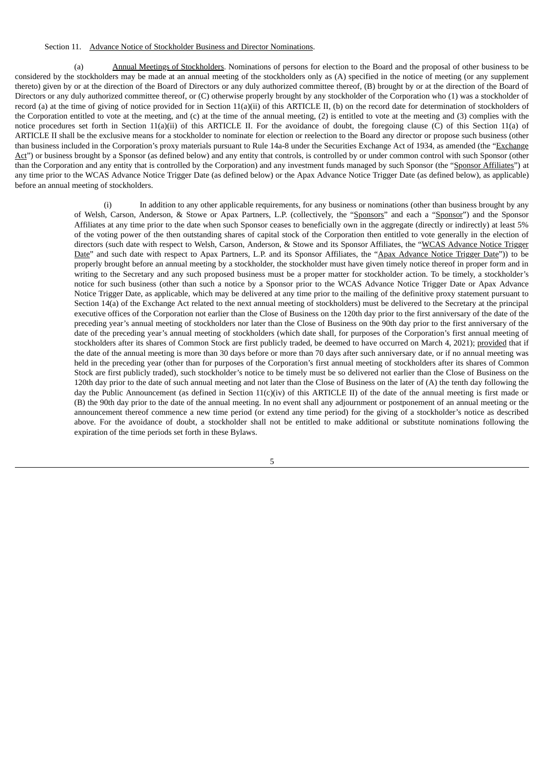## Section 11. Advance Notice of Stockholder Business and Director Nominations.

(a) Annual Meetings of Stockholders. Nominations of persons for election to the Board and the proposal of other business to be considered by the stockholders may be made at an annual meeting of the stockholders only as (A) specified in the notice of meeting (or any supplement thereto) given by or at the direction of the Board of Directors or any duly authorized committee thereof, (B) brought by or at the direction of the Board of Directors or any duly authorized committee thereof, or (C) otherwise properly brought by any stockholder of the Corporation who (1) was a stockholder of record (a) at the time of giving of notice provided for in Section 11(a)(ii) of this ARTICLE II, (b) on the record date for determination of stockholders of the Corporation entitled to vote at the meeting, and (c) at the time of the annual meeting, (2) is entitled to vote at the meeting and (3) complies with the notice procedures set forth in Section 11(a)(ii) of this ARTICLE II. For the avoidance of doubt, the foregoing clause (C) of this Section 11(a) of ARTICLE II shall be the exclusive means for a stockholder to nominate for election or reelection to the Board any director or propose such business (other than business included in the Corporation's proxy materials pursuant to Rule 14a-8 under the Securities Exchange Act of 1934, as amended (the "Exchange Act") or business brought by a Sponsor (as defined below) and any entity that controls, is controlled by or under common control with such Sponsor (other than the Corporation and any entity that is controlled by the Corporation) and any investment funds managed by such Sponsor (the "Sponsor Affiliates") at any time prior to the WCAS Advance Notice Trigger Date (as defined below) or the Apax Advance Notice Trigger Date (as defined below), as applicable) before an annual meeting of stockholders.

> (i) In addition to any other applicable requirements, for any business or nominations (other than business brought by any of Welsh, Carson, Anderson, & Stowe or Apax Partners, L.P. (collectively, the "Sponsors" and each a "Sponsor") and the Sponsor Affiliates at any time prior to the date when such Sponsor ceases to beneficially own in the aggregate (directly or indirectly) at least 5% of the voting power of the then outstanding shares of capital stock of the Corporation then entitled to vote generally in the election of directors (such date with respect to Welsh, Carson, Anderson, & Stowe and its Sponsor Affiliates, the "WCAS Advance Notice Trigger Date" and such date with respect to Apax Partners, L.P. and its Sponsor Affiliates, the "Apax Advance Notice Trigger Date")) to be properly brought before an annual meeting by a stockholder, the stockholder must have given timely notice thereof in proper form and in writing to the Secretary and any such proposed business must be a proper matter for stockholder action. To be timely, a stockholder's notice for such business (other than such a notice by a Sponsor prior to the WCAS Advance Notice Trigger Date or Apax Advance Notice Trigger Date, as applicable, which may be delivered at any time prior to the mailing of the definitive proxy statement pursuant to Section 14(a) of the Exchange Act related to the next annual meeting of stockholders) must be delivered to the Secretary at the principal executive offices of the Corporation not earlier than the Close of Business on the 120th day prior to the first anniversary of the date of the preceding year's annual meeting of stockholders nor later than the Close of Business on the 90th day prior to the first anniversary of the date of the preceding year's annual meeting of stockholders (which date shall, for purposes of the Corporation's first annual meeting of stockholders after its shares of Common Stock are first publicly traded, be deemed to have occurred on March 4, 2021); provided that if the date of the annual meeting is more than 30 days before or more than 70 days after such anniversary date, or if no annual meeting was held in the preceding year (other than for purposes of the Corporation's first annual meeting of stockholders after its shares of Common Stock are first publicly traded), such stockholder's notice to be timely must be so delivered not earlier than the Close of Business on the 120th day prior to the date of such annual meeting and not later than the Close of Business on the later of (A) the tenth day following the day the Public Announcement (as defined in Section 11(c)(iv) of this ARTICLE II) of the date of the annual meeting is first made or (B) the 90th day prior to the date of the annual meeting. In no event shall any adjournment or postponement of an annual meeting or the announcement thereof commence a new time period (or extend any time period) for the giving of a stockholder's notice as described above. For the avoidance of doubt, a stockholder shall not be entitled to make additional or substitute nominations following the expiration of the time periods set forth in these Bylaws.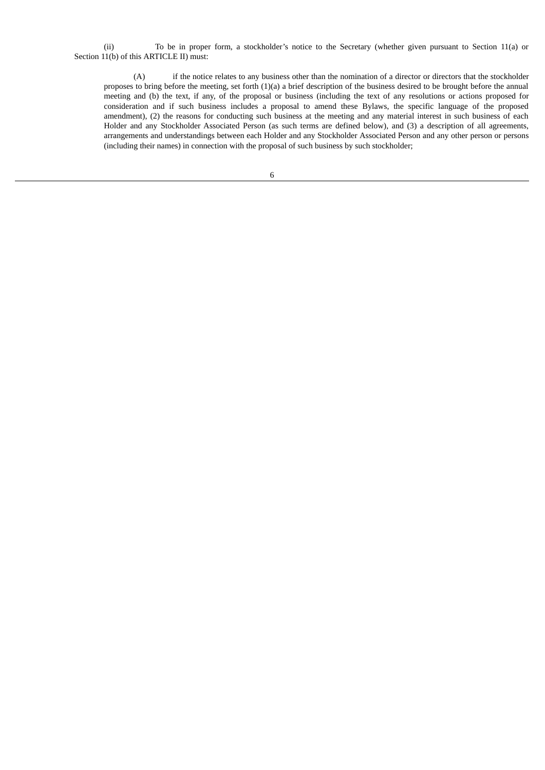(ii) To be in proper form, a stockholder's notice to the Secretary (whether given pursuant to Section 11(a) or Section 11(b) of this ARTICLE II) must:

(A) if the notice relates to any business other than the nomination of a director or directors that the stockholder proposes to bring before the meeting, set forth (1)(a) a brief description of the business desired to be brought before the annual meeting and (b) the text, if any, of the proposal or business (including the text of any resolutions or actions proposed for consideration and if such business includes a proposal to amend these Bylaws, the specific language of the proposed amendment), (2) the reasons for conducting such business at the meeting and any material interest in such business of each Holder and any Stockholder Associated Person (as such terms are defined below), and (3) a description of all agreements, arrangements and understandings between each Holder and any Stockholder Associated Person and any other person or persons (including their names) in connection with the proposal of such business by such stockholder;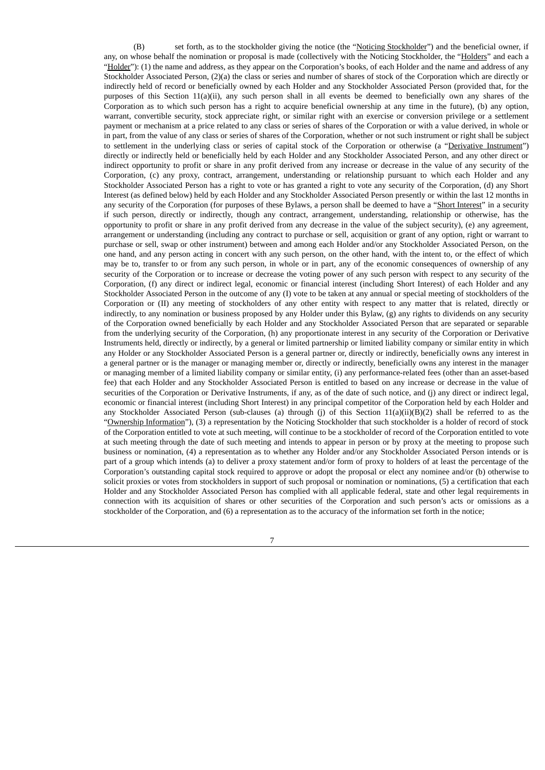(B) set forth, as to the stockholder giving the notice (the "Noticing Stockholder") and the beneficial owner, if any, on whose behalf the nomination or proposal is made (collectively with the Noticing Stockholder, the "Holders" and each a "Holder"): (1) the name and address, as they appear on the Corporation's books, of each Holder and the name and address of any Stockholder Associated Person, (2)(a) the class or series and number of shares of stock of the Corporation which are directly or indirectly held of record or beneficially owned by each Holder and any Stockholder Associated Person (provided that, for the purposes of this Section 11(a)(ii), any such person shall in all events be deemed to beneficially own any shares of the Corporation as to which such person has a right to acquire beneficial ownership at any time in the future), (b) any option, warrant, convertible security, stock appreciate right, or similar right with an exercise or conversion privilege or a settlement payment or mechanism at a price related to any class or series of shares of the Corporation or with a value derived, in whole or in part, from the value of any class or series of shares of the Corporation, whether or not such instrument or right shall be subject to settlement in the underlying class or series of capital stock of the Corporation or otherwise (a "Derivative Instrument") directly or indirectly held or beneficially held by each Holder and any Stockholder Associated Person, and any other direct or indirect opportunity to profit or share in any profit derived from any increase or decrease in the value of any security of the Corporation, (c) any proxy, contract, arrangement, understanding or relationship pursuant to which each Holder and any Stockholder Associated Person has a right to vote or has granted a right to vote any security of the Corporation, (d) any Short Interest (as defined below) held by each Holder and any Stockholder Associated Person presently or within the last 12 months in any security of the Corporation (for purposes of these Bylaws, a person shall be deemed to have a "Short Interest" in a security if such person, directly or indirectly, though any contract, arrangement, understanding, relationship or otherwise, has the opportunity to profit or share in any profit derived from any decrease in the value of the subject security), (e) any agreement, arrangement or understanding (including any contract to purchase or sell, acquisition or grant of any option, right or warrant to purchase or sell, swap or other instrument) between and among each Holder and/or any Stockholder Associated Person, on the one hand, and any person acting in concert with any such person, on the other hand, with the intent to, or the effect of which may be to, transfer to or from any such person, in whole or in part, any of the economic consequences of ownership of any security of the Corporation or to increase or decrease the voting power of any such person with respect to any security of the Corporation, (f) any direct or indirect legal, economic or financial interest (including Short Interest) of each Holder and any Stockholder Associated Person in the outcome of any (I) vote to be taken at any annual or special meeting of stockholders of the Corporation or (II) any meeting of stockholders of any other entity with respect to any matter that is related, directly or indirectly, to any nomination or business proposed by any Holder under this Bylaw, (g) any rights to dividends on any security of the Corporation owned beneficially by each Holder and any Stockholder Associated Person that are separated or separable from the underlying security of the Corporation, (h) any proportionate interest in any security of the Corporation or Derivative Instruments held, directly or indirectly, by a general or limited partnership or limited liability company or similar entity in which any Holder or any Stockholder Associated Person is a general partner or, directly or indirectly, beneficially owns any interest in a general partner or is the manager or managing member or, directly or indirectly, beneficially owns any interest in the manager or managing member of a limited liability company or similar entity, (i) any performance-related fees (other than an asset-based fee) that each Holder and any Stockholder Associated Person is entitled to based on any increase or decrease in the value of securities of the Corporation or Derivative Instruments, if any, as of the date of such notice, and (j) any direct or indirect legal, economic or financial interest (including Short Interest) in any principal competitor of the Corporation held by each Holder and any Stockholder Associated Person (sub-clauses (a) through (j) of this Section  $11(a)(ii)(B)(2)$  shall be referred to as the "Ownership Information"), (3) a representation by the Noticing Stockholder that such stockholder is a holder of record of stock of the Corporation entitled to vote at such meeting, will continue to be a stockholder of record of the Corporation entitled to vote at such meeting through the date of such meeting and intends to appear in person or by proxy at the meeting to propose such business or nomination, (4) a representation as to whether any Holder and/or any Stockholder Associated Person intends or is part of a group which intends (a) to deliver a proxy statement and/or form of proxy to holders of at least the percentage of the Corporation's outstanding capital stock required to approve or adopt the proposal or elect any nominee and/or (b) otherwise to solicit proxies or votes from stockholders in support of such proposal or nomination or nominations, (5) a certification that each Holder and any Stockholder Associated Person has complied with all applicable federal, state and other legal requirements in connection with its acquisition of shares or other securities of the Corporation and such person's acts or omissions as a stockholder of the Corporation, and (6) a representation as to the accuracy of the information set forth in the notice;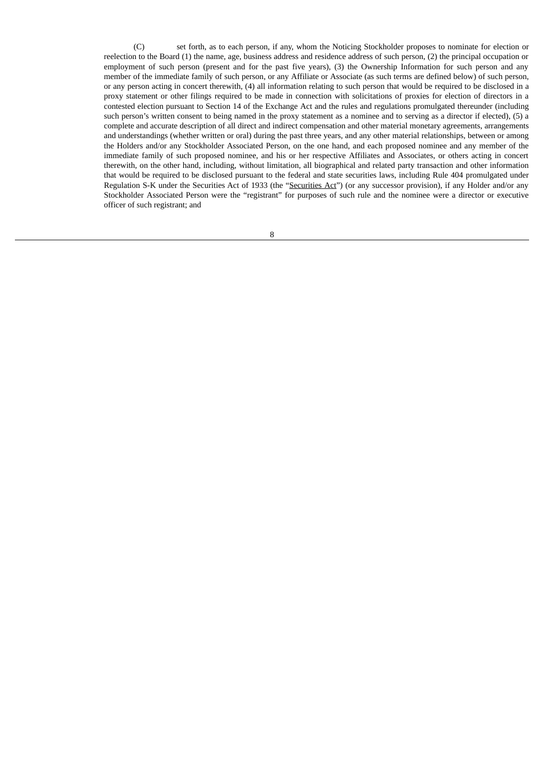(C) set forth, as to each person, if any, whom the Noticing Stockholder proposes to nominate for election or reelection to the Board (1) the name, age, business address and residence address of such person, (2) the principal occupation or employment of such person (present and for the past five years), (3) the Ownership Information for such person and any member of the immediate family of such person, or any Affiliate or Associate (as such terms are defined below) of such person, or any person acting in concert therewith, (4) all information relating to such person that would be required to be disclosed in a proxy statement or other filings required to be made in connection with solicitations of proxies for election of directors in a contested election pursuant to Section 14 of the Exchange Act and the rules and regulations promulgated thereunder (including such person's written consent to being named in the proxy statement as a nominee and to serving as a director if elected), (5) a complete and accurate description of all direct and indirect compensation and other material monetary agreements, arrangements and understandings (whether written or oral) during the past three years, and any other material relationships, between or among the Holders and/or any Stockholder Associated Person, on the one hand, and each proposed nominee and any member of the immediate family of such proposed nominee, and his or her respective Affiliates and Associates, or others acting in concert therewith, on the other hand, including, without limitation, all biographical and related party transaction and other information that would be required to be disclosed pursuant to the federal and state securities laws, including Rule 404 promulgated under Regulation S-K under the Securities Act of 1933 (the "Securities Act") (or any successor provision), if any Holder and/or any Stockholder Associated Person were the "registrant" for purposes of such rule and the nominee were a director or executive officer of such registrant; and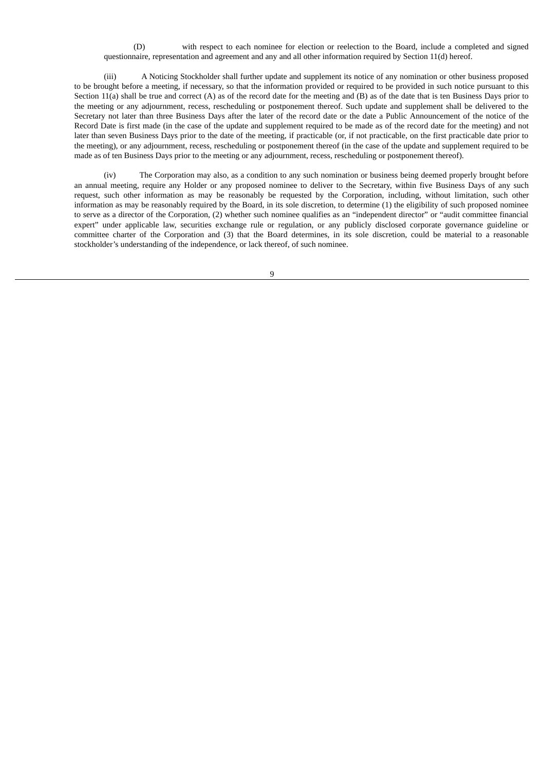(D) with respect to each nominee for election or reelection to the Board, include a completed and signed questionnaire, representation and agreement and any and all other information required by Section 11(d) hereof.

(iii) A Noticing Stockholder shall further update and supplement its notice of any nomination or other business proposed to be brought before a meeting, if necessary, so that the information provided or required to be provided in such notice pursuant to this Section 11(a) shall be true and correct (A) as of the record date for the meeting and (B) as of the date that is ten Business Days prior to the meeting or any adjournment, recess, rescheduling or postponement thereof. Such update and supplement shall be delivered to the Secretary not later than three Business Days after the later of the record date or the date a Public Announcement of the notice of the Record Date is first made (in the case of the update and supplement required to be made as of the record date for the meeting) and not later than seven Business Days prior to the date of the meeting, if practicable (or, if not practicable, on the first practicable date prior to the meeting), or any adjournment, recess, rescheduling or postponement thereof (in the case of the update and supplement required to be made as of ten Business Days prior to the meeting or any adjournment, recess, rescheduling or postponement thereof).

(iv) The Corporation may also, as a condition to any such nomination or business being deemed properly brought before an annual meeting, require any Holder or any proposed nominee to deliver to the Secretary, within five Business Days of any such request, such other information as may be reasonably be requested by the Corporation, including, without limitation, such other information as may be reasonably required by the Board, in its sole discretion, to determine (1) the eligibility of such proposed nominee to serve as a director of the Corporation, (2) whether such nominee qualifies as an "independent director" or "audit committee financial expert" under applicable law, securities exchange rule or regulation, or any publicly disclosed corporate governance guideline or committee charter of the Corporation and (3) that the Board determines, in its sole discretion, could be material to a reasonable stockholder's understanding of the independence, or lack thereof, of such nominee.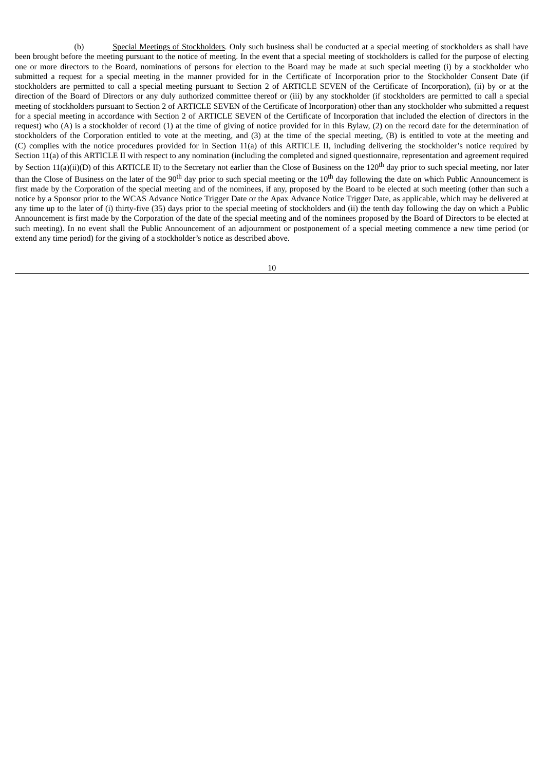(b) Special Meetings of Stockholders. Only such business shall be conducted at a special meeting of stockholders as shall have been brought before the meeting pursuant to the notice of meeting. In the event that a special meeting of stockholders is called for the purpose of electing one or more directors to the Board, nominations of persons for election to the Board may be made at such special meeting (i) by a stockholder who submitted a request for a special meeting in the manner provided for in the Certificate of Incorporation prior to the Stockholder Consent Date (if stockholders are permitted to call a special meeting pursuant to Section 2 of ARTICLE SEVEN of the Certificate of Incorporation), (ii) by or at the direction of the Board of Directors or any duly authorized committee thereof or (iii) by any stockholder (if stockholders are permitted to call a special meeting of stockholders pursuant to Section 2 of ARTICLE SEVEN of the Certificate of Incorporation) other than any stockholder who submitted a request for a special meeting in accordance with Section 2 of ARTICLE SEVEN of the Certificate of Incorporation that included the election of directors in the request) who (A) is a stockholder of record (1) at the time of giving of notice provided for in this Bylaw, (2) on the record date for the determination of stockholders of the Corporation entitled to vote at the meeting, and (3) at the time of the special meeting, (B) is entitled to vote at the meeting and (C) complies with the notice procedures provided for in Section 11(a) of this ARTICLE II, including delivering the stockholder's notice required by Section 11(a) of this ARTICLE II with respect to any nomination (including the completed and signed questionnaire, representation and agreement required by Section 11(a)(ii)(D) of this ARTICLE II) to the Secretary not earlier than the Close of Business on the 120<sup>th</sup> day prior to such special meeting, nor later than the Close of Business on the later of the 90<sup>th</sup> day prior to such special meeting or the 10<sup>th</sup> day following the date on which Public Announcement is first made by the Corporation of the special meeting and of the nominees, if any, proposed by the Board to be elected at such meeting (other than such a notice by a Sponsor prior to the WCAS Advance Notice Trigger Date or the Apax Advance Notice Trigger Date, as applicable, which may be delivered at any time up to the later of (i) thirty-five (35) days prior to the special meeting of stockholders and (ii) the tenth day following the day on which a Public Announcement is first made by the Corporation of the date of the special meeting and of the nominees proposed by the Board of Directors to be elected at such meeting). In no event shall the Public Announcement of an adjournment or postponement of a special meeting commence a new time period (or extend any time period) for the giving of a stockholder's notice as described above.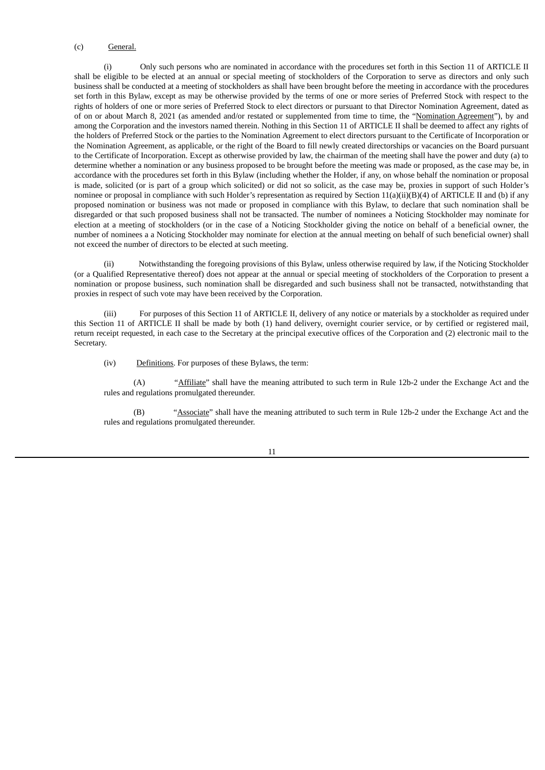# (c) General.

(i) Only such persons who are nominated in accordance with the procedures set forth in this Section 11 of ARTICLE II shall be eligible to be elected at an annual or special meeting of stockholders of the Corporation to serve as directors and only such business shall be conducted at a meeting of stockholders as shall have been brought before the meeting in accordance with the procedures set forth in this Bylaw, except as may be otherwise provided by the terms of one or more series of Preferred Stock with respect to the rights of holders of one or more series of Preferred Stock to elect directors or pursuant to that Director Nomination Agreement, dated as of on or about March 8, 2021 (as amended and/or restated or supplemented from time to time, the "Nomination Agreement"), by and among the Corporation and the investors named therein. Nothing in this Section 11 of ARTICLE II shall be deemed to affect any rights of the holders of Preferred Stock or the parties to the Nomination Agreement to elect directors pursuant to the Certificate of Incorporation or the Nomination Agreement, as applicable, or the right of the Board to fill newly created directorships or vacancies on the Board pursuant to the Certificate of Incorporation. Except as otherwise provided by law, the chairman of the meeting shall have the power and duty (a) to determine whether a nomination or any business proposed to be brought before the meeting was made or proposed, as the case may be, in accordance with the procedures set forth in this Bylaw (including whether the Holder, if any, on whose behalf the nomination or proposal is made, solicited (or is part of a group which solicited) or did not so solicit, as the case may be, proxies in support of such Holder's nominee or proposal in compliance with such Holder's representation as required by Section  $11(a)(ii)(B)(4)$  of ARTICLE II and (b) if any proposed nomination or business was not made or proposed in compliance with this Bylaw, to declare that such nomination shall be disregarded or that such proposed business shall not be transacted. The number of nominees a Noticing Stockholder may nominate for election at a meeting of stockholders (or in the case of a Noticing Stockholder giving the notice on behalf of a beneficial owner, the number of nominees a a Noticing Stockholder may nominate for election at the annual meeting on behalf of such beneficial owner) shall not exceed the number of directors to be elected at such meeting.

(ii) Notwithstanding the foregoing provisions of this Bylaw, unless otherwise required by law, if the Noticing Stockholder (or a Qualified Representative thereof) does not appear at the annual or special meeting of stockholders of the Corporation to present a nomination or propose business, such nomination shall be disregarded and such business shall not be transacted, notwithstanding that proxies in respect of such vote may have been received by the Corporation.

(iii) For purposes of this Section 11 of ARTICLE II, delivery of any notice or materials by a stockholder as required under this Section 11 of ARTICLE II shall be made by both (1) hand delivery, overnight courier service, or by certified or registered mail, return receipt requested, in each case to the Secretary at the principal executive offices of the Corporation and (2) electronic mail to the Secretary.

(iv) Definitions. For purposes of these Bylaws, the term:

(A) "Affiliate" shall have the meaning attributed to such term in Rule 12b-2 under the Exchange Act and the rules and regulations promulgated thereunder.

(B) "Associate" shall have the meaning attributed to such term in Rule 12b-2 under the Exchange Act and the rules and regulations promulgated thereunder.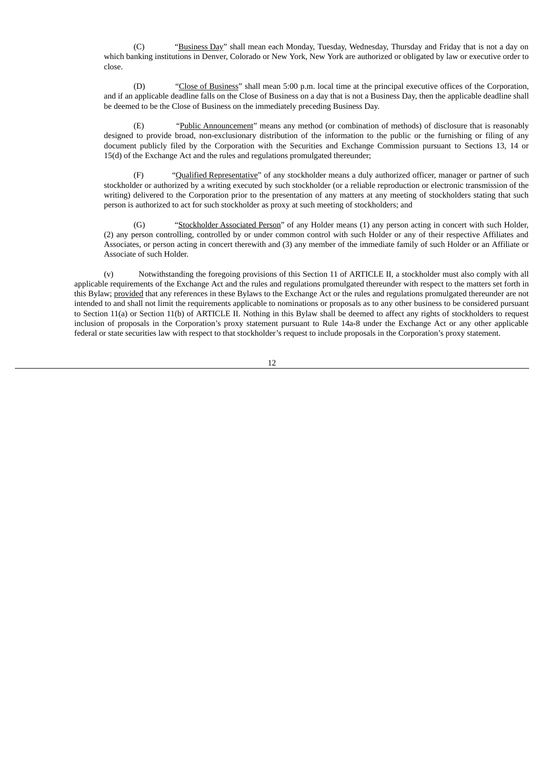(C) "Business Day" shall mean each Monday, Tuesday, Wednesday, Thursday and Friday that is not a day on which banking institutions in Denver, Colorado or New York, New York are authorized or obligated by law or executive order to close.

(D) "Close of Business" shall mean 5:00 p.m. local time at the principal executive offices of the Corporation, and if an applicable deadline falls on the Close of Business on a day that is not a Business Day, then the applicable deadline shall be deemed to be the Close of Business on the immediately preceding Business Day.

(E) "Public Announcement" means any method (or combination of methods) of disclosure that is reasonably designed to provide broad, non-exclusionary distribution of the information to the public or the furnishing or filing of any document publicly filed by the Corporation with the Securities and Exchange Commission pursuant to Sections 13, 14 or 15(d) of the Exchange Act and the rules and regulations promulgated thereunder;

(F) "Qualified Representative" of any stockholder means a duly authorized officer, manager or partner of such stockholder or authorized by a writing executed by such stockholder (or a reliable reproduction or electronic transmission of the writing) delivered to the Corporation prior to the presentation of any matters at any meeting of stockholders stating that such person is authorized to act for such stockholder as proxy at such meeting of stockholders; and

"Stockholder Associated Person" of any Holder means (1) any person acting in concert with such Holder, (2) any person controlling, controlled by or under common control with such Holder or any of their respective Affiliates and Associates, or person acting in concert therewith and (3) any member of the immediate family of such Holder or an Affiliate or Associate of such Holder.

(v) Notwithstanding the foregoing provisions of this Section 11 of ARTICLE II, a stockholder must also comply with all applicable requirements of the Exchange Act and the rules and regulations promulgated thereunder with respect to the matters set forth in this Bylaw; provided that any references in these Bylaws to the Exchange Act or the rules and regulations promulgated thereunder are not intended to and shall not limit the requirements applicable to nominations or proposals as to any other business to be considered pursuant to Section 11(a) or Section 11(b) of ARTICLE II. Nothing in this Bylaw shall be deemed to affect any rights of stockholders to request inclusion of proposals in the Corporation's proxy statement pursuant to Rule 14a-8 under the Exchange Act or any other applicable federal or state securities law with respect to that stockholder's request to include proposals in the Corporation's proxy statement.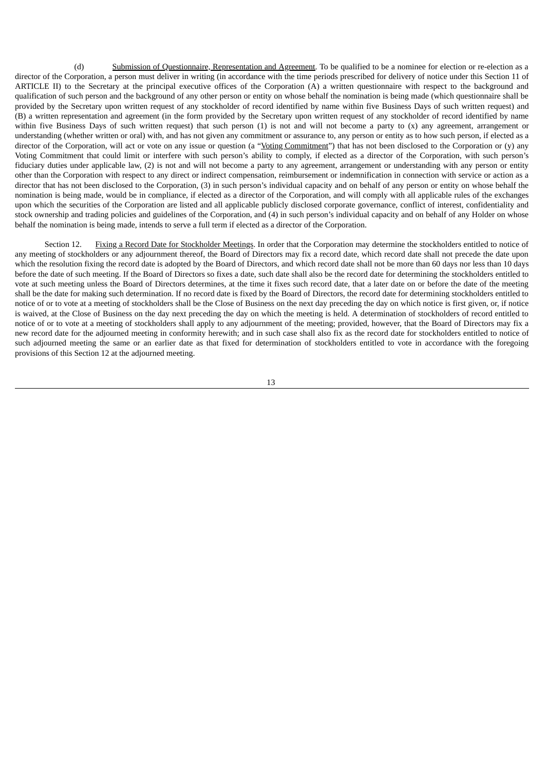(d) Submission of Questionnaire, Representation and Agreement. To be qualified to be a nominee for election or re-election as a director of the Corporation, a person must deliver in writing (in accordance with the time periods prescribed for delivery of notice under this Section 11 of ARTICLE II) to the Secretary at the principal executive offices of the Corporation (A) a written questionnaire with respect to the background and qualification of such person and the background of any other person or entity on whose behalf the nomination is being made (which questionnaire shall be provided by the Secretary upon written request of any stockholder of record identified by name within five Business Days of such written request) and (B) a written representation and agreement (in the form provided by the Secretary upon written request of any stockholder of record identified by name within five Business Days of such written request) that such person (1) is not and will not become a party to (x) any agreement, arrangement or understanding (whether written or oral) with, and has not given any commitment or assurance to, any person or entity as to how such person, if elected as a director of the Corporation, will act or vote on any issue or question (a "Voting Commitment") that has not been disclosed to the Corporation or (y) any Voting Commitment that could limit or interfere with such person's ability to comply, if elected as a director of the Corporation, with such person's fiduciary duties under applicable law, (2) is not and will not become a party to any agreement, arrangement or understanding with any person or entity other than the Corporation with respect to any direct or indirect compensation, reimbursement or indemnification in connection with service or action as a director that has not been disclosed to the Corporation, (3) in such person's individual capacity and on behalf of any person or entity on whose behalf the nomination is being made, would be in compliance, if elected as a director of the Corporation, and will comply with all applicable rules of the exchanges upon which the securities of the Corporation are listed and all applicable publicly disclosed corporate governance, conflict of interest, confidentiality and stock ownership and trading policies and guidelines of the Corporation, and (4) in such person's individual capacity and on behalf of any Holder on whose behalf the nomination is being made, intends to serve a full term if elected as a director of the Corporation.

Section 12. Fixing a Record Date for Stockholder Meetings. In order that the Corporation may determine the stockholders entitled to notice of any meeting of stockholders or any adjournment thereof, the Board of Directors may fix a record date, which record date shall not precede the date upon which the resolution fixing the record date is adopted by the Board of Directors, and which record date shall not be more than 60 days nor less than 10 days before the date of such meeting. If the Board of Directors so fixes a date, such date shall also be the record date for determining the stockholders entitled to vote at such meeting unless the Board of Directors determines, at the time it fixes such record date, that a later date on or before the date of the meeting shall be the date for making such determination. If no record date is fixed by the Board of Directors, the record date for determining stockholders entitled to notice of or to vote at a meeting of stockholders shall be the Close of Business on the next day preceding the day on which notice is first given, or, if notice is waived, at the Close of Business on the day next preceding the day on which the meeting is held. A determination of stockholders of record entitled to notice of or to vote at a meeting of stockholders shall apply to any adjournment of the meeting; provided, however, that the Board of Directors may fix a new record date for the adjourned meeting in conformity herewith; and in such case shall also fix as the record date for stockholders entitled to notice of such adjourned meeting the same or an earlier date as that fixed for determination of stockholders entitled to vote in accordance with the foregoing provisions of this Section 12 at the adjourned meeting.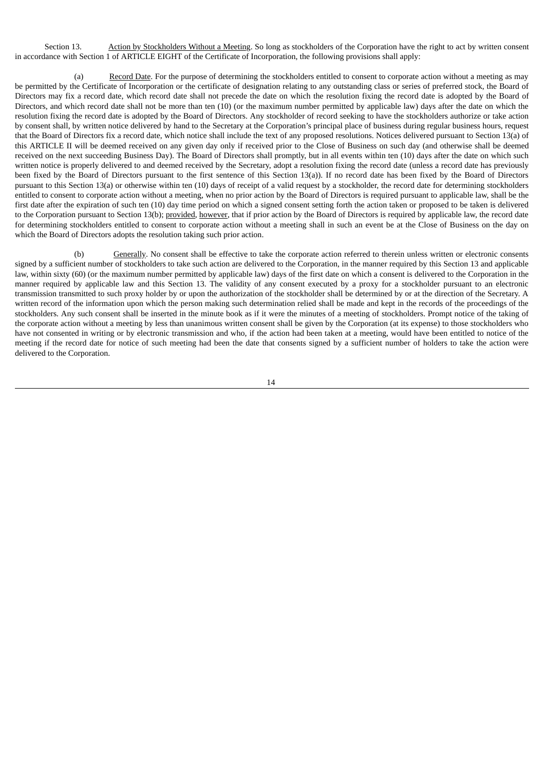Section 13. Action by Stockholders Without a Meeting. So long as stockholders of the Corporation have the right to act by written consent in accordance with Section 1 of ARTICLE EIGHT of the Certificate of Incorporation, the following provisions shall apply:

Record Date. For the purpose of determining the stockholders entitled to consent to corporate action without a meeting as may be permitted by the Certificate of Incorporation or the certificate of designation relating to any outstanding class or series of preferred stock, the Board of Directors may fix a record date, which record date shall not precede the date on which the resolution fixing the record date is adopted by the Board of Directors, and which record date shall not be more than ten (10) (or the maximum number permitted by applicable law) days after the date on which the resolution fixing the record date is adopted by the Board of Directors. Any stockholder of record seeking to have the stockholders authorize or take action by consent shall, by written notice delivered by hand to the Secretary at the Corporation's principal place of business during regular business hours, request that the Board of Directors fix a record date, which notice shall include the text of any proposed resolutions. Notices delivered pursuant to Section 13(a) of this ARTICLE II will be deemed received on any given day only if received prior to the Close of Business on such day (and otherwise shall be deemed received on the next succeeding Business Day). The Board of Directors shall promptly, but in all events within ten (10) days after the date on which such written notice is properly delivered to and deemed received by the Secretary, adopt a resolution fixing the record date (unless a record date has previously been fixed by the Board of Directors pursuant to the first sentence of this Section 13(a)). If no record date has been fixed by the Board of Directors pursuant to this Section 13(a) or otherwise within ten (10) days of receipt of a valid request by a stockholder, the record date for determining stockholders entitled to consent to corporate action without a meeting, when no prior action by the Board of Directors is required pursuant to applicable law, shall be the first date after the expiration of such ten (10) day time period on which a signed consent setting forth the action taken or proposed to be taken is delivered to the Corporation pursuant to Section 13(b); provided, however, that if prior action by the Board of Directors is required by applicable law, the record date for determining stockholders entitled to consent to corporate action without a meeting shall in such an event be at the Close of Business on the day on which the Board of Directors adopts the resolution taking such prior action.

(b) Generally. No consent shall be effective to take the corporate action referred to therein unless written or electronic consents signed by a sufficient number of stockholders to take such action are delivered to the Corporation, in the manner required by this Section 13 and applicable law, within sixty (60) (or the maximum number permitted by applicable law) days of the first date on which a consent is delivered to the Corporation in the manner required by applicable law and this Section 13. The validity of any consent executed by a proxy for a stockholder pursuant to an electronic transmission transmitted to such proxy holder by or upon the authorization of the stockholder shall be determined by or at the direction of the Secretary. A written record of the information upon which the person making such determination relied shall be made and kept in the records of the proceedings of the stockholders. Any such consent shall be inserted in the minute book as if it were the minutes of a meeting of stockholders. Prompt notice of the taking of the corporate action without a meeting by less than unanimous written consent shall be given by the Corporation (at its expense) to those stockholders who have not consented in writing or by electronic transmission and who, if the action had been taken at a meeting, would have been entitled to notice of the meeting if the record date for notice of such meeting had been the date that consents signed by a sufficient number of holders to take the action were delivered to the Corporation.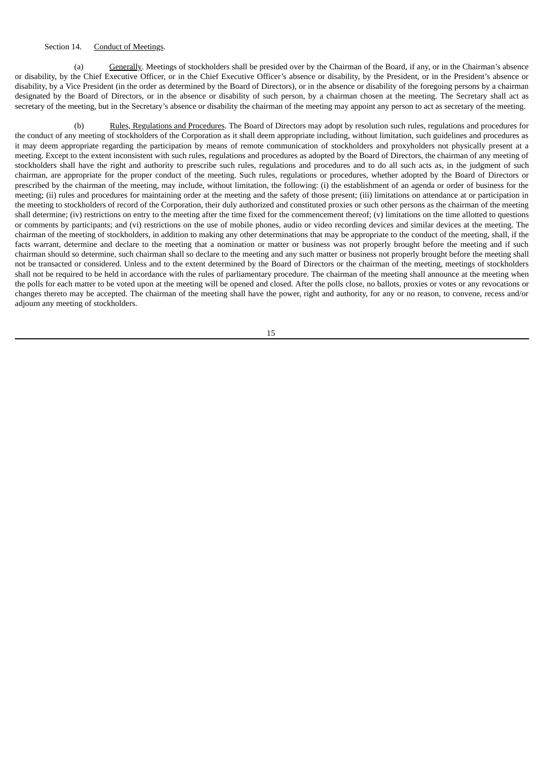## Section 14. Conduct of Meetings.

(a) Generally. Meetings of stockholders shall be presided over by the Chairman of the Board, if any, or in the Chairman's absence or disability, by the Chief Executive Officer, or in the Chief Executive Officer's absence or disability, by the President, or in the President's absence or disability, by a Vice President (in the order as determined by the Board of Directors), or in the absence or disability of the foregoing persons by a chairman designated by the Board of Directors, or in the absence or disability of such person, by a chairman chosen at the meeting. The Secretary shall act as secretary of the meeting, but in the Secretary's absence or disability the chairman of the meeting may appoint any person to act as secretary of the meeting.

(b) Rules, Regulations and Procedures. The Board of Directors may adopt by resolution such rules, regulations and procedures for the conduct of any meeting of stockholders of the Corporation as it shall deem appropriate including, without limitation, such guidelines and procedures as it may deem appropriate regarding the participation by means of remote communication of stockholders and proxyholders not physically present at a meeting. Except to the extent inconsistent with such rules, regulations and procedures as adopted by the Board of Directors, the chairman of any meeting of stockholders shall have the right and authority to prescribe such rules, regulations and procedures and to do all such acts as, in the judgment of such chairman, are appropriate for the proper conduct of the meeting. Such rules, regulations or procedures, whether adopted by the Board of Directors or prescribed by the chairman of the meeting, may include, without limitation, the following: (i) the establishment of an agenda or order of business for the meeting; (ii) rules and procedures for maintaining order at the meeting and the safety of those present; (iii) limitations on attendance at or participation in the meeting to stockholders of record of the Corporation, their duly authorized and constituted proxies or such other persons as the chairman of the meeting shall determine; (iv) restrictions on entry to the meeting after the time fixed for the commencement thereof; (v) limitations on the time allotted to questions or comments by participants; and (vi) restrictions on the use of mobile phones, audio or video recording devices and similar devices at the meeting. The chairman of the meeting of stockholders, in addition to making any other determinations that may be appropriate to the conduct of the meeting, shall, if the facts warrant, determine and declare to the meeting that a nomination or matter or business was not properly brought before the meeting and if such chairman should so determine, such chairman shall so declare to the meeting and any such matter or business not properly brought before the meeting shall not be transacted or considered. Unless and to the extent determined by the Board of Directors or the chairman of the meeting, meetings of stockholders shall not be required to be held in accordance with the rules of parliamentary procedure. The chairman of the meeting shall announce at the meeting when the polls for each matter to be voted upon at the meeting will be opened and closed. After the polls close, no ballots, proxies or votes or any revocations or changes thereto may be accepted. The chairman of the meeting shall have the power, right and authority, for any or no reason, to convene, recess and/or adjourn any meeting of stockholders.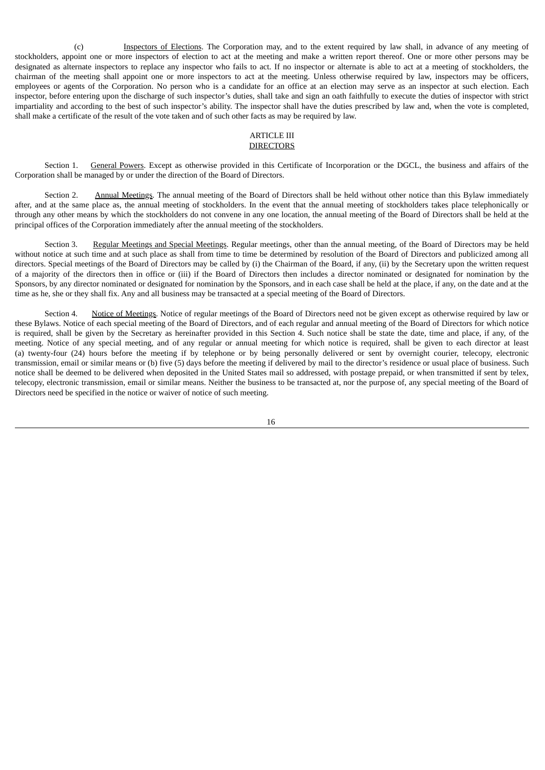(c) Inspectors of Elections. The Corporation may, and to the extent required by law shall, in advance of any meeting of stockholders, appoint one or more inspectors of election to act at the meeting and make a written report thereof. One or more other persons may be designated as alternate inspectors to replace any inspector who fails to act. If no inspector or alternate is able to act at a meeting of stockholders, the chairman of the meeting shall appoint one or more inspectors to act at the meeting. Unless otherwise required by law, inspectors may be officers, employees or agents of the Corporation. No person who is a candidate for an office at an election may serve as an inspector at such election. Each inspector, before entering upon the discharge of such inspector's duties, shall take and sign an oath faithfully to execute the duties of inspector with strict impartiality and according to the best of such inspector's ability. The inspector shall have the duties prescribed by law and, when the vote is completed, shall make a certificate of the result of the vote taken and of such other facts as may be required by law.

## ARTICLE III **DIRECTORS**

Section 1. General Powers. Except as otherwise provided in this Certificate of Incorporation or the DGCL, the business and affairs of the Corporation shall be managed by or under the direction of the Board of Directors.

Section 2. Annual Meetings. The annual meeting of the Board of Directors shall be held without other notice than this Bylaw immediately after, and at the same place as, the annual meeting of stockholders. In the event that the annual meeting of stockholders takes place telephonically or through any other means by which the stockholders do not convene in any one location, the annual meeting of the Board of Directors shall be held at the principal offices of the Corporation immediately after the annual meeting of the stockholders.

Section 3. Regular Meetings and Special Meetings. Regular meetings, other than the annual meeting, of the Board of Directors may be held without notice at such time and at such place as shall from time to time be determined by resolution of the Board of Directors and publicized among all directors. Special meetings of the Board of Directors may be called by (i) the Chairman of the Board, if any, (ii) by the Secretary upon the written request of a majority of the directors then in office or (iii) if the Board of Directors then includes a director nominated or designated for nomination by the Sponsors, by any director nominated or designated for nomination by the Sponsors, and in each case shall be held at the place, if any, on the date and at the time as he, she or they shall fix. Any and all business may be transacted at a special meeting of the Board of Directors.

Section 4. Notice of Meetings. Notice of regular meetings of the Board of Directors need not be given except as otherwise required by law or these Bylaws. Notice of each special meeting of the Board of Directors, and of each regular and annual meeting of the Board of Directors for which notice is required, shall be given by the Secretary as hereinafter provided in this Section 4. Such notice shall be state the date, time and place, if any, of the meeting. Notice of any special meeting, and of any regular or annual meeting for which notice is required, shall be given to each director at least (a) twenty-four (24) hours before the meeting if by telephone or by being personally delivered or sent by overnight courier, telecopy, electronic transmission, email or similar means or (b) five (5) days before the meeting if delivered by mail to the director's residence or usual place of business. Such notice shall be deemed to be delivered when deposited in the United States mail so addressed, with postage prepaid, or when transmitted if sent by telex, telecopy, electronic transmission, email or similar means. Neither the business to be transacted at, nor the purpose of, any special meeting of the Board of Directors need be specified in the notice or waiver of notice of such meeting.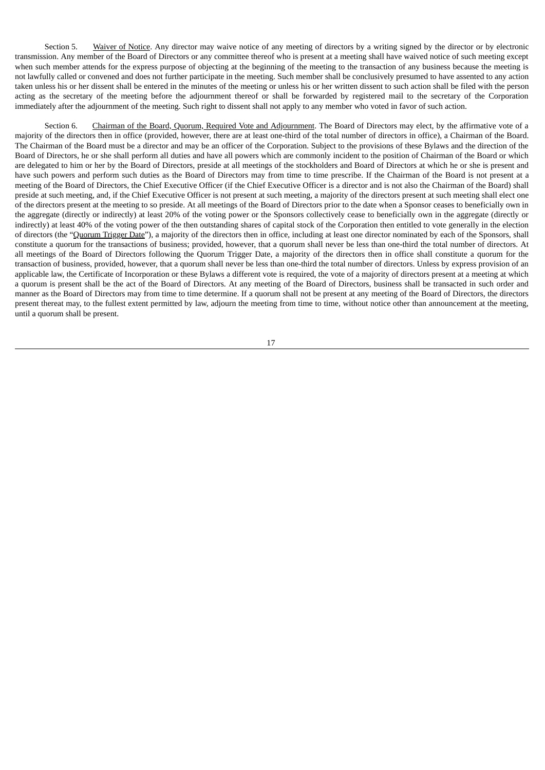Section 5. Waiver of Notice. Any director may waive notice of any meeting of directors by a writing signed by the director or by electronic transmission. Any member of the Board of Directors or any committee thereof who is present at a meeting shall have waived notice of such meeting except when such member attends for the express purpose of objecting at the beginning of the meeting to the transaction of any business because the meeting is not lawfully called or convened and does not further participate in the meeting. Such member shall be conclusively presumed to have assented to any action taken unless his or her dissent shall be entered in the minutes of the meeting or unless his or her written dissent to such action shall be filed with the person acting as the secretary of the meeting before the adjournment thereof or shall be forwarded by registered mail to the secretary of the Corporation immediately after the adjournment of the meeting. Such right to dissent shall not apply to any member who voted in favor of such action.

Section 6. Chairman of the Board, Quorum, Required Vote and Adjournment. The Board of Directors may elect, by the affirmative vote of a majority of the directors then in office (provided, however, there are at least one-third of the total number of directors in office), a Chairman of the Board. The Chairman of the Board must be a director and may be an officer of the Corporation. Subject to the provisions of these Bylaws and the direction of the Board of Directors, he or she shall perform all duties and have all powers which are commonly incident to the position of Chairman of the Board or which are delegated to him or her by the Board of Directors, preside at all meetings of the stockholders and Board of Directors at which he or she is present and have such powers and perform such duties as the Board of Directors may from time to time prescribe. If the Chairman of the Board is not present at a meeting of the Board of Directors, the Chief Executive Officer (if the Chief Executive Officer is a director and is not also the Chairman of the Board) shall preside at such meeting, and, if the Chief Executive Officer is not present at such meeting, a majority of the directors present at such meeting shall elect one of the directors present at the meeting to so preside. At all meetings of the Board of Directors prior to the date when a Sponsor ceases to beneficially own in the aggregate (directly or indirectly) at least 20% of the voting power or the Sponsors collectively cease to beneficially own in the aggregate (directly or indirectly) at least 40% of the voting power of the then outstanding shares of capital stock of the Corporation then entitled to vote generally in the election of directors (the "Quorum Trigger Date"), a majority of the directors then in office, including at least one director nominated by each of the Sponsors, shall constitute a quorum for the transactions of business; provided, however, that a quorum shall never be less than one-third the total number of directors. At all meetings of the Board of Directors following the Quorum Trigger Date, a majority of the directors then in office shall constitute a quorum for the transaction of business, provided, however, that a quorum shall never be less than one-third the total number of directors. Unless by express provision of an applicable law, the Certificate of Incorporation or these Bylaws a different vote is required, the vote of a majority of directors present at a meeting at which a quorum is present shall be the act of the Board of Directors. At any meeting of the Board of Directors, business shall be transacted in such order and manner as the Board of Directors may from time to time determine. If a quorum shall not be present at any meeting of the Board of Directors, the directors present thereat may, to the fullest extent permitted by law, adjourn the meeting from time to time, without notice other than announcement at the meeting, until a quorum shall be present.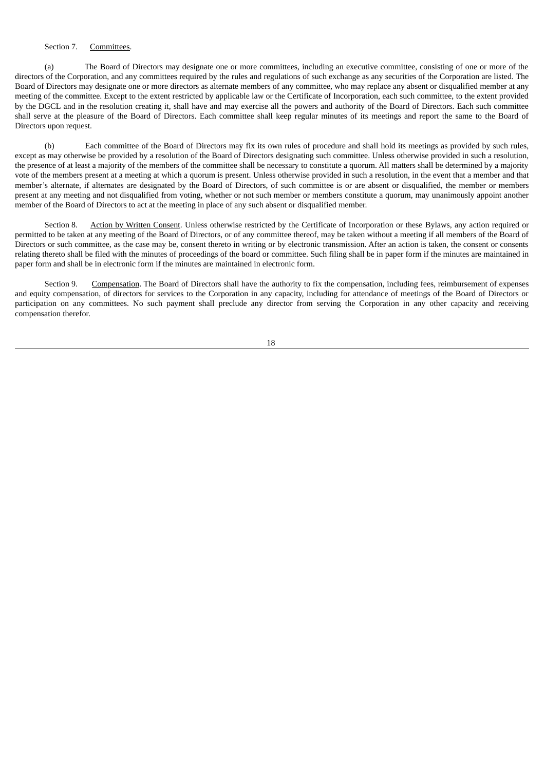## Section 7. Committees.

(a) The Board of Directors may designate one or more committees, including an executive committee, consisting of one or more of the directors of the Corporation, and any committees required by the rules and regulations of such exchange as any securities of the Corporation are listed. The Board of Directors may designate one or more directors as alternate members of any committee, who may replace any absent or disqualified member at any meeting of the committee. Except to the extent restricted by applicable law or the Certificate of Incorporation, each such committee, to the extent provided by the DGCL and in the resolution creating it, shall have and may exercise all the powers and authority of the Board of Directors. Each such committee shall serve at the pleasure of the Board of Directors. Each committee shall keep regular minutes of its meetings and report the same to the Board of Directors upon request.

(b) Each committee of the Board of Directors may fix its own rules of procedure and shall hold its meetings as provided by such rules, except as may otherwise be provided by a resolution of the Board of Directors designating such committee. Unless otherwise provided in such a resolution, the presence of at least a majority of the members of the committee shall be necessary to constitute a quorum. All matters shall be determined by a majority vote of the members present at a meeting at which a quorum is present. Unless otherwise provided in such a resolution, in the event that a member and that member's alternate, if alternates are designated by the Board of Directors, of such committee is or are absent or disqualified, the member or members present at any meeting and not disqualified from voting, whether or not such member or members constitute a quorum, may unanimously appoint another member of the Board of Directors to act at the meeting in place of any such absent or disqualified member.

Section 8. Action by Written Consent. Unless otherwise restricted by the Certificate of Incorporation or these Bylaws, any action required or permitted to be taken at any meeting of the Board of Directors, or of any committee thereof, may be taken without a meeting if all members of the Board of Directors or such committee, as the case may be, consent thereto in writing or by electronic transmission. After an action is taken, the consent or consents relating thereto shall be filed with the minutes of proceedings of the board or committee. Such filing shall be in paper form if the minutes are maintained in paper form and shall be in electronic form if the minutes are maintained in electronic form.

Section 9. Compensation. The Board of Directors shall have the authority to fix the compensation, including fees, reimbursement of expenses and equity compensation, of directors for services to the Corporation in any capacity, including for attendance of meetings of the Board of Directors or participation on any committees. No such payment shall preclude any director from serving the Corporation in any other capacity and receiving compensation therefor.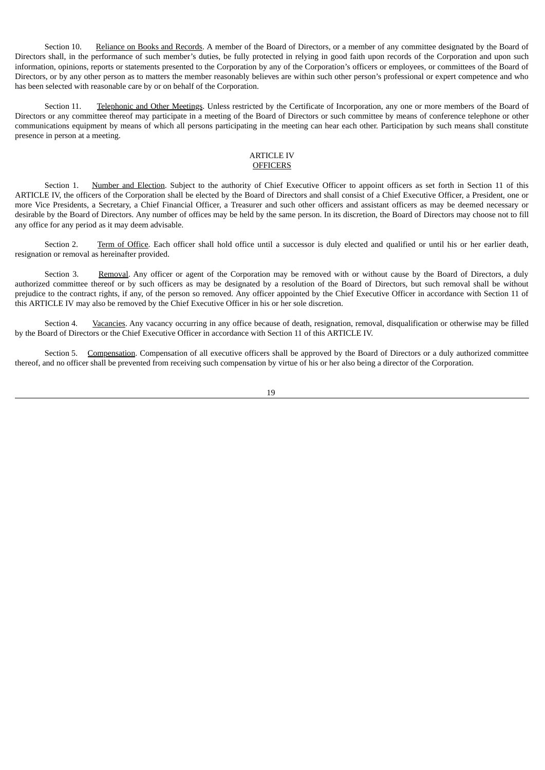Section 10. Reliance on Books and Records. A member of the Board of Directors, or a member of any committee designated by the Board of Directors shall, in the performance of such member's duties, be fully protected in relying in good faith upon records of the Corporation and upon such information, opinions, reports or statements presented to the Corporation by any of the Corporation's officers or employees, or committees of the Board of Directors, or by any other person as to matters the member reasonably believes are within such other person's professional or expert competence and who has been selected with reasonable care by or on behalf of the Corporation.

Section 11. Telephonic and Other Meetings. Unless restricted by the Certificate of Incorporation, any one or more members of the Board of Directors or any committee thereof may participate in a meeting of the Board of Directors or such committee by means of conference telephone or other communications equipment by means of which all persons participating in the meeting can hear each other. Participation by such means shall constitute presence in person at a meeting.

# ARTICLE IV **OFFICERS**

Section 1. Number and Election. Subject to the authority of Chief Executive Officer to appoint officers as set forth in Section 11 of this ARTICLE IV, the officers of the Corporation shall be elected by the Board of Directors and shall consist of a Chief Executive Officer, a President, one or more Vice Presidents, a Secretary, a Chief Financial Officer, a Treasurer and such other officers and assistant officers as may be deemed necessary or desirable by the Board of Directors. Any number of offices may be held by the same person. In its discretion, the Board of Directors may choose not to fill any office for any period as it may deem advisable.

Section 2. Term of Office. Each officer shall hold office until a successor is duly elected and qualified or until his or her earlier death, resignation or removal as hereinafter provided.

Section 3. Removal. Any officer or agent of the Corporation may be removed with or without cause by the Board of Directors, a duly authorized committee thereof or by such officers as may be designated by a resolution of the Board of Directors, but such removal shall be without prejudice to the contract rights, if any, of the person so removed. Any officer appointed by the Chief Executive Officer in accordance with Section 11 of this ARTICLE IV may also be removed by the Chief Executive Officer in his or her sole discretion.

Section 4. Vacancies. Any vacancy occurring in any office because of death, resignation, removal, disqualification or otherwise may be filled by the Board of Directors or the Chief Executive Officer in accordance with Section 11 of this ARTICLE IV.

Section 5. Compensation. Compensation of all executive officers shall be approved by the Board of Directors or a duly authorized committee thereof, and no officer shall be prevented from receiving such compensation by virtue of his or her also being a director of the Corporation.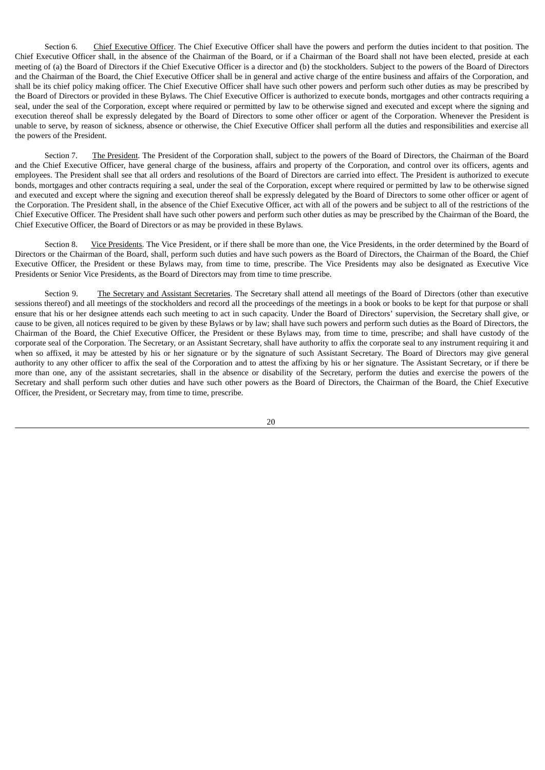Section 6. Chief Executive Officer. The Chief Executive Officer shall have the powers and perform the duties incident to that position. The Chief Executive Officer shall, in the absence of the Chairman of the Board, or if a Chairman of the Board shall not have been elected, preside at each meeting of (a) the Board of Directors if the Chief Executive Officer is a director and (b) the stockholders. Subject to the powers of the Board of Directors and the Chairman of the Board, the Chief Executive Officer shall be in general and active charge of the entire business and affairs of the Corporation, and shall be its chief policy making officer. The Chief Executive Officer shall have such other powers and perform such other duties as may be prescribed by the Board of Directors or provided in these Bylaws. The Chief Executive Officer is authorized to execute bonds, mortgages and other contracts requiring a seal, under the seal of the Corporation, except where required or permitted by law to be otherwise signed and executed and except where the signing and execution thereof shall be expressly delegated by the Board of Directors to some other officer or agent of the Corporation. Whenever the President is unable to serve, by reason of sickness, absence or otherwise, the Chief Executive Officer shall perform all the duties and responsibilities and exercise all the powers of the President.

Section 7. The President. The President of the Corporation shall, subject to the powers of the Board of Directors, the Chairman of the Board and the Chief Executive Officer, have general charge of the business, affairs and property of the Corporation, and control over its officers, agents and employees. The President shall see that all orders and resolutions of the Board of Directors are carried into effect. The President is authorized to execute bonds, mortgages and other contracts requiring a seal, under the seal of the Corporation, except where required or permitted by law to be otherwise signed and executed and except where the signing and execution thereof shall be expressly delegated by the Board of Directors to some other officer or agent of the Corporation. The President shall, in the absence of the Chief Executive Officer, act with all of the powers and be subject to all of the restrictions of the Chief Executive Officer. The President shall have such other powers and perform such other duties as may be prescribed by the Chairman of the Board, the Chief Executive Officer, the Board of Directors or as may be provided in these Bylaws.

Section 8. Vice Presidents. The Vice President, or if there shall be more than one, the Vice Presidents, in the order determined by the Board of Directors or the Chairman of the Board, shall, perform such duties and have such powers as the Board of Directors, the Chairman of the Board, the Chief Executive Officer, the President or these Bylaws may, from time to time, prescribe. The Vice Presidents may also be designated as Executive Vice Presidents or Senior Vice Presidents, as the Board of Directors may from time to time prescribe.

Section 9. The Secretary and Assistant Secretaries. The Secretary shall attend all meetings of the Board of Directors (other than executive sessions thereof) and all meetings of the stockholders and record all the proceedings of the meetings in a book or books to be kept for that purpose or shall ensure that his or her designee attends each such meeting to act in such capacity. Under the Board of Directors' supervision, the Secretary shall give, or cause to be given, all notices required to be given by these Bylaws or by law; shall have such powers and perform such duties as the Board of Directors, the Chairman of the Board, the Chief Executive Officer, the President or these Bylaws may, from time to time, prescribe; and shall have custody of the corporate seal of the Corporation. The Secretary, or an Assistant Secretary, shall have authority to affix the corporate seal to any instrument requiring it and when so affixed, it may be attested by his or her signature or by the signature of such Assistant Secretary. The Board of Directors may give general authority to any other officer to affix the seal of the Corporation and to attest the affixing by his or her signature. The Assistant Secretary, or if there be more than one, any of the assistant secretaries, shall in the absence or disability of the Secretary, perform the duties and exercise the powers of the Secretary and shall perform such other duties and have such other powers as the Board of Directors, the Chairman of the Board, the Chief Executive Officer, the President, or Secretary may, from time to time, prescribe.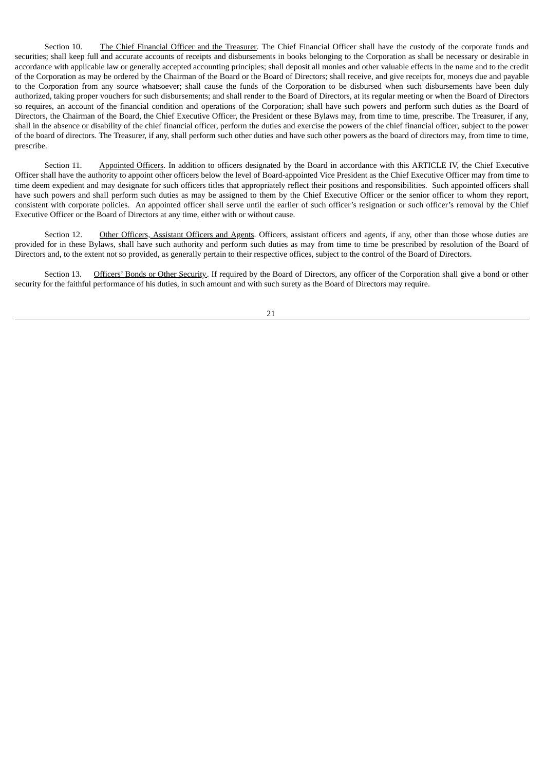Section 10. The Chief Financial Officer and the Treasurer. The Chief Financial Officer shall have the custody of the corporate funds and securities; shall keep full and accurate accounts of receipts and disbursements in books belonging to the Corporation as shall be necessary or desirable in accordance with applicable law or generally accepted accounting principles; shall deposit all monies and other valuable effects in the name and to the credit of the Corporation as may be ordered by the Chairman of the Board or the Board of Directors; shall receive, and give receipts for, moneys due and payable to the Corporation from any source whatsoever; shall cause the funds of the Corporation to be disbursed when such disbursements have been duly authorized, taking proper vouchers for such disbursements; and shall render to the Board of Directors, at its regular meeting or when the Board of Directors so requires, an account of the financial condition and operations of the Corporation; shall have such powers and perform such duties as the Board of Directors, the Chairman of the Board, the Chief Executive Officer, the President or these Bylaws may, from time to time, prescribe. The Treasurer, if any, shall in the absence or disability of the chief financial officer, perform the duties and exercise the powers of the chief financial officer, subject to the power of the board of directors. The Treasurer, if any, shall perform such other duties and have such other powers as the board of directors may, from time to time, prescribe.

Section 11. Appointed Officers. In addition to officers designated by the Board in accordance with this ARTICLE IV, the Chief Executive Officer shall have the authority to appoint other officers below the level of Board-appointed Vice President as the Chief Executive Officer may from time to time deem expedient and may designate for such officers titles that appropriately reflect their positions and responsibilities. Such appointed officers shall have such powers and shall perform such duties as may be assigned to them by the Chief Executive Officer or the senior officer to whom they report, consistent with corporate policies. An appointed officer shall serve until the earlier of such officer's resignation or such officer's removal by the Chief Executive Officer or the Board of Directors at any time, either with or without cause.

Section 12. Other Officers, Assistant Officers and Agents. Officers, assistant officers and agents, if any, other than those whose duties are provided for in these Bylaws, shall have such authority and perform such duties as may from time to time be prescribed by resolution of the Board of Directors and, to the extent not so provided, as generally pertain to their respective offices, subject to the control of the Board of Directors.

Section 13. Officers' Bonds or Other Security. If required by the Board of Directors, any officer of the Corporation shall give a bond or other security for the faithful performance of his duties, in such amount and with such surety as the Board of Directors may require.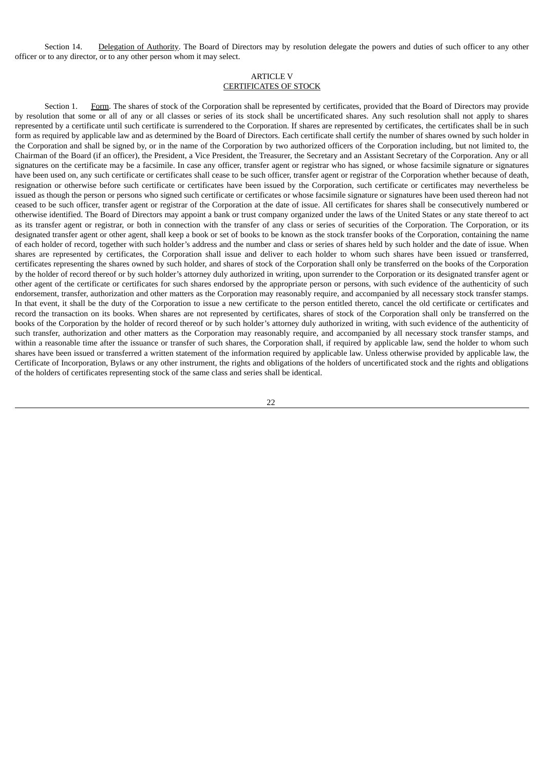Section 14. Delegation of Authority. The Board of Directors may by resolution delegate the powers and duties of such officer to any other officer or to any director, or to any other person whom it may select.

## ARTICLE V CERTIFICATES OF STOCK

Section 1. Form. The shares of stock of the Corporation shall be represented by certificates, provided that the Board of Directors may provide by resolution that some or all of any or all classes or series of its stock shall be uncertificated shares. Any such resolution shall not apply to shares represented by a certificate until such certificate is surrendered to the Corporation. If shares are represented by certificates, the certificates shall be in such form as required by applicable law and as determined by the Board of Directors. Each certificate shall certify the number of shares owned by such holder in the Corporation and shall be signed by, or in the name of the Corporation by two authorized officers of the Corporation including, but not limited to, the Chairman of the Board (if an officer), the President, a Vice President, the Treasurer, the Secretary and an Assistant Secretary of the Corporation. Any or all signatures on the certificate may be a facsimile. In case any officer, transfer agent or registrar who has signed, or whose facsimile signature or signatures have been used on, any such certificate or certificates shall cease to be such officer, transfer agent or registrar of the Corporation whether because of death, resignation or otherwise before such certificate or certificates have been issued by the Corporation, such certificate or certificates may nevertheless be issued as though the person or persons who signed such certificate or certificates or whose facsimile signature or signatures have been used thereon had not ceased to be such officer, transfer agent or registrar of the Corporation at the date of issue. All certificates for shares shall be consecutively numbered or otherwise identified. The Board of Directors may appoint a bank or trust company organized under the laws of the United States or any state thereof to act as its transfer agent or registrar, or both in connection with the transfer of any class or series of securities of the Corporation. The Corporation, or its designated transfer agent or other agent, shall keep a book or set of books to be known as the stock transfer books of the Corporation, containing the name of each holder of record, together with such holder's address and the number and class or series of shares held by such holder and the date of issue. When shares are represented by certificates, the Corporation shall issue and deliver to each holder to whom such shares have been issued or transferred, certificates representing the shares owned by such holder, and shares of stock of the Corporation shall only be transferred on the books of the Corporation by the holder of record thereof or by such holder's attorney duly authorized in writing, upon surrender to the Corporation or its designated transfer agent or other agent of the certificate or certificates for such shares endorsed by the appropriate person or persons, with such evidence of the authenticity of such endorsement, transfer, authorization and other matters as the Corporation may reasonably require, and accompanied by all necessary stock transfer stamps. In that event, it shall be the duty of the Corporation to issue a new certificate to the person entitled thereto, cancel the old certificate or certificates and record the transaction on its books. When shares are not represented by certificates, shares of stock of the Corporation shall only be transferred on the books of the Corporation by the holder of record thereof or by such holder's attorney duly authorized in writing, with such evidence of the authenticity of such transfer, authorization and other matters as the Corporation may reasonably require, and accompanied by all necessary stock transfer stamps, and within a reasonable time after the issuance or transfer of such shares, the Corporation shall, if required by applicable law, send the holder to whom such shares have been issued or transferred a written statement of the information required by applicable law. Unless otherwise provided by applicable law, the Certificate of Incorporation, Bylaws or any other instrument, the rights and obligations of the holders of uncertificated stock and the rights and obligations of the holders of certificates representing stock of the same class and series shall be identical.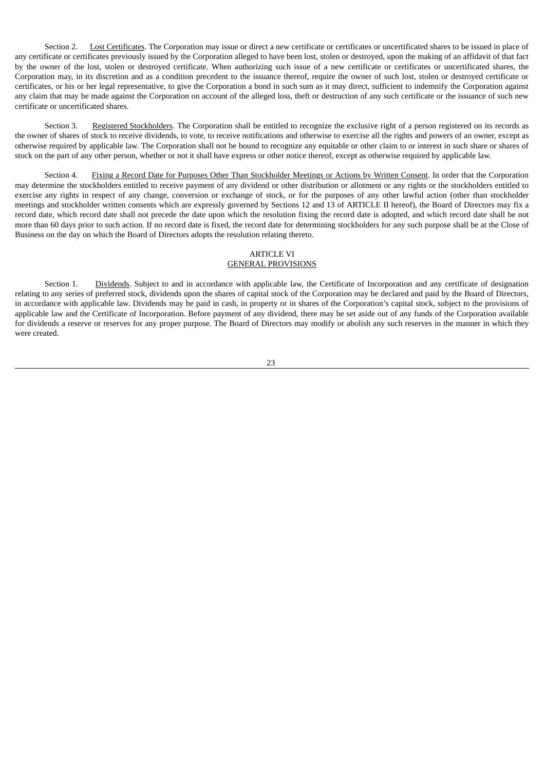Section 2. Lost Certificates. The Corporation may issue or direct a new certificate or certificates or uncertificated shares to be issued in place of any certificate or certificates previously issued by the Corporation alleged to have been lost, stolen or destroyed, upon the making of an affidavit of that fact by the owner of the lost, stolen or destroyed certificate. When authorizing such issue of a new certificate or certificates or uncertificated shares, the Corporation may, in its discretion and as a condition precedent to the issuance thereof, require the owner of such lost, stolen or destroyed certificate or certificates, or his or her legal representative, to give the Corporation a bond in such sum as it may direct, sufficient to indemnify the Corporation against any claim that may be made against the Corporation on account of the alleged loss, theft or destruction of any such certificate or the issuance of such new certificate or uncertificated shares.

Section 3. Registered Stockholders. The Corporation shall be entitled to recognize the exclusive right of a person registered on its records as the owner of shares of stock to receive dividends, to vote, to receive notifications and otherwise to exercise all the rights and powers of an owner, except as otherwise required by applicable law. The Corporation shall not be bound to recognize any equitable or other claim to or interest in such share or shares of stock on the part of any other person, whether or not it shall have express or other notice thereof, except as otherwise required by applicable law.

Section 4. Fixing a Record Date for Purposes Other Than Stockholder Meetings or Actions by Written Consent. In order that the Corporation may determine the stockholders entitled to receive payment of any dividend or other distribution or allotment or any rights or the stockholders entitled to exercise any rights in respect of any change, conversion or exchange of stock, or for the purposes of any other lawful action (other than stockholder meetings and stockholder written consents which are expressly governed by Sections 12 and 13 of ARTICLE II hereof), the Board of Directors may fix a record date, which record date shall not precede the date upon which the resolution fixing the record date is adopted, and which record date shall be not more than 60 days prior to such action. If no record date is fixed, the record date for determining stockholders for any such purpose shall be at the Close of Business on the day on which the Board of Directors adopts the resolution relating thereto.

# ARTICLE VI GENERAL PROVISIONS

Section 1. Dividends. Subject to and in accordance with applicable law, the Certificate of Incorporation and any certificate of designation relating to any series of preferred stock, dividends upon the shares of capital stock of the Corporation may be declared and paid by the Board of Directors, in accordance with applicable law. Dividends may be paid in cash, in property or in shares of the Corporation's capital stock, subject to the provisions of applicable law and the Certificate of Incorporation. Before payment of any dividend, there may be set aside out of any funds of the Corporation available for dividends a reserve or reserves for any proper purpose. The Board of Directors may modify or abolish any such reserves in the manner in which they were created.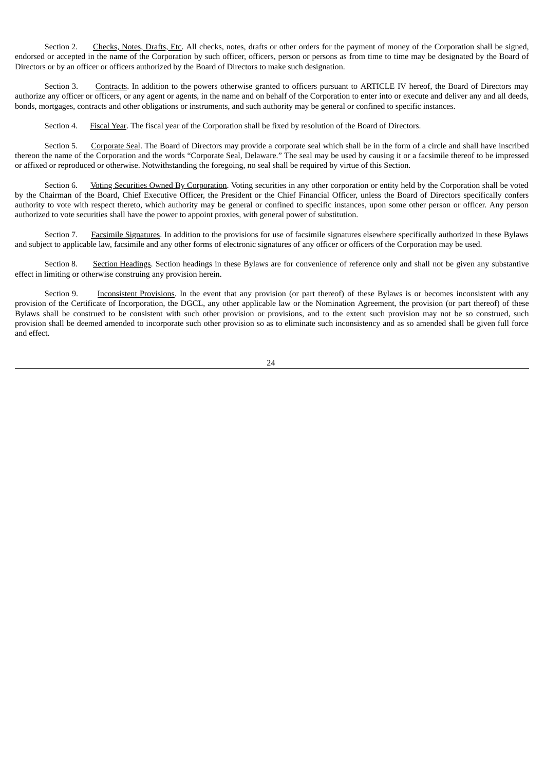Section 2. Checks, Notes, Drafts, Etc. All checks, notes, drafts or other orders for the payment of money of the Corporation shall be signed, endorsed or accepted in the name of the Corporation by such officer, officers, person or persons as from time to time may be designated by the Board of Directors or by an officer or officers authorized by the Board of Directors to make such designation.

Section 3. Contracts. In addition to the powers otherwise granted to officers pursuant to ARTICLE IV hereof, the Board of Directors may authorize any officer or officers, or any agent or agents, in the name and on behalf of the Corporation to enter into or execute and deliver any and all deeds, bonds, mortgages, contracts and other obligations or instruments, and such authority may be general or confined to specific instances.

Section 4. Fiscal Year. The fiscal year of the Corporation shall be fixed by resolution of the Board of Directors.

Section 5. Corporate Seal. The Board of Directors may provide a corporate seal which shall be in the form of a circle and shall have inscribed thereon the name of the Corporation and the words "Corporate Seal, Delaware." The seal may be used by causing it or a facsimile thereof to be impressed or affixed or reproduced or otherwise. Notwithstanding the foregoing, no seal shall be required by virtue of this Section.

Section 6. Voting Securities Owned By Corporation. Voting securities in any other corporation or entity held by the Corporation shall be voted by the Chairman of the Board, Chief Executive Officer, the President or the Chief Financial Officer, unless the Board of Directors specifically confers authority to vote with respect thereto, which authority may be general or confined to specific instances, upon some other person or officer. Any person authorized to vote securities shall have the power to appoint proxies, with general power of substitution.

Section 7. Facsimile Signatures. In addition to the provisions for use of facsimile signatures elsewhere specifically authorized in these Bylaws and subject to applicable law, facsimile and any other forms of electronic signatures of any officer or officers of the Corporation may be used.

Section 8. Section Headings. Section headings in these Bylaws are for convenience of reference only and shall not be given any substantive effect in limiting or otherwise construing any provision herein.

Section 9. Inconsistent Provisions. In the event that any provision (or part thereof) of these Bylaws is or becomes inconsistent with any provision of the Certificate of Incorporation, the DGCL, any other applicable law or the Nomination Agreement, the provision (or part thereof) of these Bylaws shall be construed to be consistent with such other provision or provisions, and to the extent such provision may not be so construed, such provision shall be deemed amended to incorporate such other provision so as to eliminate such inconsistency and as so amended shall be given full force and effect.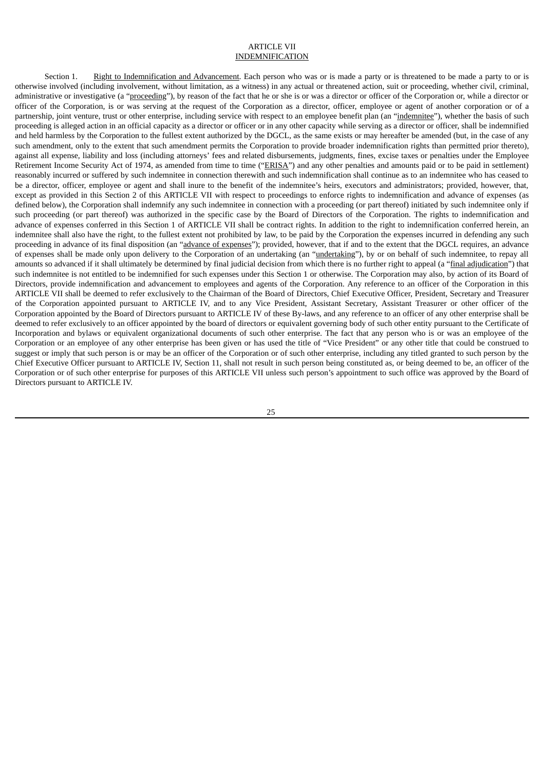# ARTICLE VII INDEMNIFICATION

Section 1. Right to Indemnification and Advancement. Each person who was or is made a party or is threatened to be made a party to or is otherwise involved (including involvement, without limitation, as a witness) in any actual or threatened action, suit or proceeding, whether civil, criminal, administrative or investigative (a "proceeding"), by reason of the fact that he or she is or was a director or officer of the Corporation or, while a director or officer of the Corporation, is or was serving at the request of the Corporation as a director, officer, employee or agent of another corporation or of a partnership, joint venture, trust or other enterprise, including service with respect to an employee benefit plan (an "indemnitee"), whether the basis of such proceeding is alleged action in an official capacity as a director or officer or in any other capacity while serving as a director or officer, shall be indemnified and held harmless by the Corporation to the fullest extent authorized by the DGCL, as the same exists or may hereafter be amended (but, in the case of any such amendment, only to the extent that such amendment permits the Corporation to provide broader indemnification rights than permitted prior thereto), against all expense, liability and loss (including attorneys' fees and related disbursements, judgments, fines, excise taxes or penalties under the Employee Retirement Income Security Act of 1974, as amended from time to time ("ERISA") and any other penalties and amounts paid or to be paid in settlement) reasonably incurred or suffered by such indemnitee in connection therewith and such indemnification shall continue as to an indemnitee who has ceased to be a director, officer, employee or agent and shall inure to the benefit of the indemnitee's heirs, executors and administrators; provided, however, that, except as provided in this Section 2 of this ARTICLE VII with respect to proceedings to enforce rights to indemnification and advance of expenses (as defined below), the Corporation shall indemnify any such indemnitee in connection with a proceeding (or part thereof) initiated by such indemnitee only if such proceeding (or part thereof) was authorized in the specific case by the Board of Directors of the Corporation. The rights to indemnification and advance of expenses conferred in this Section 1 of ARTICLE VII shall be contract rights. In addition to the right to indemnification conferred herein, an indemnitee shall also have the right, to the fullest extent not prohibited by law, to be paid by the Corporation the expenses incurred in defending any such proceeding in advance of its final disposition (an "advance of expenses"); provided, however, that if and to the extent that the DGCL requires, an advance of expenses shall be made only upon delivery to the Corporation of an undertaking (an "undertaking"), by or on behalf of such indemnitee, to repay all amounts so advanced if it shall ultimately be determined by final judicial decision from which there is no further right to appeal (a "final adjudication") that such indemnitee is not entitled to be indemnified for such expenses under this Section 1 or otherwise. The Corporation may also, by action of its Board of Directors, provide indemnification and advancement to employees and agents of the Corporation. Any reference to an officer of the Corporation in this ARTICLE VII shall be deemed to refer exclusively to the Chairman of the Board of Directors, Chief Executive Officer, President, Secretary and Treasurer of the Corporation appointed pursuant to ARTICLE IV, and to any Vice President, Assistant Secretary, Assistant Treasurer or other officer of the Corporation appointed by the Board of Directors pursuant to ARTICLE IV of these By-laws, and any reference to an officer of any other enterprise shall be deemed to refer exclusively to an officer appointed by the board of directors or equivalent governing body of such other entity pursuant to the Certificate of Incorporation and bylaws or equivalent organizational documents of such other enterprise. The fact that any person who is or was an employee of the Corporation or an employee of any other enterprise has been given or has used the title of "Vice President" or any other title that could be construed to suggest or imply that such person is or may be an officer of the Corporation or of such other enterprise, including any titled granted to such person by the Chief Executive Officer pursuant to ARTICLE IV, Section 11, shall not result in such person being constituted as, or being deemed to be, an officer of the Corporation or of such other enterprise for purposes of this ARTICLE VII unless such person's appointment to such office was approved by the Board of Directors pursuant to ARTICLE IV.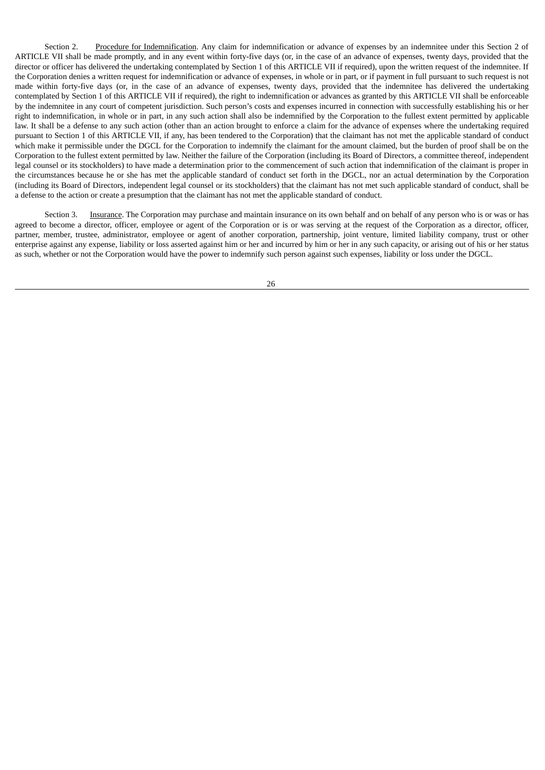Section 2. Procedure for Indemnification. Any claim for indemnification or advance of expenses by an indemnitee under this Section 2 of ARTICLE VII shall be made promptly, and in any event within forty-five days (or, in the case of an advance of expenses, twenty days, provided that the director or officer has delivered the undertaking contemplated by Section 1 of this ARTICLE VII if required), upon the written request of the indemnitee. If the Corporation denies a written request for indemnification or advance of expenses, in whole or in part, or if payment in full pursuant to such request is not made within forty-five days (or, in the case of an advance of expenses, twenty days, provided that the indemnitee has delivered the undertaking contemplated by Section 1 of this ARTICLE VII if required), the right to indemnification or advances as granted by this ARTICLE VII shall be enforceable by the indemnitee in any court of competent jurisdiction. Such person's costs and expenses incurred in connection with successfully establishing his or her right to indemnification, in whole or in part, in any such action shall also be indemnified by the Corporation to the fullest extent permitted by applicable law. It shall be a defense to any such action (other than an action brought to enforce a claim for the advance of expenses where the undertaking required pursuant to Section 1 of this ARTICLE VII, if any, has been tendered to the Corporation) that the claimant has not met the applicable standard of conduct which make it permissible under the DGCL for the Corporation to indemnify the claimant for the amount claimed, but the burden of proof shall be on the Corporation to the fullest extent permitted by law. Neither the failure of the Corporation (including its Board of Directors, a committee thereof, independent legal counsel or its stockholders) to have made a determination prior to the commencement of such action that indemnification of the claimant is proper in the circumstances because he or she has met the applicable standard of conduct set forth in the DGCL, nor an actual determination by the Corporation (including its Board of Directors, independent legal counsel or its stockholders) that the claimant has not met such applicable standard of conduct, shall be a defense to the action or create a presumption that the claimant has not met the applicable standard of conduct.

Section 3. Insurance. The Corporation may purchase and maintain insurance on its own behalf and on behalf of any person who is or was or has agreed to become a director, officer, employee or agent of the Corporation or is or was serving at the request of the Corporation as a director, officer, partner, member, trustee, administrator, employee or agent of another corporation, partnership, joint venture, limited liability company, trust or other enterprise against any expense, liability or loss asserted against him or her and incurred by him or her in any such capacity, or arising out of his or her status as such, whether or not the Corporation would have the power to indemnify such person against such expenses, liability or loss under the DGCL.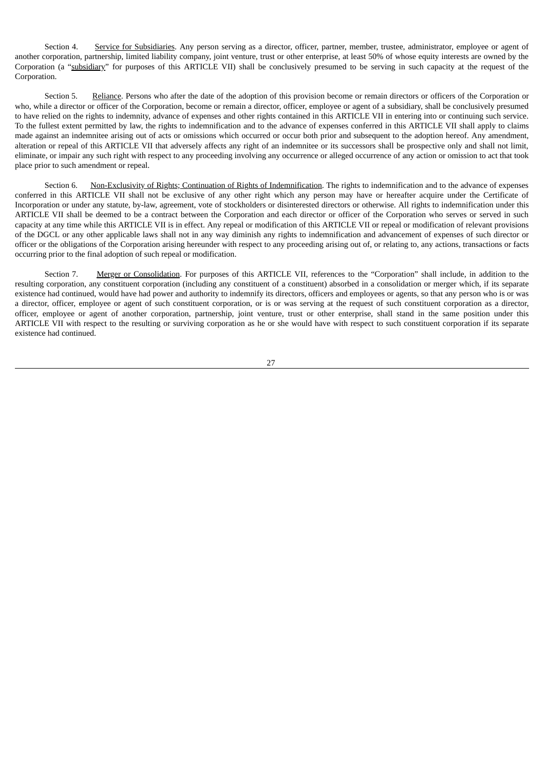Section 4. Service for Subsidiaries. Any person serving as a director, officer, partner, member, trustee, administrator, employee or agent of another corporation, partnership, limited liability company, joint venture, trust or other enterprise, at least 50% of whose equity interests are owned by the Corporation (a "subsidiary" for purposes of this ARTICLE VII) shall be conclusively presumed to be serving in such capacity at the request of the Corporation.

Section 5. Reliance. Persons who after the date of the adoption of this provision become or remain directors or officers of the Corporation or who, while a director or officer of the Corporation, become or remain a director, officer, employee or agent of a subsidiary, shall be conclusively presumed to have relied on the rights to indemnity, advance of expenses and other rights contained in this ARTICLE VII in entering into or continuing such service. To the fullest extent permitted by law, the rights to indemnification and to the advance of expenses conferred in this ARTICLE VII shall apply to claims made against an indemnitee arising out of acts or omissions which occurred or occur both prior and subsequent to the adoption hereof. Any amendment, alteration or repeal of this ARTICLE VII that adversely affects any right of an indemnitee or its successors shall be prospective only and shall not limit, eliminate, or impair any such right with respect to any proceeding involving any occurrence or alleged occurrence of any action or omission to act that took place prior to such amendment or repeal.

Section 6. Non-Exclusivity of Rights; Continuation of Rights of Indemnification. The rights to indemnification and to the advance of expenses conferred in this ARTICLE VII shall not be exclusive of any other right which any person may have or hereafter acquire under the Certificate of Incorporation or under any statute, by-law, agreement, vote of stockholders or disinterested directors or otherwise. All rights to indemnification under this ARTICLE VII shall be deemed to be a contract between the Corporation and each director or officer of the Corporation who serves or served in such capacity at any time while this ARTICLE VII is in effect. Any repeal or modification of this ARTICLE VII or repeal or modification of relevant provisions of the DGCL or any other applicable laws shall not in any way diminish any rights to indemnification and advancement of expenses of such director or officer or the obligations of the Corporation arising hereunder with respect to any proceeding arising out of, or relating to, any actions, transactions or facts occurring prior to the final adoption of such repeal or modification.

Section 7. Merger or Consolidation. For purposes of this ARTICLE VII, references to the "Corporation" shall include, in addition to the resulting corporation, any constituent corporation (including any constituent of a constituent) absorbed in a consolidation or merger which, if its separate existence had continued, would have had power and authority to indemnify its directors, officers and employees or agents, so that any person who is or was a director, officer, employee or agent of such constituent corporation, or is or was serving at the request of such constituent corporation as a director, officer, employee or agent of another corporation, partnership, joint venture, trust or other enterprise, shall stand in the same position under this ARTICLE VII with respect to the resulting or surviving corporation as he or she would have with respect to such constituent corporation if its separate existence had continued.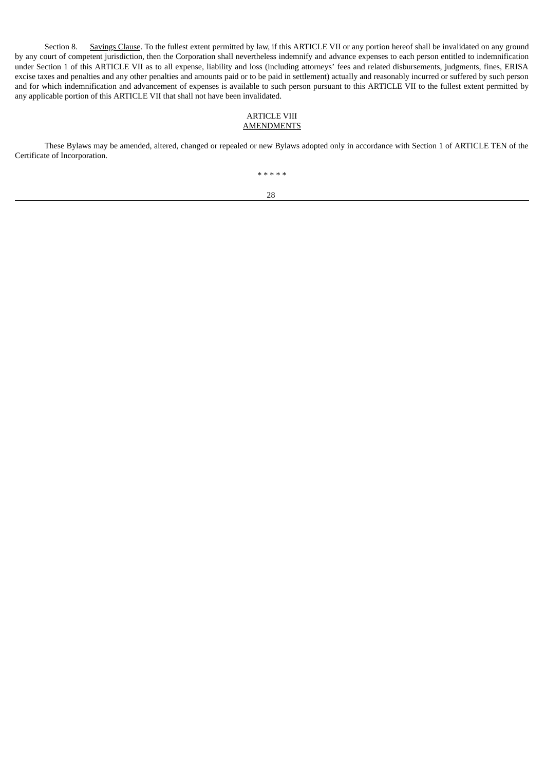Section 8. Savings Clause. To the fullest extent permitted by law, if this ARTICLE VII or any portion hereof shall be invalidated on any ground by any court of competent jurisdiction, then the Corporation shall nevertheless indemnify and advance expenses to each person entitled to indemnification under Section 1 of this ARTICLE VII as to all expense, liability and loss (including attorneys' fees and related disbursements, judgments, fines, ERISA excise taxes and penalties and any other penalties and amounts paid or to be paid in settlement) actually and reasonably incurred or suffered by such person and for which indemnification and advancement of expenses is available to such person pursuant to this ARTICLE VII to the fullest extent permitted by any applicable portion of this ARTICLE VII that shall not have been invalidated.

# ARTICLE VIII AMENDMENTS

These Bylaws may be amended, altered, changed or repealed or new Bylaws adopted only in accordance with Section 1 of ARTICLE TEN of the Certificate of Incorporation.

\* \* \* \* \*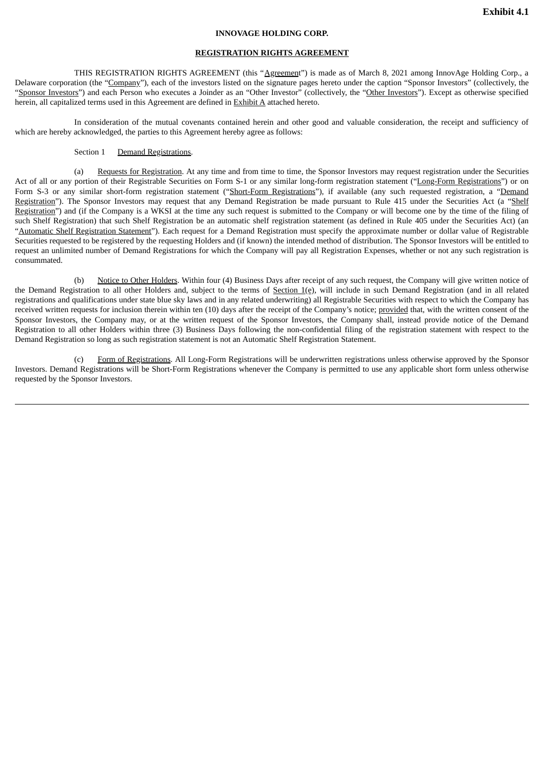#### **INNOVAGE HOLDING CORP.**

#### **REGISTRATION RIGHTS AGREEMENT**

THIS REGISTRATION RIGHTS AGREEMENT (this "Agreement") is made as of March 8, 2021 among InnovAge Holding Corp., a Delaware corporation (the "Company"), each of the investors listed on the signature pages hereto under the caption "Sponsor Investors" (collectively, the "Sponsor Investors") and each Person who executes a Joinder as an "Other Investor" (collectively, the "Other Investors"). Except as otherwise specified herein, all capitalized terms used in this Agreement are defined in Exhibit A attached hereto.

In consideration of the mutual covenants contained herein and other good and valuable consideration, the receipt and sufficiency of which are hereby acknowledged, the parties to this Agreement hereby agree as follows:

## Section 1 Demand Registrations.

(a) Requests for Registration. At any time and from time to time, the Sponsor Investors may request registration under the Securities Act of all or any portion of their Registrable Securities on Form S-1 or any similar long-form registration statement ("Long-Form Registrations") or on Form S-3 or any similar short-form registration statement ("Short-Form Registrations"), if available (any such requested registration, a "Demand Registration"). The Sponsor Investors may request that any Demand Registration be made pursuant to Rule 415 under the Securities Act (a "Shelf Registration") and (if the Company is a WKSI at the time any such request is submitted to the Company or will become one by the time of the filing of such Shelf Registration) that such Shelf Registration be an automatic shelf registration statement (as defined in Rule 405 under the Securities Act) (an "Automatic Shelf Registration Statement"). Each request for a Demand Registration must specify the approximate number or dollar value of Registrable Securities requested to be registered by the requesting Holders and (if known) the intended method of distribution. The Sponsor Investors will be entitled to request an unlimited number of Demand Registrations for which the Company will pay all Registration Expenses, whether or not any such registration is consummated.

(b) Notice to Other Holders. Within four (4) Business Days after receipt of any such request, the Company will give written notice of the Demand Registration to all other Holders and, subject to the terms of Section 1(e), will include in such Demand Registration (and in all related registrations and qualifications under state blue sky laws and in any related underwriting) all Registrable Securities with respect to which the Company has received written requests for inclusion therein within ten (10) days after the receipt of the Company's notice; provided that, with the written consent of the Sponsor Investors, the Company may, or at the written request of the Sponsor Investors, the Company shall, instead provide notice of the Demand Registration to all other Holders within three (3) Business Days following the non-confidential filing of the registration statement with respect to the Demand Registration so long as such registration statement is not an Automatic Shelf Registration Statement.

(c) Form of Registrations. All Long-Form Registrations will be underwritten registrations unless otherwise approved by the Sponsor Investors. Demand Registrations will be Short-Form Registrations whenever the Company is permitted to use any applicable short form unless otherwise requested by the Sponsor Investors.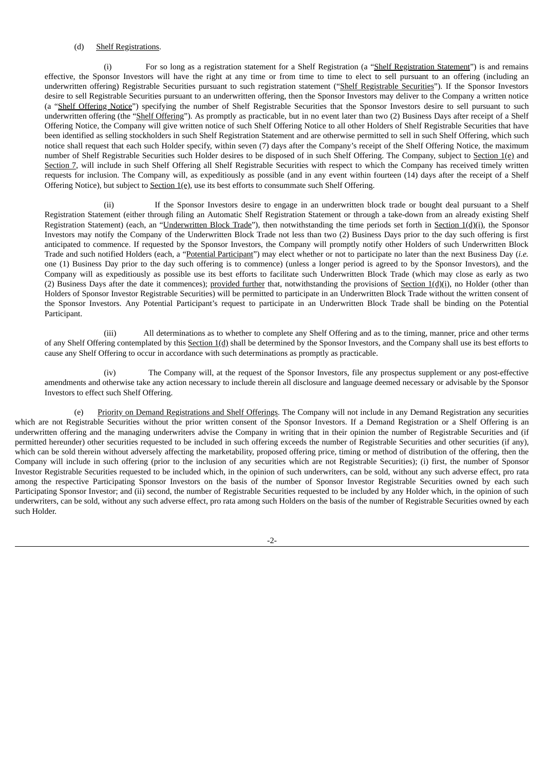# (d) Shelf Registrations.

(i) For so long as a registration statement for a Shelf Registration (a "Shelf Registration Statement") is and remains effective, the Sponsor Investors will have the right at any time or from time to time to elect to sell pursuant to an offering (including an underwritten offering) Registrable Securities pursuant to such registration statement ("Shelf Registrable Securities"). If the Sponsor Investors desire to sell Registrable Securities pursuant to an underwritten offering, then the Sponsor Investors may deliver to the Company a written notice (a "Shelf Offering Notice") specifying the number of Shelf Registrable Securities that the Sponsor Investors desire to sell pursuant to such underwritten offering (the "Shelf Offering"). As promptly as practicable, but in no event later than two (2) Business Days after receipt of a Shelf Offering Notice, the Company will give written notice of such Shelf Offering Notice to all other Holders of Shelf Registrable Securities that have been identified as selling stockholders in such Shelf Registration Statement and are otherwise permitted to sell in such Shelf Offering, which such notice shall request that each such Holder specify, within seven (7) days after the Company's receipt of the Shelf Offering Notice, the maximum number of Shelf Registrable Securities such Holder desires to be disposed of in such Shelf Offering. The Company, subject to Section 1(e) and Section 7, will include in such Shelf Offering all Shelf Registrable Securities with respect to which the Company has received timely written requests for inclusion. The Company will, as expeditiously as possible (and in any event within fourteen (14) days after the receipt of a Shelf Offering Notice), but subject to Section 1(e), use its best efforts to consummate such Shelf Offering.

(ii) If the Sponsor Investors desire to engage in an underwritten block trade or bought deal pursuant to a Shelf Registration Statement (either through filing an Automatic Shelf Registration Statement or through a take-down from an already existing Shelf Registration Statement) (each, an "Underwritten Block Trade"), then notwithstanding the time periods set forth in Section  $1(d)(i)$ , the Sponsor Investors may notify the Company of the Underwritten Block Trade not less than two (2) Business Days prior to the day such offering is first anticipated to commence. If requested by the Sponsor Investors, the Company will promptly notify other Holders of such Underwritten Block Trade and such notified Holders (each, a "Potential Participant") may elect whether or not to participate no later than the next Business Day (*i.e.* one (1) Business Day prior to the day such offering is to commence) (unless a longer period is agreed to by the Sponsor Investors), and the Company will as expeditiously as possible use its best efforts to facilitate such Underwritten Block Trade (which may close as early as two (2) Business Days after the date it commences); provided further that, notwithstanding the provisions of Section  $1(d)(i)$ , no Holder (other than Holders of Sponsor Investor Registrable Securities) will be permitted to participate in an Underwritten Block Trade without the written consent of the Sponsor Investors. Any Potential Participant's request to participate in an Underwritten Block Trade shall be binding on the Potential Participant.

(iii) All determinations as to whether to complete any Shelf Offering and as to the timing, manner, price and other terms of any Shelf Offering contemplated by this  $Section 1(d)$  shall be determined by the Sponsor Investors, and the Company shall use its best efforts to</u> cause any Shelf Offering to occur in accordance with such determinations as promptly as practicable.

(iv) The Company will, at the request of the Sponsor Investors, file any prospectus supplement or any post-effective amendments and otherwise take any action necessary to include therein all disclosure and language deemed necessary or advisable by the Sponsor Investors to effect such Shelf Offering.

(e) Priority on Demand Registrations and Shelf Offerings. The Company will not include in any Demand Registration any securities which are not Registrable Securities without the prior written consent of the Sponsor Investors. If a Demand Registration or a Shelf Offering is an underwritten offering and the managing underwriters advise the Company in writing that in their opinion the number of Registrable Securities and (if permitted hereunder) other securities requested to be included in such offering exceeds the number of Registrable Securities and other securities (if any), which can be sold therein without adversely affecting the marketability, proposed offering price, timing or method of distribution of the offering, then the Company will include in such offering (prior to the inclusion of any securities which are not Registrable Securities); (i) first, the number of Sponsor Investor Registrable Securities requested to be included which, in the opinion of such underwriters, can be sold, without any such adverse effect, pro rata among the respective Participating Sponsor Investors on the basis of the number of Sponsor Investor Registrable Securities owned by each such Participating Sponsor Investor; and (ii) second, the number of Registrable Securities requested to be included by any Holder which, in the opinion of such underwriters, can be sold, without any such adverse effect, pro rata among such Holders on the basis of the number of Registrable Securities owned by each such Holder.

-2-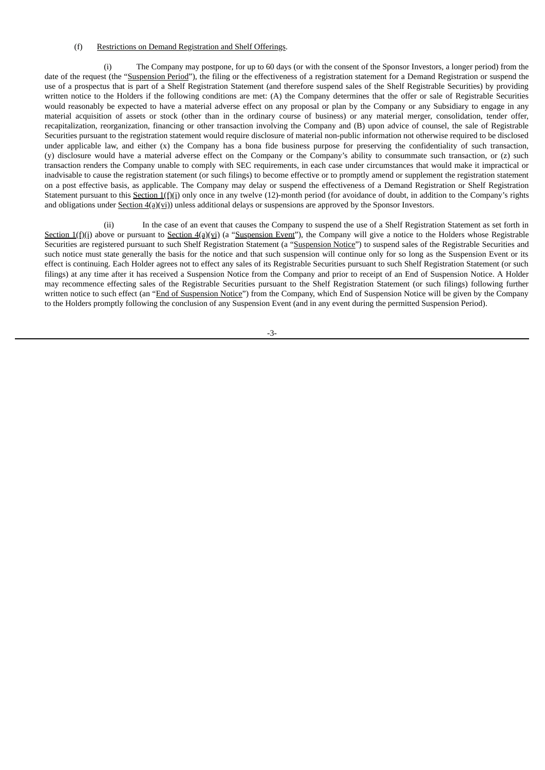## (f) Restrictions on Demand Registration and Shelf Offerings.

(i) The Company may postpone, for up to 60 days (or with the consent of the Sponsor Investors, a longer period) from the date of the request (the "Suspension Period"), the filing or the effectiveness of a registration statement for a Demand Registration or suspend the use of a prospectus that is part of a Shelf Registration Statement (and therefore suspend sales of the Shelf Registrable Securities) by providing written notice to the Holders if the following conditions are met: (A) the Company determines that the offer or sale of Registrable Securities would reasonably be expected to have a material adverse effect on any proposal or plan by the Company or any Subsidiary to engage in any material acquisition of assets or stock (other than in the ordinary course of business) or any material merger, consolidation, tender offer, recapitalization, reorganization, financing or other transaction involving the Company and (B) upon advice of counsel, the sale of Registrable Securities pursuant to the registration statement would require disclosure of material non-public information not otherwise required to be disclosed under applicable law, and either (x) the Company has a bona fide business purpose for preserving the confidentiality of such transaction, (y) disclosure would have a material adverse effect on the Company or the Company's ability to consummate such transaction, or (z) such transaction renders the Company unable to comply with SEC requirements, in each case under circumstances that would make it impractical or inadvisable to cause the registration statement (or such filings) to become effective or to promptly amend or supplement the registration statement on a post effective basis, as applicable. The Company may delay or suspend the effectiveness of a Demand Registration or Shelf Registration Statement pursuant to this Section  $1(f)(i)$  only once in any twelve (12)-month period (for avoidance of doubt, in addition to the Company's rights and obligations under Section  $4(a)(yi)$ ) unless additional delays or suspensions are approved by the Sponsor Investors.

(ii) In the case of an event that causes the Company to suspend the use of a Shelf Registration Statement as set forth in Section  $1(f)(i)$  above or pursuant to Section  $4(a)(yi)$  (a "Suspension Event"), the Company will give a notice to the Holders whose Registrable Securities are registered pursuant to such Shelf Registration Statement (a "Suspension Notice") to suspend sales of the Registrable Securities and such notice must state generally the basis for the notice and that such suspension will continue only for so long as the Suspension Event or its effect is continuing. Each Holder agrees not to effect any sales of its Registrable Securities pursuant to such Shelf Registration Statement (or such filings) at any time after it has received a Suspension Notice from the Company and prior to receipt of an End of Suspension Notice. A Holder may recommence effecting sales of the Registrable Securities pursuant to the Shelf Registration Statement (or such filings) following further written notice to such effect (an "End of Suspension Notice") from the Company, which End of Suspension Notice will be given by the Company to the Holders promptly following the conclusion of any Suspension Event (and in any event during the permitted Suspension Period).

-3-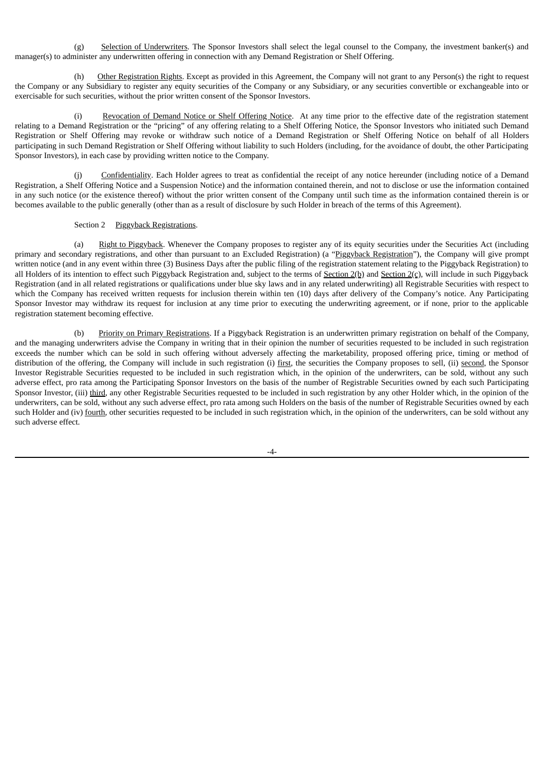(g) Selection of Underwriters. The Sponsor Investors shall select the legal counsel to the Company, the investment banker(s) and manager(s) to administer any underwritten offering in connection with any Demand Registration or Shelf Offering.

(h) Other Registration Rights. Except as provided in this Agreement, the Company will not grant to any Person(s) the right to request the Company or any Subsidiary to register any equity securities of the Company or any Subsidiary, or any securities convertible or exchangeable into or exercisable for such securities, without the prior written consent of the Sponsor Investors.

(i) Revocation of Demand Notice or Shelf Offering Notice. At any time prior to the effective date of the registration statement relating to a Demand Registration or the "pricing" of any offering relating to a Shelf Offering Notice, the Sponsor Investors who initiated such Demand Registration or Shelf Offering may revoke or withdraw such notice of a Demand Registration or Shelf Offering Notice on behalf of all Holders participating in such Demand Registration or Shelf Offering without liability to such Holders (including, for the avoidance of doubt, the other Participating Sponsor Investors), in each case by providing written notice to the Company.

Confidentiality. Each Holder agrees to treat as confidential the receipt of any notice hereunder (including notice of a Demand Registration, a Shelf Offering Notice and a Suspension Notice) and the information contained therein, and not to disclose or use the information contained in any such notice (or the existence thereof) without the prior written consent of the Company until such time as the information contained therein is or becomes available to the public generally (other than as a result of disclosure by such Holder in breach of the terms of this Agreement).

## Section 2 Piggyback Registrations.

(a) Right to Piggyback. Whenever the Company proposes to register any of its equity securities under the Securities Act (including primary and secondary registrations, and other than pursuant to an Excluded Registration) (a "Piggyback Registration"), the Company will give prompt written notice (and in any event within three (3) Business Days after the public filing of the registration statement relating to the Piggyback Registration) to all Holders of its intention to effect such Piggyback Registration and, subject to the terms of  $Section 2(p)$  and  $Section 2(c)$ , will include in such Piggyback Registration (and in all related registrations or qualifications under blue sky laws and in any related underwriting) all Registrable Securities with respect to which the Company has received written requests for inclusion therein within ten (10) days after delivery of the Company's notice. Any Participating Sponsor Investor may withdraw its request for inclusion at any time prior to executing the underwriting agreement, or if none, prior to the applicable registration statement becoming effective.

(b) Priority on Primary Registrations. If a Piggyback Registration is an underwritten primary registration on behalf of the Company, and the managing underwriters advise the Company in writing that in their opinion the number of securities requested to be included in such registration exceeds the number which can be sold in such offering without adversely affecting the marketability, proposed offering price, timing or method of distribution of the offering, the Company will include in such registration (i) first, the securities the Company proposes to sell, (ii) second, the Sponsor Investor Registrable Securities requested to be included in such registration which, in the opinion of the underwriters, can be sold, without any such adverse effect, pro rata among the Participating Sponsor Investors on the basis of the number of Registrable Securities owned by each such Participating Sponsor Investor, (iii) third, any other Registrable Securities requested to be included in such registration by any other Holder which, in the opinion of the underwriters, can be sold, without any such adverse effect, pro rata among such Holders on the basis of the number of Registrable Securities owned by each such Holder and (iv) fourth, other securities requested to be included in such registration which, in the opinion of the underwriters, can be sold without any such adverse effect.

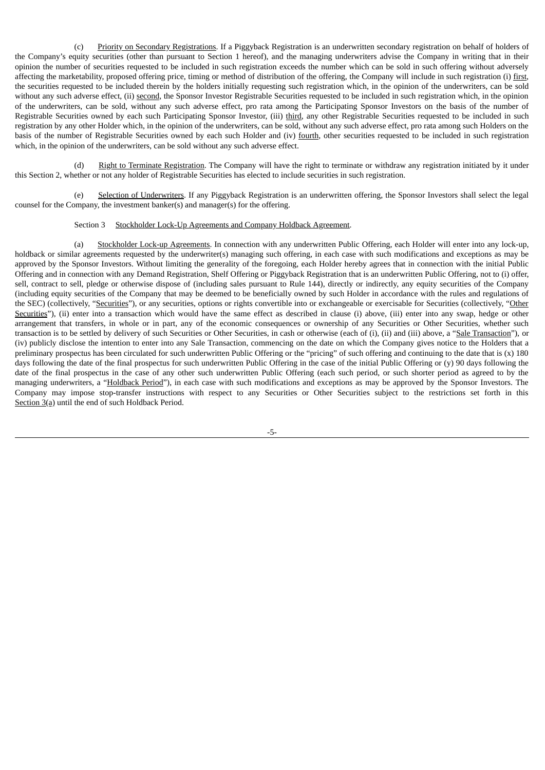(c) Priority on Secondary Registrations. If a Piggyback Registration is an underwritten secondary registration on behalf of holders of the Company's equity securities (other than pursuant to Section 1 hereof), and the managing underwriters advise the Company in writing that in their opinion the number of securities requested to be included in such registration exceeds the number which can be sold in such offering without adversely affecting the marketability, proposed offering price, timing or method of distribution of the offering, the Company will include in such registration (i) first, the securities requested to be included therein by the holders initially requesting such registration which, in the opinion of the underwriters, can be sold without any such adverse effect, (ii) second, the Sponsor Investor Registrable Securities requested to be included in such registration which, in the opinion of the underwriters, can be sold, without any such adverse effect, pro rata among the Participating Sponsor Investors on the basis of the number of Registrable Securities owned by each such Participating Sponsor Investor, (iii) third, any other Registrable Securities requested to be included in such registration by any other Holder which, in the opinion of the underwriters, can be sold, without any such adverse effect, pro rata among such Holders on the basis of the number of Registrable Securities owned by each such Holder and (iv) fourth, other securities requested to be included in such registration which, in the opinion of the underwriters, can be sold without any such adverse effect.

(d) Right to Terminate Registration. The Company will have the right to terminate or withdraw any registration initiated by it under this Section 2, whether or not any holder of Registrable Securities has elected to include securities in such registration.

(e) Selection of Underwriters. If any Piggyback Registration is an underwritten offering, the Sponsor Investors shall select the legal counsel for the Company, the investment banker(s) and manager(s) for the offering.

#### Section 3 Stockholder Lock-Up Agreements and Company Holdback Agreement.

(a) Stockholder Lock-up Agreements. In connection with any underwritten Public Offering, each Holder will enter into any lock-up, holdback or similar agreements requested by the underwriter(s) managing such offering, in each case with such modifications and exceptions as may be approved by the Sponsor Investors. Without limiting the generality of the foregoing, each Holder hereby agrees that in connection with the initial Public Offering and in connection with any Demand Registration, Shelf Offering or Piggyback Registration that is an underwritten Public Offering, not to (i) offer, sell, contract to sell, pledge or otherwise dispose of (including sales pursuant to Rule 144), directly or indirectly, any equity securities of the Company (including equity securities of the Company that may be deemed to be beneficially owned by such Holder in accordance with the rules and regulations of the SEC) (collectively, "Securities"), or any securities, options or rights convertible into or exchangeable or exercisable for Securities (collectively, "Other Securities"), (ii) enter into a transaction which would have the same effect as described in clause (i) above, (iii) enter into any swap, hedge or other arrangement that transfers, in whole or in part, any of the economic consequences or ownership of any Securities or Other Securities, whether such transaction is to be settled by delivery of such Securities or Other Securities, in cash or otherwise (each of (i), (ii) and (iii) above, a "Sale Transaction"), or (iv) publicly disclose the intention to enter into any Sale Transaction, commencing on the date on which the Company gives notice to the Holders that a preliminary prospectus has been circulated for such underwritten Public Offering or the "pricing" of such offering and continuing to the date that is (x) 180 days following the date of the final prospectus for such underwritten Public Offering in the case of the initial Public Offering or (y) 90 days following the date of the final prospectus in the case of any other such underwritten Public Offering (each such period, or such shorter period as agreed to by the managing underwriters, a "Holdback Period"), in each case with such modifications and exceptions as may be approved by the Sponsor Investors. The Company may impose stop-transfer instructions with respect to any Securities or Other Securities subject to the restrictions set forth in this Section 3(a) until the end of such Holdback Period.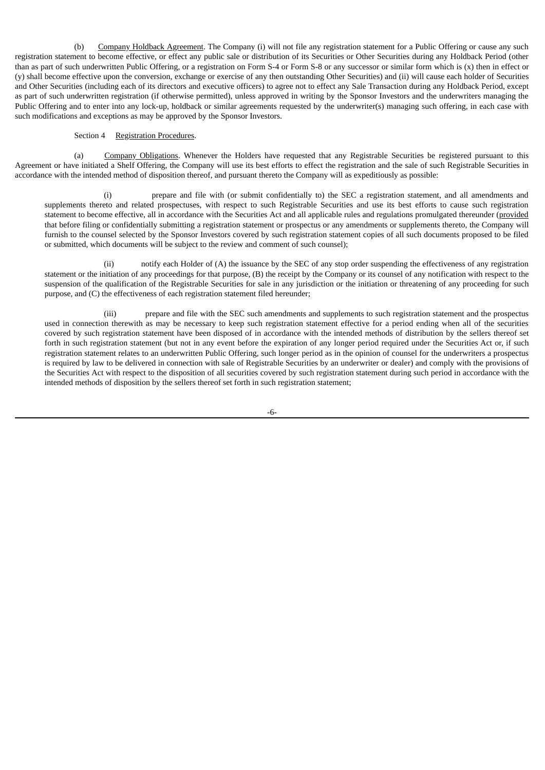(b) Company Holdback Agreement. The Company (i) will not file any registration statement for a Public Offering or cause any such registration statement to become effective, or effect any public sale or distribution of its Securities or Other Securities during any Holdback Period (other than as part of such underwritten Public Offering, or a registration on Form S-4 or Form S-8 or any successor or similar form which is (x) then in effect or (y) shall become effective upon the conversion, exchange or exercise of any then outstanding Other Securities) and (ii) will cause each holder of Securities and Other Securities (including each of its directors and executive officers) to agree not to effect any Sale Transaction during any Holdback Period, except as part of such underwritten registration (if otherwise permitted), unless approved in writing by the Sponsor Investors and the underwriters managing the Public Offering and to enter into any lock-up, holdback or similar agreements requested by the underwriter(s) managing such offering, in each case with such modifications and exceptions as may be approved by the Sponsor Investors.

## Section 4 Registration Procedures.

(a) Company Obligations. Whenever the Holders have requested that any Registrable Securities be registered pursuant to this Agreement or have initiated a Shelf Offering, the Company will use its best efforts to effect the registration and the sale of such Registrable Securities in accordance with the intended method of disposition thereof, and pursuant thereto the Company will as expeditiously as possible:

prepare and file with (or submit confidentially to) the SEC a registration statement, and all amendments and supplements thereto and related prospectuses, with respect to such Registrable Securities and use its best efforts to cause such registration statement to become effective, all in accordance with the Securities Act and all applicable rules and regulations promulgated thereunder (provided that before filing or confidentially submitting a registration statement or prospectus or any amendments or supplements thereto, the Company will furnish to the counsel selected by the Sponsor Investors covered by such registration statement copies of all such documents proposed to be filed or submitted, which documents will be subject to the review and comment of such counsel);

(ii) notify each Holder of (A) the issuance by the SEC of any stop order suspending the effectiveness of any registration statement or the initiation of any proceedings for that purpose, (B) the receipt by the Company or its counsel of any notification with respect to the suspension of the qualification of the Registrable Securities for sale in any jurisdiction or the initiation or threatening of any proceeding for such purpose, and (C) the effectiveness of each registration statement filed hereunder;

(iii) prepare and file with the SEC such amendments and supplements to such registration statement and the prospectus used in connection therewith as may be necessary to keep such registration statement effective for a period ending when all of the securities covered by such registration statement have been disposed of in accordance with the intended methods of distribution by the sellers thereof set forth in such registration statement (but not in any event before the expiration of any longer period required under the Securities Act or, if such registration statement relates to an underwritten Public Offering, such longer period as in the opinion of counsel for the underwriters a prospectus is required by law to be delivered in connection with sale of Registrable Securities by an underwriter or dealer) and comply with the provisions of the Securities Act with respect to the disposition of all securities covered by such registration statement during such period in accordance with the intended methods of disposition by the sellers thereof set forth in such registration statement;

-6-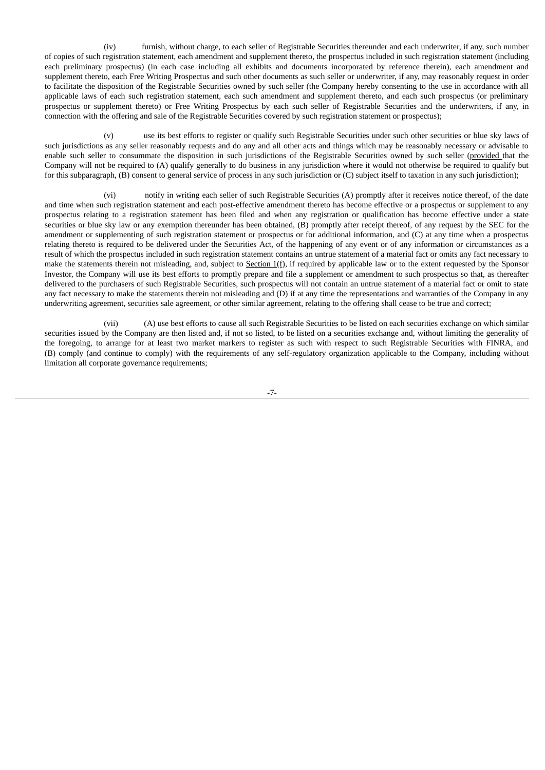(iv) furnish, without charge, to each seller of Registrable Securities thereunder and each underwriter, if any, such number of copies of such registration statement, each amendment and supplement thereto, the prospectus included in such registration statement (including each preliminary prospectus) (in each case including all exhibits and documents incorporated by reference therein), each amendment and supplement thereto, each Free Writing Prospectus and such other documents as such seller or underwriter, if any, may reasonably request in order to facilitate the disposition of the Registrable Securities owned by such seller (the Company hereby consenting to the use in accordance with all applicable laws of each such registration statement, each such amendment and supplement thereto, and each such prospectus (or preliminary prospectus or supplement thereto) or Free Writing Prospectus by each such seller of Registrable Securities and the underwriters, if any, in connection with the offering and sale of the Registrable Securities covered by such registration statement or prospectus);

(v) use its best efforts to register or qualify such Registrable Securities under such other securities or blue sky laws of such jurisdictions as any seller reasonably requests and do any and all other acts and things which may be reasonably necessary or advisable to enable such seller to consummate the disposition in such jurisdictions of the Registrable Securities owned by such seller (provided that the Company will not be required to (A) qualify generally to do business in any jurisdiction where it would not otherwise be required to qualify but for this subparagraph, (B) consent to general service of process in any such jurisdiction or (C) subject itself to taxation in any such jurisdiction);

(vi) notify in writing each seller of such Registrable Securities (A) promptly after it receives notice thereof, of the date and time when such registration statement and each post-effective amendment thereto has become effective or a prospectus or supplement to any prospectus relating to a registration statement has been filed and when any registration or qualification has become effective under a state securities or blue sky law or any exemption thereunder has been obtained, (B) promptly after receipt thereof, of any request by the SEC for the amendment or supplementing of such registration statement or prospectus or for additional information, and (C) at any time when a prospectus relating thereto is required to be delivered under the Securities Act, of the happening of any event or of any information or circumstances as a result of which the prospectus included in such registration statement contains an untrue statement of a material fact or omits any fact necessary to make the statements therein not misleading, and, subject to Section 1(f), if required by applicable law or to the extent requested by the Sponsor Investor, the Company will use its best efforts to promptly prepare and file a supplement or amendment to such prospectus so that, as thereafter delivered to the purchasers of such Registrable Securities, such prospectus will not contain an untrue statement of a material fact or omit to state any fact necessary to make the statements therein not misleading and (D) if at any time the representations and warranties of the Company in any underwriting agreement, securities sale agreement, or other similar agreement, relating to the offering shall cease to be true and correct;

(vii) (A) use best efforts to cause all such Registrable Securities to be listed on each securities exchange on which similar securities issued by the Company are then listed and, if not so listed, to be listed on a securities exchange and, without limiting the generality of the foregoing, to arrange for at least two market markers to register as such with respect to such Registrable Securities with FINRA, and (B) comply (and continue to comply) with the requirements of any self-regulatory organization applicable to the Company, including without limitation all corporate governance requirements;

-7-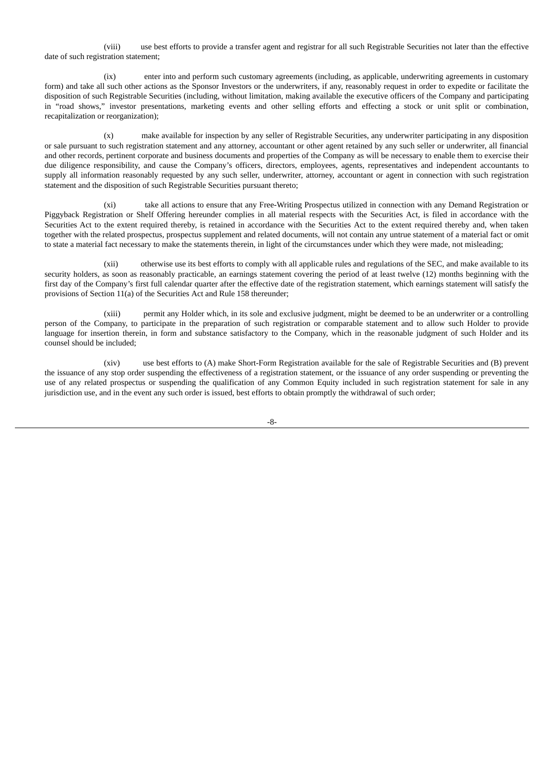(viii) use best efforts to provide a transfer agent and registrar for all such Registrable Securities not later than the effective date of such registration statement;

(ix) enter into and perform such customary agreements (including, as applicable, underwriting agreements in customary form) and take all such other actions as the Sponsor Investors or the underwriters, if any, reasonably request in order to expedite or facilitate the disposition of such Registrable Securities (including, without limitation, making available the executive officers of the Company and participating in "road shows," investor presentations, marketing events and other selling efforts and effecting a stock or unit split or combination, recapitalization or reorganization);

(x) make available for inspection by any seller of Registrable Securities, any underwriter participating in any disposition or sale pursuant to such registration statement and any attorney, accountant or other agent retained by any such seller or underwriter, all financial and other records, pertinent corporate and business documents and properties of the Company as will be necessary to enable them to exercise their due diligence responsibility, and cause the Company's officers, directors, employees, agents, representatives and independent accountants to supply all information reasonably requested by any such seller, underwriter, attorney, accountant or agent in connection with such registration statement and the disposition of such Registrable Securities pursuant thereto;

(xi) take all actions to ensure that any Free-Writing Prospectus utilized in connection with any Demand Registration or Piggyback Registration or Shelf Offering hereunder complies in all material respects with the Securities Act, is filed in accordance with the Securities Act to the extent required thereby, is retained in accordance with the Securities Act to the extent required thereby and, when taken together with the related prospectus, prospectus supplement and related documents, will not contain any untrue statement of a material fact or omit to state a material fact necessary to make the statements therein, in light of the circumstances under which they were made, not misleading;

(xii) otherwise use its best efforts to comply with all applicable rules and regulations of the SEC, and make available to its security holders, as soon as reasonably practicable, an earnings statement covering the period of at least twelve (12) months beginning with the first day of the Company's first full calendar quarter after the effective date of the registration statement, which earnings statement will satisfy the provisions of Section 11(a) of the Securities Act and Rule 158 thereunder;

(xiii) permit any Holder which, in its sole and exclusive judgment, might be deemed to be an underwriter or a controlling person of the Company, to participate in the preparation of such registration or comparable statement and to allow such Holder to provide language for insertion therein, in form and substance satisfactory to the Company, which in the reasonable judgment of such Holder and its counsel should be included;

(xiv) use best efforts to (A) make Short-Form Registration available for the sale of Registrable Securities and (B) prevent the issuance of any stop order suspending the effectiveness of a registration statement, or the issuance of any order suspending or preventing the use of any related prospectus or suspending the qualification of any Common Equity included in such registration statement for sale in any jurisdiction use, and in the event any such order is issued, best efforts to obtain promptly the withdrawal of such order;

-8-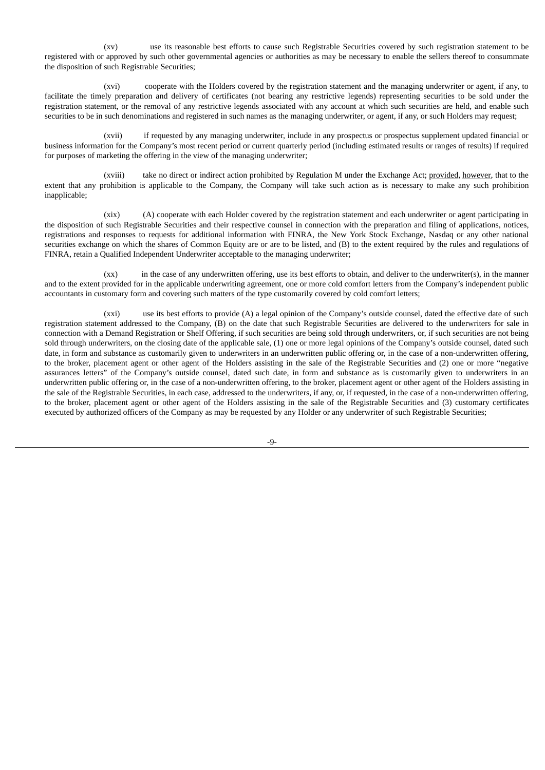(xv) use its reasonable best efforts to cause such Registrable Securities covered by such registration statement to be registered with or approved by such other governmental agencies or authorities as may be necessary to enable the sellers thereof to consummate the disposition of such Registrable Securities;

(xvi) cooperate with the Holders covered by the registration statement and the managing underwriter or agent, if any, to facilitate the timely preparation and delivery of certificates (not bearing any restrictive legends) representing securities to be sold under the registration statement, or the removal of any restrictive legends associated with any account at which such securities are held, and enable such securities to be in such denominations and registered in such names as the managing underwriter, or agent, if any, or such Holders may request;

(xvii) if requested by any managing underwriter, include in any prospectus or prospectus supplement updated financial or business information for the Company's most recent period or current quarterly period (including estimated results or ranges of results) if required for purposes of marketing the offering in the view of the managing underwriter;

(xviii) take no direct or indirect action prohibited by Regulation M under the Exchange Act; provided, however, that to the extent that any prohibition is applicable to the Company, the Company will take such action as is necessary to make any such prohibition inapplicable;

(xix) (A) cooperate with each Holder covered by the registration statement and each underwriter or agent participating in the disposition of such Registrable Securities and their respective counsel in connection with the preparation and filing of applications, notices, registrations and responses to requests for additional information with FINRA, the New York Stock Exchange, Nasdaq or any other national securities exchange on which the shares of Common Equity are or are to be listed, and (B) to the extent required by the rules and regulations of FINRA, retain a Qualified Independent Underwriter acceptable to the managing underwriter;

(xx) in the case of any underwritten offering, use its best efforts to obtain, and deliver to the underwriter(s), in the manner and to the extent provided for in the applicable underwriting agreement, one or more cold comfort letters from the Company's independent public accountants in customary form and covering such matters of the type customarily covered by cold comfort letters;

(xxi) use its best efforts to provide (A) a legal opinion of the Company's outside counsel, dated the effective date of such registration statement addressed to the Company, (B) on the date that such Registrable Securities are delivered to the underwriters for sale in connection with a Demand Registration or Shelf Offering, if such securities are being sold through underwriters, or, if such securities are not being sold through underwriters, on the closing date of the applicable sale, (1) one or more legal opinions of the Company's outside counsel, dated such date, in form and substance as customarily given to underwriters in an underwritten public offering or, in the case of a non-underwritten offering, to the broker, placement agent or other agent of the Holders assisting in the sale of the Registrable Securities and (2) one or more "negative assurances letters" of the Company's outside counsel, dated such date, in form and substance as is customarily given to underwriters in an underwritten public offering or, in the case of a non-underwritten offering, to the broker, placement agent or other agent of the Holders assisting in the sale of the Registrable Securities, in each case, addressed to the underwriters, if any, or, if requested, in the case of a non-underwritten offering, to the broker, placement agent or other agent of the Holders assisting in the sale of the Registrable Securities and (3) customary certificates executed by authorized officers of the Company as may be requested by any Holder or any underwriter of such Registrable Securities;

-9-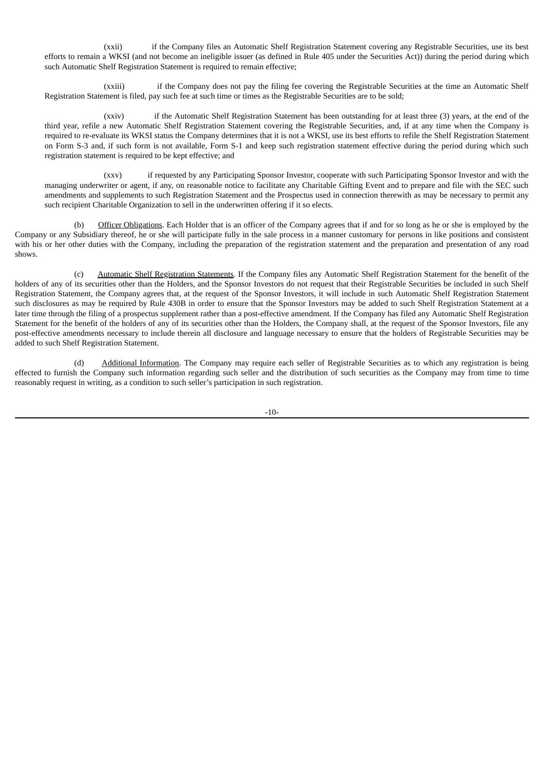(xxii) if the Company files an Automatic Shelf Registration Statement covering any Registrable Securities, use its best efforts to remain a WKSI (and not become an ineligible issuer (as defined in Rule 405 under the Securities Act)) during the period during which such Automatic Shelf Registration Statement is required to remain effective;

(xxiii) if the Company does not pay the filing fee covering the Registrable Securities at the time an Automatic Shelf Registration Statement is filed, pay such fee at such time or times as the Registrable Securities are to be sold;

(xxiv) if the Automatic Shelf Registration Statement has been outstanding for at least three (3) years, at the end of the third year, refile a new Automatic Shelf Registration Statement covering the Registrable Securities, and, if at any time when the Company is required to re-evaluate its WKSI status the Company determines that it is not a WKSI, use its best efforts to refile the Shelf Registration Statement on Form S-3 and, if such form is not available, Form S-1 and keep such registration statement effective during the period during which such registration statement is required to be kept effective; and

(xxv) if requested by any Participating Sponsor Investor, cooperate with such Participating Sponsor Investor and with the managing underwriter or agent, if any, on reasonable notice to facilitate any Charitable Gifting Event and to prepare and file with the SEC such amendments and supplements to such Registration Statement and the Prospectus used in connection therewith as may be necessary to permit any such recipient Charitable Organization to sell in the underwritten offering if it so elects.

Officer Obligations. Each Holder that is an officer of the Company agrees that if and for so long as he or she is employed by the Company or any Subsidiary thereof, he or she will participate fully in the sale process in a manner customary for persons in like positions and consistent with his or her other duties with the Company, including the preparation of the registration statement and the preparation and presentation of any road shows.

(c) Automatic Shelf Registration Statements. If the Company files any Automatic Shelf Registration Statement for the benefit of the holders of any of its securities other than the Holders, and the Sponsor Investors do not request that their Registrable Securities be included in such Shelf Registration Statement, the Company agrees that, at the request of the Sponsor Investors, it will include in such Automatic Shelf Registration Statement such disclosures as may be required by Rule 430B in order to ensure that the Sponsor Investors may be added to such Shelf Registration Statement at a later time through the filing of a prospectus supplement rather than a post-effective amendment. If the Company has filed any Automatic Shelf Registration Statement for the benefit of the holders of any of its securities other than the Holders, the Company shall, at the request of the Sponsor Investors, file any post-effective amendments necessary to include therein all disclosure and language necessary to ensure that the holders of Registrable Securities may be added to such Shelf Registration Statement.

(d) Additional Information. The Company may require each seller of Registrable Securities as to which any registration is being effected to furnish the Company such information regarding such seller and the distribution of such securities as the Company may from time to time reasonably request in writing, as a condition to such seller's participation in such registration.

 $-10-$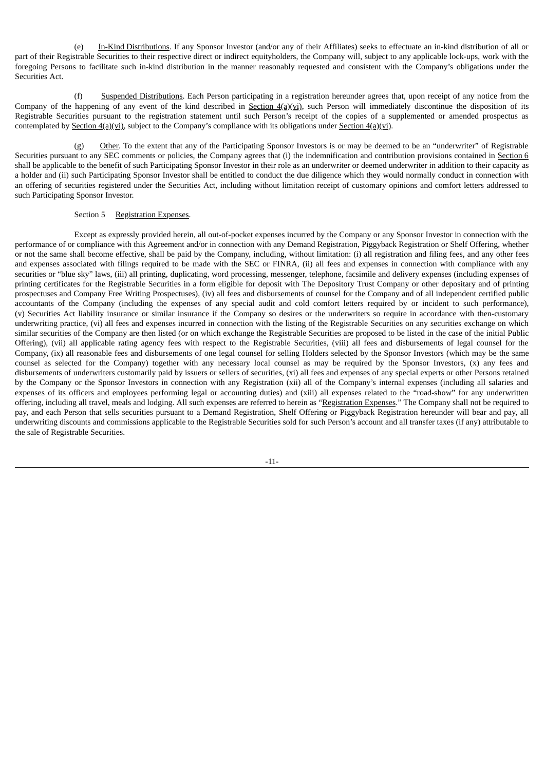(e) In-Kind Distributions. If any Sponsor Investor (and/or any of their Affiliates) seeks to effectuate an in-kind distribution of all or part of their Registrable Securities to their respective direct or indirect equityholders, the Company will, subject to any applicable lock-ups, work with the foregoing Persons to facilitate such in-kind distribution in the manner reasonably requested and consistent with the Company's obligations under the Securities Act.

(f) Suspended Distributions. Each Person participating in a registration hereunder agrees that, upon receipt of any notice from the Company of the happening of any event of the kind described in Section  $4(a)(yi)$ , such Person will immediately discontinue the disposition of its Registrable Securities pursuant to the registration statement until such Person's receipt of the copies of a supplemented or amended prospectus as contemplated by Section 4(a)(vi), subject to the Company's compliance with its obligations under Section 4(a)(vi).

(g) Other. To the extent that any of the Participating Sponsor Investors is or may be deemed to be an "underwriter" of Registrable Securities pursuant to any SEC comments or policies, the Company agrees that (i) the indemnification and contribution provisions contained in Section 6 shall be applicable to the benefit of such Participating Sponsor Investor in their role as an underwriter or deemed underwriter in addition to their capacity as a holder and (ii) such Participating Sponsor Investor shall be entitled to conduct the due diligence which they would normally conduct in connection with an offering of securities registered under the Securities Act, including without limitation receipt of customary opinions and comfort letters addressed to such Participating Sponsor Investor.

### Section 5 Registration Expenses.

Except as expressly provided herein, all out-of-pocket expenses incurred by the Company or any Sponsor Investor in connection with the performance of or compliance with this Agreement and/or in connection with any Demand Registration, Piggyback Registration or Shelf Offering, whether or not the same shall become effective, shall be paid by the Company, including, without limitation: (i) all registration and filing fees, and any other fees and expenses associated with filings required to be made with the SEC or FINRA, (ii) all fees and expenses in connection with compliance with any securities or "blue sky" laws, (iii) all printing, duplicating, word processing, messenger, telephone, facsimile and delivery expenses (including expenses of printing certificates for the Registrable Securities in a form eligible for deposit with The Depository Trust Company or other depositary and of printing prospectuses and Company Free Writing Prospectuses), (iv) all fees and disbursements of counsel for the Company and of all independent certified public accountants of the Company (including the expenses of any special audit and cold comfort letters required by or incident to such performance), (v) Securities Act liability insurance or similar insurance if the Company so desires or the underwriters so require in accordance with then-customary underwriting practice, (vi) all fees and expenses incurred in connection with the listing of the Registrable Securities on any securities exchange on which similar securities of the Company are then listed (or on which exchange the Registrable Securities are proposed to be listed in the case of the initial Public Offering), (vii) all applicable rating agency fees with respect to the Registrable Securities, (viii) all fees and disbursements of legal counsel for the Company, (ix) all reasonable fees and disbursements of one legal counsel for selling Holders selected by the Sponsor Investors (which may be the same counsel as selected for the Company) together with any necessary local counsel as may be required by the Sponsor Investors, (x) any fees and disbursements of underwriters customarily paid by issuers or sellers of securities, (xi) all fees and expenses of any special experts or other Persons retained by the Company or the Sponsor Investors in connection with any Registration (xii) all of the Company's internal expenses (including all salaries and expenses of its officers and employees performing legal or accounting duties) and (xiii) all expenses related to the "road-show" for any underwritten offering, including all travel, meals and lodging. All such expenses are referred to herein as "Registration Expenses." The Company shall not be required to pay, and each Person that sells securities pursuant to a Demand Registration, Shelf Offering or Piggyback Registration hereunder will bear and pay, all underwriting discounts and commissions applicable to the Registrable Securities sold for such Person's account and all transfer taxes (if any) attributable to the sale of Registrable Securities.

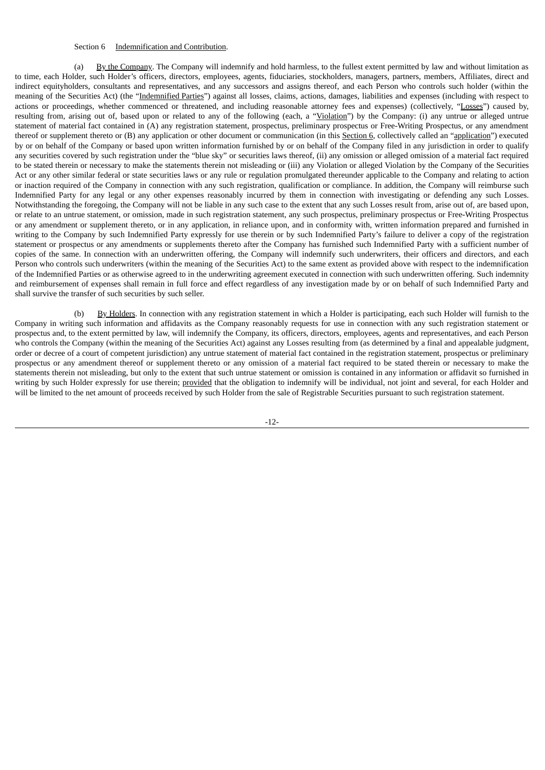### Section 6 Indemnification and Contribution.

(a) By the Company. The Company will indemnify and hold harmless, to the fullest extent permitted by law and without limitation as to time, each Holder, such Holder's officers, directors, employees, agents, fiduciaries, stockholders, managers, partners, members, Affiliates, direct and indirect equityholders, consultants and representatives, and any successors and assigns thereof, and each Person who controls such holder (within the meaning of the Securities Act) (the "Indemnified Parties") against all losses, claims, actions, damages, liabilities and expenses (including with respect to actions or proceedings, whether commenced or threatened, and including reasonable attorney fees and expenses) (collectively, "Losses") caused by, resulting from, arising out of, based upon or related to any of the following (each, a "Violation") by the Company: (i) any untrue or alleged untrue statement of material fact contained in (A) any registration statement, prospectus, preliminary prospectus or Free-Writing Prospectus, or any amendment thereof or supplement thereto or (B) any application or other document or communication (in this Section 6, collectively called an "application") executed by or on behalf of the Company or based upon written information furnished by or on behalf of the Company filed in any jurisdiction in order to qualify any securities covered by such registration under the "blue sky" or securities laws thereof, (ii) any omission or alleged omission of a material fact required to be stated therein or necessary to make the statements therein not misleading or (iii) any Violation or alleged Violation by the Company of the Securities Act or any other similar federal or state securities laws or any rule or regulation promulgated thereunder applicable to the Company and relating to action or inaction required of the Company in connection with any such registration, qualification or compliance. In addition, the Company will reimburse such Indemnified Party for any legal or any other expenses reasonably incurred by them in connection with investigating or defending any such Losses. Notwithstanding the foregoing, the Company will not be liable in any such case to the extent that any such Losses result from, arise out of, are based upon, or relate to an untrue statement, or omission, made in such registration statement, any such prospectus, preliminary prospectus or Free-Writing Prospectus or any amendment or supplement thereto, or in any application, in reliance upon, and in conformity with, written information prepared and furnished in writing to the Company by such Indemnified Party expressly for use therein or by such Indemnified Party's failure to deliver a copy of the registration statement or prospectus or any amendments or supplements thereto after the Company has furnished such Indemnified Party with a sufficient number of copies of the same. In connection with an underwritten offering, the Company will indemnify such underwriters, their officers and directors, and each Person who controls such underwriters (within the meaning of the Securities Act) to the same extent as provided above with respect to the indemnification of the Indemnified Parties or as otherwise agreed to in the underwriting agreement executed in connection with such underwritten offering. Such indemnity and reimbursement of expenses shall remain in full force and effect regardless of any investigation made by or on behalf of such Indemnified Party and shall survive the transfer of such securities by such seller.

(b) By Holders. In connection with any registration statement in which a Holder is participating, each such Holder will furnish to the Company in writing such information and affidavits as the Company reasonably requests for use in connection with any such registration statement or prospectus and, to the extent permitted by law, will indemnify the Company, its officers, directors, employees, agents and representatives, and each Person who controls the Company (within the meaning of the Securities Act) against any Losses resulting from (as determined by a final and appealable judgment, order or decree of a court of competent jurisdiction) any untrue statement of material fact contained in the registration statement, prospectus or preliminary prospectus or any amendment thereof or supplement thereto or any omission of a material fact required to be stated therein or necessary to make the statements therein not misleading, but only to the extent that such untrue statement or omission is contained in any information or affidavit so furnished in writing by such Holder expressly for use therein; provided that the obligation to indemnify will be individual, not joint and several, for each Holder and will be limited to the net amount of proceeds received by such Holder from the sale of Registrable Securities pursuant to such registration statement.

-12-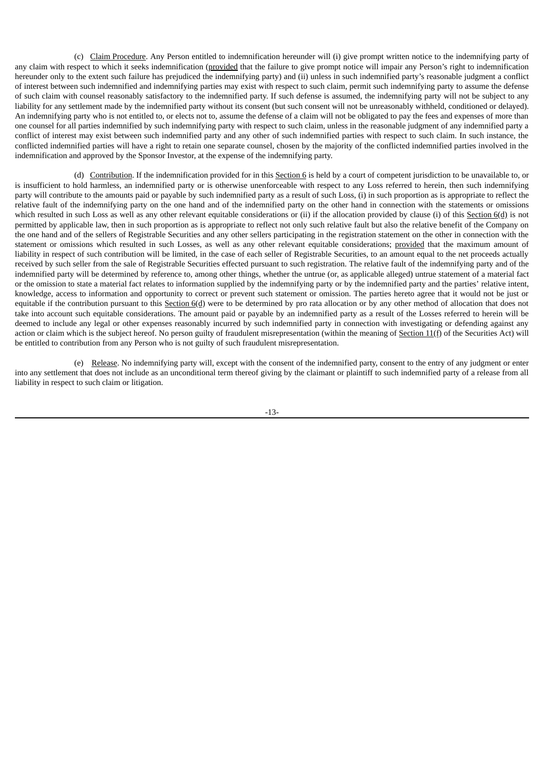(c) Claim Procedure. Any Person entitled to indemnification hereunder will (i) give prompt written notice to the indemnifying party of any claim with respect to which it seeks indemnification (provided that the failure to give prompt notice will impair any Person's right to indemnification hereunder only to the extent such failure has prejudiced the indemnifying party) and (ii) unless in such indemnified party's reasonable judgment a conflict of interest between such indemnified and indemnifying parties may exist with respect to such claim, permit such indemnifying party to assume the defense of such claim with counsel reasonably satisfactory to the indemnified party. If such defense is assumed, the indemnifying party will not be subject to any liability for any settlement made by the indemnified party without its consent (but such consent will not be unreasonably withheld, conditioned or delayed). An indemnifying party who is not entitled to, or elects not to, assume the defense of a claim will not be obligated to pay the fees and expenses of more than one counsel for all parties indemnified by such indemnifying party with respect to such claim, unless in the reasonable judgment of any indemnified party a conflict of interest may exist between such indemnified party and any other of such indemnified parties with respect to such claim. In such instance, the conflicted indemnified parties will have a right to retain one separate counsel, chosen by the majority of the conflicted indemnified parties involved in the indemnification and approved by the Sponsor Investor, at the expense of the indemnifying party.

(d) Contribution. If the indemnification provided for in this Section  $6$  is held by a court of competent jurisdiction to be unavailable to, or is insufficient to hold harmless, an indemnified party or is otherwise unenforceable with respect to any Loss referred to herein, then such indemnifying party will contribute to the amounts paid or payable by such indemnified party as a result of such Loss, (i) in such proportion as is appropriate to reflect the relative fault of the indemnifying party on the one hand and of the indemnified party on the other hand in connection with the statements or omissions which resulted in such Loss as well as any other relevant equitable considerations or (ii) if the allocation provided by clause (i) of this Section 6(d) is not permitted by applicable law, then in such proportion as is appropriate to reflect not only such relative fault but also the relative benefit of the Company on the one hand and of the sellers of Registrable Securities and any other sellers participating in the registration statement on the other in connection with the statement or omissions which resulted in such Losses, as well as any other relevant equitable considerations; provided that the maximum amount of liability in respect of such contribution will be limited, in the case of each seller of Registrable Securities, to an amount equal to the net proceeds actually received by such seller from the sale of Registrable Securities effected pursuant to such registration. The relative fault of the indemnifying party and of the indemnified party will be determined by reference to, among other things, whether the untrue (or, as applicable alleged) untrue statement of a material fact or the omission to state a material fact relates to information supplied by the indemnifying party or by the indemnified party and the parties' relative intent, knowledge, access to information and opportunity to correct or prevent such statement or omission. The parties hereto agree that it would not be just or equitable if the contribution pursuant to this Section  $6(d)$  were to be determined by pro rata allocation or by any other method of allocation that does not take into account such equitable considerations. The amount paid or payable by an indemnified party as a result of the Losses referred to herein will be deemed to include any legal or other expenses reasonably incurred by such indemnified party in connection with investigating or defending against any action or claim which is the subject hereof. No person guilty of fraudulent misrepresentation (within the meaning of Section  $11(f)$  of the Securities Act) will be entitled to contribution from any Person who is not guilty of such fraudulent misrepresentation.

(e) Release. No indemnifying party will, except with the consent of the indemnified party, consent to the entry of any judgment or enter into any settlement that does not include as an unconditional term thereof giving by the claimant or plaintiff to such indemnified party of a release from all liability in respect to such claim or litigation.

-13-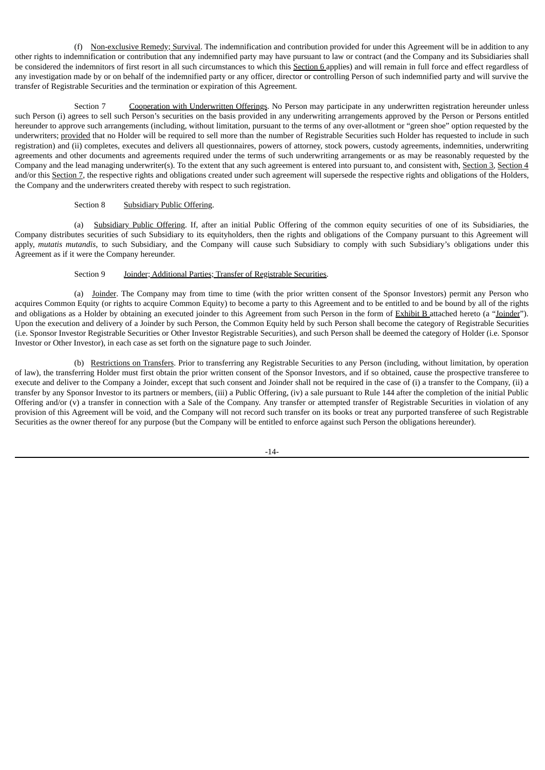(f) Non-exclusive Remedy; Survival. The indemnification and contribution provided for under this Agreement will be in addition to any other rights to indemnification or contribution that any indemnified party may have pursuant to law or contract (and the Company and its Subsidiaries shall be considered the indemnitors of first resort in all such circumstances to which this Section 6 applies) and will remain in full force and effect regardless of any investigation made by or on behalf of the indemnified party or any officer, director or controlling Person of such indemnified party and will survive the transfer of Registrable Securities and the termination or expiration of this Agreement.

Section 7 Cooperation with Underwritten Offerings. No Person may participate in any underwritten registration hereunder unless such Person (i) agrees to sell such Person's securities on the basis provided in any underwriting arrangements approved by the Person or Persons entitled hereunder to approve such arrangements (including, without limitation, pursuant to the terms of any over-allotment or "green shoe" option requested by the underwriters; provided that no Holder will be required to sell more than the number of Registrable Securities such Holder has requested to include in such registration) and (ii) completes, executes and delivers all questionnaires, powers of attorney, stock powers, custody agreements, indemnities, underwriting agreements and other documents and agreements required under the terms of such underwriting arrangements or as may be reasonably requested by the Company and the lead managing underwriter(s). To the extent that any such agreement is entered into pursuant to, and consistent with, Section 3, Section 4 and/or this Section 7, the respective rights and obligations created under such agreement will supersede the respective rights and obligations of the Holders, the Company and the underwriters created thereby with respect to such registration.

### Section 8 Subsidiary Public Offering.

(a) Subsidiary Public Offering. If, after an initial Public Offering of the common equity securities of one of its Subsidiaries, the Company distributes securities of such Subsidiary to its equityholders, then the rights and obligations of the Company pursuant to this Agreement will apply, *mutatis mutandis*, to such Subsidiary, and the Company will cause such Subsidiary to comply with such Subsidiary's obligations under this Agreement as if it were the Company hereunder.

### Section 9 *Joinder; Additional Parties; Transfer of Registrable Securities*.

(a) Joinder. The Company may from time to time (with the prior written consent of the Sponsor Investors) permit any Person who acquires Common Equity (or rights to acquire Common Equity) to become a party to this Agreement and to be entitled to and be bound by all of the rights and obligations as a Holder by obtaining an executed joinder to this Agreement from such Person in the form of Exhibit B attached hereto (a "Joinder"). Upon the execution and delivery of a Joinder by such Person, the Common Equity held by such Person shall become the category of Registrable Securities (i.e. Sponsor Investor Registrable Securities or Other Investor Registrable Securities), and such Person shall be deemed the category of Holder (i.e. Sponsor Investor or Other Investor), in each case as set forth on the signature page to such Joinder.

(b) Restrictions on Transfers. Prior to transferring any Registrable Securities to any Person (including, without limitation, by operation of law), the transferring Holder must first obtain the prior written consent of the Sponsor Investors, and if so obtained, cause the prospective transferee to execute and deliver to the Company a Joinder, except that such consent and Joinder shall not be required in the case of (i) a transfer to the Company, (ii) a transfer by any Sponsor Investor to its partners or members, (iii) a Public Offering, (iv) a sale pursuant to Rule 144 after the completion of the initial Public Offering and/or (v) a transfer in connection with a Sale of the Company. Any transfer or attempted transfer of Registrable Securities in violation of any provision of this Agreement will be void, and the Company will not record such transfer on its books or treat any purported transferee of such Registrable Securities as the owner thereof for any purpose (but the Company will be entitled to enforce against such Person the obligations hereunder).

-14-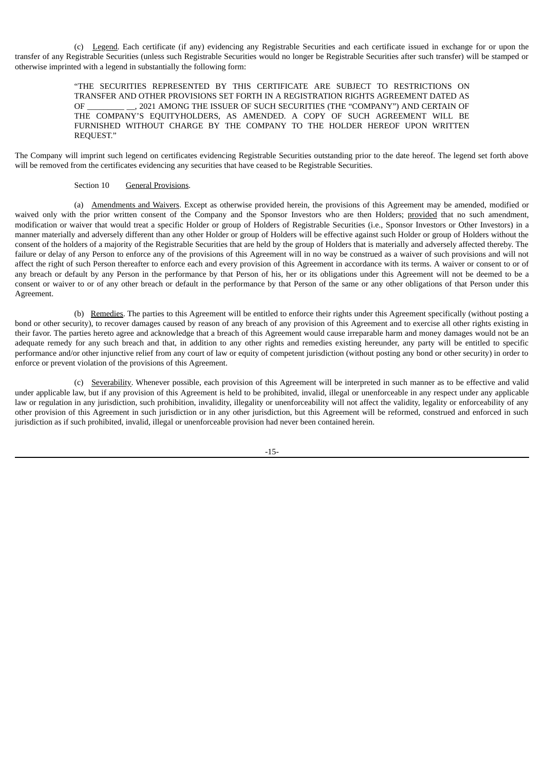(c) Legend. Each certificate (if any) evidencing any Registrable Securities and each certificate issued in exchange for or upon the transfer of any Registrable Securities (unless such Registrable Securities would no longer be Registrable Securities after such transfer) will be stamped or otherwise imprinted with a legend in substantially the following form:

> "THE SECURITIES REPRESENTED BY THIS CERTIFICATE ARE SUBJECT TO RESTRICTIONS ON TRANSFER AND OTHER PROVISIONS SET FORTH IN A REGISTRATION RIGHTS AGREEMENT DATED AS OF \_\_\_\_\_\_\_\_\_ \_\_, 2021 AMONG THE ISSUER OF SUCH SECURITIES (THE "COMPANY") AND CERTAIN OF THE COMPANY'S EQUITYHOLDERS, AS AMENDED. A COPY OF SUCH AGREEMENT WILL BE FURNISHED WITHOUT CHARGE BY THE COMPANY TO THE HOLDER HEREOF UPON WRITTEN REQUEST."

The Company will imprint such legend on certificates evidencing Registrable Securities outstanding prior to the date hereof. The legend set forth above will be removed from the certificates evidencing any securities that have ceased to be Registrable Securities.

### Section 10 General Provisions.

(a) Amendments and Waivers. Except as otherwise provided herein, the provisions of this Agreement may be amended, modified or waived only with the prior written consent of the Company and the Sponsor Investors who are then Holders; provided that no such amendment, modification or waiver that would treat a specific Holder or group of Holders of Registrable Securities (i.e., Sponsor Investors or Other Investors) in a manner materially and adversely different than any other Holder or group of Holders will be effective against such Holder or group of Holders without the consent of the holders of a majority of the Registrable Securities that are held by the group of Holders that is materially and adversely affected thereby. The failure or delay of any Person to enforce any of the provisions of this Agreement will in no way be construed as a waiver of such provisions and will not affect the right of such Person thereafter to enforce each and every provision of this Agreement in accordance with its terms. A waiver or consent to or of any breach or default by any Person in the performance by that Person of his, her or its obligations under this Agreement will not be deemed to be a consent or waiver to or of any other breach or default in the performance by that Person of the same or any other obligations of that Person under this Agreement.

(b) Remedies. The parties to this Agreement will be entitled to enforce their rights under this Agreement specifically (without posting a bond or other security), to recover damages caused by reason of any breach of any provision of this Agreement and to exercise all other rights existing in their favor. The parties hereto agree and acknowledge that a breach of this Agreement would cause irreparable harm and money damages would not be an adequate remedy for any such breach and that, in addition to any other rights and remedies existing hereunder, any party will be entitled to specific performance and/or other injunctive relief from any court of law or equity of competent jurisdiction (without posting any bond or other security) in order to enforce or prevent violation of the provisions of this Agreement.

(c) Severability. Whenever possible, each provision of this Agreement will be interpreted in such manner as to be effective and valid under applicable law, but if any provision of this Agreement is held to be prohibited, invalid, illegal or unenforceable in any respect under any applicable law or regulation in any jurisdiction, such prohibition, invalidity, illegality or unenforceability will not affect the validity, legality or enforceability of any other provision of this Agreement in such jurisdiction or in any other jurisdiction, but this Agreement will be reformed, construed and enforced in such jurisdiction as if such prohibited, invalid, illegal or unenforceable provision had never been contained herein.

-15-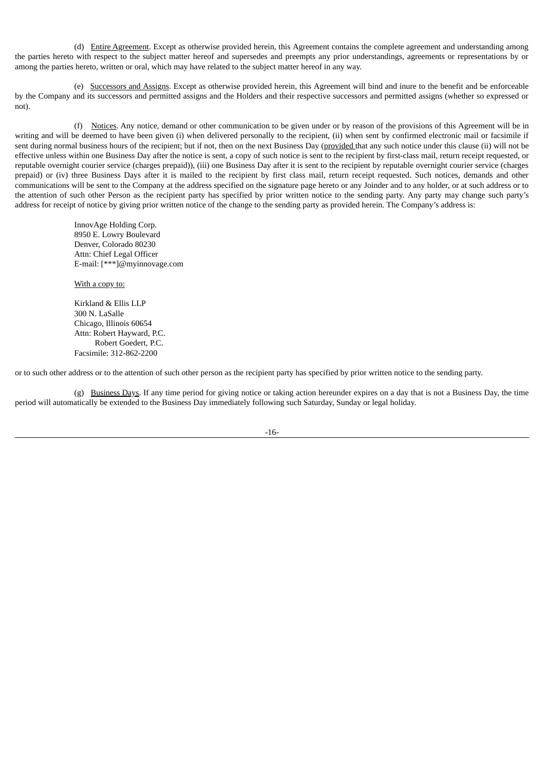(d) Entire Agreement. Except as otherwise provided herein, this Agreement contains the complete agreement and understanding among the parties hereto with respect to the subject matter hereof and supersedes and preempts any prior understandings, agreements or representations by or among the parties hereto, written or oral, which may have related to the subject matter hereof in any way.

(e) Successors and Assigns. Except as otherwise provided herein, this Agreement will bind and inure to the benefit and be enforceable by the Company and its successors and permitted assigns and the Holders and their respective successors and permitted assigns (whether so expressed or not).

(f) Notices. Any notice, demand or other communication to be given under or by reason of the provisions of this Agreement will be in writing and will be deemed to have been given (i) when delivered personally to the recipient, (ii) when sent by confirmed electronic mail or facsimile if sent during normal business hours of the recipient; but if not, then on the next Business Day (provided that any such notice under this clause (ii) will not be effective unless within one Business Day after the notice is sent, a copy of such notice is sent to the recipient by first-class mail, return receipt requested, or reputable overnight courier service (charges prepaid)), (iii) one Business Day after it is sent to the recipient by reputable overnight courier service (charges prepaid) or (iv) three Business Days after it is mailed to the recipient by first class mail, return receipt requested. Such notices, demands and other communications will be sent to the Company at the address specified on the signature page hereto or any Joinder and to any holder, or at such address or to the attention of such other Person as the recipient party has specified by prior written notice to the sending party. Any party may change such party's address for receipt of notice by giving prior written notice of the change to the sending party as provided herein. The Company's address is:

> InnovAge Holding Corp. 8950 E. Lowry Boulevard Denver, Colorado 80230 Attn: Chief Legal Officer E-mail: [\*\*\*]@myinnovage.com

With a copy to:

Kirkland & Ellis LLP 300 N. LaSalle Chicago, Illinois 60654 Attn: Robert Hayward, P.C. Robert Goedert, P.C. Facsimile: 312-862-2200

or to such other address or to the attention of such other person as the recipient party has specified by prior written notice to the sending party.

(g) Business Days. If any time period for giving notice or taking action hereunder expires on a day that is not a Business Day, the time period will automatically be extended to the Business Day immediately following such Saturday, Sunday or legal holiday.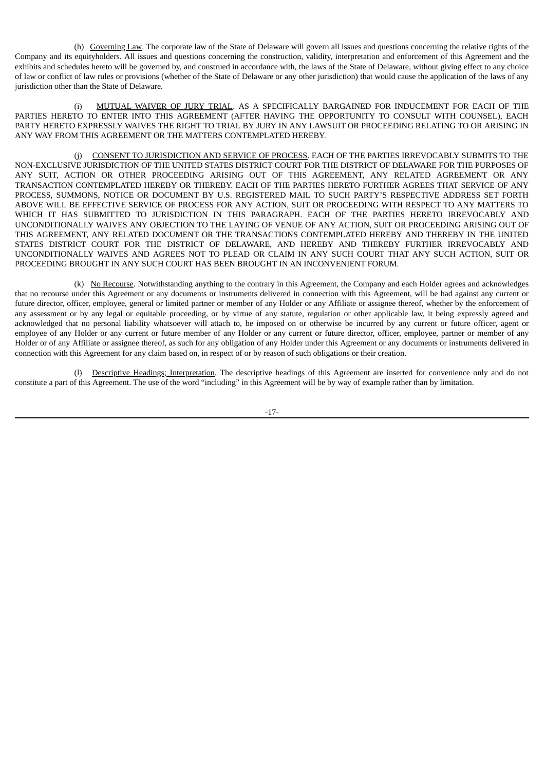(h) Governing Law. The corporate law of the State of Delaware will govern all issues and questions concerning the relative rights of the Company and its equityholders. All issues and questions concerning the construction, validity, interpretation and enforcement of this Agreement and the exhibits and schedules hereto will be governed by, and construed in accordance with, the laws of the State of Delaware, without giving effect to any choice of law or conflict of law rules or provisions (whether of the State of Delaware or any other jurisdiction) that would cause the application of the laws of any jurisdiction other than the State of Delaware.

(i) MUTUAL WAIVER OF JURY TRIAL. AS A SPECIFICALLY BARGAINED FOR INDUCEMENT FOR EACH OF THE PARTIES HERETO TO ENTER INTO THIS AGREEMENT (AFTER HAVING THE OPPORTUNITY TO CONSULT WITH COUNSEL), EACH PARTY HERETO EXPRESSLY WAIVES THE RIGHT TO TRIAL BY JURY IN ANY LAWSUIT OR PROCEEDING RELATING TO OR ARISING IN ANY WAY FROM THIS AGREEMENT OR THE MATTERS CONTEMPLATED HEREBY.

(j) CONSENT TO JURISDICTION AND SERVICE OF PROCESS. EACH OF THE PARTIES IRREVOCABLY SUBMITS TO THE NON-EXCLUSIVE JURISDICTION OF THE UNITED STATES DISTRICT COURT FOR THE DISTRICT OF DELAWARE FOR THE PURPOSES OF ANY SUIT, ACTION OR OTHER PROCEEDING ARISING OUT OF THIS AGREEMENT, ANY RELATED AGREEMENT OR ANY TRANSACTION CONTEMPLATED HEREBY OR THEREBY. EACH OF THE PARTIES HERETO FURTHER AGREES THAT SERVICE OF ANY PROCESS, SUMMONS, NOTICE OR DOCUMENT BY U.S. REGISTERED MAIL TO SUCH PARTY'S RESPECTIVE ADDRESS SET FORTH ABOVE WILL BE EFFECTIVE SERVICE OF PROCESS FOR ANY ACTION, SUIT OR PROCEEDING WITH RESPECT TO ANY MATTERS TO WHICH IT HAS SUBMITTED TO JURISDICTION IN THIS PARAGRAPH. EACH OF THE PARTIES HERETO IRREVOCABLY AND UNCONDITIONALLY WAIVES ANY OBJECTION TO THE LAYING OF VENUE OF ANY ACTION, SUIT OR PROCEEDING ARISING OUT OF THIS AGREEMENT, ANY RELATED DOCUMENT OR THE TRANSACTIONS CONTEMPLATED HEREBY AND THEREBY IN THE UNITED STATES DISTRICT COURT FOR THE DISTRICT OF DELAWARE, AND HEREBY AND THEREBY FURTHER IRREVOCABLY AND UNCONDITIONALLY WAIVES AND AGREES NOT TO PLEAD OR CLAIM IN ANY SUCH COURT THAT ANY SUCH ACTION, SUIT OR PROCEEDING BROUGHT IN ANY SUCH COURT HAS BEEN BROUGHT IN AN INCONVENIENT FORUM.

(k) No Recourse. Notwithstanding anything to the contrary in this Agreement, the Company and each Holder agrees and acknowledges that no recourse under this Agreement or any documents or instruments delivered in connection with this Agreement, will be had against any current or future director, officer, employee, general or limited partner or member of any Holder or any Affiliate or assignee thereof, whether by the enforcement of any assessment or by any legal or equitable proceeding, or by virtue of any statute, regulation or other applicable law, it being expressly agreed and acknowledged that no personal liability whatsoever will attach to, be imposed on or otherwise be incurred by any current or future officer, agent or employee of any Holder or any current or future member of any Holder or any current or future director, officer, employee, partner or member of any Holder or of any Affiliate or assignee thereof, as such for any obligation of any Holder under this Agreement or any documents or instruments delivered in connection with this Agreement for any claim based on, in respect of or by reason of such obligations or their creation.

(l) Descriptive Headings; Interpretation. The descriptive headings of this Agreement are inserted for convenience only and do not constitute a part of this Agreement. The use of the word "including" in this Agreement will be by way of example rather than by limitation.

-17-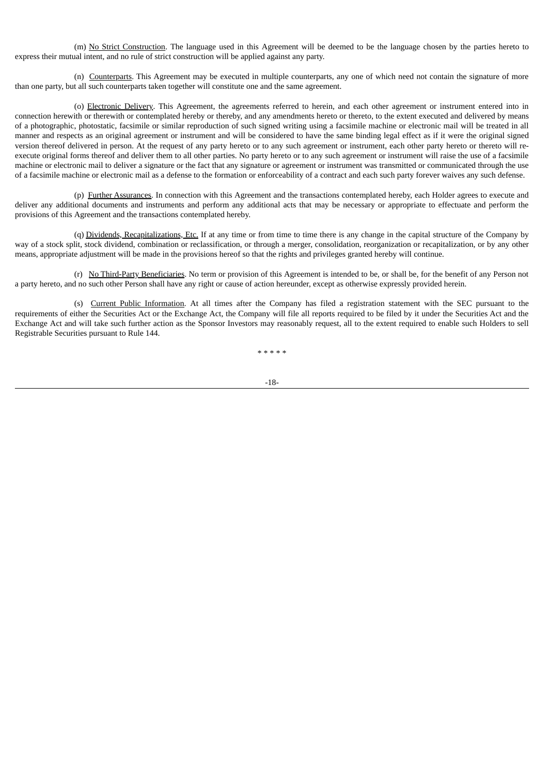(m) No Strict Construction. The language used in this Agreement will be deemed to be the language chosen by the parties hereto to express their mutual intent, and no rule of strict construction will be applied against any party.

(n) Counterparts. This Agreement may be executed in multiple counterparts, any one of which need not contain the signature of more than one party, but all such counterparts taken together will constitute one and the same agreement.

(o) Electronic Delivery. This Agreement, the agreements referred to herein, and each other agreement or instrument entered into in connection herewith or therewith or contemplated hereby or thereby, and any amendments hereto or thereto, to the extent executed and delivered by means of a photographic, photostatic, facsimile or similar reproduction of such signed writing using a facsimile machine or electronic mail will be treated in all manner and respects as an original agreement or instrument and will be considered to have the same binding legal effect as if it were the original signed version thereof delivered in person. At the request of any party hereto or to any such agreement or instrument, each other party hereto or thereto will reexecute original forms thereof and deliver them to all other parties. No party hereto or to any such agreement or instrument will raise the use of a facsimile machine or electronic mail to deliver a signature or the fact that any signature or agreement or instrument was transmitted or communicated through the use of a facsimile machine or electronic mail as a defense to the formation or enforceability of a contract and each such party forever waives any such defense.

(p) Further Assurances. In connection with this Agreement and the transactions contemplated hereby, each Holder agrees to execute and deliver any additional documents and instruments and perform any additional acts that may be necessary or appropriate to effectuate and perform the provisions of this Agreement and the transactions contemplated hereby.

(q) Dividends, Recapitalizations, Etc. If at any time or from time to time there is any change in the capital structure of the Company by way of a stock split, stock dividend, combination or reclassification, or through a merger, consolidation, reorganization or recapitalization, or by any other means, appropriate adjustment will be made in the provisions hereof so that the rights and privileges granted hereby will continue.

(r) No Third-Party Beneficiaries. No term or provision of this Agreement is intended to be, or shall be, for the benefit of any Person not a party hereto, and no such other Person shall have any right or cause of action hereunder, except as otherwise expressly provided herein.

(s) Current Public Information. At all times after the Company has filed a registration statement with the SEC pursuant to the requirements of either the Securities Act or the Exchange Act, the Company will file all reports required to be filed by it under the Securities Act and the Exchange Act and will take such further action as the Sponsor Investors may reasonably request, all to the extent required to enable such Holders to sell Registrable Securities pursuant to Rule 144.

\* \* \* \* \*

-18-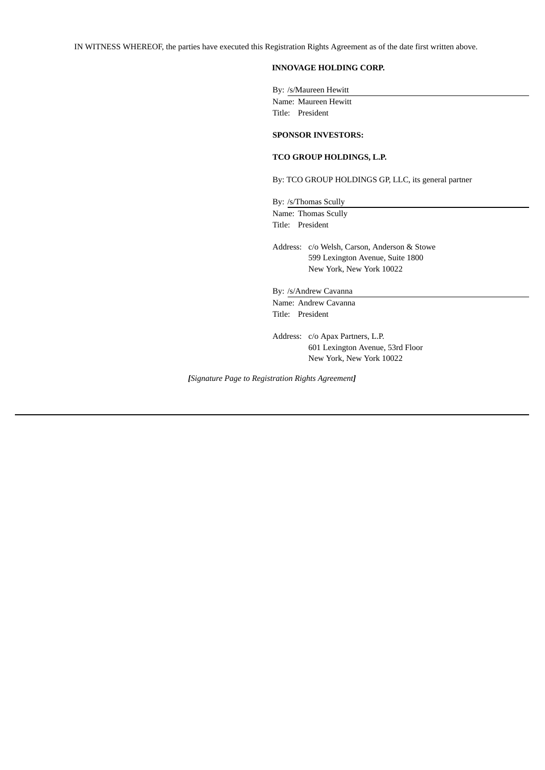IN WITNESS WHEREOF, the parties have executed this Registration Rights Agreement as of the date first written above.

# **INNOVAGE HOLDING CORP.**

By: /s/Maureen Hewitt Name: Maureen Hewitt Title: President

# **SPONSOR INVESTORS:**

# **TCO GROUP HOLDINGS, L.P.**

By: TCO GROUP HOLDINGS GP, LLC, its general partner

By: /s/Thomas Scully Name: Thomas Scully Title: President

Address: c/o Welsh, Carson, Anderson & Stowe 599 Lexington Avenue, Suite 1800 New York, New York 10022

By: /s/Andrew Cavanna Name: Andrew Cavanna Title: President

Address: c/o Apax Partners, L.P. 601 Lexington Avenue, 53rd Floor New York, New York 10022

*[Signature Page to Registration Rights Agreement]*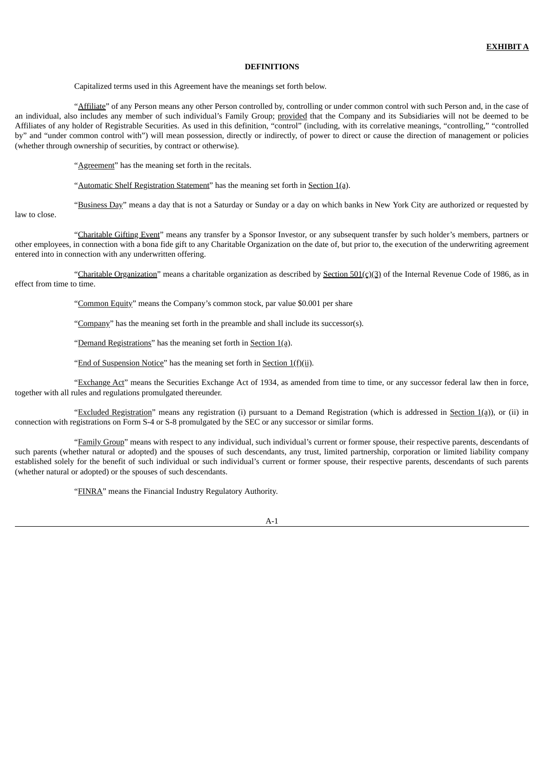#### **DEFINITIONS**

Capitalized terms used in this Agreement have the meanings set forth below.

"Affiliate" of any Person means any other Person controlled by, controlling or under common control with such Person and, in the case of an individual, also includes any member of such individual's Family Group; provided that the Company and its Subsidiaries will not be deemed to be Affiliates of any holder of Registrable Securities. As used in this definition, "control" (including, with its correlative meanings, "controlling," "controlled by" and "under common control with") will mean possession, directly or indirectly, of power to direct or cause the direction of management or policies (whether through ownership of securities, by contract or otherwise).

"Agreement" has the meaning set forth in the recitals.

"Automatic Shelf Registration Statement" has the meaning set forth in Section  $1(a)$ .

"Business Day" means a day that is not a Saturday or Sunday or a day on which banks in New York City are authorized or requested by

law to close.

"Charitable Gifting Event" means any transfer by a Sponsor Investor, or any subsequent transfer by such holder's members, partners or other employees, in connection with a bona fide gift to any Charitable Organization on the date of, but prior to, the execution of the underwriting agreement entered into in connection with any underwritten offering.

"Charitable Organization" means a charitable organization as described by Section  $501(c)(3)$  of the Internal Revenue Code of 1986, as in effect from time to time.

"Common Equity" means the Company's common stock, par value \$0.001 per share

"Company" has the meaning set forth in the preamble and shall include its successor(s).

"Demand Registrations" has the meaning set forth in Section 1(a).

"End of Suspension Notice" has the meaning set forth in Section 1(f)(ii).

"Exchange Act" means the Securities Exchange Act of 1934, as amended from time to time, or any successor federal law then in force, together with all rules and regulations promulgated thereunder.

"Excluded Registration" means any registration (i) pursuant to a Demand Registration (which is addressed in Section 1(a)), or (ii) in connection with registrations on Form S-4 or S-8 promulgated by the SEC or any successor or similar forms.

"Family Group" means with respect to any individual, such individual's current or former spouse, their respective parents, descendants of such parents (whether natural or adopted) and the spouses of such descendants, any trust, limited partnership, corporation or limited liability company established solely for the benefit of such individual or such individual's current or former spouse, their respective parents, descendants of such parents (whether natural or adopted) or the spouses of such descendants.

"FINRA" means the Financial Industry Regulatory Authority.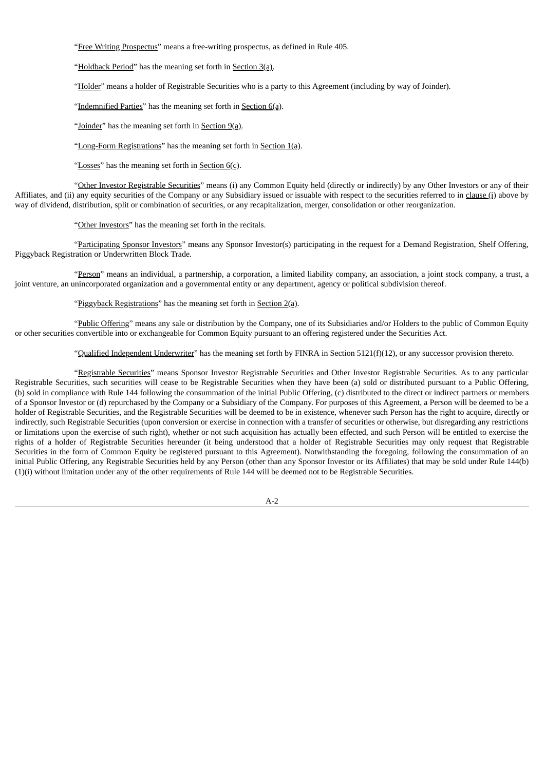"Free Writing Prospectus" means a free-writing prospectus, as defined in Rule 405.

"Holdback Period" has the meaning set forth in Section 3(a).

"Holder" means a holder of Registrable Securities who is a party to this Agreement (including by way of Joinder).

"Indemnified Parties" has the meaning set forth in Section 6(a).

"Joinder" has the meaning set forth in Section 9(a).

"Long-Form Registrations" has the meaning set forth in Section 1(a).

"Losses" has the meaning set forth in Section  $6(c)$ .

"Other Investor Registrable Securities" means (i) any Common Equity held (directly or indirectly) by any Other Investors or any of their Affiliates, and (ii) any equity securities of the Company or any Subsidiary issued or issuable with respect to the securities referred to in clause (i) above by way of dividend, distribution, split or combination of securities, or any recapitalization, merger, consolidation or other reorganization.

"Other Investors" has the meaning set forth in the recitals.

"Participating Sponsor Investors" means any Sponsor Investor(s) participating in the request for a Demand Registration, Shelf Offering, Piggyback Registration or Underwritten Block Trade.

"Person" means an individual, a partnership, a corporation, a limited liability company, an association, a joint stock company, a trust, a joint venture, an unincorporated organization and a governmental entity or any department, agency or political subdivision thereof.

"Piggyback Registrations" has the meaning set forth in Section 2(a).

"Public Offering" means any sale or distribution by the Company, one of its Subsidiaries and/or Holders to the public of Common Equity or other securities convertible into or exchangeable for Common Equity pursuant to an offering registered under the Securities Act.

"Qualified Independent Underwriter" has the meaning set forth by FINRA in Section  $5121(f)(12)$ , or any successor provision thereto.

"Registrable Securities" means Sponsor Investor Registrable Securities and Other Investor Registrable Securities. As to any particular Registrable Securities, such securities will cease to be Registrable Securities when they have been (a) sold or distributed pursuant to a Public Offering, (b) sold in compliance with Rule 144 following the consummation of the initial Public Offering, (c) distributed to the direct or indirect partners or members of a Sponsor Investor or (d) repurchased by the Company or a Subsidiary of the Company. For purposes of this Agreement, a Person will be deemed to be a holder of Registrable Securities, and the Registrable Securities will be deemed to be in existence, whenever such Person has the right to acquire, directly or indirectly, such Registrable Securities (upon conversion or exercise in connection with a transfer of securities or otherwise, but disregarding any restrictions or limitations upon the exercise of such right), whether or not such acquisition has actually been effected, and such Person will be entitled to exercise the rights of a holder of Registrable Securities hereunder (it being understood that a holder of Registrable Securities may only request that Registrable Securities in the form of Common Equity be registered pursuant to this Agreement). Notwithstanding the foregoing, following the consummation of an initial Public Offering, any Registrable Securities held by any Person (other than any Sponsor Investor or its Affiliates) that may be sold under Rule 144(b) (1)(i) without limitation under any of the other requirements of Rule 144 will be deemed not to be Registrable Securities.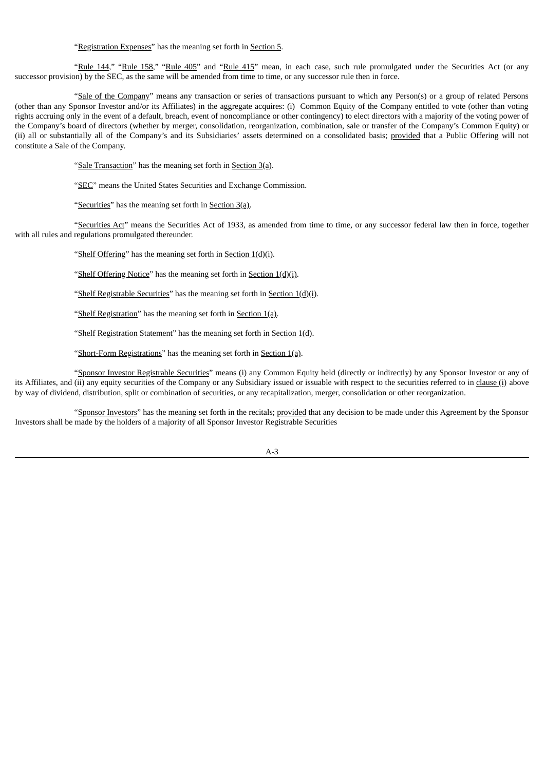### "Registration Expenses" has the meaning set forth in Section 5.

"Rule 144," "Rule 158," "Rule 405" and "Rule 415" mean, in each case, such rule promulgated under the Securities Act (or any successor provision) by the SEC, as the same will be amended from time to time, or any successor rule then in force.

"Sale of the Company" means any transaction or series of transactions pursuant to which any Person(s) or a group of related Persons (other than any Sponsor Investor and/or its Affiliates) in the aggregate acquires: (i) Common Equity of the Company entitled to vote (other than voting rights accruing only in the event of a default, breach, event of noncompliance or other contingency) to elect directors with a majority of the voting power of the Company's board of directors (whether by merger, consolidation, reorganization, combination, sale or transfer of the Company's Common Equity) or (ii) all or substantially all of the Company's and its Subsidiaries' assets determined on a consolidated basis; provided that a Public Offering will not constitute a Sale of the Company.

"Sale Transaction" has the meaning set forth in Section 3(a).

"SEC" means the United States Securities and Exchange Commission.

"Securities" has the meaning set forth in Section 3(a).

"Securities Act" means the Securities Act of 1933, as amended from time to time, or any successor federal law then in force, together with all rules and regulations promulgated thereunder.

"Shelf Offering" has the meaning set forth in Section 1(d)(i).

"Shelf Offering Notice" has the meaning set forth in Section 1(d)(i).

"Shelf Registrable Securities" has the meaning set forth in Section 1(d)(i).

"Shelf Registration" has the meaning set forth in Section  $1(a)$ .

"Shelf Registration Statement" has the meaning set forth in Section 1(d).

"Short-Form Registrations" has the meaning set forth in Section 1(a).

"Sponsor Investor Registrable Securities" means (i) any Common Equity held (directly or indirectly) by any Sponsor Investor or any of its Affiliates, and (ii) any equity securities of the Company or any Subsidiary issued or issuable with respect to the securities referred to in clause (i) above by way of dividend, distribution, split or combination of securities, or any recapitalization, merger, consolidation or other reorganization.

"Sponsor Investors" has the meaning set forth in the recitals; provided that any decision to be made under this Agreement by the Sponsor Investors shall be made by the holders of a majority of all Sponsor Investor Registrable Securities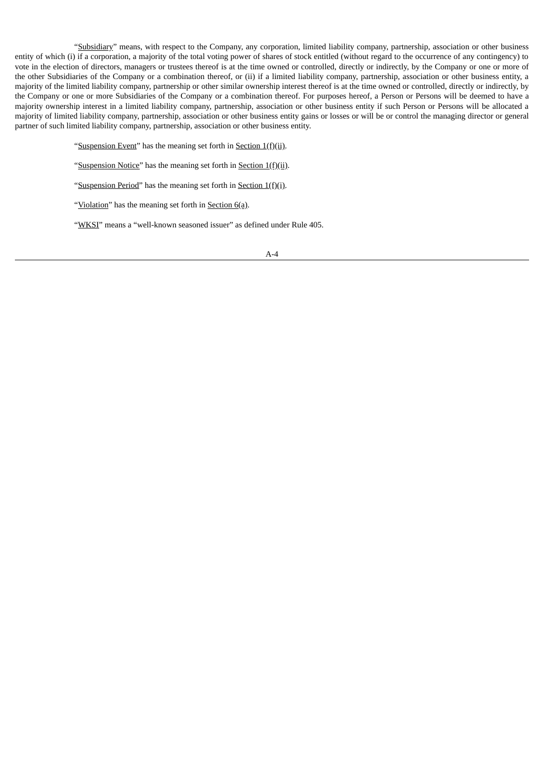"Subsidiary" means, with respect to the Company, any corporation, limited liability company, partnership, association or other business entity of which (i) if a corporation, a majority of the total voting power of shares of stock entitled (without regard to the occurrence of any contingency) to vote in the election of directors, managers or trustees thereof is at the time owned or controlled, directly or indirectly, by the Company or one or more of the other Subsidiaries of the Company or a combination thereof, or (ii) if a limited liability company, partnership, association or other business entity, a majority of the limited liability company, partnership or other similar ownership interest thereof is at the time owned or controlled, directly or indirectly, by the Company or one or more Subsidiaries of the Company or a combination thereof. For purposes hereof, a Person or Persons will be deemed to have a majority ownership interest in a limited liability company, partnership, association or other business entity if such Person or Persons will be allocated a majority of limited liability company, partnership, association or other business entity gains or losses or will be or control the managing director or general partner of such limited liability company, partnership, association or other business entity.

"Suspension Event" has the meaning set forth in Section  $1(f)(ii)$ .

"Suspension Notice" has the meaning set forth in Section  $1(f)(ii)$ .

"Suspension Period" has the meaning set forth in Section  $1(f)(i)$ .

"Violation" has the meaning set forth in Section  $6(a)$ .

"WKSI" means a "well-known seasoned issuer" as defined under Rule 405.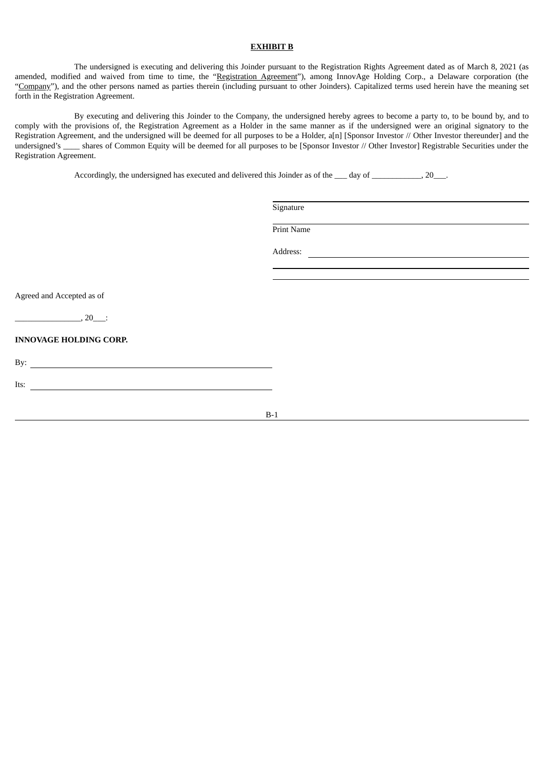## **EXHIBIT B**

The undersigned is executing and delivering this Joinder pursuant to the Registration Rights Agreement dated as of March 8, 2021 (as amended, modified and waived from time to time, the "Registration Agreement"), among InnovAge Holding Corp., a Delaware corporation (the "Company"), and the other persons named as parties therein (including pursuant to other Joinders). Capitalized terms used herein have the meaning set forth in the Registration Agreement.

By executing and delivering this Joinder to the Company, the undersigned hereby agrees to become a party to, to be bound by, and to comply with the provisions of, the Registration Agreement as a Holder in the same manner as if the undersigned were an original signatory to the Registration Agreement, and the undersigned will be deemed for all purposes to be a Holder, a[n] [Sponsor Investor // Other Investor thereunder] and the undersigned's \_\_\_\_\_ shares of Common Equity will be deemed for all purposes to be [Sponsor Investor // Other Investor] Registrable Securities under the Registration Agreement.

Accordingly, the undersigned has executed and delivered this Joinder as of the \_\_\_ day of \_\_\_\_\_\_\_\_\_\_, 20\_\_\_.

**Signature** 

Print Name

Address:

<u> 1989 - Johann Barn, mars ann an t-</u>

Agreed and Accepted as of

 $\frac{1}{20}$ , 20\_\_\_\_:

# **INNOVAGE HOLDING CORP.**

By: Its:

B-1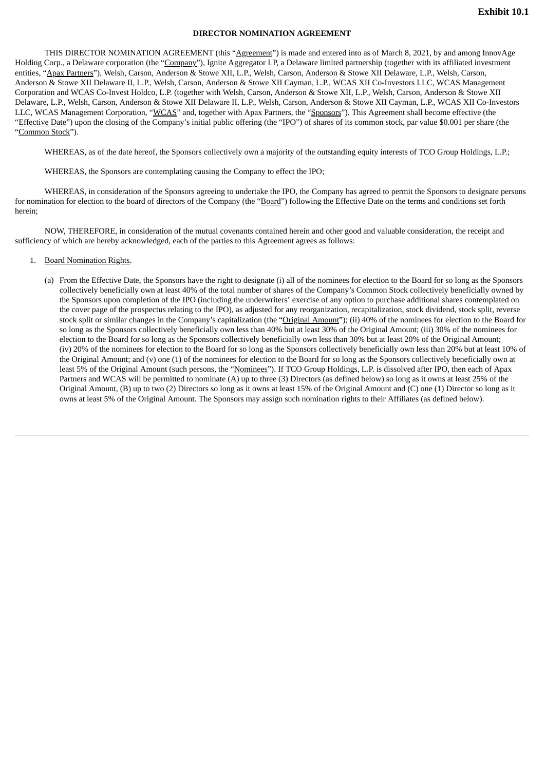### **DIRECTOR NOMINATION AGREEMENT**

THIS DIRECTOR NOMINATION AGREEMENT (this "Agreement") is made and entered into as of March 8, 2021, by and among InnovAge Holding Corp., a Delaware corporation (the "Company"), Ignite Aggregator LP, a Delaware limited partnership (together with its affiliated investment entities, "Apax Partners"), Welsh, Carson, Anderson & Stowe XII, L.P., Welsh, Carson, Anderson & Stowe XII Delaware, L.P., Welsh, Carson, Anderson & Stowe XII Delaware II, L.P., Welsh, Carson, Anderson & Stowe XII Cayman, L.P., WCAS XII Co-Investors LLC, WCAS Management Corporation and WCAS Co-Invest Holdco, L.P. (together with Welsh, Carson, Anderson & Stowe XII, L.P., Welsh, Carson, Anderson & Stowe XII Delaware, L.P., Welsh, Carson, Anderson & Stowe XII Delaware II, L.P., Welsh, Carson, Anderson & Stowe XII Cayman, L.P., WCAS XII Co-Investors LLC, WCAS Management Corporation, "WCAS" and, together with Apax Partners, the "Sponsors"). This Agreement shall become effective (the "Effective Date") upon the closing of the Company's initial public offering (the "IPO") of shares of its common stock, par value \$0.001 per share (the "Common Stock").

WHEREAS, as of the date hereof, the Sponsors collectively own a majority of the outstanding equity interests of TCO Group Holdings, L.P.;

WHEREAS, the Sponsors are contemplating causing the Company to effect the IPO;

WHEREAS, in consideration of the Sponsors agreeing to undertake the IPO, the Company has agreed to permit the Sponsors to designate persons for nomination for election to the board of directors of the Company (the "Board") following the Effective Date on the terms and conditions set forth herein;

NOW, THEREFORE, in consideration of the mutual covenants contained herein and other good and valuable consideration, the receipt and sufficiency of which are hereby acknowledged, each of the parties to this Agreement agrees as follows:

- 1. Board Nomination Rights.
	- (a) From the Effective Date, the Sponsors have the right to designate (i) all of the nominees for election to the Board for so long as the Sponsors collectively beneficially own at least 40% of the total number of shares of the Company's Common Stock collectively beneficially owned by the Sponsors upon completion of the IPO (including the underwriters' exercise of any option to purchase additional shares contemplated on the cover page of the prospectus relating to the IPO), as adjusted for any reorganization, recapitalization, stock dividend, stock split, reverse stock split or similar changes in the Company's capitalization (the "Original Amount"); (ii) 40% of the nominees for election to the Board for so long as the Sponsors collectively beneficially own less than 40% but at least 30% of the Original Amount; (iii) 30% of the nominees for election to the Board for so long as the Sponsors collectively beneficially own less than 30% but at least 20% of the Original Amount; (iv) 20% of the nominees for election to the Board for so long as the Sponsors collectively beneficially own less than 20% but at least 10% of the Original Amount; and (v) one (1) of the nominees for election to the Board for so long as the Sponsors collectively beneficially own at least 5% of the Original Amount (such persons, the "Nominees"). If TCO Group Holdings, L.P. is dissolved after IPO, then each of Apax Partners and WCAS will be permitted to nominate (A) up to three (3) Directors (as defined below) so long as it owns at least 25% of the Original Amount, (B) up to two (2) Directors so long as it owns at least 15% of the Original Amount and (C) one (1) Director so long as it owns at least 5% of the Original Amount. The Sponsors may assign such nomination rights to their Affiliates (as defined below).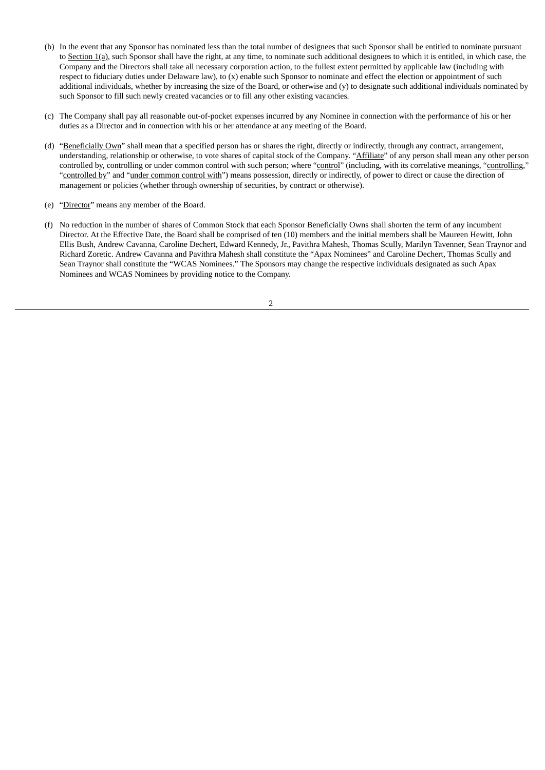- (b) In the event that any Sponsor has nominated less than the total number of designees that such Sponsor shall be entitled to nominate pursuant to Section 1(a), such Sponsor shall have the right, at any time, to nominate such additional designees to which it is entitled, in which case, the Company and the Directors shall take all necessary corporation action, to the fullest extent permitted by applicable law (including with respect to fiduciary duties under Delaware law), to (x) enable such Sponsor to nominate and effect the election or appointment of such additional individuals, whether by increasing the size of the Board, or otherwise and (y) to designate such additional individuals nominated by such Sponsor to fill such newly created vacancies or to fill any other existing vacancies.
- (c) The Company shall pay all reasonable out-of-pocket expenses incurred by any Nominee in connection with the performance of his or her duties as a Director and in connection with his or her attendance at any meeting of the Board.
- (d) "Beneficially Own" shall mean that a specified person has or shares the right, directly or indirectly, through any contract, arrangement, understanding, relationship or otherwise, to vote shares of capital stock of the Company. "Affiliate" of any person shall mean any other person controlled by, controlling or under common control with such person; where "control" (including, with its correlative meanings, "controlling," "controlled by" and "under common control with") means possession, directly or indirectly, of power to direct or cause the direction of management or policies (whether through ownership of securities, by contract or otherwise).
- (e) "Director" means any member of the Board.
- (f) No reduction in the number of shares of Common Stock that each Sponsor Beneficially Owns shall shorten the term of any incumbent Director. At the Effective Date, the Board shall be comprised of ten (10) members and the initial members shall be Maureen Hewitt, John Ellis Bush, Andrew Cavanna, Caroline Dechert, Edward Kennedy, Jr., Pavithra Mahesh, Thomas Scully, Marilyn Tavenner, Sean Traynor and Richard Zoretic. Andrew Cavanna and Pavithra Mahesh shall constitute the "Apax Nominees" and Caroline Dechert, Thomas Scully and Sean Traynor shall constitute the "WCAS Nominees." The Sponsors may change the respective individuals designated as such Apax Nominees and WCAS Nominees by providing notice to the Company.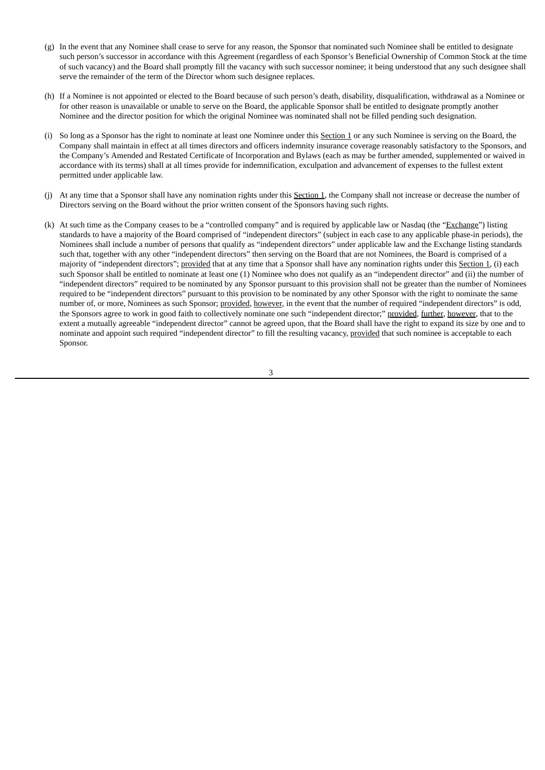- (g) In the event that any Nominee shall cease to serve for any reason, the Sponsor that nominated such Nominee shall be entitled to designate such person's successor in accordance with this Agreement (regardless of each Sponsor's Beneficial Ownership of Common Stock at the time of such vacancy) and the Board shall promptly fill the vacancy with such successor nominee; it being understood that any such designee shall serve the remainder of the term of the Director whom such designee replaces.
- (h) If a Nominee is not appointed or elected to the Board because of such person's death, disability, disqualification, withdrawal as a Nominee or for other reason is unavailable or unable to serve on the Board, the applicable Sponsor shall be entitled to designate promptly another Nominee and the director position for which the original Nominee was nominated shall not be filled pending such designation.
- (i) So long as a Sponsor has the right to nominate at least one Nominee under this Section 1 or any such Nominee is serving on the Board, the Company shall maintain in effect at all times directors and officers indemnity insurance coverage reasonably satisfactory to the Sponsors, and the Company's Amended and Restated Certificate of Incorporation and Bylaws (each as may be further amended, supplemented or waived in accordance with its terms) shall at all times provide for indemnification, exculpation and advancement of expenses to the fullest extent permitted under applicable law.
- (j) At any time that a Sponsor shall have any nomination rights under this Section 1, the Company shall not increase or decrease the number of Directors serving on the Board without the prior written consent of the Sponsors having such rights.
- (k) At such time as the Company ceases to be a "controlled company" and is required by applicable law or Nasdaq (the "Exchange") listing standards to have a majority of the Board comprised of "independent directors" (subject in each case to any applicable phase-in periods), the Nominees shall include a number of persons that qualify as "independent directors" under applicable law and the Exchange listing standards such that, together with any other "independent directors" then serving on the Board that are not Nominees, the Board is comprised of a majority of "independent directors"; provided that at any time that a Sponsor shall have any nomination rights under this Section 1, (i) each such Sponsor shall be entitled to nominate at least one (1) Nominee who does not qualify as an "independent director" and (ii) the number of "independent directors" required to be nominated by any Sponsor pursuant to this provision shall not be greater than the number of Nominees required to be "independent directors" pursuant to this provision to be nominated by any other Sponsor with the right to nominate the same number of, or more, Nominees as such Sponsor; provided, however, in the event that the number of required "independent directors" is odd, the Sponsors agree to work in good faith to collectively nominate one such "independent director;" provided, further, however, that to the extent a mutually agreeable "independent director" cannot be agreed upon, that the Board shall have the right to expand its size by one and to nominate and appoint such required "independent director" to fill the resulting vacancy, provided that such nominee is acceptable to each Sponsor.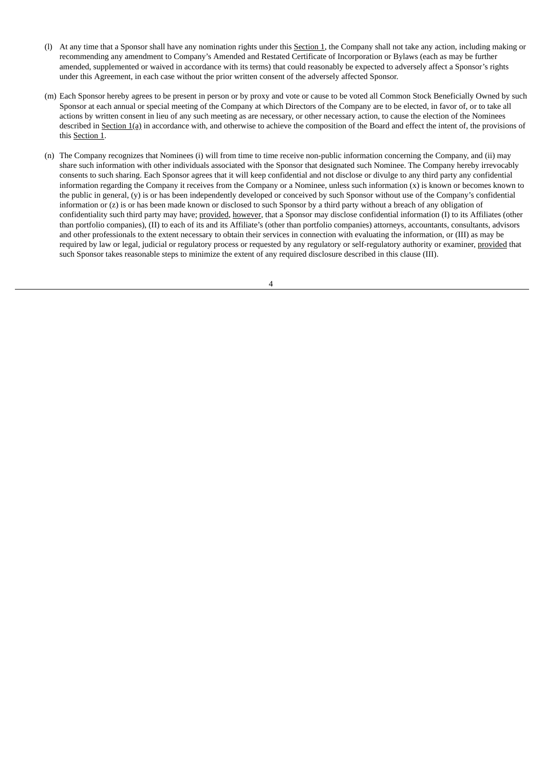- (l) At any time that a Sponsor shall have any nomination rights under this Section 1, the Company shall not take any action, including making or recommending any amendment to Company's Amended and Restated Certificate of Incorporation or Bylaws (each as may be further amended, supplemented or waived in accordance with its terms) that could reasonably be expected to adversely affect a Sponsor's rights under this Agreement, in each case without the prior written consent of the adversely affected Sponsor.
- (m) Each Sponsor hereby agrees to be present in person or by proxy and vote or cause to be voted all Common Stock Beneficially Owned by such Sponsor at each annual or special meeting of the Company at which Directors of the Company are to be elected, in favor of, or to take all actions by written consent in lieu of any such meeting as are necessary, or other necessary action, to cause the election of the Nominees described in Section 1(a) in accordance with, and otherwise to achieve the composition of the Board and effect the intent of, the provisions of this Section 1.
- (n) The Company recognizes that Nominees (i) will from time to time receive non-public information concerning the Company, and (ii) may share such information with other individuals associated with the Sponsor that designated such Nominee. The Company hereby irrevocably consents to such sharing. Each Sponsor agrees that it will keep confidential and not disclose or divulge to any third party any confidential information regarding the Company it receives from the Company or a Nominee, unless such information (x) is known or becomes known to the public in general, (y) is or has been independently developed or conceived by such Sponsor without use of the Company's confidential information or (z) is or has been made known or disclosed to such Sponsor by a third party without a breach of any obligation of confidentiality such third party may have; provided, however, that a Sponsor may disclose confidential information (I) to its Affiliates (other than portfolio companies), (II) to each of its and its Affiliate's (other than portfolio companies) attorneys, accountants, consultants, advisors and other professionals to the extent necessary to obtain their services in connection with evaluating the information, or (III) as may be required by law or legal, judicial or regulatory process or requested by any regulatory or self-regulatory authority or examiner, provided that such Sponsor takes reasonable steps to minimize the extent of any required disclosure described in this clause (III).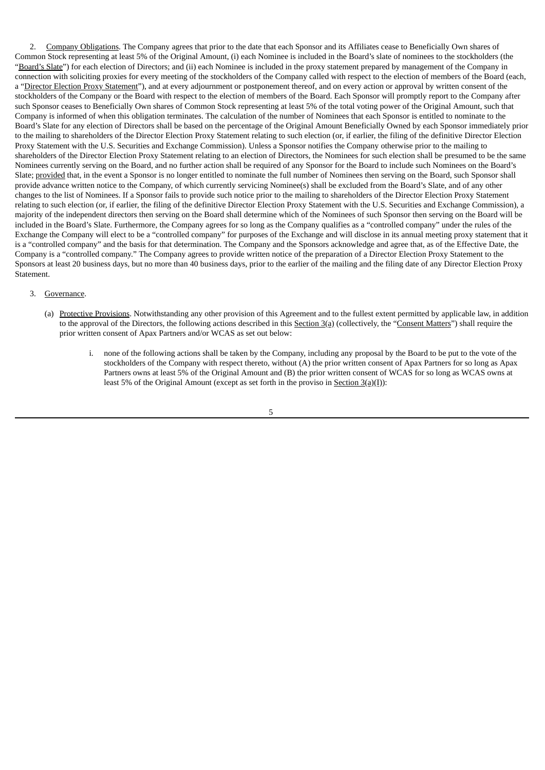2. Company Obligations. The Company agrees that prior to the date that each Sponsor and its Affiliates cease to Beneficially Own shares of Common Stock representing at least 5% of the Original Amount, (i) each Nominee is included in the Board's slate of nominees to the stockholders (the "Board's Slate") for each election of Directors; and (ii) each Nominee is included in the proxy statement prepared by management of the Company in connection with soliciting proxies for every meeting of the stockholders of the Company called with respect to the election of members of the Board (each, a "Director Election Proxy Statement"), and at every adjournment or postponement thereof, and on every action or approval by written consent of the stockholders of the Company or the Board with respect to the election of members of the Board. Each Sponsor will promptly report to the Company after such Sponsor ceases to Beneficially Own shares of Common Stock representing at least 5% of the total voting power of the Original Amount, such that Company is informed of when this obligation terminates. The calculation of the number of Nominees that each Sponsor is entitled to nominate to the Board's Slate for any election of Directors shall be based on the percentage of the Original Amount Beneficially Owned by each Sponsor immediately prior to the mailing to shareholders of the Director Election Proxy Statement relating to such election (or, if earlier, the filing of the definitive Director Election Proxy Statement with the U.S. Securities and Exchange Commission). Unless a Sponsor notifies the Company otherwise prior to the mailing to shareholders of the Director Election Proxy Statement relating to an election of Directors, the Nominees for such election shall be presumed to be the same Nominees currently serving on the Board, and no further action shall be required of any Sponsor for the Board to include such Nominees on the Board's Slate; provided that, in the event a Sponsor is no longer entitled to nominate the full number of Nominees then serving on the Board, such Sponsor shall provide advance written notice to the Company, of which currently servicing Nominee(s) shall be excluded from the Board's Slate, and of any other changes to the list of Nominees. If a Sponsor fails to provide such notice prior to the mailing to shareholders of the Director Election Proxy Statement relating to such election (or, if earlier, the filing of the definitive Director Election Proxy Statement with the U.S. Securities and Exchange Commission), a majority of the independent directors then serving on the Board shall determine which of the Nominees of such Sponsor then serving on the Board will be included in the Board's Slate. Furthermore, the Company agrees for so long as the Company qualifies as a "controlled company" under the rules of the Exchange the Company will elect to be a "controlled company" for purposes of the Exchange and will disclose in its annual meeting proxy statement that it is a "controlled company" and the basis for that determination. The Company and the Sponsors acknowledge and agree that, as of the Effective Date, the Company is a "controlled company." The Company agrees to provide written notice of the preparation of a Director Election Proxy Statement to the Sponsors at least 20 business days, but no more than 40 business days, prior to the earlier of the mailing and the filing date of any Director Election Proxy Statement.

### 3. Governance.

- (a) Protective Provisions. Notwithstanding any other provision of this Agreement and to the fullest extent permitted by applicable law, in addition to the approval of the Directors, the following actions described in this Section 3(a) (collectively, the "Consent Matters") shall require the prior written consent of Apax Partners and/or WCAS as set out below:
	- i. none of the following actions shall be taken by the Company, including any proposal by the Board to be put to the vote of the stockholders of the Company with respect thereto, without (A) the prior written consent of Apax Partners for so long as Apax Partners owns at least 5% of the Original Amount and (B) the prior written consent of WCAS for so long as WCAS owns at least 5% of the Original Amount (except as set forth in the proviso in Section  $3(a)(I)$ ):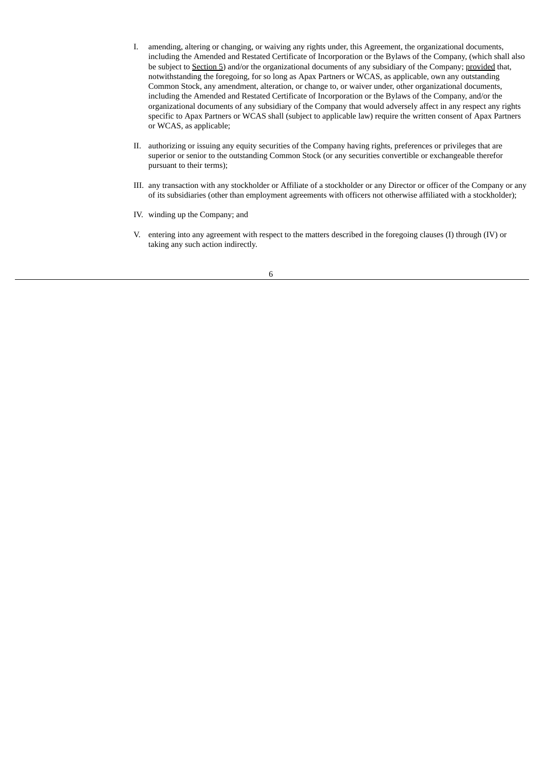- I. amending, altering or changing, or waiving any rights under, this Agreement, the organizational documents, including the Amended and Restated Certificate of Incorporation or the Bylaws of the Company, (which shall also be subject to Section 5) and/or the organizational documents of any subsidiary of the Company; provided that, notwithstanding the foregoing, for so long as Apax Partners or WCAS, as applicable, own any outstanding Common Stock, any amendment, alteration, or change to, or waiver under, other organizational documents, including the Amended and Restated Certificate of Incorporation or the Bylaws of the Company, and/or the organizational documents of any subsidiary of the Company that would adversely affect in any respect any rights specific to Apax Partners or WCAS shall (subject to applicable law) require the written consent of Apax Partners or WCAS, as applicable;
- II. authorizing or issuing any equity securities of the Company having rights, preferences or privileges that are superior or senior to the outstanding Common Stock (or any securities convertible or exchangeable therefor pursuant to their terms);
- III. any transaction with any stockholder or Affiliate of a stockholder or any Director or officer of the Company or any of its subsidiaries (other than employment agreements with officers not otherwise affiliated with a stockholder);
- IV. winding up the Company; and
- V. entering into any agreement with respect to the matters described in the foregoing clauses (I) through (IV) or taking any such action indirectly.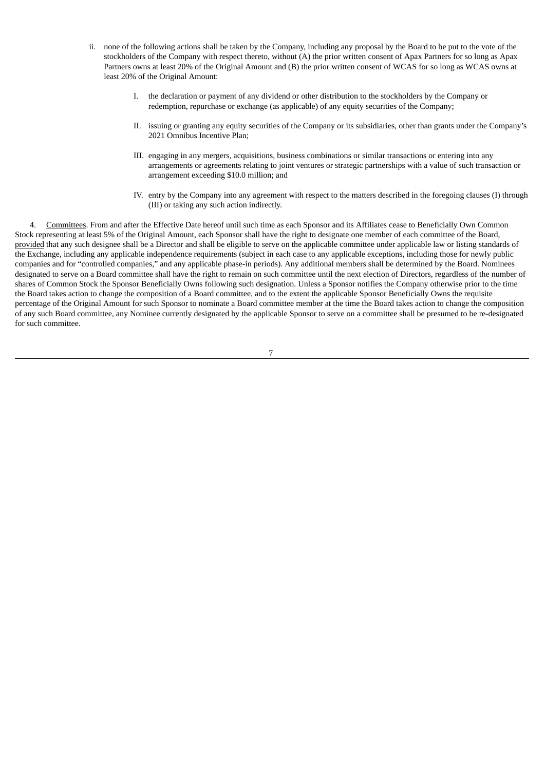- ii. none of the following actions shall be taken by the Company, including any proposal by the Board to be put to the vote of the stockholders of the Company with respect thereto, without (A) the prior written consent of Apax Partners for so long as Apax Partners owns at least 20% of the Original Amount and (B) the prior written consent of WCAS for so long as WCAS owns at least 20% of the Original Amount:
	- I. the declaration or payment of any dividend or other distribution to the stockholders by the Company or redemption, repurchase or exchange (as applicable) of any equity securities of the Company;
	- II. issuing or granting any equity securities of the Company or its subsidiaries, other than grants under the Company's 2021 Omnibus Incentive Plan;
	- III. engaging in any mergers, acquisitions, business combinations or similar transactions or entering into any arrangements or agreements relating to joint ventures or strategic partnerships with a value of such transaction or arrangement exceeding \$10.0 million; and
	- IV. entry by the Company into any agreement with respect to the matters described in the foregoing clauses (I) through (III) or taking any such action indirectly.

4. Committees. From and after the Effective Date hereof until such time as each Sponsor and its Affiliates cease to Beneficially Own Common Stock representing at least 5% of the Original Amount, each Sponsor shall have the right to designate one member of each committee of the Board, provided that any such designee shall be a Director and shall be eligible to serve on the applicable committee under applicable law or listing standards of the Exchange, including any applicable independence requirements (subject in each case to any applicable exceptions, including those for newly public companies and for "controlled companies," and any applicable phase-in periods). Any additional members shall be determined by the Board. Nominees designated to serve on a Board committee shall have the right to remain on such committee until the next election of Directors, regardless of the number of shares of Common Stock the Sponsor Beneficially Owns following such designation. Unless a Sponsor notifies the Company otherwise prior to the time the Board takes action to change the composition of a Board committee, and to the extent the applicable Sponsor Beneficially Owns the requisite percentage of the Original Amount for such Sponsor to nominate a Board committee member at the time the Board takes action to change the composition of any such Board committee, any Nominee currently designated by the applicable Sponsor to serve on a committee shall be presumed to be re-designated for such committee.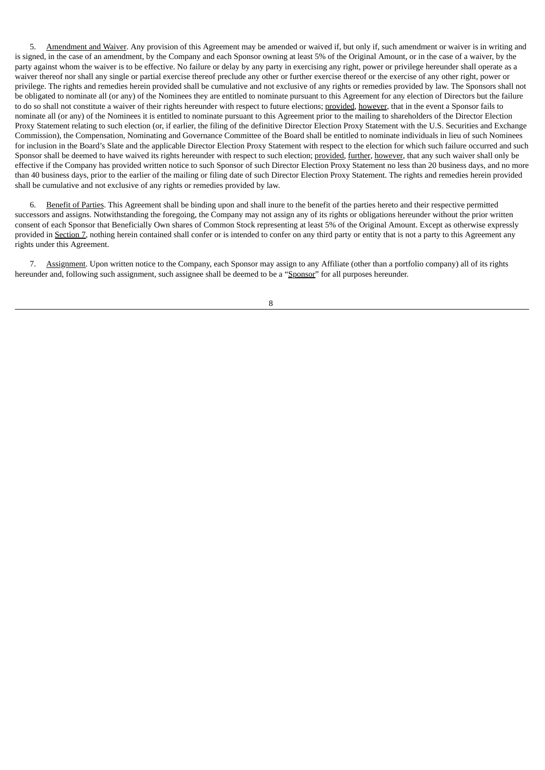5. Amendment and Waiver. Any provision of this Agreement may be amended or waived if, but only if, such amendment or waiver is in writing and is signed, in the case of an amendment, by the Company and each Sponsor owning at least 5% of the Original Amount, or in the case of a waiver, by the party against whom the waiver is to be effective. No failure or delay by any party in exercising any right, power or privilege hereunder shall operate as a waiver thereof nor shall any single or partial exercise thereof preclude any other or further exercise thereof or the exercise of any other right, power or privilege. The rights and remedies herein provided shall be cumulative and not exclusive of any rights or remedies provided by law. The Sponsors shall not be obligated to nominate all (or any) of the Nominees they are entitled to nominate pursuant to this Agreement for any election of Directors but the failure to do so shall not constitute a waiver of their rights hereunder with respect to future elections; provided, however, that in the event a Sponsor fails to nominate all (or any) of the Nominees it is entitled to nominate pursuant to this Agreement prior to the mailing to shareholders of the Director Election Proxy Statement relating to such election (or, if earlier, the filing of the definitive Director Election Proxy Statement with the U.S. Securities and Exchange Commission), the Compensation, Nominating and Governance Committee of the Board shall be entitled to nominate individuals in lieu of such Nominees for inclusion in the Board's Slate and the applicable Director Election Proxy Statement with respect to the election for which such failure occurred and such Sponsor shall be deemed to have waived its rights hereunder with respect to such election; provided, further, however, that any such waiver shall only be effective if the Company has provided written notice to such Sponsor of such Director Election Proxy Statement no less than 20 business days, and no more than 40 business days, prior to the earlier of the mailing or filing date of such Director Election Proxy Statement. The rights and remedies herein provided shall be cumulative and not exclusive of any rights or remedies provided by law.

Benefit of Parties. This Agreement shall be binding upon and shall inure to the benefit of the parties hereto and their respective permitted successors and assigns. Notwithstanding the foregoing, the Company may not assign any of its rights or obligations hereunder without the prior written consent of each Sponsor that Beneficially Own shares of Common Stock representing at least 5% of the Original Amount. Except as otherwise expressly provided in Section 7, nothing herein contained shall confer or is intended to confer on any third party or entity that is not a party to this Agreement any rights under this Agreement.

7. Assignment. Upon written notice to the Company, each Sponsor may assign to any Affiliate (other than a portfolio company) all of its rights hereunder and, following such assignment, such assignee shall be deemed to be a "Sponsor" for all purposes hereunder.

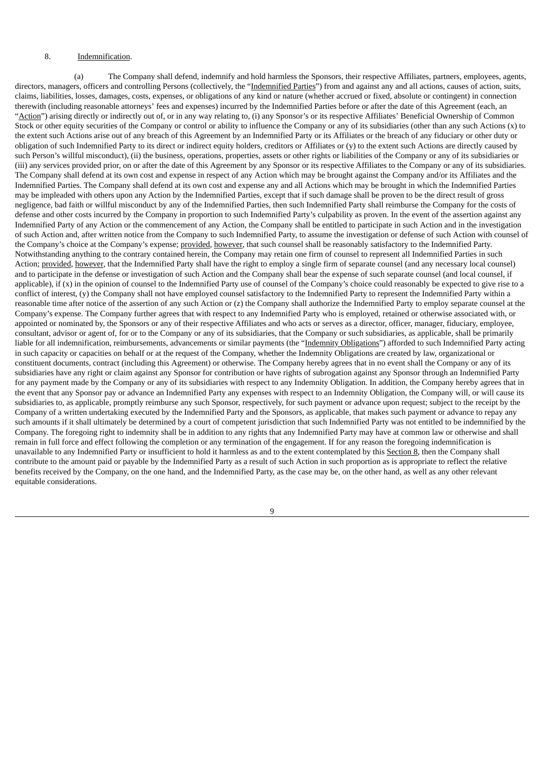# 8. Indemnification.

(a) The Company shall defend, indemnify and hold harmless the Sponsors, their respective Affiliates, partners, employees, agents, directors, managers, officers and controlling Persons (collectively, the "Indemnified Parties") from and against any and all actions, causes of action, suits, claims, liabilities, losses, damages, costs, expenses, or obligations of any kind or nature (whether accrued or fixed, absolute or contingent) in connection therewith (including reasonable attorneys' fees and expenses) incurred by the Indemnified Parties before or after the date of this Agreement (each, an "Action") arising directly or indirectly out of, or in any way relating to, (i) any Sponsor's or its respective Affiliates' Beneficial Ownership of Common Stock or other equity securities of the Company or control or ability to influence the Company or any of its subsidiaries (other than any such Actions  $(x)$  to the extent such Actions arise out of any breach of this Agreement by an Indemnified Party or its Affiliates or the breach of any fiduciary or other duty or obligation of such Indemnified Party to its direct or indirect equity holders, creditors or Affiliates or (y) to the extent such Actions are directly caused by such Person's willful misconduct), (ii) the business, operations, properties, assets or other rights or liabilities of the Company or any of its subsidiaries or (iii) any services provided prior, on or after the date of this Agreement by any Sponsor or its respective Affiliates to the Company or any of its subsidiaries. The Company shall defend at its own cost and expense in respect of any Action which may be brought against the Company and/or its Affiliates and the Indemnified Parties. The Company shall defend at its own cost and expense any and all Actions which may be brought in which the Indemnified Parties may be impleaded with others upon any Action by the Indemnified Parties, except that if such damage shall be proven to be the direct result of gross negligence, bad faith or willful misconduct by any of the Indemnified Parties, then such Indemnified Party shall reimburse the Company for the costs of defense and other costs incurred by the Company in proportion to such Indemnified Party's culpability as proven. In the event of the assertion against any Indemnified Party of any Action or the commencement of any Action, the Company shall be entitled to participate in such Action and in the investigation of such Action and, after written notice from the Company to such Indemnified Party, to assume the investigation or defense of such Action with counsel of the Company's choice at the Company's expense; provided, however, that such counsel shall be reasonably satisfactory to the Indemnified Party. Notwithstanding anything to the contrary contained herein, the Company may retain one firm of counsel to represent all Indemnified Parties in such Action; provided, however, that the Indemnified Party shall have the right to employ a single firm of separate counsel (and any necessary local counsel) and to participate in the defense or investigation of such Action and the Company shall bear the expense of such separate counsel (and local counsel, if applicable), if (x) in the opinion of counsel to the Indemnified Party use of counsel of the Company's choice could reasonably be expected to give rise to a conflict of interest, (y) the Company shall not have employed counsel satisfactory to the Indemnified Party to represent the Indemnified Party within a reasonable time after notice of the assertion of any such Action or (z) the Company shall authorize the Indemnified Party to employ separate counsel at the Company's expense. The Company further agrees that with respect to any Indemnified Party who is employed, retained or otherwise associated with, or appointed or nominated by, the Sponsors or any of their respective Affiliates and who acts or serves as a director, officer, manager, fiduciary, employee, consultant, advisor or agent of, for or to the Company or any of its subsidiaries, that the Company or such subsidiaries, as applicable, shall be primarily liable for all indemnification, reimbursements, advancements or similar payments (the "Indemnity Obligations") afforded to such Indemnified Party acting in such capacity or capacities on behalf or at the request of the Company, whether the Indemnity Obligations are created by law, organizational or constituent documents, contract (including this Agreement) or otherwise. The Company hereby agrees that in no event shall the Company or any of its subsidiaries have any right or claim against any Sponsor for contribution or have rights of subrogation against any Sponsor through an Indemnified Party for any payment made by the Company or any of its subsidiaries with respect to any Indemnity Obligation. In addition, the Company hereby agrees that in the event that any Sponsor pay or advance an Indemnified Party any expenses with respect to an Indemnity Obligation, the Company will, or will cause its subsidiaries to, as applicable, promptly reimburse any such Sponsor, respectively, for such payment or advance upon request; subject to the receipt by the Company of a written undertaking executed by the Indemnified Party and the Sponsors, as applicable, that makes such payment or advance to repay any such amounts if it shall ultimately be determined by a court of competent jurisdiction that such Indemnified Party was not entitled to be indemnified by the Company. The foregoing right to indemnity shall be in addition to any rights that any Indemnified Party may have at common law or otherwise and shall remain in full force and effect following the completion or any termination of the engagement. If for any reason the foregoing indemnification is unavailable to any Indemnified Party or insufficient to hold it harmless as and to the extent contemplated by this Section 8, then the Company shall contribute to the amount paid or payable by the Indemnified Party as a result of such Action in such proportion as is appropriate to reflect the relative benefits received by the Company, on the one hand, and the Indemnified Party, as the case may be, on the other hand, as well as any other relevant equitable considerations.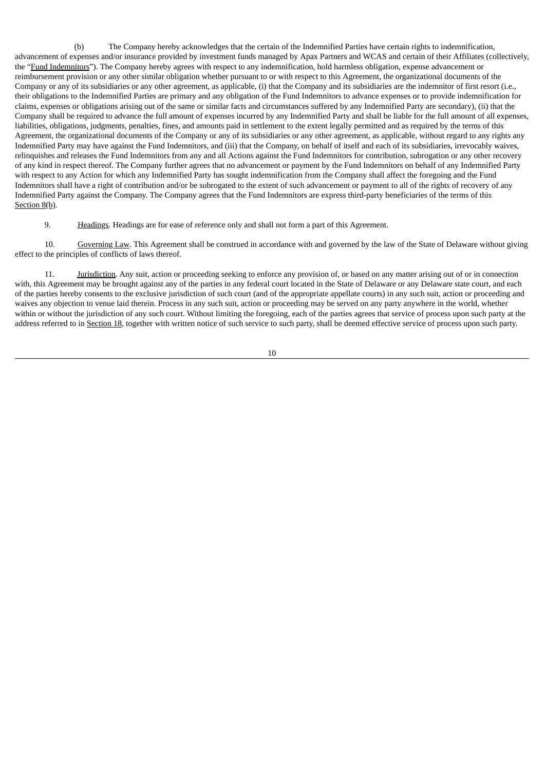(b) The Company hereby acknowledges that the certain of the Indemnified Parties have certain rights to indemnification, advancement of expenses and/or insurance provided by investment funds managed by Apax Partners and WCAS and certain of their Affiliates (collectively, the "Fund Indemnitors"). The Company hereby agrees with respect to any indemnification, hold harmless obligation, expense advancement or reimbursement provision or any other similar obligation whether pursuant to or with respect to this Agreement, the organizational documents of the Company or any of its subsidiaries or any other agreement, as applicable, (i) that the Company and its subsidiaries are the indemnitor of first resort (i.e., their obligations to the Indemnified Parties are primary and any obligation of the Fund Indemnitors to advance expenses or to provide indemnification for claims, expenses or obligations arising out of the same or similar facts and circumstances suffered by any Indemnified Party are secondary), (ii) that the Company shall be required to advance the full amount of expenses incurred by any Indemnified Party and shall be liable for the full amount of all expenses, liabilities, obligations, judgments, penalties, fines, and amounts paid in settlement to the extent legally permitted and as required by the terms of this Agreement, the organizational documents of the Company or any of its subsidiaries or any other agreement, as applicable, without regard to any rights any Indemnified Party may have against the Fund Indemnitors, and (iii) that the Company, on behalf of itself and each of its subsidiaries, irrevocably waives, relinquishes and releases the Fund Indemnitors from any and all Actions against the Fund Indemnitors for contribution, subrogation or any other recovery of any kind in respect thereof. The Company further agrees that no advancement or payment by the Fund Indemnitors on behalf of any Indemnified Party with respect to any Action for which any Indemnified Party has sought indemnification from the Company shall affect the foregoing and the Fund Indemnitors shall have a right of contribution and/or be subrogated to the extent of such advancement or payment to all of the rights of recovery of any Indemnified Party against the Company. The Company agrees that the Fund Indemnitors are express third-party beneficiaries of the terms of this Section 8(b).

9. **Headings**. Headings are for ease of reference only and shall not form a part of this Agreement.

10. Governing Law. This Agreement shall be construed in accordance with and governed by the law of the State of Delaware without giving effect to the principles of conflicts of laws thereof.

11. **Jurisdiction**. Any suit, action or proceeding seeking to enforce any provision of, or based on any matter arising out of or in connection with, this Agreement may be brought against any of the parties in any federal court located in the State of Delaware or any Delaware state court, and each of the parties hereby consents to the exclusive jurisdiction of such court (and of the appropriate appellate courts) in any such suit, action or proceeding and waives any objection to venue laid therein. Process in any such suit, action or proceeding may be served on any party anywhere in the world, whether within or without the jurisdiction of any such court. Without limiting the foregoing, each of the parties agrees that service of process upon such party at the address referred to in Section 18, together with written notice of such service to such party, shall be deemed effective service of process upon such party.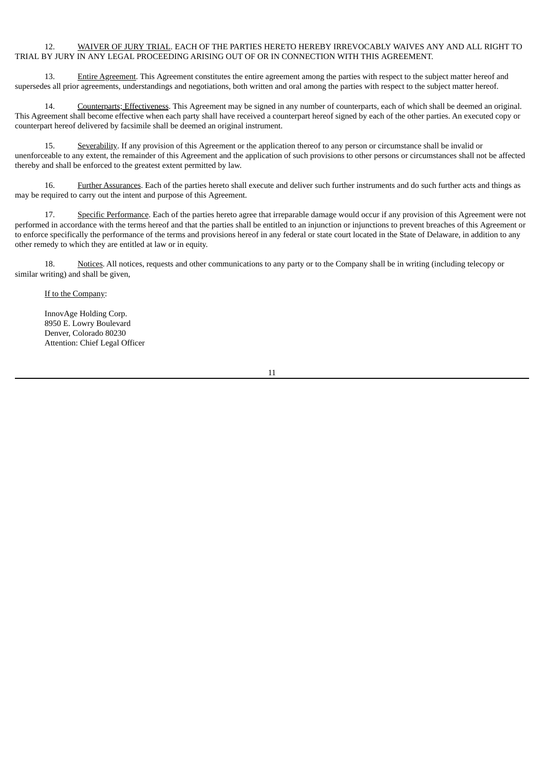# 12. WAIVER OF JURY TRIAL. EACH OF THE PARTIES HERETO HEREBY IRREVOCABLY WAIVES ANY AND ALL RIGHT TO TRIAL BY JURY IN ANY LEGAL PROCEEDING ARISING OUT OF OR IN CONNECTION WITH THIS AGREEMENT.

13. Entire Agreement. This Agreement constitutes the entire agreement among the parties with respect to the subject matter hereof and supersedes all prior agreements, understandings and negotiations, both written and oral among the parties with respect to the subject matter hereof.

14. Counterparts; Effectiveness. This Agreement may be signed in any number of counterparts, each of which shall be deemed an original. This Agreement shall become effective when each party shall have received a counterpart hereof signed by each of the other parties. An executed copy or counterpart hereof delivered by facsimile shall be deemed an original instrument.

15. Severability. If any provision of this Agreement or the application thereof to any person or circumstance shall be invalid or unenforceable to any extent, the remainder of this Agreement and the application of such provisions to other persons or circumstances shall not be affected thereby and shall be enforced to the greatest extent permitted by law.

16. Further Assurances. Each of the parties hereto shall execute and deliver such further instruments and do such further acts and things as may be required to carry out the intent and purpose of this Agreement.

17. Specific Performance. Each of the parties hereto agree that irreparable damage would occur if any provision of this Agreement were not performed in accordance with the terms hereof and that the parties shall be entitled to an injunction or injunctions to prevent breaches of this Agreement or to enforce specifically the performance of the terms and provisions hereof in any federal or state court located in the State of Delaware, in addition to any other remedy to which they are entitled at law or in equity.

18. Notices. All notices, requests and other communications to any party or to the Company shall be in writing (including telecopy or similar writing) and shall be given,

### If to the Company:

InnovAge Holding Corp. 8950 E. Lowry Boulevard Denver, Colorado 80230 Attention: Chief Legal Officer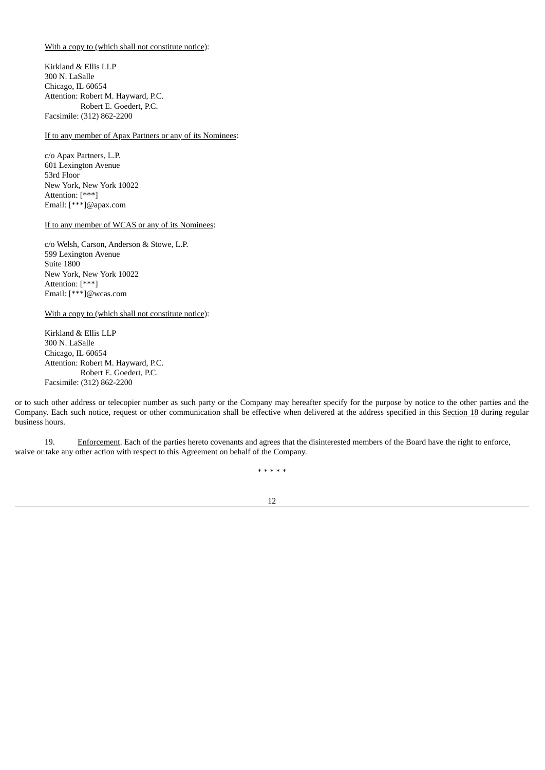With a copy to (which shall not constitute notice):

Kirkland & Ellis LLP 300 N. LaSalle Chicago, IL 60654 Attention: Robert M. Hayward, P.C. Robert E. Goedert, P.C. Facsimile: (312) 862-2200

If to any member of Apax Partners or any of its Nominees:

c/o Apax Partners, L.P. 601 Lexington Avenue 53rd Floor New York, New York 10022 Attention: [\*\*\*] Email: [\*\*\*]@apax.com

If to any member of WCAS or any of its Nominees:

c/o Welsh, Carson, Anderson & Stowe, L.P. 599 Lexington Avenue Suite 1800 New York, New York 10022 Attention: [\*\*\*] Email: [\*\*\*]@wcas.com

With a copy to (which shall not constitute notice):

Kirkland & Ellis LLP 300 N. LaSalle Chicago, IL 60654 Attention: Robert M. Hayward, P.C. Robert E. Goedert, P.C. Facsimile: (312) 862-2200

or to such other address or telecopier number as such party or the Company may hereafter specify for the purpose by notice to the other parties and the Company. Each such notice, request or other communication shall be effective when delivered at the address specified in this Section 18 during regular business hours.

19. Enforcement. Each of the parties hereto covenants and agrees that the disinterested members of the Board have the right to enforce, waive or take any other action with respect to this Agreement on behalf of the Company.

\* \* \* \* \*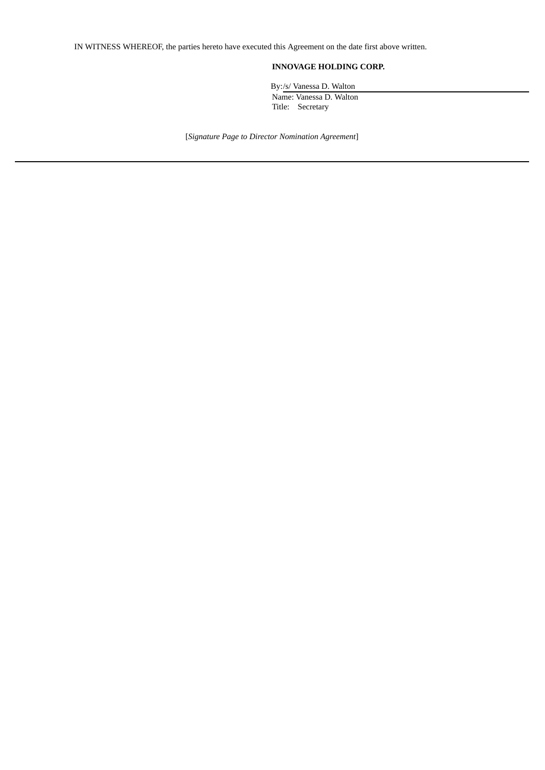IN WITNESS WHEREOF, the parties hereto have executed this Agreement on the date first above written.

# **INNOVAGE HOLDING CORP.**

By:/s/ Vanessa D. Walton Name: Vanessa D. Walton Title: Secretary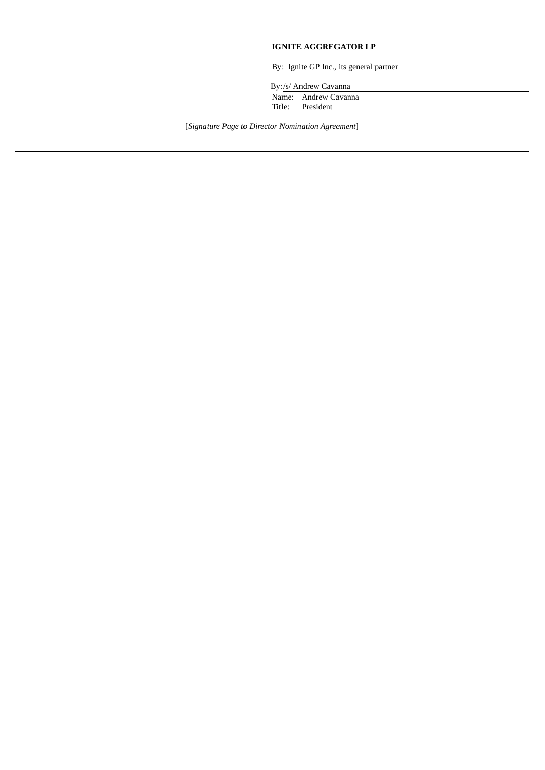# **IGNITE AGGREGATOR LP**

By: Ignite GP Inc., its general partner

By:/s/ Andrew Cavanna

Name: Andrew Cavanna Title: President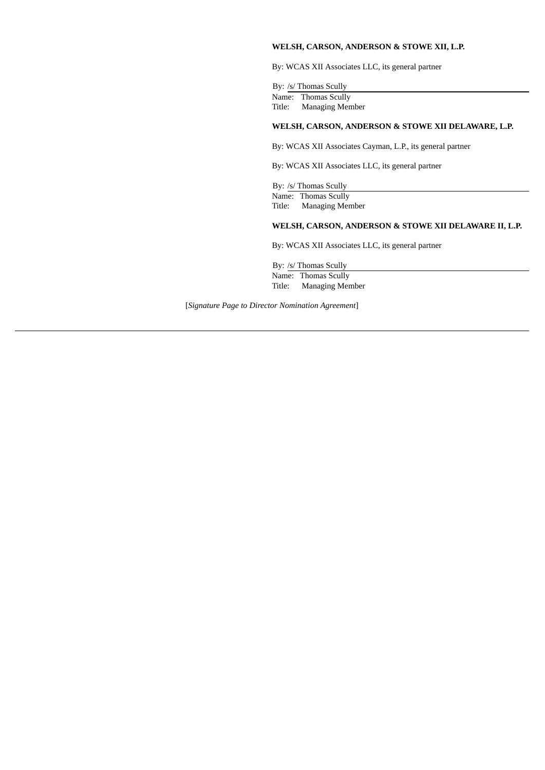# **WELSH, CARSON, ANDERSON & STOWE XII, L.P.**

By: WCAS XII Associates LLC, its general partner

By: /s/ Thomas Scully Name: Thomas Scully<br>Title: Managing Men Managing Member

# **WELSH, CARSON, ANDERSON & STOWE XII DELAWARE, L.P.**

By: WCAS XII Associates Cayman, L.P., its general partner

By: WCAS XII Associates LLC, its general partner

By: /s/ Thomas Scully Name: Thomas Scully Title: Managing Member

## **WELSH, CARSON, ANDERSON & STOWE XII DELAWARE II, L.P.**

By: WCAS XII Associates LLC, its general partner

By: /s/ Thomas Scully Name: Thomas Scully Title: Managing Member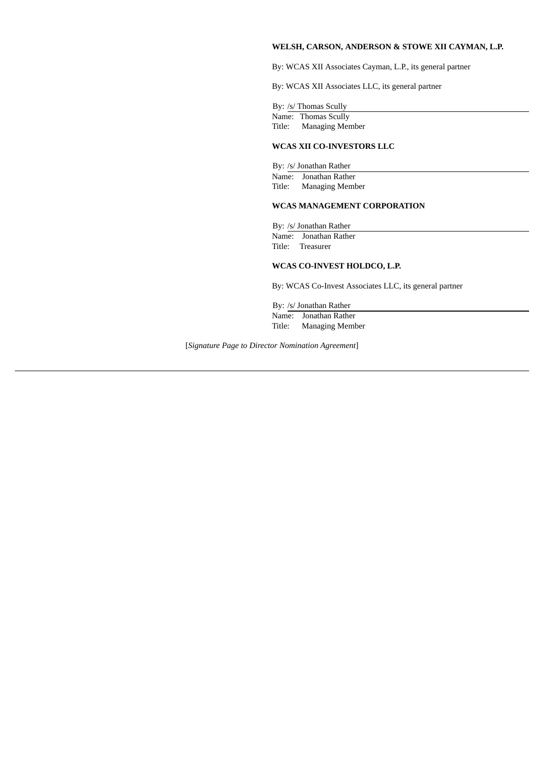### **WELSH, CARSON, ANDERSON & STOWE XII CAYMAN, L.P.**

By: WCAS XII Associates Cayman, L.P., its general partner

By: WCAS XII Associates LLC, its general partner

By: /s/ Thomas Scully Name: Thomas Scully Title: Managing Member

## **WCAS XII CO-INVESTORS LLC**

By: /s/ Jonathan Rather

Name: Jonathan Rather Title: Managing Member

# **WCAS MANAGEMENT CORPORATION**

By: /s/ Jonathan Rather Name: Jonathan Rather Title: Treasurer

# **WCAS CO-INVEST HOLDCO, L.P.**

By: WCAS Co-Invest Associates LLC, its general partner

By: /s/ Jonathan Rather Name: Jonathan Rather Title: Managing Member